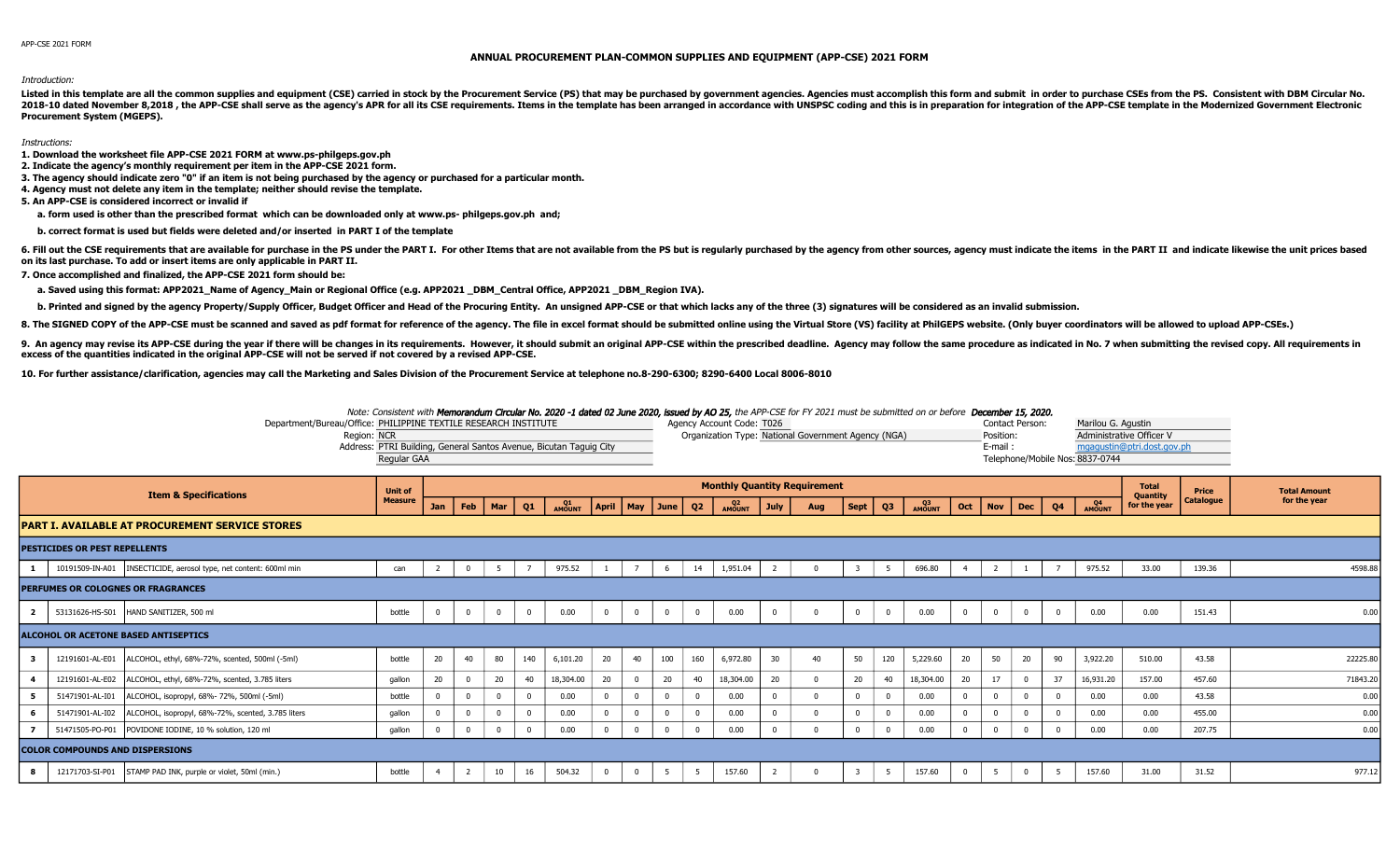## ANNUAL PROCUREMENT PLAN-COMMON SUPPLIES AND EQUIPMENT (APP-CSE) 2021 FORM

Introduction:

Listed in this template are all the common supplies and equipment (CSE) carried in stock by the Procurement Service (PS) that may be purchased by government agencies. Agencies must accomplish this form and submit in order 2018-10 dated November 8,2018, the APP-CSE shall serve as the agency's APR for all its CSE requirements. Items in the template has been arranged in accordance with UNSPSC coding and this is in preparation for integration o **Procurement System (MGEPS).** 

Instructions:

- 1. Download the worksheet file APP-CSE 2021 FORM at www.ps-philgeps.gov.ph
- 2. Indicate the agency's monthly requirement per item in the APP-CSE 2021 form.
- 3. The agency should indicate zero "0" if an item is not being purchased by the agency or purchased for a particular month.
- 4. Agency must not delete any item in the template; neither should revise the template.
- 5. An APP-CSE is considered incorrect or invalid if
	- a. form used is other than the prescribed format which can be downloaded only at www.ps-philgeps.gov.ph and;
	- b. correct format is used but fields were deleted and/or inserted in PART I of the template

6. Fill out the CSE requirements that are available for purchase in the PS under the PART I. For other Items that are not available from the PS but is regularly purchased by the agency from other sources, agency must indic on its last purchase. To add or insert items are only applicable in PART II.

- 7. Once accomplished and finalized, the APP-CSE 2021 form should be:
	- a. Saved using this format: APP2021\_Name of Agency\_Main or Regional Office (e.g. APP2021\_DBM\_Central Office, APP2021\_DBM\_Region IVA).
	- b. Printed and signed by the agency Property/Supply Officer, Budget Officer and Head of the Procuring Entity. An unsigned APP-CSE or that which lacks any of the three (3) signatures will be considered as an invalid submiss
- 8. The SIGNED COPY of the APP-CSE must be scanned and saved as pdf format for reference of the agency. The file in excel format should be submitted online using the Virtual Store (VS) facility at PhilGEPS website. (Only bu

9. An agency may revise its APP-CSE during the year if there will be changes in its requirements. However, it should submit an original APP-CSE within the prescribed deadline. Agency may follow the same procedure as indica excess of the quantities indicated in the original APP-CSE will not be served if not covered by a revised APP-CSE.

106-8010 10. For further assistance/clarification, agencies may call the Marketing and Sales Division of the Procurement Service at telephone no.8-290-6300; 8290-6400 Local 8006-8010

|                         | Department/Bureau/Office: PHILIPPINE TEXTILE RESEARCH INSTITUTE<br>Region: NCR | Note: Consistent with Memorandum Circular No. 2020 -1 dated 02 June 2020, issued by AO 25, the APP-CSE for FY 2021 must be submitted on or before December 15, 2020.<br>Address: PTRI Building, General Santos Avenue, Bicutan Taguig City<br>Regular GAA |     |                |          |          |              |          |                    |          |                | Agency Account Code: T026<br>Organization Type: National Government Agency (NGA) |                |     |                         |          |              |          | Position:<br>E-mail: | <b>Contact Person:</b> |          | Marilou G. Agustin<br>Telephone/Mobile Nos: 8837-0744 | Administrative Officer V<br>mgaqustin@ptri.dost.gov.ph |                           |                                     |
|-------------------------|--------------------------------------------------------------------------------|-----------------------------------------------------------------------------------------------------------------------------------------------------------------------------------------------------------------------------------------------------------|-----|----------------|----------|----------|--------------|----------|--------------------|----------|----------------|----------------------------------------------------------------------------------|----------------|-----|-------------------------|----------|--------------|----------|----------------------|------------------------|----------|-------------------------------------------------------|--------------------------------------------------------|---------------------------|-------------------------------------|
|                         | <b>Item &amp; Specifications</b>                                               | <b>Unit of</b><br><b>Measure</b>                                                                                                                                                                                                                          | Jan | Feb            | Mar      | Q1       | Q1<br>AMOUNT |          | April   May   June |          | Q2             | <b>Monthly Quantity Requirement</b><br>Q <sub>2</sub><br>AMOUNT                  | <b>July</b>    | Aug | Sept                    | Q3       | Q3<br>AMOUNT | Oct      | $\vert$ Nov          | $ $ Dec                | Q4       | <b>Q4</b><br>AMOUNT                                   | <b>Total</b><br><b>Ouantity</b><br>for the year        | Price<br><b>Catalogue</b> | <b>Total Amount</b><br>for the year |
|                         | <b>PART I. AVAILABLE AT PROCUREMENT SERVICE STORES</b>                         |                                                                                                                                                                                                                                                           |     |                |          |          |              |          |                    |          |                |                                                                                  |                |     |                         |          |              |          |                      |                        |          |                                                       |                                                        |                           |                                     |
|                         | <b>PESTICIDES OR PEST REPELLENTS</b>                                           |                                                                                                                                                                                                                                                           |     |                |          |          |              |          |                    |          |                |                                                                                  |                |     |                         |          |              |          |                      |                        |          |                                                       |                                                        |                           |                                     |
|                         | 10191509-IN-A01   INSECTICIDE, aerosol type, net content: 600ml min            | can                                                                                                                                                                                                                                                       | 2   | $\mathbf 0$    | -5       |          | 975.52       |          |                    | 6        | 14             | 1,951.04                                                                         |                |     |                         | - 5      | 696.80       |          |                      |                        |          | 975.52                                                | 33.00                                                  | 139.36                    | 4598.88                             |
|                         | PERFUMES OR COLOGNES OR FRAGRANCES                                             |                                                                                                                                                                                                                                                           |     |                |          |          |              |          |                    |          |                |                                                                                  |                |     |                         |          |              |          |                      |                        |          |                                                       |                                                        |                           |                                     |
| $\overline{\mathbf{2}}$ | 53131626-HS-S01 HAND SANITIZER, 500 ml                                         | bottle                                                                                                                                                                                                                                                    |     | $\mathbf 0$    | $\Omega$ | $\Omega$ | 0.00         | $\Omega$ | $\mathbf 0$        | $\Omega$ | $\overline{0}$ | 0.00                                                                             | $\overline{0}$ |     | $\overline{0}$          | $\Omega$ | 0.00         | $\Omega$ | $^{\circ}$           | $\mathbf{0}$           | $\Omega$ | 0.00                                                  | 0.00                                                   | 151.43                    | 0.00                                |
|                         | <b>ALCOHOL OR ACETONE BASED ANTISEPTICS</b>                                    |                                                                                                                                                                                                                                                           |     |                |          |          |              |          |                    |          |                |                                                                                  |                |     |                         |          |              |          |                      |                        |          |                                                       |                                                        |                           |                                     |
| 3                       | 12191601-AL-E01   ALCOHOL, ethyl, 68%-72%, scented, 500ml (-5ml)               | bottle                                                                                                                                                                                                                                                    | 20  | 40             | 80       | 140      | 6,101.20     | 20       | 40                 | 100      | 160            | 6,972.80                                                                         | 30             | 40  | 50                      | 120      | 5,229.60     | 20       | 50                   | 20                     | 90       | 3,922.20                                              | 510.00                                                 | 43.58                     | 22225.80                            |
| $\overline{4}$          | ALCOHOL, ethyl, 68%-72%, scented, 3.785 liters<br>12191601-AL-E02              | qallon                                                                                                                                                                                                                                                    | 20  | $^{\circ}$     | 20       | 40       | 18,304.00    | 20       | 0                  | 20       | 40             | 18,304.00                                                                        | 20             |     | 20                      | 40       | 18,304.00    | 20       | 17                   | $\Omega$               | 37       | 16,931.20                                             | 157.00                                                 | 457.60                    | 71843.20                            |
| 5                       | ALCOHOL, isopropyl, 68%-72%, 500ml (-5ml)<br>51471901-AL-I01                   | bottle                                                                                                                                                                                                                                                    |     | $\Omega$       |          |          | 0.00         |          |                    |          | $\Omega$       | 0.00                                                                             | $\Omega$       |     |                         |          | 0.00         |          |                      |                        |          | 0.00                                                  | 0.00                                                   | 43.58                     | 0.00                                |
|                         | 51471901-AL-I02<br>ALCOHOL, isopropyl, 68%-72%, scented, 3.785 liters          | qallon                                                                                                                                                                                                                                                    |     | $\Omega$       |          |          | 0.00         |          | 0                  |          | $\Omega$       | 0.00                                                                             | $\Omega$       |     | $\mathbf 0$             |          | 0.00         |          |                      |                        |          | 0.00                                                  | 0.00                                                   | 455.00                    | 0.00                                |
|                         | 51471505-PO-P01 POVIDONE IODINE, 10 % solution, 120 ml                         | gallon                                                                                                                                                                                                                                                    |     | $\overline{0}$ | $\Omega$ |          | 0.00         |          | $\Omega$           |          | $\overline{0}$ | 0.00                                                                             | $\Omega$       |     | $\Omega$                |          | 0.00         |          | $\Omega$             | $\Omega$               |          | 0.00                                                  | 0.00                                                   | 207.75                    | 0.00                                |
|                         | <b>COLOR COMPOUNDS AND DISPERSIONS</b>                                         |                                                                                                                                                                                                                                                           |     |                |          |          |              |          |                    |          |                |                                                                                  |                |     |                         |          |              |          |                      |                        |          |                                                       |                                                        |                           |                                     |
|                         | 12171703-SI-P01<br>STAMP PAD INK, purple or violet, 50ml (min.)                | bottle                                                                                                                                                                                                                                                    |     |                | 10       | 16       | 504.32       | $\Omega$ | $\overline{0}$     | 5        | 5              | 157.60                                                                           |                |     | $\overline{\mathbf{3}}$ | -5       | 157.60       |          | -5                   | $\Omega$               | - 5      | 157.60                                                | 31.00                                                  | 31.52                     | 977.12                              |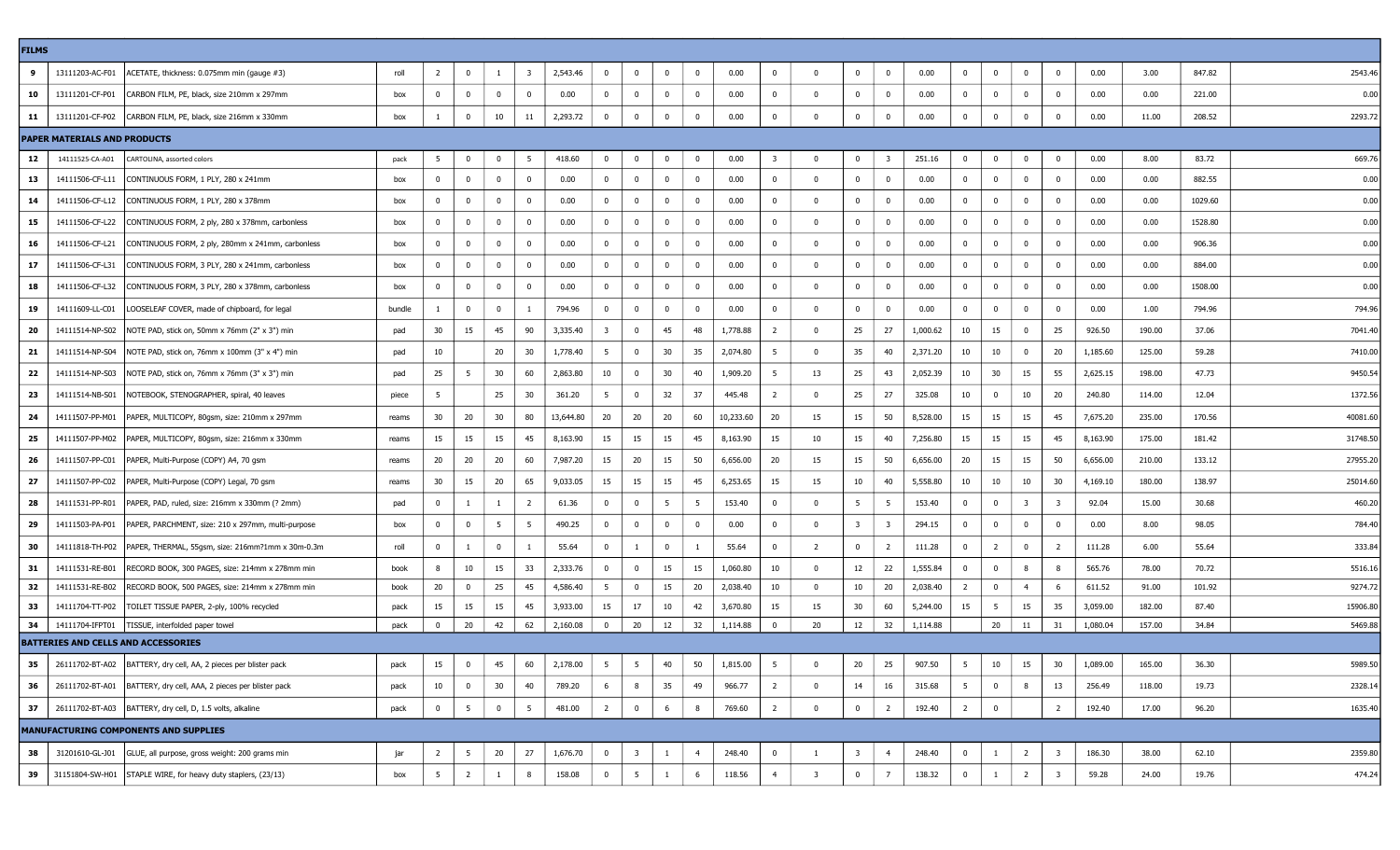| <b>FILMS</b>    |                                     |                                                                      |        |                |                         |                |                         |           |                         |                         |              |                |           |                         |                         |                         |                         |          |                |                         |                |                         |          |          |         |          |
|-----------------|-------------------------------------|----------------------------------------------------------------------|--------|----------------|-------------------------|----------------|-------------------------|-----------|-------------------------|-------------------------|--------------|----------------|-----------|-------------------------|-------------------------|-------------------------|-------------------------|----------|----------------|-------------------------|----------------|-------------------------|----------|----------|---------|----------|
| 9               |                                     | 13111203-AC-F01   ACETATE, thickness: 0.075mm min (gauge #3)         | roll   | $\overline{2}$ | $\overline{0}$          | $\mathbf{1}$   | $\overline{\mathbf{3}}$ | 2,543.46  | $\bf{0}$                | $\overline{0}$          | $\mathbf{0}$ | $\bf{0}$       | 0.00      | 0                       | $\Omega$                | $\mathbf 0$             | $\bf{0}$                | 0.00     | $\bf{0}$       | $\overline{\mathbf{0}}$ | $\overline{0}$ | $\bf{0}$                | 0.00     | 3.00     | 847.82  | 2543.46  |
| 10              | 13111201-CF-P01                     | CARBON FILM, PE, black, size 210mm x 297mm                           | box    | $^{\circ}$     | $\bf{0}$                | $\bf{0}$       | 0                       | 0.00      | $\mathbf 0$             | $\mathbf{0}$            | $\mathbf{0}$ | $^{\circ}$     | 0.00      | $^{\circ}$              | $\Omega$                | $\mathbf{0}$            | $\mathbf{0}$            | 0.00     | $\mathbf{0}$   | $\Omega$                | $\Omega$       | 0                       | 0.00     | 0.00     | 221.00  | 0.00     |
| 11              |                                     | 13111201-CF-P02 CARBON FILM, PE, black, size 216mm x 330mm           | box    |                | $\mathbf{0}$            | 10             | 11                      | 2,293.72  | $\mathbf 0$             | 0                       | $\bf{0}$     | $^{\circ}$     | 0.00      | $^{\circ}$              | $\Omega$                | $\mathbf 0$             | $\mathbf 0$             | 0.00     | $\bf{0}$       | 0                       | $\overline{0}$ | $\Omega$                | 0.00     | 11.00    | 208.52  | 2293.72  |
|                 | <b>PAPER MATERIALS AND PRODUCTS</b> |                                                                      |        |                |                         |                |                         |           |                         |                         |              |                |           |                         |                         |                         |                         |          |                |                         |                |                         |          |          |         |          |
| 12              | 14111525-CA-A01                     | CARTOLINA, assorted colors                                           | pack   | 5              | $\overline{\mathbf{0}}$ | $\overline{0}$ | -5                      | 418.60    | $\overline{0}$          | $\mathbf{0}$            | $\mathbf{0}$ | $\bf{0}$       | 0.00      | $\overline{\mathbf{3}}$ | $\Omega$                | $\mathbf 0$             | - 3                     | 251.16   | $\overline{0}$ | $\overline{\mathbf{0}}$ | $\overline{0}$ | $\mathbf 0$             | 0.00     | 8.00     | 83.72   | 669.76   |
| 13              | 14111506-CF-L11                     | CONTINUOUS FORM, 1 PLY, 280 x 241mm                                  | box    | $^{\circ}$     | $\mathbf{0}$            | $\mathbf 0$    | $^{\circ}$              | 0.00      | $^{\circ}$              | $\mathbf 0$             | $\bf{0}$     | $\Omega$       | 0.00      | $^{\circ}$              | $\Omega$                | $\mathbf 0$             | $\mathbf 0$             | 0.00     | $\overline{0}$ | $\Omega$                | $\Omega$       | $\mathbf{0}$            | 0.00     | 0.00     | 882.55  | 0.00     |
| 14              |                                     | 14111506-CF-L12 CONTINUOUS FORM, 1 PLY, 280 x 378mm                  | box    | $\mathbf{0}$   | $\bf{0}$                | $\bf{0}$       | $\bf{0}$                | 0.00      | $\mathbf{0}$            | $\overline{0}$          | $\bf{0}$     | $\mathbf{0}$   | 0.00      | $\mathbf{0}$            | $\mathbf{0}$            | $\mathbf 0$             | $\overline{0}$          | $0.00\,$ | $\overline{0}$ | - 0                     | $\Omega$       | $\bf{0}$                | 0.00     | 0.00     | 1029.60 | 0.00     |
| 15              | 14111506-CF-L22                     | CONTINUOUS FORM, 2 ply, 280 x 378mm, carbonless                      | box    | $^{\circ}$     | $\bf{0}$                | $\bf{0}$       | 0                       | 0.00      | $\mathbf 0$             | 0                       | $\bf{0}$     | $\mathbf{0}$   | 0.00      | $^{\circ}$              |                         | $\mathbf 0$             | $\bf{0}$                | 0.00     | $^{\circ}$     | 0                       | 0              | 0                       | 0.00     | 0.00     | 1528.80 | 0.00     |
| 16              | 14111506-CF-L21                     | CONTINUOUS FORM, 2 ply, 280mm x 241mm, carbonless                    | box    | $^{\circ}$     | $\bf{0}$                | $\bf{0}$       | $^{\circ}$              | 0.00      | $\mathbf 0$             | $\bf{0}$                | $\bf{0}$     | $\mathbf 0$    | 0.00      | $^{\circ}$              | $\Omega$                | $\mathbf{0}$            | $\mathbf{0}$            | $0.00\,$ | $\mathbf{0}$   | $\bf{0}$                | $\Omega$       | $\overline{0}$          | 0.00     | $0.00\,$ | 906.36  | 0.00     |
| 17              | 14111506-CF-L31                     | CONTINUOUS FORM, 3 PLY, 280 x 241mm, carbonless                      | box    | $^{\circ}$     | $\mathbf{0}$            | $\mathbf 0$    | 0                       | 0.00      | $\bf{0}$                | 0                       | $\mathbf{0}$ | $\mathbf{0}$   | 0.00      | 0                       | 0                       | $\mathbf 0$             | $\mathbf{0}$            | 0.00     | $\mathbf{0}$   | $\mathbf{0}$            | 0              | $\bf{0}$                | 0.00     | 0.00     | 884.00  | 0.00     |
| 18              |                                     | 14111506-CF-L32 CONTINUOUS FORM, 3 PLY, 280 x 378mm, carbonless      | box    | $^{\circ}$     | $\mathbf{0}$            | $\mathbf 0$    | 0                       | 0.00      | $\mathbf 0$             | $\bf{0}$                | $\bf{0}$     | $\mathbf 0$    | 0.00      | $^{\circ}$              | $\Omega$                | $^{\circ}$              | $\mathbf 0$             | 0.00     | $\mathbf 0$    | 0                       | $\overline{0}$ | $\bf{0}$                | 0.00     | 0.00     | 1508.00 | 0.00     |
| 19              | 14111609-LL-C01                     | LOOSELEAF COVER, made of chipboard, for legal                        | bundle |                | $\bf{0}$                | $\mathbf 0$    |                         | 794.96    | $\mathbf{0}$            | $\overline{0}$          | $\bf{0}$     | $^{\circ}$     | 0.00      | 0                       | $\Omega$                | $\mathbf 0$             | $\bf{0}$                | 0.00     | $\overline{0}$ | 0                       | $\Omega$       | $\bf{0}$                | 0.00     | 1.00     | 794.96  | 794.96   |
| 20              |                                     | 14111514-NP-S02   NOTE PAD, stick on, 50mm x 76mm (2" x 3") min      | pad    | 30             | 15                      | 45             | 90                      | 3,335.40  | $\overline{\mathbf{3}}$ | $\overline{0}$          | 45           | 48             | 1,778.88  | $\overline{2}$          | $\Omega$                | 25                      | 27                      | 1,000.62 | 10             | 15                      | 0              | 25                      | 926.50   | 190.00   | 37.06   | 7041.40  |
| 21              |                                     | 14111514-NP-S04   NOTE PAD, stick on, 76mm x 100mm (3" x 4") min     | pad    | 10             |                         | 20             | 30                      | 1,778.40  | 5                       | $\mathbf{0}$            | 30           | 35             | 2,074.80  | -5                      | $\Omega$                | 35                      | 40                      | 2,371.20 | 10             | 10                      | $\Omega$       | 20                      | 1,185.60 | 125.00   | 59.28   | 7410.00  |
| 22              |                                     | 14111514-NP-S03   NOTE PAD, stick on, 76mm x 76mm (3" x 3") min      | pad    | 25             | 5                       | 30             | 60                      | 2,863.80  | 10                      | $\overline{0}$          | 30           | 40             | 1,909.20  | -5                      | 13                      | 25                      | 43                      | 2,052.39 | 10             | 30                      | 15             | 55                      | 2,625.15 | 198.00   | 47.73   | 9450.54  |
| 23              |                                     | 14111514-NB-S01   NOTEBOOK, STENOGRAPHER, spiral, 40 leaves          | piece  | -5             |                         | 25             | 30                      | 361.20    | 5                       | $\mathbf{0}$            | 32           | - 37           | 445.48    | 2                       |                         | 25                      | 27                      | 325.08   | 10             | 0                       | 10             | 20                      | 240.80   | 114.00   | 12.04   | 1372.56  |
| 24              |                                     | 14111507-PP-M01   PAPER, MULTICOPY, 80gsm, size: 210mm x 297mm       | reams  | 30             | 20                      | 30             | 80                      | 13,644.80 | 20                      | -20                     | 20           | 60             | 10,233.60 | 20                      | 15                      | 15                      | 50                      | 8,528.00 | 15             | 15                      | 15             | 45                      | 7,675.20 | 235.00   | 170.56  | 40081.60 |
| 25              |                                     | 14111507-PP-M02   PAPER, MULTICOPY, 80gsm, size: 216mm x 330mm       | reams  | 15             | 15                      | 15             | 45                      | 8,163.90  | 15                      | 15                      | 15           | 45             | 8,163.90  | 15                      | 10                      | 15                      | 40                      | 7,256.80 | 15             | 15                      | 15             | 45                      | 8,163.90 | 175.00   | 181.42  | 31748.50 |
| 26              | 14111507-PP-C01                     | PAPER, Multi-Purpose (COPY) A4, 70 gsm                               | reams  | 20             | 20                      | 20             | 60                      | 7,987.20  | 15                      | 20                      | 15           | 50             | 6,656.00  | 20                      | 15                      | 15                      | 50                      | 6,656.00 | 20             | 15                      | 15             | 50                      | 6,656.00 | 210.00   | 133.12  | 27955.20 |
| 27              |                                     | 14111507-PP-C02   PAPER, Multi-Purpose (COPY) Legal, 70 gsm          | reams  | 30             | 15                      | 20             | 65                      | 9,033.05  | 15                      | 15                      | 15           | 45             | 6,253.65  | 15                      | 15                      | 10                      | 40                      | 5,558.80 | 10             | 10                      | 10             | 30                      | 4,169.10 | 180.00   | 138.97  | 25014.60 |
| 28              |                                     | 14111531-PP-R01   PAPER, PAD, ruled, size: 216mm x 330mm (? 2mm)     | pad    | $^{\circ}$     | -1                      |                | -2                      | 61.36     | $\mathbf 0$             | $\mathbf{0}$            | 5            | -5             | 153.40    | $^{\circ}$              |                         | - 5                     | - 5                     | 153.40   | $^{\circ}$     | $\Omega$                | -3             | -3                      | 92.04    | 15.00    | 30.68   | 460.20   |
| 29              |                                     | 14111503-PA-P01   PAPER, PARCHMENT, size: 210 x 297mm, multi-purpose | box    | $\mathbf 0$    | $\bf{0}$                | - 5            | -5                      | 490.25    | $\mathbf 0$             | $\overline{0}$          | $\bf{0}$     | $\mathbf{0}$   | 0.00      | $^{\circ}$              | $\Omega$                | $\overline{\mathbf{3}}$ | $\overline{\mathbf{3}}$ | 294.15   | $\mathbf{0}$   | $\Omega$                | $\Omega$       | $\overline{0}$          | 0.00     | 8.00     | 98.05   | 784.40   |
| 30              |                                     | 14111818-TH-P02   PAPER, THERMAL, 55gsm, size: 216mm?1mm x 30m-0.3m  | roll   | $^{\circ}$     | -1                      | $\overline{0}$ |                         | 55.64     | $\bf{0}$                | -1                      | $\bf{0}$     |                | 55.64     | $^{\circ}$              | 2                       | $\mathbf 0$             | 2                       | 111.28   | $\mathbf{0}$   | $\overline{2}$          | $\mathbf{0}$   | 2                       | 111.28   | 6.00     | 55.64   | 333.84   |
| 31              | 14111531-RE-B01                     | RECORD BOOK, 300 PAGES, size: 214mm x 278mm min                      | book   | 8              | 10                      | 15             | 33                      | 2,333.76  | $\mathbf 0$             | $\bf{0}$                | 15           | 15             | 1,060.80  | 10                      | $\Omega$                | 12                      | 22                      | 1,555.84 | $\mathbf{0}$   | $\bf{0}$                | -8             | 8                       | 565.76   | 78.00    | 70.72   | 5516.16  |
| 32              |                                     | 14111531-RE-B02   RECORD BOOK, 500 PAGES, size: 214mm x 278mm min    | book   | 20             | $\overline{0}$          | 25             | 45                      | 4,586.40  | 5                       | $\overline{0}$          | 15           | 20             | 2,038.40  | 10                      | $\Omega$                | 10                      | 20                      | 2,038.40 | $\overline{2}$ | $\overline{\mathbf{0}}$ | $\overline{4}$ | - 6                     | 611.52   | 91.00    | 101.92  | 9274.72  |
| 33              | 14111704-TT-P02                     | TOILET TISSUE PAPER, 2-ply, 100% recycled                            | pack   | 15             | 15                      | 15             | 45                      | 3,933.00  | 15                      | 17                      | 10           | 42             | 3,670.80  | 15                      | 15                      | 30                      | 60                      | 5,244.00 | 15             | - 5                     | 15             | 35                      | 3,059.00 | 182.00   | 87.40   | 15906.80 |
| 34              | 14111704-IFPT01                     | TISSUE, interfolded paper towel                                      | pack   | $^{\circ}$     | 20                      | 42             | 62                      | 2,160.08  | $\bf{0}$                | 20                      | 12           | 32             | 1,114.88  | $\mathbf 0$             | 20                      | 12                      | 32                      | 1,114.88 |                | 20                      | 11             | 31                      | 1,080.04 | 157.00   | 34.84   | 5469.88  |
|                 |                                     | <b>BATTERIES AND CELLS AND ACCESSORIES</b>                           |        |                |                         |                |                         |           |                         |                         |              |                |           |                         |                         |                         |                         |          |                |                         |                |                         |          |          |         |          |
| 35 <sub>1</sub> |                                     | 26111702-BT-A02 BATTERY, dry cell, AA, 2 pieces per blister pack     | pack   | 15             | $\mathbf 0$             | 45             | 60                      | 2,178.00  | 5                       |                         | 40           | 50             | 1,815.00  | 5                       |                         | $20\,$                  | 25                      | 907.50   | 5              | $10\,$                  | 15             | $30\,$                  | 1,089.00 | 165.00   | 36.30   | 5989.50  |
| 36              |                                     | 26111702-BT-A01   BATTERY, dry cell, AAA, 2 pieces per blister pack  | pack   | 10             | $\bf{0}$                | 30             | 40                      | 789.20    | 6                       | 8                       | 35           | 49             | 966.77    | 2                       | $\mathbf 0$             | 14                      | 16                      | 315.68   | 5              | $\mathbf 0$             | 8              | 13                      | 256.49   | 118.00   | 19.73   | 2328.14  |
| 37              |                                     | 26111702-BT-A03   BATTERY, dry cell, D, 1.5 volts, alkaline          | pack   | $\overline{0}$ | $5\overline{5}$         | $\bf{0}$       | 5                       | 481.00    | $\overline{2}$          | $\bf{0}$                | 6            | 8              | 769.60    | $\overline{2}$          | $\Omega$                | $\mathbf 0$             | $\overline{2}$          | 192.40   | $\overline{2}$ | $\mathbf{0}$            |                | $\overline{2}$          | 192.40   | 17.00    | 96.20   | 1635.40  |
|                 |                                     | <b>MANUFACTURING COMPONENTS AND SUPPLIES</b>                         |        |                |                         |                |                         |           |                         |                         |              |                |           |                         |                         |                         |                         |          |                |                         |                |                         |          |          |         |          |
| 38              |                                     | 31201610-GL-J01 GLUE, all purpose, gross weight: 200 grams min       | jar    | $\overline{2}$ | $5\overline{5}$         | 20             | 27                      | 1,676.70  | $\bf{0}$                | $\overline{\mathbf{3}}$ | 1            | $\overline{4}$ | 248.40    | $\bf{0}$                | 1                       | $\overline{\mathbf{3}}$ | $\overline{4}$          | 248.40   | $\mathbf{0}$   | 1                       | $\overline{2}$ | $\overline{\mathbf{3}}$ | 186.30   | 38.00    | 62.10   | 2359.80  |
| 39              |                                     | 31151804-SW-H01 STAPLE WIRE, for heavy duty staplers, (23/13)        | box    | 5              | $\overline{2}$          | $\mathbf{1}$   | 8                       | 158.08    | $\overline{0}$          | $5\overline{5}$         | <sup>1</sup> | 6              | 118.56    | $\overline{4}$          | $\overline{\mathbf{3}}$ | $\bf{0}$                | 7                       | 138.32   | $\bf{0}$       | 1                       | $\overline{2}$ | $\overline{\mathbf{3}}$ | 59.28    | 24.00    | 19.76   | 474.24   |
|                 |                                     |                                                                      |        |                |                         |                |                         |           |                         |                         |              |                |           |                         |                         |                         |                         |          |                |                         |                |                         |          |          |         |          |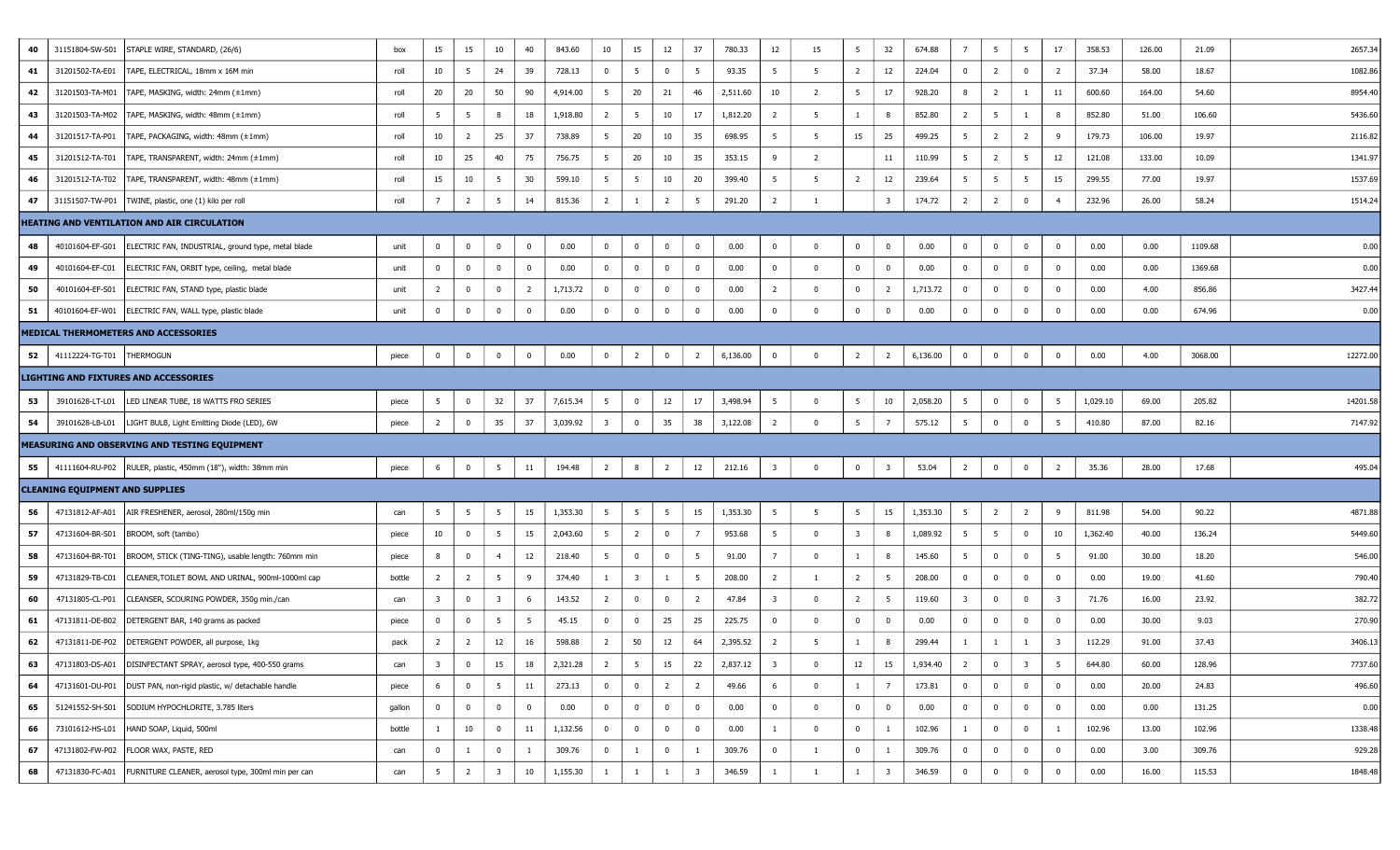| 40 | 31151804-SW-S01                        | STAPLE WIRE, STANDARD, (26/6)                                       | box    | 15                      | 15             | 10                      | 40           | 843.60   | 10                      | 15                      | 12             | 37                      | 780.33   | 12                      | 15                      | 5 <sup>5</sup>          | 32                      | 674.88   | $\overline{7}$          | 5              | $5\overline{5}$ | 17                      | 358.53   | 126.00 | 21.09   | 2657.34  |
|----|----------------------------------------|---------------------------------------------------------------------|--------|-------------------------|----------------|-------------------------|--------------|----------|-------------------------|-------------------------|----------------|-------------------------|----------|-------------------------|-------------------------|-------------------------|-------------------------|----------|-------------------------|----------------|-----------------|-------------------------|----------|--------|---------|----------|
| 41 | 31201502-TA-E01                        | TAPE, ELECTRICAL, 18mm x 16M min                                    | roll   | 10                      | 5              | 24                      | 39           | 728.13   | $\bf{0}$                | 5 <sup>5</sup>          | 0              | 5                       | 93.35    | $5\overline{5}$         | 5                       | $\overline{2}$          | 12                      | 224.04   | $\bf{0}$                | 2              | $\overline{0}$  | $\overline{2}$          | 37.34    | 58.00  | 18.67   | 1082.86  |
| 42 | 31201503-TA-M01                        | TAPE, MASKING, width: 24mm (±1mm)                                   | roll   | 20                      | 20             | 50                      | 90           | 4,914.00 | 5                       | 20                      | 21             | 46                      | 2,511.60 | 10                      | $\overline{2}$          | 5                       | 17                      | 928.20   | 8                       | $\overline{2}$ | $\mathbf{1}$    | 11                      | 600.60   | 164.00 | 54.60   | 8954.40  |
| 43 |                                        | 31201503-TA-M02   TAPE, MASKING, width: 48mm (±1mm)                 | roll   | 5                       | 5              | 8                       | 18           | 1,918.80 | $\overline{2}$          | 5                       | 10             | 17                      | 1,812.20 | $\overline{2}$          | 5                       | 1                       | 8                       | 852.80   | $\overline{2}$          | 5              | 1               | 8                       | 852.80   | 51.00  | 106.60  | 5436.60  |
| 44 | 31201517-TA-P01                        | TAPE, PACKAGING, width: 48mm (±1mm)                                 | roll   | 10                      | $\overline{2}$ | 25                      | 37           | 738.89   | $5\overline{5}$         | 20                      | 10             | 35                      | 698.95   | $5^{\circ}$             | - 5                     | 15                      | 25                      | 499.25   | $5\overline{5}$         | $\overline{2}$ | $\overline{2}$  | 9                       | 179.73   | 106.00 | 19.97   | 2116.82  |
| 45 | 31201512-TA-T01                        | TAPE, TRANSPARENT, width: 24mm (±1mm)                               | roll   | 10                      | 25             | 40                      | 75           | 756.75   | 5                       | 20                      | 10             | 35                      | 353.15   | 9                       | $\overline{2}$          |                         | 11                      | 110.99   | 5                       | $\overline{2}$ | 5               | 12                      | 121.08   | 133.00 | 10.09   | 1341.9   |
| 46 |                                        | 31201512-TA-T02   TAPE, TRANSPARENT, width: 48mm (±1mm)             | roll   | 15                      | 10             | -5                      | 30           | 599.10   | 5 <sup>5</sup>          | 5                       | 10             | 20                      | 399.40   | 5                       | - 5                     | $\overline{2}$          | 12                      | 239.64   | 5 <sup>5</sup>          | - 5            | 5               | 15                      | 299.55   | 77.00  | 19.97   | 1537.69  |
| 47 |                                        | 31151507-TW-P01   TWINE, plastic, one (1) kilo per roll             | roll   | 7                       | $\overline{2}$ | 5                       | 14           | 815.36   | $\overline{2}$          | -1                      | 2              | 5                       | 291.20   | $\overline{2}$          | 1                       |                         | $\overline{\mathbf{3}}$ | 174.72   | $\overline{2}$          | 2              | $\mathbf 0$     | $\overline{4}$          | 232.96   | 26.00  | 58.24   | 1514.24  |
|    |                                        | <b>HEATING AND VENTILATION AND AIR CIRCULATION</b>                  |        |                         |                |                         |              |          |                         |                         |                |                         |          |                         |                         |                         |                         |          |                         |                |                 |                         |          |        |         |          |
| 48 | 40101604-EF-G01                        | ELECTRIC FAN, INDUSTRIAL, ground type, metal blade                  | unit   | 0                       | $\bf{0}$       | $\bf{0}$                | $\mathbf{0}$ | 0.00     | $\overline{0}$          | $\overline{0}$          | 0              | $\mathbf 0$             | 0.00     | $\mathbf 0$             | $\overline{\mathbf{0}}$ | $\overline{0}$          | $\overline{\mathbf{0}}$ | 0.00     | $\mathbf 0$             | $^{\circ}$     | $\bf{0}$        | $\mathbf{0}$            | 0.00     | 0.00   | 1109.68 | 0.00     |
| 49 | 40101604-EF-C01                        | ELECTRIC FAN, ORBIT type, ceiling, metal blade                      | unit   | 0                       | $\bf{0}$       | $\overline{0}$          | $\mathbf 0$  | 0.00     | $\bf{0}$                | $\bf{0}$                | $^{\circ}$     | $\mathbf 0$             | 0.00     | $\bf{0}$                | $\overline{\mathbf{0}}$ | $\overline{0}$          | $\overline{0}$          | 0.00     | $\bf{0}$                | $\overline{0}$ | $\bf{0}$        | $\mathbf{0}$            | 0.00     | 0.00   | 1369.68 | 0.00     |
| 50 | 40101604-EF-S01                        | ELECTRIC FAN, STAND type, plastic blade                             | unit   | $\overline{2}$          | $\bf{0}$       | $\mathbf 0$             | 2            | 1,713.72 | $\bf{0}$                | $\overline{0}$          | 0              | $\bf{0}$                | 0.00     | $\overline{2}$          | $\overline{\mathbf{0}}$ | $\overline{0}$          | $\overline{2}$          | 1,713.72 | $\overline{0}$          | $^{\circ}$     | $\bf{0}$        | $\overline{0}$          | 0.00     | 4.00   | 856.86  | 3427.44  |
| 51 |                                        | 40101604-EF-W01   ELECTRIC FAN, WALL type, plastic blade            | unit   | 0                       | $\bf{0}$       | $\mathbf 0$             | $^{\circ}$   | 0.00     | $\overline{0}$          | $\bf{0}$                | 0              | $\bf{0}$                | 0.00     | $\mathbf 0$             | $\overline{\mathbf{0}}$ | $\overline{0}$          | $\overline{0}$          | 0.00     | $\bf{0}$                | $\overline{0}$ | $\overline{0}$  | $\overline{0}$          | 0.00     | 0.00   | 674.96  | 0.00     |
|    |                                        | MEDICAL THERMOMETERS AND ACCESSORIES                                |        |                         |                |                         |              |          |                         |                         |                |                         |          |                         |                         |                         |                         |          |                         |                |                 |                         |          |        |         |          |
| 52 | 41112224-TG-T01  THERMOGUN             |                                                                     | piece  | $\bf{0}$                | $\bf{0}$       | $\mathbf 0$             | $\mathbf 0$  | 0.00     | $\bf{0}$                | $\overline{2}$          | $\overline{0}$ | $\overline{2}$          | 6,136.00 | $\bf{0}$                | $\overline{0}$          | $\overline{2}$          | $\overline{2}$          | 6,136.00 | $\bf{0}$                | $\mathbf{0}$   | $\bf{0}$        | $\mathbf{0}$            | 0.00     | 4.00   | 3068.00 | 12272.00 |
|    |                                        | <b>LIGHTING AND FIXTURES AND ACCESSORIES</b>                        |        |                         |                |                         |              |          |                         |                         |                |                         |          |                         |                         |                         |                         |          |                         |                |                 |                         |          |        |         |          |
| 53 | 39101628-LT-L01                        | LED LINEAR TUBE, 18 WATTS FRO SERIES                                | piece  | - 5                     | $\bf{0}$       | 32                      | 37           | 7,615.34 | $5\overline{5}$         | $\bf{0}$                | 12             | 17                      | 3,498.94 | $5\overline{5}$         | $\overline{\mathbf{0}}$ | 5 <sub>5</sub>          | 10                      | 2,058.20 | 5                       | $\overline{0}$ | $\bf{0}$        | -5                      | 1,029.10 | 69.00  | 205.82  | 14201.58 |
| 54 | 39101628-LB-L01                        | LIGHT BULB, Light Emitting Diode (LED), 6W                          | piece  | $\overline{2}$          | $\bf{0}$       | 35                      | 37           | 3,039.92 | $\overline{\mathbf{3}}$ | $\overline{0}$          | 35             | 38                      | 3,122.08 | $\overline{2}$          | $\overline{\mathbf{0}}$ | 5 <sup>5</sup>          | 7                       | 575.12   | $5\overline{5}$         | $\overline{0}$ | $\mathbf 0$     | 5                       | 410.80   | 87.00  | 82.16   | 7147.92  |
|    |                                        | <b>MEASURING AND OBSERVING AND TESTING EQUIPMENT</b>                |        |                         |                |                         |              |          |                         |                         |                |                         |          |                         |                         |                         |                         |          |                         |                |                 |                         |          |        |         |          |
| 55 |                                        | 41111604-RU-P02   RULER, plastic, 450mm (18"), width: 38mm min      | piece  | 6                       | $\bf{0}$       | 5 <sup>5</sup>          | 11           | 194.48   | $\overline{2}$          | 8                       | $\overline{2}$ | 12                      | 212.16   | $\overline{\mathbf{3}}$ | $\overline{\mathbf{0}}$ | $\overline{0}$          | $\overline{\mathbf{3}}$ | 53.04    | $\overline{2}$          | $\mathbf 0$    | $\bf{0}$        | $\overline{2}$          | 35.36    | 28.00  | 17.68   | 495.04   |
|    | <b>CLEANING EQUIPMENT AND SUPPLIES</b> |                                                                     |        |                         |                |                         |              |          |                         |                         |                |                         |          |                         |                         |                         |                         |          |                         |                |                 |                         |          |        |         |          |
| 56 | 47131812-AF-A01                        | AIR FRESHENER, aerosol, 280ml/150g min                              | can    | 5                       | 5              | 5                       | 15           | 1,353.30 | $5^{\circ}$             | $5\overline{5}$         | 5              | 15                      | 1,353.30 | $5\overline{5}$         | - 5                     | 5 <sup>5</sup>          | 15                      | 1,353.30 | $5\overline{5}$         | $\overline{2}$ | $\overline{2}$  | 9                       | 811.98   | 54.00  | 90.22   | 4871.88  |
| 57 | 47131604-BR-S01                        | BROOM, soft (tambo)                                                 | piece  | 10                      | $\bf{0}$       | $5\overline{5}$         | 15           | 2,043.60 | $5^{\circ}$             | $\overline{2}$          | $\overline{0}$ | 7                       | 953.68   | $5\overline{5}$         | $\overline{\mathbf{0}}$ | $\overline{\mathbf{3}}$ | 8                       | 1,089.92 | $5\overline{)}$         | 5              | $\bf{0}$        | 10                      | 1,362.40 | 40.00  | 136.24  | 5449.60  |
| 58 | 47131604-BR-T01                        | BROOM, STICK (TING-TING), usable length: 760mm min                  | piece  | 8                       | $\bf{0}$       | $\overline{4}$          | 12           | 218.40   | $5^{\circ}$             | $\overline{0}$          | $\overline{0}$ | $5^{\circ}$             | 91.00    | $\overline{7}$          | $\overline{\mathbf{0}}$ | 1                       | 8                       | 145.60   | $5^{\circ}$             | $\overline{0}$ | $\bf{0}$        | 5                       | 91.00    | 30.00  | 18.20   | 546.00   |
| 59 | 47131829-TB-C01                        | CLEANER, TOILET BOWL AND URINAL, 900ml-1000ml cap                   | bottle | $\overline{2}$          | $\overline{2}$ | 5                       | 9            | 374.40   | $\mathbf{1}$            | $\overline{\mathbf{3}}$ | 1              | $5^{\circ}$             | 208.00   | $\overline{2}$          | - 1                     | $\overline{2}$          | 5                       | 208.00   | $\overline{0}$          | $\mathbf 0$    | $\bf{0}$        | $\overline{0}$          | 0.00     | 19.00  | 41.60   | 790.40   |
| 60 | 47131805-CL-P01                        | CLEANSER, SCOURING POWDER, 350g min./can                            | can    | $\overline{\mathbf{3}}$ | $\mathbf 0$    | $\overline{\mathbf{3}}$ | 6            | 143.52   | $\overline{2}$          | $\overline{0}$          | $^{\circ}$     | $\overline{2}$          | 47.84    | $\overline{\mathbf{3}}$ | $\overline{0}$          | $\overline{2}$          | 5                       | 119.60   | $\overline{\mathbf{3}}$ | $\Omega$       | $\mathbf{0}$    | $\overline{\mathbf{3}}$ | 71.76    | 16.00  | 23.92   | 382.72   |
| 61 | 47131811-DE-B02                        | DETERGENT BAR, 140 grams as packed                                  | piece  | 0                       | $\bf{0}$       | 5                       | - 5          | 45.15    | $\bf{0}$                | $\overline{0}$          | 25             | 25                      | 225.75   | $\bf{0}$                | $\overline{\mathbf{0}}$ | $\overline{0}$          | 0                       | 0.00     | $\bf{0}$                | $\mathbf{0}$   | $\bf{0}$        | $\overline{0}$          | 0.00     | 30.00  | 9.03    | 270.90   |
| 62 |                                        | 47131811-DE-P02   DETERGENT POWDER, all purpose, 1kg                | pack   | $\overline{2}$          | $\overline{2}$ | 12                      | 16           | 598.88   | $\overline{2}$          | 50                      | 12             | 64                      | 2,395.52 | $\overline{2}$          | -5                      | $\mathbf{1}$            | 8                       | 299.44   | 1                       | -1             | 1               | 3                       | 112.29   | 91.00  | 37.43   | 3406.13  |
| 63 |                                        | 47131803-DS-A01   DISINFECTANT SPRAY, aerosol type, 400-550 grams   | can    | -3                      | $\mathbf 0$    | 15                      | 18           | 2,321.28 | $\overline{2}$          | - 5                     | 15             | 22                      | 2,837.12 | $\overline{\mathbf{3}}$ | - 0                     | 12                      | 15                      | 1,934.40 | 2                       | $\mathbf{0}$   | 3               | $\overline{5}$          | 644.80   | 60.00  | 128.96  | 7737.60  |
| 64 |                                        | 47131601-DU-P01   DUST PAN, non-rigid plastic, w/ detachable handle | piece  | 6                       | $\bf{0}$       | 5 <sup>5</sup>          | 11           | 273.13   | $\overline{0}$          | $\overline{0}$          | $\overline{2}$ | $\overline{2}$          | 49.66    | 6                       | $\overline{\mathbf{0}}$ | 1                       | $\overline{7}$          | 173.81   | $\overline{0}$          | $\overline{0}$ | $\overline{0}$  | $\overline{0}$          | 0.00     | 20.00  | 24.83   | 496.60   |
| 65 |                                        | 51241552-SH-S01 SODIUM HYPOCHLORITE, 3.785 liters                   | gallon | $\overline{0}$          | $\bf{0}$       | $\bf{0}$                | $\mathbf{0}$ | 0.00     | $\bf{0}$                | $\bf{0}$                | $^{\circ}$     | $\overline{0}$          | 0.00     | $\bf{0}$                | $\overline{0}$          | $\overline{0}$          | $\mathbf 0$             | 0.00     | $\overline{0}$          | $\overline{0}$ | $\bf{0}$        | $\overline{0}$          | 0.00     | 0.00   | 131.25  | 0.00     |
| 66 |                                        | 73101612-HS-L01   HAND SOAP, Liquid, 500ml                          | bottle | $\mathbf{1}$            | 10             | $\bf{0}$                | 11           | 1,132.56 | $\overline{0}$          | $\bf{0}$                | $\overline{0}$ | $\bf{0}$                | 0.00     | $\overline{1}$          | $\overline{\mathbf{0}}$ | $\overline{0}$          | 1                       | 102.96   | $\mathbf{1}$            | $\overline{0}$ | $\bf{0}$        | $\mathbf{1}$            | 102.96   | 13.00  | 102.96  | 1338.48  |
| 67 |                                        | 47131802-FW-P02   FLOOR WAX, PASTE, RED                             | can    | 0                       | -1             | $\bf{0}$                |              | 309.76   | $\bf{0}$                | $\mathbf{1}$            | $\overline{0}$ | 1                       | 309.76   | $\bf{0}$                | -1                      | $\overline{0}$          | 1                       | 309.76   | $\bf{0}$                | $\overline{0}$ | $\bf{0}$        | $\mathbf{0}$            | 0.00     | 3.00   | 309.76  | 929.28   |
| 68 |                                        | 47131830-FC-A01 FURNITURE CLEANER, aerosol type, 300ml min per can  | can    | 5                       | $\overline{2}$ | $\overline{\mathbf{3}}$ | 10           | 1,155.30 | 1                       | $\mathbf{1}$            | -1             | $\overline{\mathbf{3}}$ | 346.59   | $\mathbf{1}$            | <sup>1</sup>            | $\mathbf{1}$            | $\overline{\mathbf{3}}$ | 346.59   | $\bf{0}$                | $\mathbf 0$    | $\mathbf 0$     | $\mathbf{0}$            | 0.00     | 16.00  | 115.53  | 1848.48  |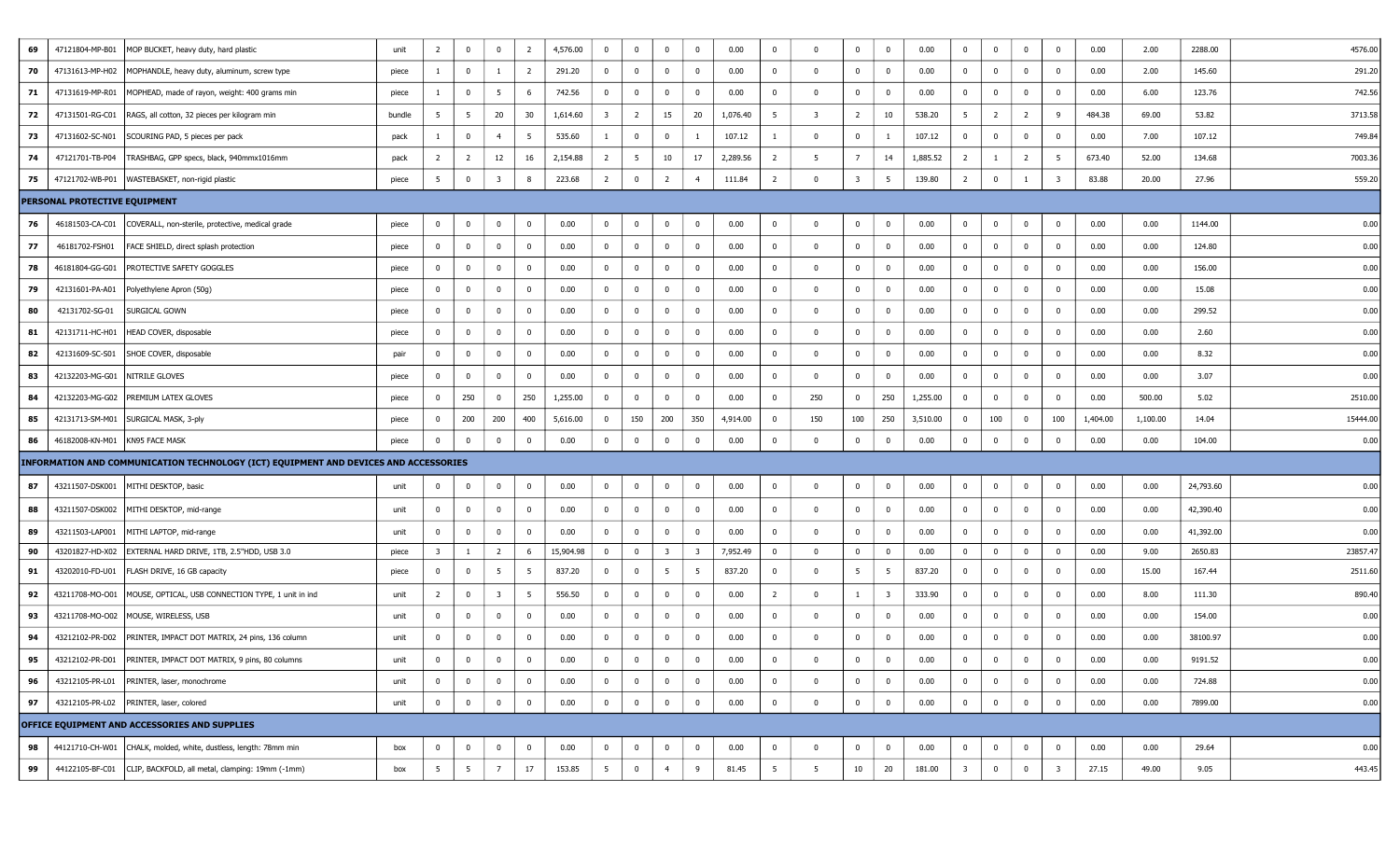| 69 | 47121804-MP-B01                  | MOP BUCKET, heavy duty, hard plastic                                                 | unit   | $\overline{2}$          | $\mathbf{0}$    | $\overline{0}$          | $\overline{2}$ | 4,576.00  | $\bf{0}$                | $\bf{0}$                | $\Omega$                | $\bf{0}$                | 0.00     | $\mathbf 0$    | $^{\circ}$   | $\mathbf{0}$   | $\overline{0}$          | 0.00     | $\bf{0}$       | $\mathbf 0$    | $\overline{0}$ | $^{\circ}$   | 0.00     | 2.00     | 2288.00   | 4576.00  |
|----|----------------------------------|--------------------------------------------------------------------------------------|--------|-------------------------|-----------------|-------------------------|----------------|-----------|-------------------------|-------------------------|-------------------------|-------------------------|----------|----------------|--------------|----------------|-------------------------|----------|----------------|----------------|----------------|--------------|----------|----------|-----------|----------|
| 70 |                                  | 47131613-MP-H02   MOPHANDLE, heavy duty, aluminum, screw type                        | piece  | 1                       | $\overline{0}$  |                         | $\overline{2}$ | 291.20    | $\overline{0}$          | $\overline{\mathbf{0}}$ | $\mathbf{0}$            | $\mathbf{0}$            | 0.00     | 0              | $\mathbf 0$  | $\mathbf{0}$   | $\overline{\mathbf{0}}$ | 0.00     | $\bf{0}$       | $\mathbf 0$    | $\bf{0}$       | 0            | 0.00     | 2.00     | 145.60    | 291.20   |
| 71 | 47131619-MP-R01                  | MOPHEAD, made of rayon, weight: 400 grams min                                        | piece  | 1                       | $\mathbf 0$     | $5\overline{)}$         | 6              | 742.56    | $\overline{0}$          | $\overline{0}$          | $\mathbf{0}$            | $\overline{0}$          | 0.00     | $\mathbf 0$    | $\mathbf 0$  | $\overline{0}$ | $\overline{\mathbf{0}}$ | 0.00     | $\bf{0}$       | $\mathbf{0}$   | $\overline{0}$ | 0            | 0.00     | 6.00     | 123.76    | 742.56   |
| 72 | 47131501-RG-C01                  | RAGS, all cotton, 32 pieces per kilogram min                                         | bundle | 5                       | $5\overline{5}$ | 20                      | 30             | 1,614.60  | $\overline{\mathbf{3}}$ | $\overline{2}$          | 15                      | 20                      | 1,076.40 | 5              | 3            | $\overline{2}$ | 10                      | 538.20   | 5 <sup>5</sup> | $\overline{2}$ | $\overline{2}$ | 9            | 484.38   | 69.00    | 53.82     | 3713.58  |
| 73 | 47131602-SC-N01                  | SCOURING PAD, 5 pieces per pack                                                      | pack   | $\mathbf{1}$            | 0               | $\overline{4}$          | 5              | 535.60    | $\mathbf{1}$            | $\overline{\mathbf{0}}$ | $\mathbf{0}$            | $\mathbf{1}$            | 107.12   | -1             | $\mathbf{0}$ | $^{\circ}$     | -1                      | 107.12   | $\mathbf 0$    | $\mathbf 0$    | $\overline{0}$ | $\Omega$     | 0.00     | 7.00     | 107.12    | 749.84   |
| 74 | 47121701-TB-P04                  | TRASHBAG, GPP specs, black, 940mmx1016mm                                             | pack   | $\overline{2}$          | $\overline{2}$  | 12                      | 16             | 2,154.88  | $\overline{2}$          | $5\overline{5}$         | 10                      | 17                      | 2,289.56 | $\overline{2}$ | -5           | 7              | 14                      | 1,885.52 | $\overline{2}$ |                | $\overline{2}$ | -5           | 673.40   | 52.00    | 134.68    | 7003.36  |
| 75 |                                  | 47121702-WB-P01   WASTEBASKET, non-rigid plastic                                     | piece  | 5                       | $\mathbf 0$     | -3                      | 8              | 223.68    | $\overline{2}$          | $\pmb{0}$               | 2                       | $\overline{4}$          | 111.84   | $\overline{2}$ | 0            | 3              | - 5                     | 139.80   | $\overline{2}$ | $\mathbf 0$    |                | 3            | 83.88    | 20.00    | 27.96     | 559.20   |
|    | PERSONAL PROTECTIVE EQUIPMENT    |                                                                                      |        |                         |                 |                         |                |           |                         |                         |                         |                         |          |                |              |                |                         |          |                |                |                |              |          |          |           |          |
| 76 | 46181503-CA-C01                  | COVERALL, non-sterile, protective, medical grade                                     | piece  | $\overline{0}$          | $\mathbf{0}$    | $\mathbf{0}$            | $\overline{0}$ | 0.00      | $\overline{0}$          | $\bf{0}$                | $\Omega$                | $\bf{0}$                | 0.00     | $\mathbf 0$    | $\mathbf 0$  | $\overline{0}$ | $\overline{\mathbf{0}}$ | 0.00     | $\overline{0}$ | $\mathbf 0$    | $\overline{0}$ | $^{\circ}$   | 0.00     | 0.00     | 1144.00   | 0.00     |
| 77 | 46181702-FSH01                   | FACE SHIELD, direct splash protection                                                | piece  | $\mathbf{0}$            | $\overline{0}$  | $\mathbf{0}$            | $\bf{0}$       | 0.00      | $\overline{0}$          | $\overline{\mathbf{0}}$ | $\mathbf{0}$            | $\mathbf 0$             | 0.00     | $\bf{0}$       | $\mathbf 0$  | $\overline{0}$ | $\overline{\mathbf{0}}$ | 0.00     | $\bf{0}$       | $\bf{0}$       | $\bf{0}$       | 0            | 0.00     | 0.00     | 124.80    | 0.00     |
| 78 | 46181804-GG-G01                  | <b>PROTECTIVE SAFETY GOGGLES</b>                                                     | piece  | $\mathbf{0}$            | 0               | $\bf{0}$                | $\bf{0}$       | 0.00      | $\mathbf{0}$            | $\overline{\mathbf{0}}$ | $\mathbf{0}$            | $\overline{0}$          | 0.00     | $\mathbf 0$    | $\mathbf 0$  | $\bf{0}$       | $\overline{\mathbf{0}}$ | 0.00     | $\bf{0}$       | $\bf{0}$       | $\overline{0}$ | 0            | 0.00     | 0.00     | 156.00    | 0.00     |
| 79 | 42131601-PA-A01                  | Polyethylene Apron (50g)                                                             | piece  | $\overline{0}$          | $\bf{0}$        | $\mathbf{0}$            | $\bf{0}$       | 0.00      | $\overline{0}$          | $\overline{0}$          | $\overline{0}$          | $\bf{0}$                | 0.00     | $\overline{0}$ | $\mathbf 0$  | $\overline{0}$ | $\overline{\mathbf{0}}$ | 0.00     | $\bf{0}$       | $\mathbf 0$    | $\bf{0}$       | $^{\circ}$   | 0.00     | 0.00     | 15.08     | 0.00     |
| 80 | 42131702-SG-01                   | SURGICAL GOWN                                                                        | piece  | $\mathbf{0}$            | $\bf{0}$        | $\mathbf 0$             | $\mathbf{0}$   | 0.00      | $\mathbf{0}$            | $\overline{0}$          | $\mathbf{0}$            | $\mathbf 0$             | 0.00     | $\mathbf 0$    | $\mathbf 0$  | $\mathbf{0}$   | $\overline{\mathbf{0}}$ | 0.00     | $\bf{0}$       | $\mathbf{0}$   | $\bf{0}$       | $^{\circ}$   | 0.00     | 0.00     | 299.52    | 0.00     |
| 81 | 42131711-HC-H01                  | HEAD COVER, disposable                                                               | piece  | $\mathbf{0}$            | $\mathbf{0}$    | $\mathbf 0$             | $\bf{0}$       | 0.00      | $\mathbf{0}$            | $\overline{\mathbf{0}}$ | $\Omega$                | $\mathbf{0}$            | 0.00     | $\mathbf 0$    | $\mathbf 0$  | $\bf{0}$       | $\overline{\mathbf{0}}$ | 0.00     | $\bf{0}$       | $\mathbf 0$    | $\bf{0}$       | 0            | 0.00     | 0.00     | 2.60      | 0.00     |
| 82 | 42131609-SC-S01                  | SHOE COVER, disposable                                                               | pair   | $\mathbf{0}$            | $\mathbf 0$     | $\mathbf{0}$            | $\mathbf{0}$   | 0.00      | $\overline{0}$          | $\overline{\mathbf{0}}$ | 0                       | $\mathbf{0}$            | 0.00     | $\bf{0}$       | $\mathbf 0$  | 0              | $\overline{\mathbf{0}}$ | 0.00     | $\bf{0}$       | $\bf{0}$       | $\bf{0}$       | 0            | 0.00     | 0.00     | 8.32      | 0.00     |
| 83 | 42132203-MG-G01 NITRILE GLOVES   |                                                                                      | piece  | $\mathbf{0}$            | $\mathbf{0}$    | $\bf{0}$                | $\mathbf{0}$   | 0.00      | $\mathbf{0}$            | $\overline{0}$          | $\mathbf{0}$            | $\mathbf{0}$            | 0.00     | $^{\circ}$     | $\mathbf 0$  | $\bf{0}$       | $\overline{\mathbf{0}}$ | 0.00     | $\bf{0}$       | $\bf{0}$       | $\overline{0}$ | 0            | 0.00     | 0.00     | 3.07      | 0.00     |
| 84 |                                  | 42132203-MG-G02   PREMIUM LATEX GLOVES                                               | piece  | $\mathbf{0}$            | 250             | $\mathbf 0$             | 250            | 1,255.00  | $\bf{0}$                | $\overline{\mathbf{0}}$ | $\mathbf{0}$            | $\mathbf{0}$            | 0.00     | $\mathbf 0$    | 250          | $\overline{0}$ | 250                     | 1,255.00 | $\mathbf 0$    | $\mathbf 0$    | $\overline{0}$ | $^{\circ}$   | 0.00     | 500.00   | 5.02      | 2510.00  |
| 85 |                                  | 42131713-SM-M01   SURGICAL MASK, 3-ply                                               | piece  | $\bf{0}$                | 200             | 200                     | 400            | 5,616.00  | $\overline{0}$          | 150                     | 200                     | 350                     | 4,914.00 | 0              | 150          | 100            | 250                     | 3,510.00 | $\mathbf{0}$   | 100            | $\bf{0}$       | 100          | 1,404.00 | 1,100.00 | 14.04     | 15444.00 |
| 86 | 46182008-KN-M01   KN95 FACE MASK |                                                                                      | piece  | $\overline{0}$          | 0               | $\bf{0}$                | $\overline{0}$ | 0.00      | $\bf{0}$                | $\overline{\mathbf{0}}$ | $\mathbf{0}$            | $\bf{0}$                | 0.00     | $\mathbf 0$    | $\Omega$     | $\overline{0}$ | $\overline{\mathbf{0}}$ | 0.00     | $\bf{0}$       | $\mathbf{0}$   | $\overline{0}$ | 0            | 0.00     | 0.00     | 104.00    | 0.00     |
|    |                                  | INFORMATION AND COMMUNICATION TECHNOLOGY (ICT) EQUIPMENT AND DEVICES AND ACCESSORIES |        |                         |                 |                         |                |           |                         |                         |                         |                         |          |                |              |                |                         |          |                |                |                |              |          |          |           |          |
| 87 | 43211507-DSK001                  | MITHI DESKTOP, basic                                                                 | unit   | $\overline{0}$          | 0               | $\bf{0}$                | $\overline{0}$ | 0.00      | $\overline{0}$          | $\overline{\mathbf{0}}$ | $\mathbf{0}$            | $\overline{0}$          | 0.00     | $\mathbf 0$    | $\mathbf{0}$ | 0              | $\overline{\mathbf{0}}$ | 0.00     | $\bf{0}$       | $\mathbf{0}$   | $\bf{0}$       | $\mathbf 0$  | 0.00     | 0.00     | 24,793.60 | 0.00     |
| 88 | 43211507-DSK002                  | MITHI DESKTOP, mid-range                                                             | unit   | $\mathbf{0}$            | 0               | $\overline{0}$          | $\bf{0}$       | 0.00      | $\overline{0}$          | $\bf{0}$                | $\bf{0}$                | $\overline{0}$          | 0.00     | $\mathbf 0$    | $\mathbf 0$  | $\bf{0}$       | $\overline{\mathbf{0}}$ | 0.00     | $\bf{0}$       | $\bf{0}$       | $\bf{0}$       | 0            | 0.00     | 0.00     | 42,390.40 | 0.00     |
| 89 | 43211503-LAP001                  | MITHI LAPTOP, mid-range                                                              | unit   | $\overline{0}$          | $\mathbf{0}$    | $\mathbf{0}$            | $\mathbf 0$    | 0.00      | $\overline{0}$          | $\overline{\mathbf{0}}$ | $\Omega$                | $\mathbf 0$             | 0.00     | $\mathbf 0$    | $\Omega$     | $\mathbf{0}$   | $\overline{\mathbf{0}}$ | 0.00     | $\mathbf 0$    | $^{\circ}$     | $\overline{0}$ | $^{\circ}$   | 0.00     | 0.00     | 41,392.00 | 0.00     |
| 90 |                                  | 43201827-HD-X02   EXTERNAL HARD DRIVE, 1TB, 2.5"HDD, USB 3.0                         | piece  | $\overline{\mathbf{3}}$ | 1               | $\overline{2}$          | 6              | 15,904.98 | $\overline{0}$          | $\bf{0}$                | $\overline{\mathbf{3}}$ | $\overline{\mathbf{3}}$ | 7,952.49 | $\overline{0}$ | $\mathbf 0$  | $\overline{0}$ | $\overline{\mathbf{0}}$ | 0.00     | $\overline{0}$ | $\mathbf 0$    | $\overline{0}$ | $^{\circ}$   | 0.00     | 9.00     | 2650.83   | 23857.47 |
| 91 | 43202010-FD-U01                  | FLASH DRIVE, 16 GB capacity                                                          | piece  | $\bf{0}$                | $\mathbf{0}$    | 5 <sup>5</sup>          | - 5            | 837.20    | $\overline{0}$          | $\overline{\mathbf{0}}$ | - 5                     | - 5                     | 837.20   | 0              | $\mathbf 0$  | 5 <sup>5</sup> | 5                       | 837.20   | $\mathbf 0$    | $\bf{0}$       | $\mathbf 0$    | 0            | 0.00     | 15.00    | 167.44    | 2511.60  |
| 92 | 43211708-MO-O01                  | MOUSE, OPTICAL, USB CONNECTION TYPE, 1 unit in ind                                   | unit   | $\overline{2}$          | 0               | $\overline{\mathbf{3}}$ | 5              | 556.50    | $\overline{0}$          | $\overline{0}$          | $\mathbf{0}$            | $\mathbf{0}$            | 0.00     | $\overline{2}$ | $\mathbf 0$  | $\mathbf{1}$   | $\overline{\mathbf{3}}$ | 333.90   | $\bf{0}$       | $\mathbf{0}$   | $\overline{0}$ | 0            | 0.00     | 8.00     | 111.30    | 890.40   |
| 93 |                                  | 43211708-MO-O02  MOUSE, WIRELESS, USB                                                | unit   | $\mathbf{0}$            | $\mathbf{0}$    | $\mathbf{0}$            | $\mathbf{0}$   | 0.00      | $\mathbf{0}$            | $\overline{\mathbf{0}}$ | $\Omega$                | $\overline{0}$          | 0.00     | $\mathbf 0$    | $\mathbf 0$  | $\bf{0}$       | $\overline{\mathbf{0}}$ | 0.00     | $\mathbf 0$    | $\bf{0}$       | $\bf{0}$       | 0            | 0.00     | 0.00     | 154.00    | 0.00     |
| 94 |                                  | 43212102-PR-D02   PRINTER, IMPACT DOT MATRIX, 24 pins, 136 column                    | unit   | $\mathbf{0}$            | $\mathbf{0}$    | $\mathbf{0}$            | $\mathbf{0}$   | 0.00      | $\mathbf 0$             | $\overline{0}$          | $\Omega$                | $\mathbf{0}$            | 0.00     | $\mathbf 0$    | 0            | $^{\circ}$     | - 0                     | 0.00     | $^{\circ}$     | $\mathbf{0}$   | $\bf{0}$       | 0            | 0.00     | 0.00     | 38100.97  | 0.00     |
| 95 |                                  | 43212102-PR-D01 PRINTER, IMPACT DOT MATRIX, 9 pins, 80 columns                       | unit   |                         | $\Omega$        | $\Omega$                | $\Omega$       | 0.00      | 0                       | $\Omega$                | $\Omega$                | $\mathbf 0$             | 0.00     |                |              |                | $\Omega$                | 0.00     | $\Omega$       | $\Omega$       |                |              | 0.00     | 0.00     | 9191.52   | 0.00     |
| 96 |                                  | 43212105-PR-L01   PRINTER, laser, monochrome                                         | unit   | $\overline{0}$          | $\mathbf 0$     | $\mathbf 0$             | $\overline{0}$ | 0.00      | $\overline{0}$          | $\overline{0}$          | $\mathbf 0$             | $\bf{0}$                | 0.00     | $\bf{0}$       | $\mathbf 0$  | $\overline{0}$ | $\overline{\mathbf{0}}$ | 0.00     | $\overline{0}$ | $\mathbf{0}$   | $\mathbf{0}$   | $\mathbf{0}$ | 0.00     | 0.00     | 724.88    | 0.00     |
| 97 |                                  | 43212105-PR-L02   PRINTER, laser, colored                                            | unit   | $\overline{0}$          | $\overline{0}$  | $\overline{0}$          | $\overline{0}$ | 0.00      | $\overline{0}$          | $\overline{0}$          | $\overline{0}$          | $\overline{0}$          | 0.00     | $\bf{0}$       | $\mathbf 0$  | $\overline{0}$ | $\overline{0}$          | 0.00     | $\overline{0}$ | $\bf{0}$       | $\overline{0}$ | $\mathbf{0}$ | 0.00     | 0.00     | 7899.00   | 0.00     |
|    |                                  | OFFICE EQUIPMENT AND ACCESSORIES AND SUPPLIES                                        |        |                         |                 |                         |                |           |                         |                         |                         |                         |          |                |              |                |                         |          |                |                |                |              |          |          |           |          |
|    |                                  |                                                                                      |        |                         |                 |                         |                |           |                         |                         |                         |                         |          |                |              |                |                         |          |                |                |                |              |          |          |           |          |
| 98 |                                  | 44121710-CH-W01 CHALK, molded, white, dustless, length: 78mm min                     | box    | $\overline{0}$          | $\overline{0}$  | $\bf{0}$                | $\overline{0}$ | 0.00      | $\overline{0}$          | $\overline{0}$          | $\mathbf{0}$            | $\overline{0}$          | 0.00     | $\bf{0}$       | $\mathbf 0$  | $\mathbf{0}$   | $\overline{\mathbf{0}}$ | 0.00     | $\overline{0}$ | $\bf{0}$       | $\mathbf{0}$   | $\mathbf{0}$ | 0.00     | 0.00     | 29.64     | 0.00     |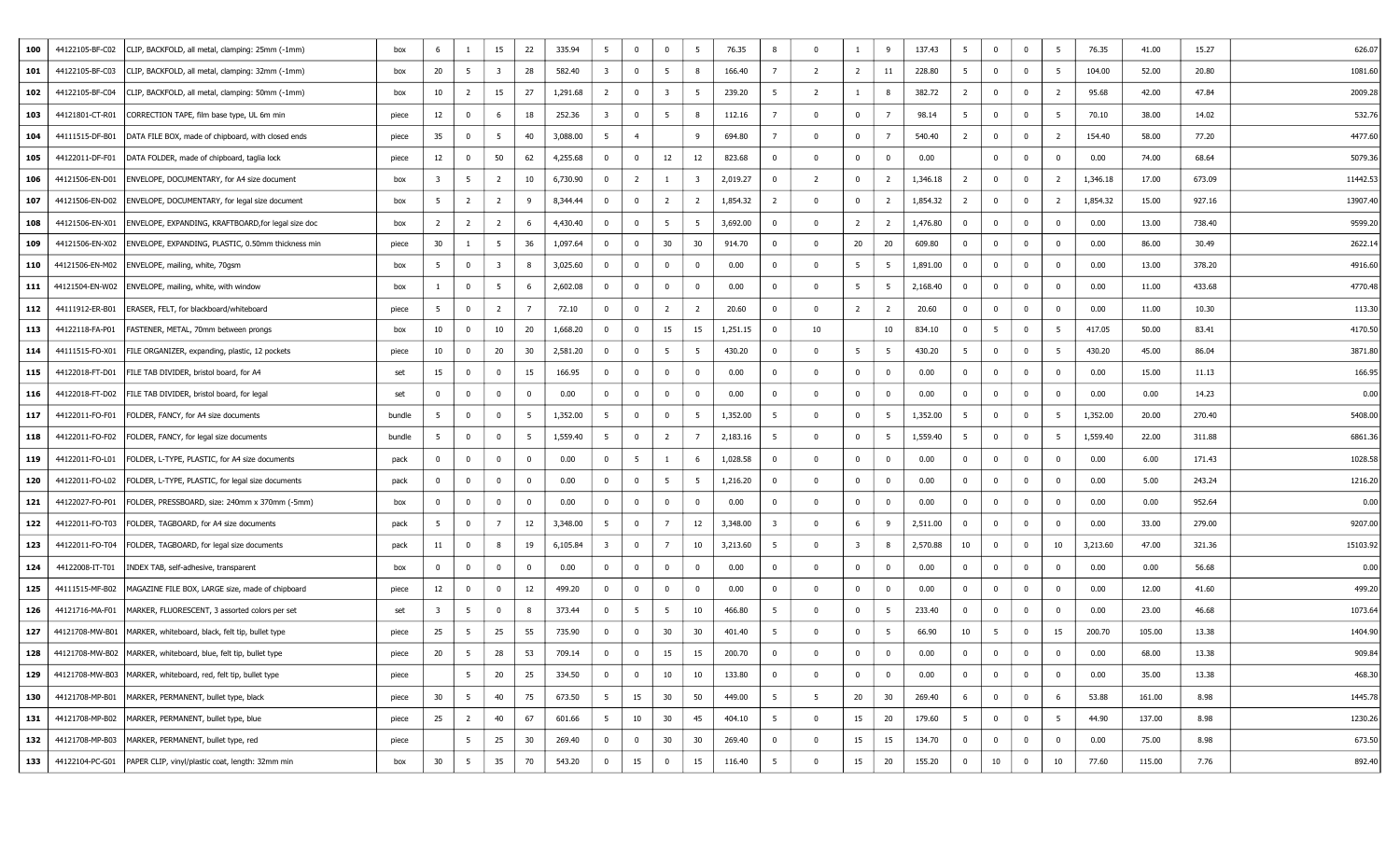| 100 | 44122105-BF-C02 | CLIP, BACKFOLD, all metal, clamping: 25mm (-1mm)                   | box    | -6             | -1                      | 15                      | 22             | 335.94   | 5                       | $\mathbf 0$             | $\overline{0}$          | 5                       | 76.35    | 8              | $\Omega$       | 1                       | 9              | 137.43   | 5               | $\overline{0}$          | $\bf{0}$       | 5               | 76.35    | 41.00  | 15.27  | 626.07   |
|-----|-----------------|--------------------------------------------------------------------|--------|----------------|-------------------------|-------------------------|----------------|----------|-------------------------|-------------------------|-------------------------|-------------------------|----------|----------------|----------------|-------------------------|----------------|----------|-----------------|-------------------------|----------------|-----------------|----------|--------|--------|----------|
| 101 | 44122105-BF-C03 | CLIP, BACKFOLD, all metal, clamping: 32mm (-1mm)                   | box    | 20             | 5                       | $\overline{\mathbf{3}}$ | 28             | 582.40   | $\overline{\mathbf{3}}$ | $\mathbf 0$             | 5                       | 8                       | 166.40   | 7              | 2              | $\overline{2}$          | 11             | 228.80   | 5               | $\overline{0}$          | $\overline{0}$ | $5\overline{5}$ | 104.00   | 52.00  | 20.80  | 1081.60  |
| 102 | 44122105-BF-C04 | CLIP, BACKFOLD, all metal, clamping: 50mm (-1mm)                   | box    | 10             | $\overline{2}$          | 15                      | 27             | 1,291.68 | $\overline{2}$          | $\overline{\mathbf{0}}$ | $\overline{\mathbf{3}}$ | 5                       | 239.20   | -5             | $\overline{2}$ | $\mathbf{1}$            | 8              | 382.72   | $\overline{2}$  | $\overline{0}$          | $\overline{0}$ | $\overline{2}$  | 95.68    | 42.00  | 47.84  | 2009.28  |
| 103 | 44121801-CT-R01 | CORRECTION TAPE, film base type, UL 6m min                         | piece  | 12             | $\overline{0}$          | 6                       | 18             | 252.36   | $\overline{\mathbf{3}}$ | $\mathbf 0$             | - 5                     | 8                       | 112.16   | $\overline{7}$ | $\Omega$       | $\mathbf{0}$            | 7              | 98.14    | 5               | $\overline{0}$          | $\mathbf{0}$   | 5               | 70.10    | 38.00  | 14.02  | 532.76   |
| 104 | 44111515-DF-B01 | DATA FILE BOX, made of chipboard, with closed ends                 | piece  | 35             | $\overline{\mathbf{0}}$ | 5                       | 40             | 3,088.00 | 5                       | $\overline{4}$          |                         | 9                       | 694.80   | $\overline{7}$ | $\Omega$       | $\mathbf{0}$            | $\overline{7}$ | 540.40   | $\overline{2}$  | $\mathbf{0}$            | $\bf{0}$       | $\overline{2}$  | 154.40   | 58.00  | 77.20  | 4477.60  |
| 105 | 44122011-DF-F01 | DATA FOLDER, made of chipboard, taglia lock                        | piece  | 12             | $\overline{\mathbf{0}}$ | 50                      | 62             | 4,255.68 | $\mathbf 0$             | $\mathbf{0}$            | 12                      | 12                      | 823.68   | $^{\circ}$     | $\mathbf 0$    | $\bf{0}$                | $\bf{0}$       | 0.00     |                 | $\mathbf 0$             | $\mathbf{0}$   | $\bf{0}$        | 0.00     | 74.00  | 68.64  | 5079.36  |
| 106 | 44121506-EN-D01 | ENVELOPE, DOCUMENTARY, for A4 size document                        | box    | 3              | 5                       | $\overline{2}$          | 10             | 6,730.90 | $\mathbf{0}$            | $\overline{2}$          | $\mathbf{1}$            | $\overline{\mathbf{3}}$ | 2,019.27 | $^{\circ}$     | 2              | $\mathbf{0}$            | $\overline{2}$ | 1,346.18 | $\overline{2}$  | $\mathbf{0}$            | $\bf{0}$       | $\overline{2}$  | 1,346.18 | 17.00  | 673.09 | 11442.53 |
| 107 | 44121506-EN-D02 | ENVELOPE, DOCUMENTARY, for legal size document                     | box    | 5              | $\overline{2}$          | $\overline{2}$          | 9              | 8,344.44 | $\mathbf{0}$            | $\overline{\mathbf{0}}$ | $\overline{2}$          | $\overline{2}$          | 1,854.32 | $\overline{2}$ | $\Omega$       | $\mathbf{0}$            | $\overline{2}$ | 1,854.32 | $\overline{2}$  | $\overline{0}$          | $\bf{0}$       | $\overline{2}$  | 1,854.32 | 15.00  | 927.16 | 13907.40 |
| 108 | 44121506-EN-X01 | ENVELOPE, EXPANDING, KRAFTBOARD, for legal size doc                | box    | $\overline{2}$ | 2                       | $\overline{2}$          | - 6            | 4,430.40 | $\mathbf 0$             | 0                       | - 5                     | -5                      | 3,692.00 | $\Omega$       | $\Omega$       | $\overline{2}$          | $\overline{2}$ | 1,476.80 | $\mathbf{0}$    | 0                       | $\mathbf{0}$   | $\mathbf 0$     | 0.00     | 13.00  | 738.40 | 9599.20  |
| 109 | 44121506-EN-X02 | ENVELOPE, EXPANDING, PLASTIC, 0.50mm thickness min                 | piece  | 30             |                         | $5\overline{5}$         | 36             | 1,097.64 | $\overline{0}$          | 0                       | 30                      | 30                      | 914.70   | $^{\circ}$     | $\Omega$       | 20                      | 20             | 609.80   | $\bf{0}$        | $\bf{0}$                | $\overline{0}$ | $\bf{0}$        | 0.00     | 86.00  | 30.49  | 2622.14  |
| 110 |                 | 44121506-EN-M02   ENVELOPE, mailing, white, 70gsm                  | box    | 5              | $\overline{\mathbf{0}}$ | $\overline{\mathbf{3}}$ | 8              | 3,025.60 | $\overline{0}$          | $\mathbf 0$             | $\overline{0}$          | $\mathbf 0$             | 0.00     | $\mathbf 0$    | $\Omega$       | 5                       | 5              | 1,891.00 | $\overline{0}$  | $\overline{0}$          | $\Omega$       | $\mathbf 0$     | 0.00     | 13.00  | 378.20 | 4916.60  |
| 111 | 44121504-EN-W02 | ENVELOPE, mailing, white, with window                              | box    |                | $\overline{\mathbf{0}}$ | $5\overline{5}$         | -6             | 2,602.08 | $\overline{0}$          | $\mathbf 0$             | $\overline{0}$          | $\mathbf 0$             | 0.00     | $\mathbf 0$    | $\Omega$       | 5                       | - 5            | 2,168.40 | $\overline{0}$  | $\bf{0}$                | $\overline{0}$ | $\bf{0}$        | 0.00     | 11.00  | 433.68 | 4770.48  |
| 112 | 44111912-ER-B01 | ERASER, FELT, for blackboard/whiteboard                            | piece  | 5              | $\overline{0}$          | $\overline{2}$          | $\overline{7}$ | 72.10    | $\mathbf{0}$            | $\overline{0}$          | $\overline{2}$          | $\overline{2}$          | 20.60    | $^{\circ}$     | $\Omega$       | $\overline{2}$          | $\overline{2}$ | 20.60    | $\bf{0}$        | $\mathbf 0$             | $\overline{0}$ | $\mathbf 0$     | 0.00     | 11.00  | 10.30  | 113.30   |
| 113 | 44122118-FA-P01 | FASTENER, METAL, 70mm between prongs                               | box    | 10             | $\overline{\mathbf{0}}$ | 10                      | 20             | 1,668.20 | $\mathbf{0}$            | $\overline{0}$          | 15                      | 15                      | 1,251.15 | $^{\circ}$     | 10             |                         | 10             | 834.10   | $\bf{0}$        | $5\overline{5}$         | $\bf{0}$       | 5               | 417.05   | 50.00  | 83.41  | 4170.50  |
| 114 | 44111515-FO-X01 | FILE ORGANIZER, expanding, plastic, 12 pockets                     | piece  | 10             | $\overline{\mathbf{0}}$ | 20                      | 30             | 2,581.20 | $\mathbf{0}$            | $\mathbf 0$             | 5                       | $5\overline{5}$         | 430.20   | $\bf{0}$       | $\Omega$       | 5                       | 5              | 430.20   | 5               | $\mathbf 0$             | $\bf{0}$       | $5\overline{5}$ | 430.20   | 45.00  | 86.04  | 3871.80  |
| 115 | 44122018-FT-D01 | FILE TAB DIVIDER, bristol board, for A4                            | set    | 15             | $\overline{\mathbf{0}}$ | $\bf{0}$                | 15             | 166.95   | $\overline{0}$          | 0                       | $\overline{0}$          | $\mathbf 0$             | 0.00     | $\mathbf{0}$   | $\Omega$       | $\mathbf 0$             | $\mathbf{0}$   | 0.00     | $\bf{0}$        | $\overline{0}$          | $\Omega$       | $\mathbf 0$     | 0.00     | 15.00  | 11.13  | 166.95   |
| 116 | 44122018-FT-D02 | FILE TAB DIVIDER, bristol board, for legal                         | set    | $\mathbf{0}$   | $\overline{\mathbf{0}}$ | $\overline{0}$          | $^{\circ}$     | 0.00     | $\overline{0}$          | $\mathbf 0$             | $\overline{0}$          | $\mathbf 0$             | 0.00     | $\bf{0}$       | $\Omega$       | $\overline{0}$          | $\mathbf{0}$   | 0.00     | $\overline{0}$  | $\mathbf{0}$            | $\bf{0}$       | $\mathbf 0$     | 0.00     | 0.00   | 14.23  | 0.00     |
| 117 | 44122011-FO-F01 | FOLDER, FANCY, for A4 size documents                               | bundle | 5              | $\overline{\mathbf{0}}$ | $\bf{0}$                | 5              | 1,352.00 | 5                       | $\mathbf{0}$            | $\overline{0}$          | 5                       | 1,352.00 | -5             | $\Omega$       | $\mathbf 0$             | 5              | 1,352.00 | 5 <sup>5</sup>  | $\overline{\mathbf{0}}$ | $\Omega$       | 5               | 1,352.00 | 20.00  | 270.40 | 5408.00  |
| 118 | 44122011-FO-F02 | FOLDER, FANCY, for legal size documents                            | bundle | 5              | $\overline{\mathbf{0}}$ | $\bf{0}$                | - 5            | 1,559.40 | 5                       | $\mathbf 0$             | $\overline{2}$          | $\overline{7}$          | 2,183.16 | -5             | $\Omega$       | $\mathbf 0$             | 5              | 1,559.40 | 5 <sub>1</sub>  | $\mathbf 0$             | $\bf{0}$       | 5               | 1,559.40 | 22.00  | 311.88 | 6861.36  |
| 119 | 44122011-FO-L01 | FOLDER, L-TYPE, PLASTIC, for A4 size documents                     | pack   | $\mathbf 0$    | $\overline{0}$          | $\bf{0}$                | $\mathbf 0$    | 0.00     | $\overline{0}$          | - 5                     | -1                      | 6                       | 1,028.58 | $^{\circ}$     | $\Omega$       | $\overline{0}$          | $\mathbf{0}$   | 0.00     | $\bf{0}$        | $\mathbf{0}$            | $\overline{0}$ | $\bf{0}$        | 0.00     | 6.00   | 171.43 | 1028.58  |
| 120 | 44122011-FO-L02 | FOLDER, L-TYPE, PLASTIC, for legal size documents                  | pack   | $^{\circ}$     | $\overline{\mathbf{0}}$ | $\bf{0}$                | $^{\circ}$     | 0.00     | $\overline{0}$          | 0                       | 5                       | 5                       | 1,216.20 | $\mathbf{0}$   | $\Omega$       | $\mathbf 0$             | $\mathbf{0}$   | 0.00     | $\bf{0}$        | $\overline{0}$          | $\overline{0}$ | $\mathbf 0$     | 0.00     | 5.00   | 243.24 | 1216.20  |
| 121 | 44122027-FO-P01 | FOLDER, PRESSBOARD, size: 240mm x 370mm (-5mm)                     | box    | $^{\circ}$     | $\overline{0}$          | $\bf{0}$                | $^{\circ}$     | 0.00     | $\overline{0}$          | 0                       | $\overline{0}$          | $\mathbf 0$             | 0.00     | $^{\circ}$     | $\Omega$       | $\overline{0}$          | $\mathbf 0$    | 0.00     | $\mathbf 0$     | $\overline{0}$          | $\overline{0}$ | $\mathbf 0$     | 0.00     | 0.00   | 952.64 | 0.00     |
| 122 | 44122011-FO-T03 | FOLDER, TAGBOARD, for A4 size documents                            | pack   | 5              | $\overline{\mathbf{0}}$ | $\overline{7}$          | 12             | 3,348.00 | 5                       | $\mathbf 0$             | $\overline{7}$          | 12                      | 3,348.00 | 3              | $\Omega$       | 6                       | 9              | 2,511.00 | $\overline{0}$  | $\overline{\mathbf{0}}$ | $\Omega$       | $\mathbf 0$     | 0.00     | 33.00  | 279.00 | 9207.00  |
| 123 | 44122011-FO-T04 | FOLDER, TAGBOARD, for legal size documents                         | pack   | 11             | $\overline{\mathbf{0}}$ | 8                       | 19             | 6,105.84 | $\overline{\mathbf{3}}$ | $\bf{0}$                | $\overline{7}$          | 10                      | 3,213.60 | 5              | $\Omega$       | $\overline{\mathbf{3}}$ | 8              | 2,570.88 | 10              | $\overline{0}$          | $\bf{0}$       | 10              | 3,213.60 | 47.00  | 321.36 | 15103.92 |
| 124 | 44122008-IT-T01 | INDEX TAB, self-adhesive, transparent                              | box    | $^{\circ}$     | $\overline{\mathbf{0}}$ | $\bf{0}$                | $\Omega$       | 0.00     | $\overline{0}$          | $\mathbf{0}$            | $\overline{0}$          | $^{\circ}$              | 0.00     | $^{\circ}$     | $\Omega$       | $\mathbf 0$             | $\overline{0}$ | 0.00     | $\mathbf 0$     | $\mathbf 0$             | $\Omega$       | $\mathbf 0$     | 0.00     | 0.00   | 56.68  | 0.00     |
| 125 | 44111515-MF-B02 | MAGAZINE FILE BOX, LARGE size, made of chipboard                   | piece  | 12             | $\overline{\mathbf{0}}$ | $\bf{0}$                | 12             | 499.20   | $\overline{0}$          | $\mathbf{0}$            | $\overline{0}$          | $\mathbf 0$             | 0.00     | $^{\circ}$     | $\Omega$       | $\mathbf 0$             | $\bf{0}$       | 0.00     | $\bf{0}$        | $\overline{0}$          | $\overline{0}$ | $\mathbf 0$     | 0.00     | 12.00  | 41.60  | 499.20   |
| 126 | 44121716-MA-F01 | MARKER, FLUORESCENT, 3 assorted colors per set                     | set    | 3              | 5                       | $\bf{0}$                | 8              | 373.44   | $\overline{0}$          | $5\overline{5}$         | - 5                     | 10                      | 466.80   | -5             | $\Omega$       | $\mathbf 0$             | - 5            | 233.40   | $\overline{0}$  | $\bf{0}$                | $\overline{0}$ | $\mathbf 0$     | 0.00     | 23.00  | 46.68  | 1073.64  |
| 127 |                 | 44121708-MW-B01   MARKER, whiteboard, black, felt tip, bullet type | piece  | 25             | 5                       | 25                      | 55             | 735.90   | $\overline{0}$          | $\mathbf{0}$            | 30                      | 30                      | 401.40   | -5             | $\Omega$       | $\mathbf 0$             | 5              | 66.90    | 10              | $5\overline{5}$         | $\overline{0}$ | 15              | 200.70   | 105.00 | 13.38  | 1404.90  |
| 128 |                 | 44121708-MW-B02   MARKER, whiteboard, blue, felt tip, bullet type  | piece  | 20             | 5                       | 28                      | 53             | 709.14   | $\mathbf 0$             | $\mathbf{0}$            | 15                      | 15                      | 200.70   | $^{\circ}$     |                | $\mathbf 0$             | $\overline{0}$ | 0.00     | $\bf{0}$        | $\mathbf{0}$            | $\overline{0}$ | $\mathbf 0$     | 0.00     | 68.00  | 13.38  | 909.84   |
| 129 |                 | 44121708-MW-B03  MARKER, whiteboard, red, felt tip, bullet type    | piece  |                | $5^{\circ}$             | 20                      | 25             | 334.50   | $\bf{0}$                | $\bf{0}$                | 10                      | 10                      | 133.80   | $\bf{0}$       | $\Omega$       | $\mathbf{0}$            | $\overline{0}$ | 0.00     | $\overline{0}$  | $\overline{0}$          | $\bf{0}$       | $\mathbf 0$     | 0.00     | 35.00  | 13.38  | 468.30   |
| 130 |                 | 44121708-MP-B01   MARKER, PERMANENT, bullet type, black            | piece  | 30             | $5\overline{5}$         | 40                      | 75             | 673.50   | 5                       | 15                      | 30                      | 50                      | 449.00   | -5             | 5              | 20                      | 30             | 269.40   | 6               | $\bf{0}$                | $\bf{0}$       | 6               | 53.88    | 161.00 | 8.98   | 1445.78  |
| 131 |                 | 44121708-MP-B02   MARKER, PERMANENT, bullet type, blue             | piece  | 25             | $\overline{2}$          | 40                      | 67             | 601.66   | 5                       | 10                      | 30                      | 45                      | 404.10   | 5 <sup>5</sup> | $\mathbf 0$    | 15                      | 20             | 179.60   | $5\overline{5}$ | $\overline{0}$          | $\bf{0}$       | 5               | 44.90    | 137.00 | 8.98   | 1230.26  |
| 132 |                 | 44121708-MP-B03  MARKER, PERMANENT, bullet type, red               | piece  |                | $5\overline{5}$         | 25                      | 30             | 269.40   | $\bf{0}$                | $\mathbf 0$             | 30                      | 30                      | 269.40   | $\bf{0}$       | $\mathbf 0$    | 15                      | 15             | 134.70   | $\bf{0}$        | $\bf{0}$                | $\overline{0}$ | $\bf{0}$        | 0.00     | 75.00  | 8.98   | 673.50   |
| 133 |                 | 44122104-PC-G01   PAPER CLIP, vinyl/plastic coat, length: 32mm min | box    | 30             | $5\overline{5}$         | 35                      | 70             | 543.20   | $\overline{0}$          | 15                      | $\overline{0}$          | 15                      | 116.40   | 5              | $\Omega$       | 15                      | 20             | 155.20   | $\overline{0}$  | 10                      | $\bf{0}$       | 10              | 77.60    | 115.00 | 7.76   | 892.40   |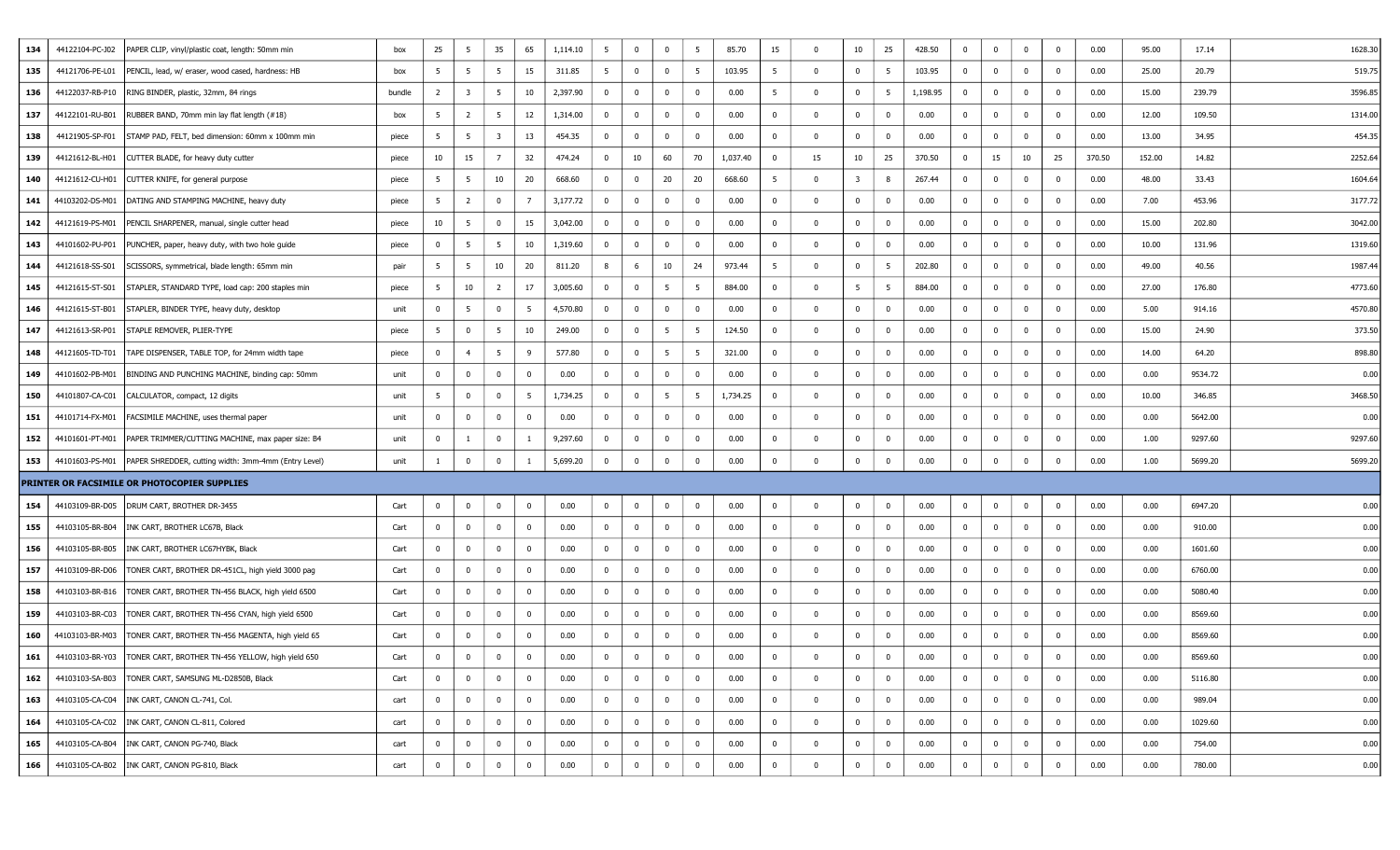| 134 | 44122104-PC-J02 | PAPER CLIP, vinyl/plastic coat, length: 50mm min                       | box    | 25             | - 5                     | 35              | 65             | 1,114.10 | 5              | $\bf{0}$       | $\mathbf 0$    | 5              | 85.70    | 15             | $\Omega$   | 10             | 25             | 428.50   | $\mathbf 0$    | $\overline{0}$          | $\bf{0}$       | $\mathbf 0$  | 0.00   | 95.00  | 17.14   | 1628.30 |
|-----|-----------------|------------------------------------------------------------------------|--------|----------------|-------------------------|-----------------|----------------|----------|----------------|----------------|----------------|----------------|----------|----------------|------------|----------------|----------------|----------|----------------|-------------------------|----------------|--------------|--------|--------|---------|---------|
| 135 | 44121706-PE-L01 | PENCIL, lead, w/ eraser, wood cased, hardness: HB                      | box    | 5              | 5                       | $5\overline{5}$ | 15             | 311.85   | 5              | $\overline{0}$ | $\mathbf 0$    | 5              | 103.95   | 5              | $\Omega$   | $\mathbf 0$    | 5              | 103.95   | $\bf{0}$       | $\mathbf{0}$            | $\overline{0}$ | $\mathbf 0$  | 0.00   | 25.00  | 20.79   | 519.75  |
| 136 |                 | 44122037-RB-P10   RING BINDER, plastic, 32mm, 84 rings                 | bundle | $\overline{2}$ | $\overline{\mathbf{3}}$ | 5               | 10             | 2,397.90 | $\bf{0}$       | $\bf{0}$       | $\mathbf 0$    | $\bf{0}$       | 0.00     | 5              | $\Omega$   | $\mathbf 0$    | 5              | 1,198.95 | $\mathbf{0}$   | $\mathbf{0}$            | $\mathbf 0$    | $\mathbf{0}$ | 0.00   | 15.00  | 239.79  | 3596.85 |
| 137 | 44122101-RU-B01 | RUBBER BAND, 70mm min lay flat length (#18)                            | box    | 5              | $\overline{2}$          | - 5             | 12             | 1,314.00 | $\mathbf{0}$   | $^{\circ}$     | $\mathbf{0}$   | $\overline{0}$ | 0.00     | $\mathbf{0}$   | $\Omega$   | $\mathbf 0$    | $\mathbf 0$    | 0.00     | $\bf{0}$       | 0                       | $\overline{0}$ | $\mathbf 0$  | 0.00   | 12.00  | 109.50  | 1314.00 |
| 138 | 44121905-SP-F01 | STAMP PAD, FELT, bed dimension: 60mm x 100mm min                       | piece  | 5              | 5                       | -3              | 13             | 454.35   | $\mathbf{0}$   | $\mathbf 0$    | $\mathbf{0}$   | $\overline{0}$ | 0.00     | $\bf{0}$       |            | $\overline{0}$ | $^{\circ}$     | 0.00     | $\bf{0}$       | $\overline{0}$          | $\overline{0}$ | $\mathbf 0$  | 0.00   | 13.00  | 34.95   | 454.35  |
| 139 | 44121612-BL-H01 | CUTTER BLADE, for heavy duty cutter                                    | piece  | 10             | 15                      | $\overline{7}$  | 32             | 474.24   | $\bf{0}$       | 10             | 60             | 70             | 1,037.40 | $\bf{0}$       | 15         | 10             | 25             | 370.50   | $\overline{0}$ | 15                      | 10             | 25           | 370.50 | 152.00 | 14.82   | 2252.64 |
| 140 | 44121612-CU-H01 | CUTTER KNIFE, for general purpose                                      | piece  | 5              | 5                       | 10              | 20             | 668.60   | $\mathbf{0}$   | $\mathbf 0$    | 20             | 20             | 668.60   | - 5            | - 0        | 3              | 8              | 267.44   | $\bf{0}$       | $\mathbf{0}$            | $\overline{0}$ | $\mathbf 0$  | 0.00   | 48.00  | 33.43   | 1604.64 |
| 141 | 44103202-DS-M01 | DATING AND STAMPING MACHINE, heavy duty                                | piece  | 5              | $\overline{2}$          | $\mathbf 0$     | 7              | 3,177.72 | $\mathbf{0}$   | $\mathbf 0$    | $\Omega$       | $\bf{0}$       | 0.00     | $\bf{0}$       |            | $\mathbf 0$    | $\mathbf 0$    | 0.00     | $\bf{0}$       | $\mathbf 0$             | $\overline{0}$ | $\mathbf 0$  | 0.00   | 7.00   | 453.96  | 3177.72 |
| 142 | 44121619-PS-M01 | PENCIL SHARPENER, manual, single cutter head                           | piece  | 10             | - 5                     | $\mathbf{0}$    | 15             | 3,042.00 | $\mathbf 0$    | 0              | $\mathbf{0}$   | $\overline{0}$ | 0.00     | $\mathbf{0}$   |            | $\mathbf 0$    | $\mathbf 0$    | 0.00     | $\bf{0}$       | $\mathbf{0}$            | $\overline{0}$ | $\mathbf 0$  | 0.00   | 15.00  | 202.80  | 3042.00 |
| 143 | 44101602-PU-P01 | PUNCHER, paper, heavy duty, with two hole guide                        | piece  | $\bf{0}$       | 5                       | $5\overline{)}$ | 10             | 1,319.60 | $\mathbf{0}$   | $\overline{0}$ | $\mathbf 0$    | $\overline{0}$ | 0.00     | $\bf{0}$       | $\Omega$   | $\overline{0}$ | $\mathbf 0$    | 0.00     | $\overline{0}$ | $\mathbf{0}$            | $\mathbf 0$    | $\mathbf{0}$ | 0.00   | 10.00  | 131.96  | 1319.60 |
| 144 | 44121618-SS-S01 | SCISSORS, symmetrical, blade length: 65mm min                          | pair   | 5              | 5                       | 10              | 20             | 811.20   | 8              | 6              | 10             | 24             | 973.44   | 5              |            | $\mathbf 0$    | 5              | 202.80   | $\overline{0}$ | $\overline{0}$          | $\Omega$       | $\mathbf 0$  | 0.00   | 49.00  | 40.56   | 1987.44 |
| 145 | 44121615-ST-S01 | STAPLER, STANDARD TYPE, load cap: 200 staples min                      | piece  | 5              | 10                      | $\overline{2}$  | 17             | 3,005.60 | $\mathbf{0}$   | 0              | 5              | 5              | 884.00   | $\mathbf 0$    |            | 5              | 5              | 884.00   | $\bf{0}$       | $\overline{0}$          | $\overline{0}$ | $\mathbf 0$  | 0.00   | 27.00  | 176.80  | 4773.60 |
| 146 | 44121615-ST-B01 | STAPLER, BINDER TYPE, heavy duty, desktop                              | unit   | $\overline{0}$ | 5                       | $\bf{0}$        | - 5            | 4,570.80 | $\mathbf{0}$   | $\bf{0}$       | $\overline{0}$ | $\overline{0}$ | 0.00     | $\bf{0}$       | $\Omega$   | $\mathbf 0$    | $\overline{0}$ | 0.00     | $\bf{0}$       | $\mathbf{0}$            | $\overline{0}$ | $\mathbf{0}$ | 0.00   | 5.00   | 914.16  | 4570.80 |
| 147 | 44121613-SR-P01 | STAPLE REMOVER, PLIER-TYPE                                             | piece  | 5              | $\overline{0}$          | 5               | 10             | 249.00   | $\bf{0}$       | $\overline{0}$ | 5              | 5              | 124.50   | $\mathbf 0$    | $\Omega$   | $\mathbf 0$    | $\bf{0}$       | 0.00     | $\bf{0}$       | $\overline{0}$          | $\overline{0}$ | $\mathbf 0$  | 0.00   | 15.00  | 24.90   | 373.50  |
| 148 | 44121605-TD-T01 | TAPE DISPENSER, TABLE TOP, for 24mm width tape                         | piece  | $\bf{0}$       | $\overline{4}$          | 5               | 9              | 577.80   | $\mathbf{0}$   | $\overline{0}$ | 5              | 5              | 321.00   | $\bf{0}$       | $\Omega$   | $\overline{0}$ | $\mathbf 0$    | 0.00     | $\bf{0}$       | $\overline{0}$          | $\mathbf 0$    | $\mathbf 0$  | 0.00   | 14.00  | 64.20   | 898.80  |
| 149 | 44101602-PB-M01 | BINDING AND PUNCHING MACHINE, binding cap: 50mm                        | unit   | $\overline{0}$ | $\overline{0}$          | $\mathbf{0}$    | $\overline{0}$ | 0.00     | $\mathbf{0}$   | $\overline{0}$ | $\overline{0}$ | $\bf{0}$       | 0.00     | $\bf{0}$       | $\Omega$   | $\mathbf 0$    | $\mathbf{0}$   | 0.00     | $\overline{0}$ | $\mathbf 0$             | $\Omega$       | $\bf{0}$     | 0.00   | 0.00   | 9534.72 | 0.00    |
| 150 | 44101807-CA-C01 | CALCULATOR, compact, 12 digits                                         | unit   | 5              | $\overline{0}$          | $\mathbf{0}$    | 5              | 1,734.25 | $\overline{0}$ | $\bf{0}$       | 5              | 5              | 1,734.25 | $\mathbf 0$    | $\Omega$   | $\bf{0}$       | $\bf{0}$       | 0.00     | $\overline{0}$ | $\mathbf{0}$            | $\bf{0}$       | $\mathbf 0$  | 0.00   | 10.00  | 346.85  | 3468.50 |
| 151 | 44101714-FX-M01 | FACSIMILE MACHINE, uses thermal paper                                  | unit   | $\mathbf{0}$   | $\overline{0}$          | $\mathbf{0}$    | $\mathbf{0}$   | 0.00     | $\bf{0}$       | $\mathbf 0$    | $\Omega$       | $\bf{0}$       | 0.00     | $\bf{0}$       | $\Omega$   | $\mathbf 0$    | $\mathbf{0}$   | 0.00     | $\bf{0}$       | $\mathbf 0$             | $\overline{0}$ | $\mathbf 0$  | 0.00   | 0.00   | 5642.00 | 0.00    |
| 152 | 44101601-PT-M01 | PAPER TRIMMER/CUTTING MACHINE, max paper size: B4                      | unit   | $\bf{0}$       | -1                      | $\mathbf{0}$    |                | 9,297.60 | $\mathbf{0}$   | $\mathbf 0$    | $\mathbf{0}$   | $\overline{0}$ | 0.00     | $\mathbf 0$    |            | $\overline{0}$ | $\mathbf 0$    | 0.00     | $\bf{0}$       | $\overline{0}$          | $\overline{0}$ | $\mathbf 0$  | 0.00   | 1.00   | 9297.60 | 9297.60 |
| 153 |                 | 44101603-PS-M01   PAPER SHREDDER, cutting width: 3mm-4mm (Entry Level) | unit   | $\mathbf{1}$   | $\mathbf 0$             | $\mathbf 0$     | 1              | 5,699.20 | $\bf{0}$       | $\overline{0}$ | $\mathbf 0$    | $\bf{0}$       | 0.00     | $\bf{0}$       | $\Omega$   | $\mathbf 0$    | $\mathbf{0}$   | 0.00     | $\overline{0}$ | $\mathbf{0}$            | $\bf{0}$       | $\mathbf 0$  | 0.00   | 1.00   | 5699.20 | 5699.20 |
|     |                 | PRINTER OR FACSIMILE OR PHOTOCOPIER SUPPLIES                           |        |                |                         |                 |                |          |                |                |                |                |          |                |            |                |                |          |                |                         |                |              |        |        |         |         |
| 154 | 44103109-BR-D05 | DRUM CART, BROTHER DR-3455                                             | Cart   | $\bf{0}$       | $\mathbf 0$             | $\mathbf{0}$    | $\bf{0}$       | 0.00     | $\mathbf{0}$   | $\mathbf 0$    | $\mathbf 0$    | $\bf{0}$       | 0.00     | $\bf{0}$       | - 0        | $\mathbf 0$    | $\bf{0}$       | 0.00     | $\bf{0}$       | $\overline{\mathbf{0}}$ | $\overline{0}$ | $\mathbf{0}$ | 0.00   | 0.00   | 6947.20 | 0.00    |
| 155 |                 | 44103105-BR-B04   INK CART, BROTHER LC67B, Black                       | Cart   | $\mathbf{0}$   | 0                       | $\mathbf 0$     | $\bf{0}$       | 0.00     | $\overline{0}$ | $\bf{0}$       | $\mathbf 0$    | $\overline{0}$ | 0.00     | $\bf{0}$       | $^{\circ}$ | $\overline{0}$ | $\mathbf{0}$   | 0.00     | $\overline{0}$ | $\mathbf{0}$            | $\bf{0}$       | $\mathbf{0}$ | 0.00   | 0.00   | 910.00  | 0.00    |
| 156 |                 | 44103105-BR-B05   INK CART, BROTHER LC67HYBK, Black                    | Cart   | $\overline{0}$ | 0                       | $\mathbf{0}$    | $\overline{0}$ | 0.00     | $\mathbf{0}$   | $\mathbf 0$    | $\mathbf 0$    | $\overline{0}$ | 0.00     | $\bf{0}$       | $\Omega$   | $\overline{0}$ | $\bf{0}$       | 0.00     | $\overline{0}$ | $\overline{\mathbf{0}}$ | $\Omega$       | $\bf{0}$     | 0.00   | 0.00   | 1601.60 | 0.00    |
| 157 | 44103109-BR-D06 | TONER CART, BROTHER DR-451CL, high yield 3000 pag                      | Cart   | $\mathbf{0}$   | $\overline{0}$          | $\mathbf{0}$    | 0              | 0.00     | $\mathbf 0$    | 0              | $\mathbf 0$    | $\mathbf 0$    | 0.00     | $\mathbf 0$    | $\Omega$   | $\mathbf 0$    | $\bf{0}$       | 0.00     | $\mathbf 0$    | $\mathbf 0$             | $\overline{0}$ | $\mathbf 0$  | 0.00   | 0.00   | 6760.00 | 0.00    |
| 158 | 44103103-BR-B16 | TONER CART, BROTHER TN-456 BLACK, high yield 6500                      | Cart   | $\mathbf 0$    | $\overline{0}$          | $\Omega$        | $^{\circ}$     | 0.00     | $\mathbf{0}$   | $\mathbf 0$    | $\Omega$       | $\bf{0}$       | 0.00     | $\mathbf 0$    |            | $\overline{0}$ | $\mathbf 0$    | 0.00     | $\bf{0}$       | $\mathbf 0$             | $\Omega$       | $\mathbf 0$  | 0.00   | 0.00   | 5080.40 | 0.00    |
| 159 | 44103103-BR-C03 | TONER CART, BROTHER TN-456 CYAN, high yield 6500                       | Cart   | $\mathbf{0}$   | $\mathbf 0$             | $\mathbf{0}$    | $\mathbf{0}$   | 0.00     | $\mathbf 0$    | $\mathbf 0$    | $\mathbf{0}$   | $\bf{0}$       | 0.00     | $\mathbf 0$    | - 0        | $\overline{0}$ | $\mathbf 0$    | 0.00     | $\bf{0}$       | $\overline{0}$          | $\overline{0}$ | $\mathbf 0$  | 0.00   | 0.00   | 8569.60 | 0.00    |
| 160 |                 | 44103103-BR-M03   TONER CART, BROTHER TN-456 MAGENTA, high yield 65    | Cart   | $\mathbf{0}$   | $\mathbf 0$             | $\mathbf{0}$    | $\bf{0}$       | 0.00     | $\mathbf{0}$   | $\mathbf 0$    | $\mathbf{0}$   | $\bf{0}$       | 0.00     | $\mathbf 0$    |            | $^{\circ}$     | $\mathbf{0}$   | 0.00     | $\bf{0}$       | $\overline{0}$          | $\mathbf{0}$   | $\mathbf 0$  | 0.00   | 0.00   | 8569.60 | 0.00    |
| 161 |                 | 44103103-BR-Y03   TONER CART, BROTHER TN-456 YELLOW, high yield 650    | Cart   | $^{\circ}$     | $\Omega$                | $\Omega$        | $^{\circ}$     | 0.00     | $\overline{0}$ | $\mathbf 0$    | $\Omega$       | $\overline{0}$ | 0.00     | $\overline{0}$ |            | $\Omega$       | $\mathbf{0}$   | 0.00     | $\overline{0}$ | $\Omega$                | $\Omega$       | $\Omega$     | 0.00   | 0.00   | 8569.60 | 0.00    |
| 162 | 44103103-SA-B03 | TONER CART, SAMSUNG ML-D2850B, Black                                   | Cart   | $\overline{0}$ | $\overline{\mathbf{0}}$ | $\bf{0}$        | $\overline{0}$ | 0.00     | $\bf{0}$       | $\bf{0}$       | $\bf{0}$       | $\bf{0}$       | 0.00     | $\bf{0}$       | $\Omega$   | $\bf{0}$       | $\bf{0}$       | 0.00     | $\overline{0}$ | $\overline{0}$          | $\bf{0}$       | $\mathbf 0$  | 0.00   | 0.00   | 5116.80 | 0.00    |
| 163 |                 | 44103105-CA-C04   INK CART, CANON CL-741, Col.                         | cart   | $\overline{0}$ | $\bf{0}$                | $\overline{0}$  | $\mathbf{0}$   | 0.00     | $\overline{0}$ | $\overline{0}$ | $\mathbf 0$    | $\bf{0}$       | 0.00     | $\bf{0}$       | $\Omega$   | $\bf{0}$       | $\overline{0}$ | 0.00     | $\overline{0}$ | $\overline{0}$          | $\bf{0}$       | $\bf{0}$     | 0.00   | 0.00   | 989.04  | 0.00    |
| 164 |                 | 44103105-CA-C02   INK CART, CANON CL-811, Colored                      | cart   | $\overline{0}$ | $\mathbf 0$             | $\overline{0}$  | $\overline{0}$ | 0.00     | $\bf{0}$       | $\bf{0}$       | $\overline{0}$ | $\bf{0}$       | 0.00     | $\bf{0}$       | $^{\circ}$ | $\bf{0}$       | $\mathbf{0}$   | 0.00     | $\overline{0}$ | $\bf{0}$                | $\overline{0}$ | $\bf{0}$     | 0.00   | 0.00   | 1029.60 | 0.00    |
| 165 |                 | 44103105-CA-B04   INK CART, CANON PG-740, Black                        | cart   | $\overline{0}$ | $\mathbf 0$             | $\bf{0}$        | $\overline{0}$ | 0.00     | $\mathbf{0}$   | $\bf{0}$       | $\mathbf 0$    | $\bf{0}$       | 0.00     | $\bf{0}$       | $^{\circ}$ | $\overline{0}$ | $\mathbf{0}$   | 0.00     | $\overline{0}$ | $\bf{0}$                | $\overline{0}$ | $\bf{0}$     | 0.00   | 0.00   | 754.00  | 0.00    |
| 166 |                 | 44103105-CA-B02   INK CART, CANON PG-810, Black                        | cart   | $\overline{0}$ | $\mathbf 0$             | $\bf{0}$        | $\mathbf{0}$   | 0.00     | $\bf{0}$       | $\overline{0}$ | $\overline{0}$ | $\bf{0}$       | 0.00     | $\bf{0}$       | $\Omega$   | $\bf{0}$       | $\bf{0}$       | 0.00     | $\bf{0}$       | $\bf{0}$                | $\bf{0}$       | $\bf{0}$     | 0.00   | 0.00   | 780.00  | 0.00    |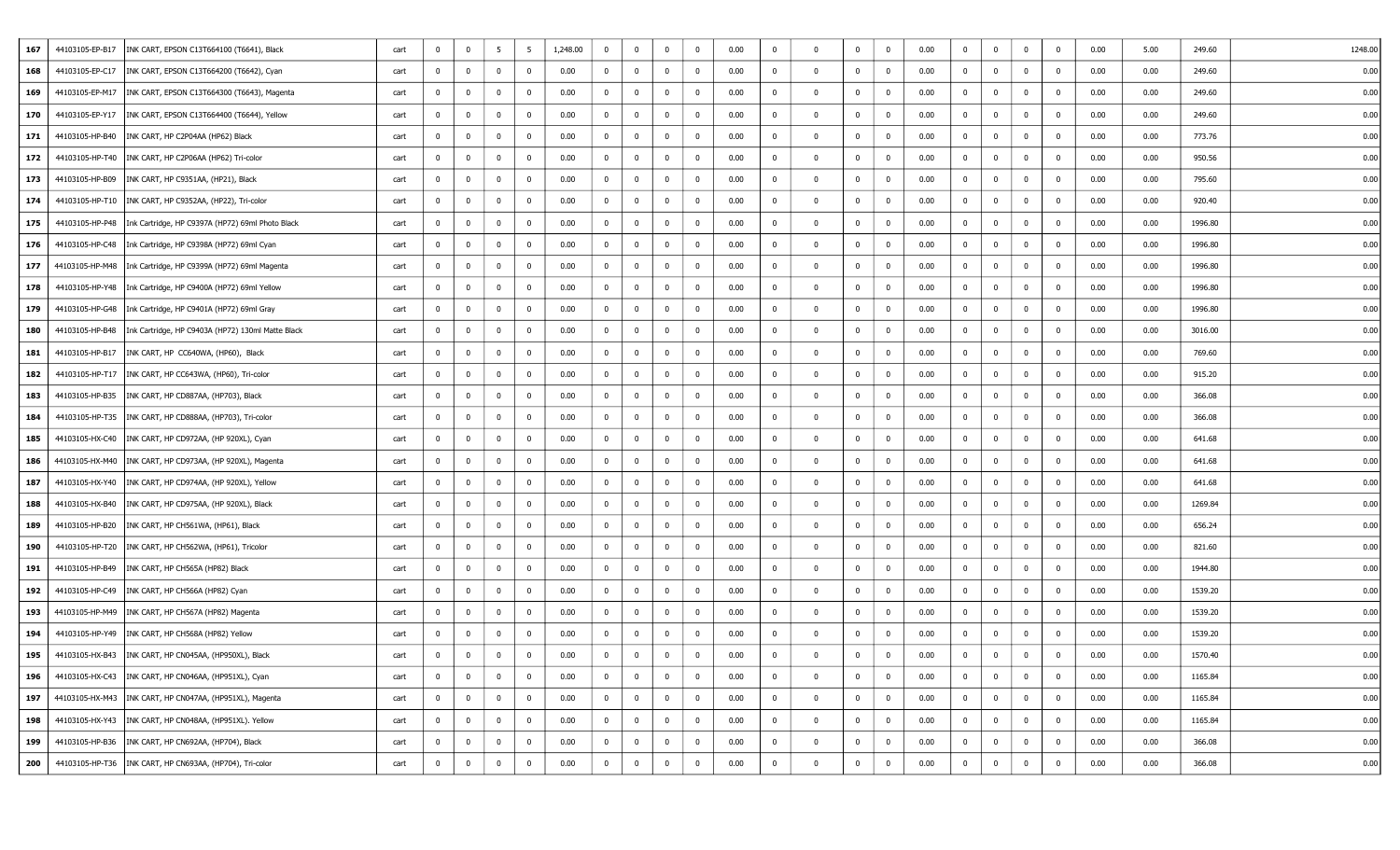| 167 | 44103105-EP-B17 | INK CART, EPSON C13T664100 (T6641), Black                           | cart | $^{\circ}$     | $\overline{\mathbf{0}}$ | 5              | -5             | 1,248.00 | $\bf{0}$       | $\mathbf{0}$   | $\mathbf 0$  | $\bf{0}$       | 0.00 | $\bf{0}$       | $\Omega$     | $\mathbf{0}$   | $\overline{\mathbf{0}}$ | 0.00 | $\mathbf 0$    | $\overline{0}$          | $\mathbf{0}$   | $\Omega$       | 0.00 | 5.00 | 249.60  | 1248.00 |
|-----|-----------------|---------------------------------------------------------------------|------|----------------|-------------------------|----------------|----------------|----------|----------------|----------------|--------------|----------------|------|----------------|--------------|----------------|-------------------------|------|----------------|-------------------------|----------------|----------------|------|------|---------|---------|
| 168 | 44103105-EP-C17 | INK CART, EPSON C13T664200 (T6642), Cyan                            | cart | $^{\circ}$     | 0                       | $\overline{0}$ | $^{\circ}$     | 0.00     | $\bf{0}$       | $\overline{0}$ | $\bf{0}$     | $\overline{0}$ | 0.00 | $\bf{0}$       | $^{\circ}$   | $\overline{0}$ | $\overline{0}$          | 0.00 | $\mathbf 0$    | $\overline{0}$          | $\mathbf 0$    | $^{\circ}$     | 0.00 | 0.00 | 249.60  | 0.00    |
| 169 |                 | 44103105-EP-M17   INK CART, EPSON C13T664300 (T6643), Magenta       | cart | $^{\circ}$     | $\mathbf 0$             | $\overline{0}$ | $^{\circ}$     | 0.00     | $\bf{0}$       | $\bf{0}$       | $\bf{0}$     | $\overline{0}$ | 0.00 | $\bf{0}$       | $^{\circ}$   | $\bf{0}$       | $\overline{\mathbf{0}}$ | 0.00 | $\bf{0}$       | $\overline{0}$          | $\overline{0}$ | $^{\circ}$     | 0.00 | 0.00 | 249.60  | 0.00    |
| 170 | 44103105-EP-Y17 | INK CART, EPSON C13T664400 (T6644), Yellow                          | cart | 0              | $\overline{\mathbf{0}}$ | $\mathbf 0$    | $\bf{0}$       | 0.00     | $\bf{0}$       | $\bf{0}$       | $\bf{0}$     | $\overline{0}$ | 0.00 | $\bf{0}$       | $\Omega$     | $\overline{0}$ | $\overline{\mathbf{0}}$ | 0.00 | $\mathbf 0$    | $\overline{0}$          | $\mathbf{0}$   | $^{\circ}$     | 0.00 | 0.00 | 249.60  | 0.00    |
| 171 |                 | 44103105-HP-B40   INK CART, HP C2P04AA (HP62) Black                 | cart | $\mathbf 0$    | $\overline{\mathbf{0}}$ | $\overline{0}$ | $^{\circ}$     | 0.00     | $\bf{0}$       | $\bf{0}$       | $\mathbf{0}$ | $\overline{0}$ | 0.00 | $\bf{0}$       | - 0          | $\overline{0}$ | $\overline{\mathbf{0}}$ | 0.00 | $\mathbf 0$    | $\overline{0}$          | $\mathbf{0}$   | $^{\circ}$     | 0.00 | 0.00 | 773.76  | 0.00    |
| 172 |                 | 44103105-HP-T40   INK CART, HP C2P06AA (HP62) Tri-color             | cart | $^{\circ}$     | $\overline{\mathbf{0}}$ | $\mathbf 0$    | $^{\circ}$     | 0.00     | $\mathbf 0$    | $\mathbf{0}$   | $\bf{0}$     | $\mathbf 0$    | 0.00 | $\bf{0}$       | $\Omega$     | $\mathbf{0}$   | $\overline{\mathbf{0}}$ | 0.00 | $^{\circ}$     | $\overline{0}$          | $\mathbf{0}$   | $\Omega$       | 0.00 | 0.00 | 950.56  | 0.00    |
| 173 |                 | 44103105-HP-B09   INK CART, HP C9351AA, (HP21), Black               | cart | $\mathbf 0$    | $\overline{\mathbf{0}}$ | $\overline{0}$ | $\mathbf 0$    | 0.00     | $\bf{0}$       | $\bf{0}$       | $\bf{0}$     | $\overline{0}$ | 0.00 | $\bf{0}$       | $^{\circ}$   | $\overline{0}$ | $\overline{0}$          | 0.00 | $\mathbf 0$    | $\overline{0}$          | $\mathbf{0}$   | $^{\circ}$     | 0.00 | 0.00 | 795.60  | 0.00    |
| 174 |                 | 44103105-HP-T10   INK CART, HP C9352AA, (HP22), Tri-color           | cart | $^{\circ}$     | $\overline{\mathbf{0}}$ | $\overline{0}$ | $\mathbf{0}$   | 0.00     | $\bf{0}$       | $\mathbf{0}$   | $\mathbf 0$  | $\bf{0}$       | 0.00 | $\bf{0}$       | - 0          | $\mathbf{0}$   | $\overline{0}$          | 0.00 | $\mathbf 0$    | $\overline{0}$          | $\mathbf{0}$   | $\Omega$       | 0.00 | 0.00 | 920.40  | 0.00    |
| 175 |                 | 44103105-HP-P48   Ink Cartridge, HP C9397A (HP72) 69ml Photo Black  | cart | 0              | $\overline{\mathbf{0}}$ | $\mathbf 0$    | $^{\circ}$     | 0.00     | $\bf{0}$       | $\overline{0}$ | $\bf{0}$     | $\bf{0}$       | 0.00 | $\bf{0}$       | $\Omega$     | $\overline{0}$ | 0                       | 0.00 | $\mathbf 0$    | $\overline{0}$          | $\mathbf{0}$   | $^{\circ}$     | 0.00 | 0.00 | 1996.80 | 0.00    |
| 176 |                 | 44103105-HP-C48   Ink Cartridge, HP C9398A (HP72) 69ml Cyan         | cart | $\mathbf 0$    | $\overline{\mathbf{0}}$ | $\overline{0}$ | 0              | 0.00     | $\bf{0}$       | $\overline{0}$ | $\mathbf{0}$ | $\overline{0}$ | 0.00 | $\bf{0}$       | $\mathbf{0}$ | $\overline{0}$ | $\overline{\mathbf{0}}$ | 0.00 | $\mathbf 0$    | $\overline{0}$          | $\mathbf{0}$   | $^{\circ}$     | 0.00 | 0.00 | 1996.80 | 0.00    |
| 177 |                 | 44103105-HP-M48   Ink Cartridge, HP C9399A (HP72) 69ml Magenta      | cart | $^{\circ}$     | $\overline{\mathbf{0}}$ | $\overline{0}$ | $^{\circ}$     | 0.00     | $\overline{0}$ | $\overline{0}$ | $\mathbf 0$  | $\bf{0}$       | 0.00 | $\bf{0}$       | $\Omega$     | $\mathbf{0}$   | $\overline{0}$          | 0.00 | $\mathbf 0$    | $\overline{0}$          | $\mathbf{0}$   | $\Omega$       | 0.00 | 0.00 | 1996.80 | 0.00    |
| 178 |                 | 44103105-HP-Y48   Ink Cartridge, HP C9400A (HP72) 69ml Yellow       | cart | 0              | $\overline{\mathbf{0}}$ | $\mathbf 0$    | $^{\circ}$     | 0.00     | $\bf{0}$       | 0              | $\bf{0}$     | $\overline{0}$ | 0.00 | $\bf{0}$       | $\Omega$     | $\overline{0}$ | 0                       | 0.00 | $\mathbf 0$    | $\overline{0}$          | $\mathbf 0$    | $\Omega$       | 0.00 | 0.00 | 1996.80 | 0.00    |
| 179 |                 | 44103105-HP-G48   Ink Cartridge, HP C9401A (HP72) 69ml Gray         | cart | $^{\circ}$     | $\overline{\mathbf{0}}$ | $\overline{0}$ | $^{\circ}$     | 0.00     | $\bf{0}$       | $\overline{0}$ | $\mathbf 0$  | $\bf{0}$       | 0.00 | $\bf{0}$       | $\Omega$     | $\mathbf 0$    | $\overline{0}$          | 0.00 | $\bf{0}$       | $\overline{0}$          | $\mathbf{0}$   | $^{\circ}$     | 0.00 | 0.00 | 1996.80 | 0.00    |
| 180 |                 | 44103105-HP-B48   Ink Cartridge, HP C9403A (HP72) 130ml Matte Black | cart | $^{\circ}$     | $\overline{\mathbf{0}}$ | $\overline{0}$ | $^{\circ}$     | 0.00     | $\bf{0}$       | $\mathbf{0}$   | $\bf{0}$     | $\overline{0}$ | 0.00 | $\bf{0}$       | $\mathbf{0}$ | $\mathbf 0$    | 0                       | 0.00 | $\mathbf 0$    | $\overline{0}$          | $\mathbf{0}$   | $^{\circ}$     | 0.00 | 0.00 | 3016.00 | 0.00    |
| 181 |                 | 44103105-HP-B17   INK CART, HP CC640WA, (HP60), Black               | cart | 0              | $\overline{\mathbf{0}}$ | $\overline{0}$ | 0              | 0.00     | $\bf{0}$       | $\overline{0}$ | $\mathbf{0}$ | $\overline{0}$ | 0.00 | $\bf{0}$       | 0            | $\overline{0}$ | $\overline{\mathbf{0}}$ | 0.00 | $\mathbf 0$    | $\overline{0}$          | $\mathbf{0}$   | $^{\circ}$     | 0.00 | 0.00 | 769.60  | 0.00    |
| 182 |                 | 44103105-HP-T17   INK CART, HP CC643WA, (HP60), Tri-color           | cart | $\mathbf{0}$   | $\overline{\mathbf{0}}$ | $\overline{0}$ | $^{\circ}$     | 0.00     | $\bf{0}$       | $\mathbf{0}$   | $\mathbf 0$  | $\bf{0}$       | 0.00 | $\bf{0}$       | $\Omega$     | $\mathbf{0}$   | $\overline{\mathbf{0}}$ | 0.00 | $\mathbf 0$    | $\overline{0}$          | $\mathbf 0$    | $^{\circ}$     | 0.00 | 0.00 | 915.20  | 0.00    |
| 183 |                 | 44103105-HP-B35  INK CART, HP CD887AA, (HP703), Black               | cart | $\mathbf 0$    | $\overline{\mathbf{0}}$ | $\mathbf 0$    | $^{\circ}$     | 0.00     | $\bf{0}$       | 0              | $\bf{0}$     | $\overline{0}$ | 0.00 | $\bf{0}$       | $\Omega$     | $\overline{0}$ | $\overline{0}$          | 0.00 | $\mathbf 0$    | $\overline{0}$          | $\mathbf{0}$   | $^{\circ}$     | 0.00 | 0.00 | 366.08  | 0.00    |
| 184 |                 | 44103105-HP-T35   INK CART, HP CD888AA, (HP703), Tri-color          | cart | $^{\circ}$     | $\overline{\mathbf{0}}$ | $\overline{0}$ | $^{\circ}$     | 0.00     | $\bf{0}$       | $\mathbf{0}$   | $^{\circ}$   | $\bf{0}$       | 0.00 | $\bf{0}$       | - 0          | $\mathbf 0$    | $\overline{\mathbf{0}}$ | 0.00 | $^{\circ}$     | $\overline{0}$          | $\mathbf{0}$   | $^{\circ}$     | 0.00 | 0.00 | 366.08  | 0.00    |
| 185 |                 | 44103105-HX-C40   INK CART, HP CD972AA, (HP 920XL), Cyan            | cart | $^{\circ}$     | $\overline{\mathbf{0}}$ | $\overline{0}$ | $^{\circ}$     | 0.00     | $\mathbf 0$    | $\overline{0}$ | $\bf{0}$     | $\bf{0}$       | 0.00 | $\bf{0}$       | 0            | $\mathbf{0}$   | 0                       | 0.00 | $\bf{0}$       | $\overline{0}$          | $\mathbf{0}$   | $^{\circ}$     | 0.00 | 0.00 | 641.68  | 0.00    |
| 186 |                 | 44103105-HX-M40   INK CART, HP CD973AA, (HP 920XL), Magenta         | cart | 0              | $\bf{0}$                | $\overline{0}$ | $\bf{0}$       | 0.00     | $\overline{0}$ | $\overline{0}$ | $\mathbf{0}$ | $\overline{0}$ | 0.00 | $\bf{0}$       | $\mathbf{0}$ | $\overline{0}$ | $\overline{0}$          | 0.00 | $\overline{0}$ | $\overline{0}$          | $\overline{0}$ | $^{\circ}$     | 0.00 | 0.00 | 641.68  | 0.00    |
| 187 |                 | 44103105-HX-Y40   INK CART, HP CD974AA, (HP 920XL), Yellow          | cart | $^{\circ}$     | $\overline{\mathbf{0}}$ | $\overline{0}$ | $^{\circ}$     | 0.00     | $\bf{0}$       | $\mathbf{0}$   | $\mathbf 0$  | $\bf{0}$       | 0.00 | $\bf{0}$       | $\Omega$     | $\mathbf{0}$   | $\overline{0}$          | 0.00 | $\mathbf 0$    | $\overline{0}$          | $\mathbf{0}$   | $^{\circ}$     | 0.00 | 0.00 | 641.68  | 0.00    |
| 188 |                 | 44103105-HX-B40   INK CART, HP CD975AA, (HP 920XL), Black           | cart | $^{\circ}$     | $\overline{\mathbf{0}}$ | $\mathbf 0$    | $^{\circ}$     | 0.00     | $\bf{0}$       | $\mathbf{0}$   | $\bf{0}$     | $\bf{0}$       | 0.00 | $\bf{0}$       | $\Omega$     | $\overline{0}$ | $\overline{0}$          | 0.00 | $\mathbf 0$    | $\overline{0}$          | $\bf{0}$       | $^{\circ}$     | 0.00 | 0.00 | 1269.84 | 0.00    |
| 189 |                 | 44103105-HP-B20   INK CART, HP CH561WA, (HP61), Black               | cart | 0              | $\mathbf 0$             | $\overline{0}$ | 0              | 0.00     | $\bf{0}$       | $\overline{0}$ | $\mathbf 0$  | $\overline{0}$ | 0.00 | $\bf{0}$       | $\Omega$     | $\overline{0}$ | $\overline{0}$          | 0.00 | $\mathbf 0$    | $\overline{0}$          | $\mathbf{0}$   | $^{\circ}$     | 0.00 | 0.00 | 656.24  | 0.00    |
| 190 |                 | 44103105-HP-T20   INK CART, HP CH562WA, (HP61), Tricolor            | cart | $^{\circ}$     | $\overline{\mathbf{0}}$ | $\overline{0}$ | $^{\circ}$     | 0.00     | $\bf{0}$       | $\mathbf{0}$   | $\bf{0}$     | $\bf{0}$       | 0.00 | $\bf{0}$       | $\mathbf{0}$ | $\mathbf 0$    | $\mathbf 0$             | 0.00 | $\bf{0}$       | $\overline{0}$          | $\mathbf{0}$   | $^{\circ}$     | 0.00 | 0.00 | 821.60  | 0.00    |
| 191 |                 | 44103105-HP-B49   INK CART, HP CH565A (HP82) Black                  | cart | 0              | $\overline{\mathbf{0}}$ | $\overline{0}$ | 0              | 0.00     | $\bf{0}$       | $\overline{0}$ | $\mathbf 0$  | $\overline{0}$ | 0.00 | $\bf{0}$       | $\Omega$     | $\overline{0}$ | 0                       | 0.00 | $\mathbf 0$    | $\overline{0}$          | $\mathbf{0}$   | $^{\circ}$     | 0.00 | 0.00 | 1944.80 | 0.00    |
| 192 |                 | 44103105-HP-C49   INK CART, HP CH566A (HP82) Cyan                   | cart | $^{\circ}$     | $\overline{\mathbf{0}}$ | $\overline{0}$ | $^{\circ}$     | 0.00     | $\bf{0}$       | $\mathbf{0}$   | $\mathbf 0$  | $\bf{0}$       | 0.00 | $\bf{0}$       | - 0          | $\mathbf{0}$   | $\overline{0}$          | 0.00 | $\mathbf 0$    | $\overline{0}$          | $\mathbf 0$    | $^{\circ}$     | 0.00 | 0.00 | 1539.20 | 0.00    |
| 193 |                 | 44103105-HP-M49   INK CART, HP CH567A (HP82) Magenta                | cart | $^{\circ}$     | $\overline{\mathbf{0}}$ | $\mathbf 0$    | $^{\circ}$     | 0.00     | $\bf{0}$       | $\bf{0}$       | $\bf{0}$     | $\mathbf 0$    | 0.00 | $\bf{0}$       | $\Omega$     | $\mathbf 0$    | $\overline{\mathbf{0}}$ | 0.00 | $\mathbf 0$    | $\overline{0}$          | $\mathbf 0$    | $\Omega$       | 0.00 | 0.00 | 1539.20 | 0.00    |
| 194 |                 | 44103105-HP-Y49   INK CART, HP CH568A (HP82) Yellow                 | cart | $\mathbf 0$    | $\mathbf{0}$            | $\overline{0}$ | $\mathbf 0$    | 0.00     | $\bf{0}$       | $\mathbf 0$    | $\mathbf 0$  | $\overline{0}$ | 0.00 | $\bf{0}$       |              | $\mathbf 0$    | 0                       | 0.00 | $\mathbf 0$    | $\overline{0}$          | $\mathbf{0}$   | $^{\circ}$     | 0.00 | 0.00 | 1539.20 | 0.00    |
| 195 |                 | 44103105-HX-B43   INK CART, HP CN045AA, (HP950XL), Black            | cart | $^{\circ}$     | $\mathbf{0}$            | $\overline{0}$ | $^{\circ}$     | 0.00     | $\mathbf 0$    | $\mathbf 0$    | $\mathbf 0$  | $\bf{0}$       | 0.00 | $\mathbf 0$    |              | $\mathbf{0}$   | $\bf{0}$                | 0.00 | $\mathbf 0$    | $\overline{0}$          | $\mathbf{0}$   | $\Omega$       | 0.00 | 0.00 | 1570.40 | 0.00    |
| 196 |                 | 44103105-HX-C43  INK CART, HP CN046AA, (HP951XL), Cyan              | cart | $\overline{0}$ | $\mathbf 0$             | $\bf{0}$       | $\overline{0}$ | 0.00     | $\bf{0}$       | $\bf{0}$       | $\bf{0}$     | $\mathbf 0$    | 0.00 | $\bf{0}$       | $\mathbf 0$  | $\mathbf{0}$   | $\mathbf 0$             | 0.00 | $\mathbf 0$    | $\overline{\mathbf{0}}$ | $\bf{0}$       | $\overline{0}$ | 0.00 | 0.00 | 1165.84 | 0.00    |
| 197 |                 | 44103105-HX-M43   INK CART, HP CN047AA, (HP951XL), Magenta          | cart | $\overline{0}$ | $\overline{0}$          | $\bf{0}$       | $\bf{0}$       | 0.00     | $\overline{0}$ | $\overline{0}$ | $\mathbf 0$  | $\bf{0}$       | 0.00 | $\overline{0}$ | $^{\circ}$   | $\overline{0}$ | $\overline{0}$          | 0.00 | $\bf{0}$       | $\overline{0}$          | $\mathbf{0}$   | $\mathbf{0}$   | 0.00 | 0.00 | 1165.84 | 0.00    |
| 198 |                 | 44103105-HX-Y43   INK CART, HP CN048AA, (HP951XL). Yellow           | cart | $\overline{0}$ | $\bf{0}$                | $\mathbf 0$    | $\overline{0}$ | 0.00     | $\overline{0}$ | $\bf{0}$       | $\bf{0}$     | $\bf{0}$       | 0.00 | $\bf{0}$       | $\mathbf 0$  | $\mathbf 0$    | $\bf{0}$                | 0.00 | $\bf{0}$       | $\mathbf 0$             | $\bf{0}$       | $\mathbf 0$    | 0.00 | 0.00 | 1165.84 | 0.00    |
| 199 |                 | 44103105-HP-B36   INK CART, HP CN692AA, (HP704), Black              | cart | $\overline{0}$ | $\overline{0}$          | $\bf{0}$       | $\overline{0}$ | 0.00     | $\overline{0}$ | $\overline{0}$ | $\mathbf{0}$ | $\bf{0}$       | 0.00 | $\mathbf 0$    | $\mathbf 0$  | $\mathbf{0}$   | $\overline{0}$          | 0.00 | $\bf{0}$       | $\overline{0}$          | $\bf{0}$       | $\overline{0}$ | 0.00 | 0.00 | 366.08  | 0.00    |
| 200 |                 | 44103105-HP-T36   INK CART, HP CN693AA, (HP704), Tri-color          | cart | 0              | $\mathbf 0$             | $\mathbf 0$    | 0              | 0.00     | $\bf{0}$       | $\overline{0}$ | $\bf{0}$     | $\bf{0}$       | 0.00 | $\bf{0}$       | $\mathbf{0}$ | $\mathbf{0}$   | $\bf{0}$                | 0.00 | $\mathbf 0$    | $\overline{0}$          | $\bf{0}$       | $\mathbf{0}$   | 0.00 | 0.00 | 366.08  | 0.00    |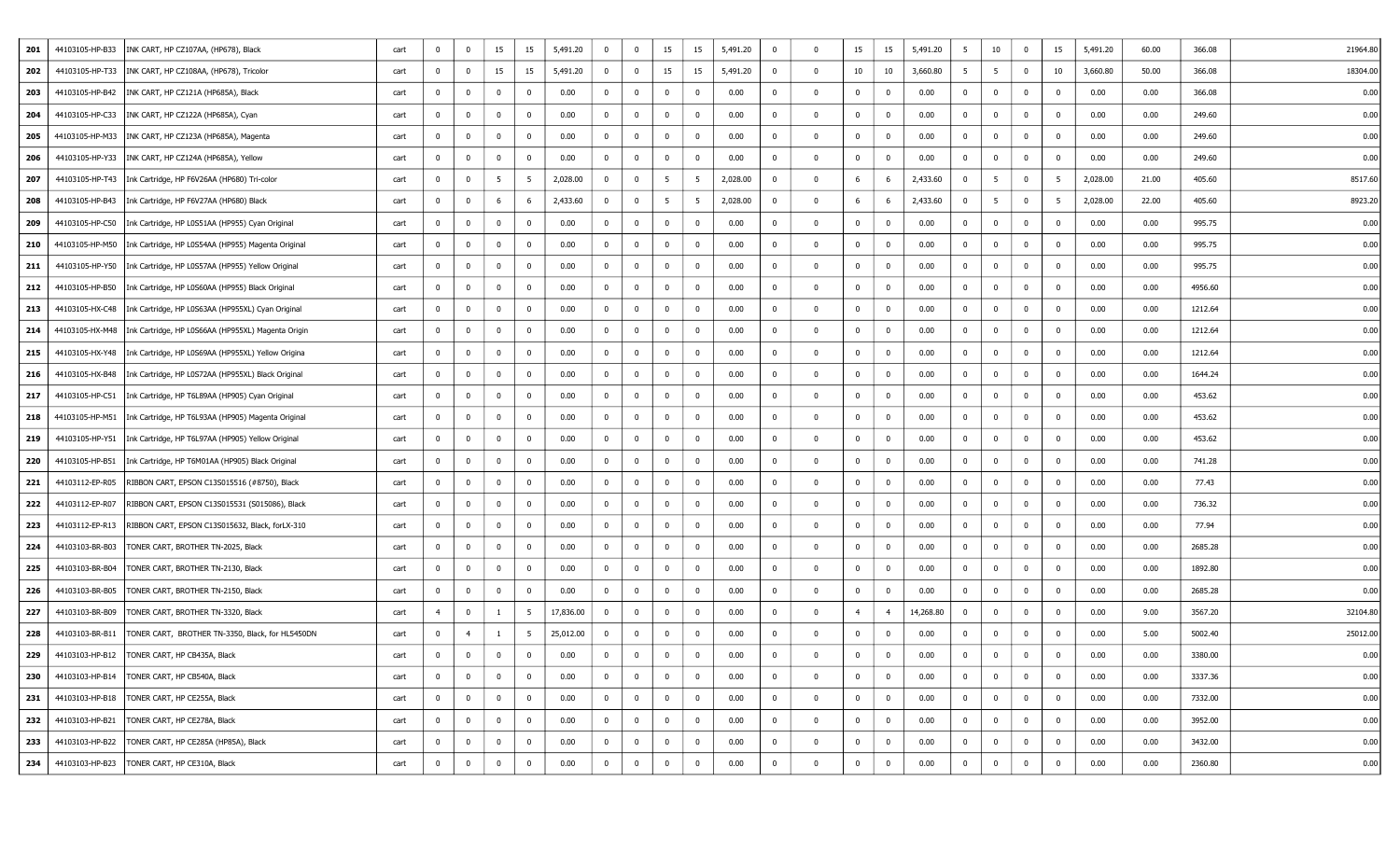| 201 | 44103105-HP-B33 | INK CART, HP CZ107AA, (HP678), Black                                 | cart | $^{\circ}$     | $\overline{0}$          | 15              | 15             | 5,491.20  | $\bf{0}$       | $\overline{0}$ | 15              | 15             | 5,491.20 | $\mathbf{0}$   | $\Omega$     | 15             | 15             | 5,491.20  | 5              | 10                      | $\overline{0}$ | 15             | 5,491.20 | 60.00 | 366.08  | 21964.80 |
|-----|-----------------|----------------------------------------------------------------------|------|----------------|-------------------------|-----------------|----------------|-----------|----------------|----------------|-----------------|----------------|----------|----------------|--------------|----------------|----------------|-----------|----------------|-------------------------|----------------|----------------|----------|-------|---------|----------|
| 202 |                 | 44103105-HP-T33   INK CART, HP CZ108AA, (HP678), Tricolor            | cart | $\mathbf 0$    | $\overline{\mathbf{0}}$ | 15              | 15             | 5,491.20  | $\overline{0}$ | $\bf{0}$       | 15              | 15             | 5,491.20 | 0              |              | 10             | 10             | 3,660.80  | 5              | 5                       | $\mathbf{0}$   | 10             | 3,660.80 | 50.00 | 366.08  | 18304.00 |
| 203 | 44103105-HP-B42 | INK CART, HP CZ121A (HP685A), Black                                  | cart | $^{\circ}$     | $\overline{\mathbf{0}}$ | $\overline{0}$  | 0              | 0.00      | $\bf{0}$       | $\bf{0}$       | $\bf{0}$        | $^{\circ}$     | 0.00     | 0              | $\Omega$     | $\mathbf 0$    | $\bf{0}$       | 0.00      | $\bf{0}$       | $\mathbf 0$             | $\overline{0}$ | 0              | 0.00     | 0.00  | 366.08  | 0.00     |
| 204 |                 | 44103105-HP-C33   INK CART, HP CZ122A (HP685A), Cyan                 | cart | 0              | $\overline{\mathbf{0}}$ | $\mathbf 0$     | $^{\circ}$     | 0.00      | $\overline{0}$ | $\mathbf{0}$   | $^{\circ}$      | $\Omega$       | 0.00     | 0              | $\Omega$     | $\mathbf 0$    | $\mathbf 0$    | 0.00      | $\bf{0}$       | $\mathbf{0}$            | $\Omega$       | $\overline{0}$ | 0.00     | 0.00  | 249.60  | 0.00     |
| 205 |                 | 44103105-HP-M33   INK CART, HP CZ123A (HP685A), Magenta              | cart | 0              | $\overline{\mathbf{0}}$ | $\overline{0}$  | 0              | 0.00      | 0              | $\bf{0}$       | $\mathbf{0}$    | $^{\circ}$     | 0.00     | 0              | $\Omega$     | $\overline{0}$ | $\mathbf 0$    | 0.00      | $\bf{0}$       | $\overline{0}$          | $\overline{0}$ | $\mathbf 0$    | 0.00     | 0.00  | 249.60  | 0.00     |
| 206 |                 | 44103105-HP-Y33   INK CART, HP CZ124A (HP685A), Yellow               | cart | $^{\circ}$     | $\overline{0}$          | $\mathbf 0$     | $^{\circ}$     | 0.00      | $\mathbf 0$    | $\mathbf{0}$   | $\bf{0}$        | $^{\circ}$     | 0.00     | $\mathbf{0}$   | $\Omega$     | $\mathbf 0$    | $\bf{0}$       | 0.00      | $\mathbf 0$    | 0                       | $\overline{0}$ | $\mathbf 0$    | 0.00     | 0.00  | 249.60  | 0.00     |
| 207 |                 | 44103105-HP-T43   Ink Cartridge, HP F6V26AA (HP680) Tri-color        | cart | $\mathbf 0$    | $\overline{\mathbf{0}}$ | $5\overline{5}$ | -5             | 2,028.00  | $\overline{0}$ | $\mathbf 0$    | 5               | 5              | 2,028.00 | 0              | 0            | 6              | -6             | 2,433.60  | $\bf{0}$       | - 5                     | $\mathbf 0$    | 5              | 2,028.00 | 21.00 | 405.60  | 8517.60  |
| 208 | 44103105-HP-B43 | Ink Cartridge, HP F6V27AA (HP680) Black                              | cart | $^{\circ}$     | $\overline{\mathbf{0}}$ | 6               |                | 2,433.60  | $\overline{0}$ | $\overline{0}$ | $5\overline{5}$ | -5             | 2,028.00 | 0              | $\Omega$     | 6              | 6              | 2,433.60  | $\bf{0}$       | $5\overline{5}$         | $\overline{0}$ | - 5            | 2,028.00 | 22.00 | 405.60  | 8923.20  |
| 209 | 44103105-HP-C50 | Ink Cartridge, HP L0S51AA (HP955) Cyan Original                      | cart | 0              | $\overline{\mathbf{0}}$ | $\mathbf 0$     | $^{\circ}$     | 0.00      | $\overline{0}$ | $\mathbf{0}$   | $\bf{0}$        | $^{\circ}$     | 0.00     | 0              | $\Omega$     | $\mathbf 0$    | $\bf{0}$       | 0.00      | $\bf{0}$       | 0                       | $\overline{0}$ | $\mathbf 0$    | 0.00     | 0.00  | 995.75  | 0.00     |
| 210 |                 | 44103105-HP-M50   Ink Cartridge, HP L0S54AA (HP955) Magenta Original | cart | 0              | $\overline{\mathbf{0}}$ | $\overline{0}$  | 0              | 0.00      | $\overline{0}$ | $\bf{0}$       | $\mathbf{0}$    | 0              | 0.00     | $\overline{0}$ | $\Omega$     | $\overline{0}$ | $\mathbf 0$    | 0.00      | $\overline{0}$ | $\overline{\mathbf{0}}$ | $\overline{0}$ | $\mathbf 0$    | 0.00     | 0.00  | 995.75  | 0.00     |
| 211 |                 | 44103105-HP-Y50   Ink Cartridge, HP L0S57AA (HP955) Yellow Original  | cart | $^{\circ}$     | $\overline{\mathbf{0}}$ | $\overline{0}$  | $^{\circ}$     | 0.00      | $\mathbf{0}$   | $\mathbf{0}$   | $\mathbf 0$     | $^{\circ}$     | 0.00     | $\mathbf{0}$   | $\Omega$     | $\mathbf 0$    | $\bf{0}$       | 0.00      | $\bf{0}$       | $\overline{0}$          | $\overline{0}$ | $\mathbf 0$    | 0.00     | 0.00  | 995.75  | 0.00     |
| 212 | 44103105-HP-B50 | Ink Cartridge, HP L0S60AA (HP955) Black Original                     | cart | 0              | $\overline{\mathbf{0}}$ | $\mathbf 0$     | 0              | 0.00      | $\overline{0}$ | 0              | $\mathbf{0}$    | $^{\circ}$     | 0.00     | $^{\circ}$     | $\Omega$     | $\mathbf 0$    | $\mathbf 0$    | 0.00      | $\bf{0}$       | $\mathbf 0$             | $\mathbf{0}$   | $\mathbf 0$    | 0.00     | 0.00  | 4956.60 | 0.00     |
| 213 | 44103105-HX-C48 | Ink Cartridge, HP L0S63AA (HP955XL) Cyan Original                    | cart | $^{\circ}$     | $\overline{\mathbf{0}}$ | $\overline{0}$  | 0              | 0.00      | 0              | $\mathbf{0}$   | $\mathbf 0$     | $^{\circ}$     | 0.00     | $^{\circ}$     | $\Omega$     | $\mathbf 0$    | $\mathbf{0}$   | 0.00      | $\bf{0}$       | $\overline{0}$          | $\mathbf{0}$   | $\mathbf 0$    | 0.00     | 0.00  | 1212.64 | 0.00     |
| 214 |                 | 44103105-HX-M48   Ink Cartridge, HP L0S66AA (HP955XL) Magenta Origin | cart | $^{\circ}$     | $\overline{\mathbf{0}}$ | $\overline{0}$  | $^{\circ}$     | 0.00      | $\overline{0}$ | $\mathbf{0}$   | $\mathbf 0$     | $^{\circ}$     | 0.00     | $^{\circ}$     | $\Omega$     | $\mathbf 0$    | $\mathbf 0$    | 0.00      | $\overline{0}$ | $\mathbf{0}$            | $\mathbf{0}$   | $\mathbf 0$    | 0.00     | 0.00  | 1212.64 | 0.00     |
| 215 |                 | 44103105-HX-Y48   Ink Cartridge, HP L0S69AA (HP955XL) Yellow Origina | cart | 0              | $\overline{\mathbf{0}}$ | $\overline{0}$  | 0              | 0.00      | 0              | $\mathbf 0$    | $\mathbf{0}$    | 0              | 0.00     | 0              | $\Omega$     | $\overline{0}$ | $\mathbf 0$    | 0.00      | $\overline{0}$ | $\overline{\mathbf{0}}$ | $\overline{0}$ | $\mathbf 0$    | 0.00     | 0.00  | 1212.64 | 0.00     |
| 216 |                 | 44103105-HX-B48   Ink Cartridge, HP L0S72AA (HP955XL) Black Original | cart | $\mathbf{0}$   | $\overline{\mathbf{0}}$ | $\overline{0}$  | $^{\circ}$     | 0.00      | $\overline{0}$ | $\mathbf{0}$   | $\mathbf 0$     | $^{\circ}$     | 0.00     | $\mathbf{0}$   | $\Omega$     | $\mathbf 0$    | $\bf{0}$       | 0.00      | $\overline{0}$ | $\overline{0}$          | $\Omega$       | $\mathbf 0$    | 0.00     | 0.00  | 1644.24 | 0.00     |
| 217 | 44103105-HP-C51 | Ink Cartridge, HP T6L89AA (HP905) Cyan Original                      | cart | $\mathbf 0$    | 0                       | $\overline{0}$  | 0              | 0.00      | $\bf{0}$       | 0              | $\mathbf{0}$    | $^{\circ}$     | 0.00     | $^{\circ}$     | $\Omega$     | $\mathbf 0$    | $\bf{0}$       | 0.00      | $\bf{0}$       | $\overline{\mathbf{0}}$ | $\overline{0}$ | $\mathbf 0$    | 0.00     | 0.00  | 453.62  | 0.00     |
| 218 | 44103105-HP-M51 | Ink Cartridge, HP T6L93AA (HP905) Magenta Original                   | cart | $^{\circ}$     | $\overline{\mathbf{0}}$ | $\overline{0}$  | 0              | 0.00      | 0              | $\mathbf{0}$   | $\mathbf 0$     | $^{\circ}$     | 0.00     | 0              | $\Omega$     | $\mathbf 0$    | $\mathbf{0}$   | 0.00      | $\bf{0}$       | $\overline{0}$          | $\overline{0}$ | $\mathbf 0$    | 0.00     | 0.00  | 453.62  | 0.00     |
| 219 |                 | 44103105-HP-Y51   Ink Cartridge, HP T6L97AA (HP905) Yellow Original  | cart | $^{\circ}$     | $\overline{\mathbf{0}}$ | $\overline{0}$  | $^{\circ}$     | 0.00      | $\overline{0}$ | $\mathbf{0}$   | $\mathbf 0$     | $^{\circ}$     | 0.00     | $^{\circ}$     | $\Omega$     | $\mathbf 0$    | $\mathbf 0$    | 0.00      | $\bf{0}$       | $\mathbf{0}$            | $\overline{0}$ | $\mathbf 0$    | 0.00     | 0.00  | 453.62  | 0.00     |
| 220 | 44103105-HP-B51 | Ink Cartridge, HP T6M01AA (HP905) Black Original                     | cart | $\bf{0}$       | $\overline{\mathbf{0}}$ | $\overline{0}$  | 0              | 0.00      | $\mathbf{0}$   | $\bf{0}$       | $\mathbf{0}$    | $\overline{0}$ | 0.00     | $\overline{0}$ | $^{\circ}$   | $\overline{0}$ | $\mathbf{0}$   | 0.00      | $\overline{0}$ | $\mathbf{0}$            | $\overline{0}$ | $\mathbf 0$    | 0.00     | 0.00  | 741.28  | 0.00     |
| 221 |                 | 44103112-EP-R05   RIBBON CART, EPSON C13S015516 (#8750), Black       | cart | $^{\circ}$     | $\overline{\mathbf{0}}$ | $\overline{0}$  | $^{\circ}$     | 0.00      | 0              | $\mathbf{0}$   | $\mathbf 0$     | $^{\circ}$     | 0.00     | 0              | $\Omega$     | $\mathbf 0$    | $\bf{0}$       | 0.00      | $\bf{0}$       | $\overline{0}$          | $\Omega$       | $\mathbf 0$    | 0.00     | 0.00  | 77.43   | 0.00     |
| 222 | 44103112-EP-R07 | RIBBON CART, EPSON C13S015531 (S015086), Black                       | cart | 0              | $\overline{\mathbf{0}}$ | $\mathbf 0$     | 0              | 0.00      | $\bf{0}$       | $\bf{0}$       | $\bf{0}$        | $^{\circ}$     | 0.00     | $^{\circ}$     | $\Omega$     | $\mathbf 0$    | $\bf{0}$       | 0.00      | $\bf{0}$       | $\overline{\mathbf{0}}$ | $\overline{0}$ | $\mathbf 0$    | 0.00     | 0.00  | 736.32  | 0.00     |
| 223 | 44103112-EP-R13 | RIBBON CART, EPSON C13S015632, Black, forLX-310                      | cart | 0              | $\overline{\mathbf{0}}$ | $\overline{0}$  | 0              | 0.00      | $\overline{0}$ | $\mathbf{0}$   | $\mathbf{0}$    | $^{\circ}$     | 0.00     | 0              | $\Omega$     | $\mathbf 0$    | $\mathbf{0}$   | 0.00      | $\bf{0}$       | $\mathbf 0$             | $\overline{0}$ | $\mathbf 0$    | 0.00     | 0.00  | 77.94   | 0.00     |
| 224 |                 | 44103103-BR-B03   TONER CART, BROTHER TN-2025, Black                 | cart | $^{\circ}$     | $\overline{\mathbf{0}}$ | $\mathbf 0$     | $^{\circ}$     | 0.00      | $\overline{0}$ | $\mathbf{0}$   | $\mathbf{0}$    | $^{\circ}$     | 0.00     | $^{\circ}$     | $\Omega$     | $\mathbf 0$    | $\mathbf 0$    | 0.00      | $\bf{0}$       | $\mathbf{0}$            | $\mathbf{0}$   | $\mathbf 0$    | 0.00     | 0.00  | 2685.28 | 0.00     |
| 225 | 44103103-BR-B04 | TONER CART, BROTHER TN-2130, Black                                   | cart | 0              | $\overline{\mathbf{0}}$ | $\overline{0}$  | $^{\circ}$     | 0.00      | $\overline{0}$ | $\bf{0}$       | $\mathbf{0}$    | $\mathbf 0$    | 0.00     | 0              | $\Omega$     | $\overline{0}$ | $\mathbf 0$    | 0.00      | $\bf{0}$       | $\overline{\mathbf{0}}$ | $\overline{0}$ | $\mathbf 0$    | 0.00     | 0.00  | 1892.80 | 0.00     |
| 226 | 44103103-BR-B05 | TONER CART, BROTHER TN-2150, Black                                   | cart | $^{\circ}$     | $\overline{\mathbf{0}}$ | $\overline{0}$  | $^{\circ}$     | 0.00      | 0              | $\mathbf{0}$   | $\mathbf 0$     | $^{\circ}$     | 0.00     | 0              | $\Omega$     | $\bf{0}$       | $\bf{0}$       | 0.00      | $\overline{0}$ | $\overline{0}$          | $\Omega$       | $\mathbf 0$    | 0.00     | 0.00  | 2685.28 | 0.00     |
| 227 | 44103103-BR-B09 | TONER CART, BROTHER TN-3320, Black                                   | cart | $\overline{4}$ | $\overline{\mathbf{0}}$ | -1              | -5             | 17,836.00 | $\bf{0}$       | 0              | $\mathbf{0}$    | $^{\circ}$     | 0.00     | $\mathbf{0}$   |              | $\overline{4}$ | $\overline{4}$ | 14,268.80 | $\overline{0}$ | $\overline{\mathbf{0}}$ | $\overline{0}$ | $\mathbf 0$    | 0.00     | 9.00  | 3567.20 | 32104.80 |
| 228 | 44103103-BR-B11 | TONER CART, BROTHER TN-3350, Black, for HL5450DN                     | cart | 0              | $\overline{4}$          |                 | -5             | 25,012.00 | $\overline{0}$ | 0              | $\mathbf 0$     | $^{\circ}$     | 0.00     | 0              |              | $\mathbf 0$    | $\mathbf 0$    | 0.00      | $\bf{0}$       | $\mathbf{0}$            | $\overline{0}$ | $\mathbf 0$    | 0.00     | 5.00  | 5002.40 | 25012.00 |
| 229 |                 | 44103103-HP-B12   TONER CART, HP CB435A, Black                       | cart | $^{\circ}$     | $\mathbf{0}$            | $\overline{0}$  | $^{\circ}$     | 0.00      | $\mathbf 0$    | $\mathbf 0$    | $\mathbf 0$     | $^{\circ}$     | 0.00     | $\mathbf{0}$   |              | $\Omega$       | $\mathbf 0$    | 0.00      | $\mathbf 0$    | $\mathbf{0}$            | $\overline{0}$ | $\Omega$       | 0.00     | 0.00  | 3380.00 | 0.00     |
| 230 |                 | 44103103-HP-B14   TONER CART, HP CB540A, Black                       | cart | $\overline{0}$ | $\bf{0}$                | $\bf{0}$        | $\overline{0}$ | 0.00      | $\bf{0}$       | $\bf{0}$       | $\bf{0}$        | $\bf{0}$       | 0.00     | $\overline{0}$ | $\mathbf{0}$ | $\bf{0}$       | $\bf{0}$       | 0.00      | $\bf{0}$       | $\mathbf 0$             | $\bf{0}$       | $\mathbf 0$    | 0.00     | 0.00  | 3337.36 | 0.00     |
| 231 |                 | 44103103-HP-B18   TONER CART, HP CE255A, Black                       | cart | $\overline{0}$ | $\bf{0}$                | $\bf{0}$        | $\overline{0}$ | 0.00      | $\mathbf{0}$   | $\mathbf{0}$   | $\bf{0}$        | $\overline{0}$ | 0.00     | $\overline{0}$ | $^{\circ}$   | $\bf{0}$       | $\overline{0}$ | 0.00      | $\overline{0}$ | $\overline{0}$          | $\bf{0}$       | $\bf{0}$       | 0.00     | 0.00  | 7332.00 | 0.00     |
| 232 | 44103103-HP-B21 | TONER CART, HP CE278A, Black                                         | cart | $\overline{0}$ | $\bf{0}$                | $\bf{0}$        | $\mathbf 0$    | 0.00      | $\mathbf{0}$   | $\overline{0}$ | $\mathbf 0$     | $\overline{0}$ | 0.00     | $\overline{0}$ | $^{\circ}$   | $\bf{0}$       | $\overline{0}$ | 0.00      | $\bf{0}$       | $\overline{0}$          | $\bf{0}$       | $\bf{0}$       | 0.00     | 0.00  | 3952.00 | 0.00     |
| 233 |                 | 44103103-HP-B22   TONER CART, HP CE285A (HP85A), Black               | cart | $\overline{0}$ | $\bf{0}$                | $\bf{0}$        | $\overline{0}$ | 0.00      | $\overline{0}$ | $\bf{0}$       | $\bf{0}$        | $\bf{0}$       | 0.00     | $\bf{0}$       | $^{\circ}$   | $\bf{0}$       | $\overline{0}$ | 0.00      | $\bf{0}$       | $\overline{0}$          | $\overline{0}$ | $\bf{0}$       | 0.00     | 0.00  | 3432.00 | 0.00     |
| 234 |                 | 44103103-HP-B23   TONER CART, HP CE310A, Black                       | cart | 0              | $\overline{\mathbf{0}}$ | $\mathbf 0$     | $^{\circ}$     | 0.00      | $\bf{0}$       | $\bf{0}$       | $\bf{0}$        | $\mathbf 0$    | 0.00     | 0              | $\Omega$     | $\mathbf 0$    | $\mathbf{0}$   | 0.00      | $\bf{0}$       | $\mathbf 0$             | $\mathbf 0$    | $\mathbf 0$    | 0.00     | 0.00  | 2360.80 | 0.00     |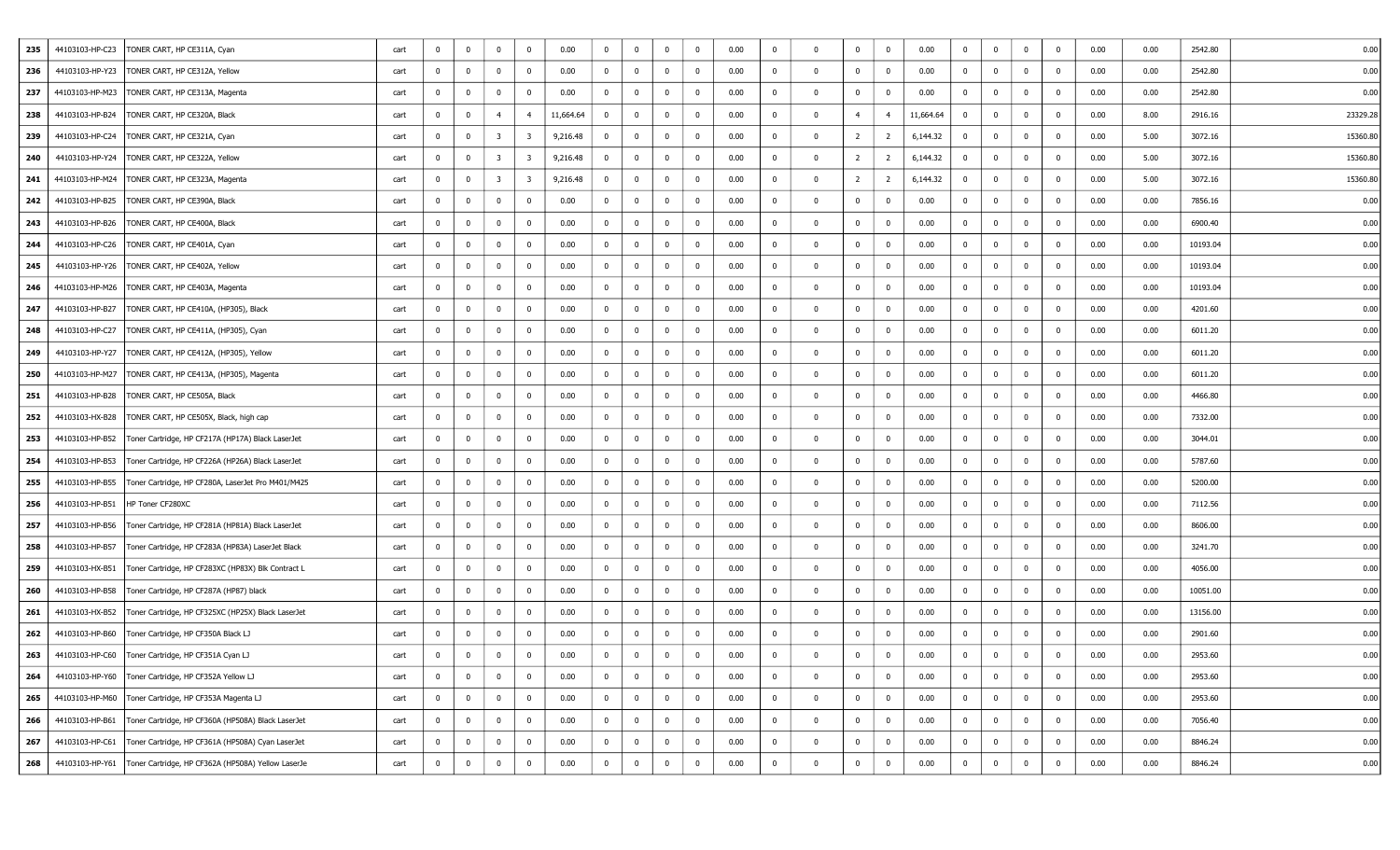| 235 | 44103103-HP-C23 | TONER CART, HP CE311A, Cyan                                          | cart | $\mathbf 0$    | $\overline{0}$          | $\bf{0}$                | $\mathbf 0$             | 0.00      | $^{\circ}$     | $\mathbf{0}$   | $\mathbf 0$  | $^{\circ}$     | 0.00 | $\mathbf{0}$   | $\Omega$     | $\mathbf 0$    | $\overline{0}$ | 0.00      | $\mathbf{0}$   | $\overline{0}$          | $\overline{0}$ | $\mathbf 0$    | 0.00 | 0.00 | 2542.80  | 0.00     |
|-----|-----------------|----------------------------------------------------------------------|------|----------------|-------------------------|-------------------------|-------------------------|-----------|----------------|----------------|--------------|----------------|------|----------------|--------------|----------------|----------------|-----------|----------------|-------------------------|----------------|----------------|------|------|----------|----------|
| 236 |                 | 44103103-HP-Y23   TONER CART, HP CE312A, Yellow                      | cart | 0              | $\overline{\mathbf{0}}$ | $\bf{0}$                | 0                       | 0.00      | $\overline{0}$ | $\bf{0}$       | $\mathbf{0}$ | 0              | 0.00 | 0              |              | $\mathbf 0$    | $\mathbf{0}$   | 0.00      | $\bf{0}$       | $\overline{\mathbf{0}}$ | $\overline{0}$ | $\mathbf 0$    | 0.00 | 0.00 | 2542.80  | 0.00     |
| 237 |                 | 44103103-HP-M23   TONER CART, HP CE313A, Magenta                     | cart | 0              | $\mathbf 0$             | $\bf{0}$                | $^{\circ}$              | 0.00      | $\mathbf{0}$   | $\bf{0}$       | $\mathbf{0}$ | $\mathbf 0$    | 0.00 | 0              | $^{\circ}$   | $\mathbf 0$    | $\mathbf{0}$   | 0.00      | $\overline{0}$ | $\mathbf 0$             | $\overline{0}$ | $\mathbf 0$    | 0.00 | 0.00 | 2542.80  | 0.00     |
| 238 | 44103103-HP-B24 | TONER CART, HP CE320A, Black                                         | cart | 0              | $\overline{\mathbf{0}}$ | $\overline{4}$          | $\overline{4}$          | 11,664.64 | $\overline{0}$ | $\mathbf 0$    | $\mathbf 0$  | $^{\circ}$     | 0.00 | 0              | $\Omega$     | $\overline{4}$ | $\overline{4}$ | 11,664.64 | $\overline{0}$ | $\overline{0}$          | $\overline{0}$ | $\mathbf 0$    | 0.00 | 8.00 | 2916.16  | 23329.28 |
| 239 | 44103103-HP-C24 | TONER CART, HP CE321A, Cyan                                          | cart | 0              | $\overline{\mathbf{0}}$ | $\overline{\mathbf{3}}$ | 3                       | 9,216.48  | $\overline{0}$ | $\bf{0}$       | $\mathbf{0}$ | $^{\circ}$     | 0.00 | $\overline{0}$ | $\Omega$     | $\overline{2}$ | $\overline{2}$ | 6,144.32  | $\overline{0}$ | $\overline{0}$          | $\overline{0}$ | $\mathbf 0$    | 0.00 | 5.00 | 3072.16  | 15360.80 |
| 240 | 44103103-HP-Y24 | TONER CART, HP CE322A, Yellow                                        | cart | $^{\circ}$     | $\overline{\mathbf{0}}$ | $\overline{\mathbf{3}}$ | 3                       | 9,216.48  | $\bf{0}$       | $\mathbf 0$    | $\mathbf 0$  | $^{\circ}$     | 0.00 | $\mathbf{0}$   | $\Omega$     | $\overline{2}$ | $\overline{2}$ | 6,144.32  | $\overline{0}$ | $\mathbf 0$             | $\overline{0}$ | $\mathbf 0$    | 0.00 | 5.00 | 3072.16  | 15360.80 |
| 241 |                 | 44103103-HP-M24   TONER CART, HP CE323A, Magenta                     | cart | 0              | $\overline{\mathbf{0}}$ | $\overline{\mathbf{3}}$ | $\overline{\mathbf{3}}$ | 9,216.48  | $\overline{0}$ | $\bf{0}$       | $\mathbf{0}$ | $\overline{0}$ | 0.00 | 0              | $^{\circ}$   | $\overline{2}$ | $\overline{2}$ | 6,144.32  | $\bf{0}$       | $\overline{\mathbf{0}}$ | $\mathbf 0$    | $\mathbf 0$    | 0.00 | 5.00 | 3072.16  | 15360.80 |
| 242 | 44103103-HP-B25 | TONER CART, HP CE390A, Black                                         | cart | 0              | $\overline{\mathbf{0}}$ | $\bf{0}$                | 0                       | 0.00      | $\overline{0}$ | $\mathbf 0$    | $\mathbf 0$  | $\mathbf 0$    | 0.00 | 0              | $\Omega$     | $\mathbf 0$    | $\mathbf{0}$   | 0.00      | $\bf{0}$       | $\overline{0}$          | $\overline{0}$ | $\mathbf 0$    | 0.00 | 0.00 | 7856.16  | 0.00     |
| 243 | 44103103-HP-B26 | TONER CART, HP CE400A, Black                                         | cart | $\overline{0}$ | $\overline{\mathbf{0}}$ | $\mathbf 0$             | $^{\circ}$              | 0.00      | $\overline{0}$ | $\overline{0}$ | $\mathbf 0$  | $\mathbf 0$    | 0.00 | 0              | $\Omega$     | $\mathbf 0$    | $\mathbf 0$    | 0.00      | $\overline{0}$ | $\overline{0}$          | $\overline{0}$ | $\mathbf 0$    | 0.00 | 0.00 | 6900.40  | 0.00     |
| 244 |                 | 44103103-HP-C26   TONER CART, HP CE401A, Cyan                        | cart | 0              | $\overline{\mathbf{0}}$ | $\bf{0}$                | 0                       | 0.00      | $\mathbf{0}$   | $\bf{0}$       | $\mathbf{0}$ | $\overline{0}$ | 0.00 | $\overline{0}$ | $^{\circ}$   | $\overline{0}$ | $\mathbf{0}$   | 0.00      | $\overline{0}$ | $\bf{0}$                | $\overline{0}$ | $\mathbf 0$    | 0.00 | 0.00 | 10193.04 | 0.00     |
| 245 |                 | 44103103-HP-Y26   TONER CART, HP CE402A, Yellow                      | cart | $^{\circ}$     | $\overline{\mathbf{0}}$ | $\bf{0}$                | $\mathbf 0$             | 0.00      | $\mathbf{0}$   | $\overline{0}$ | $\mathbf{0}$ | $\mathbf 0$    | 0.00 | $\mathbf{0}$   | $\Omega$     | $\mathbf 0$    | $\overline{0}$ | 0.00      | $\bf{0}$       | $\mathbf 0$             | $\overline{0}$ | $\mathbf 0$    | 0.00 | 0.00 | 10193.04 | 0.00     |
| 246 | 44103103-HP-M26 | TONER CART, HP CE403A, Magenta                                       | cart | 0              | $\overline{\mathbf{0}}$ | $\overline{0}$          | $^{\circ}$              | 0.00      | $\mathbf{0}$   | $\mathbf 0$    | $\mathbf{0}$ | $\mathbf 0$    | 0.00 | 0              | $\Omega$     | $\mathbf 0$    | $\mathbf 0$    | 0.00      | $\bf{0}$       | $\overline{\mathbf{0}}$ | $\overline{0}$ | $\mathbf 0$    | 0.00 | 0.00 | 10193.04 | 0.00     |
| 247 | 44103103-HP-B27 | TONER CART, HP CE410A, (HP305), Black                                | cart | 0              | $\overline{\mathbf{0}}$ | $\bf{0}$                | $^{\circ}$              | 0.00      | $\overline{0}$ | $\overline{0}$ | $\mathbf 0$  | $\mathbf 0$    | 0.00 | 0              | $\Omega$     | $\mathbf 0$    | $\mathbf{0}$   | 0.00      | $\overline{0}$ | $\mathbf 0$             | $\overline{0}$ | $\mathbf 0$    | 0.00 | 0.00 | 4201.60  | 0.00     |
| 248 | 44103103-HP-C27 | TONER CART, HP CE411A, (HP305), Cyan                                 | cart | $^{\circ}$     | $\overline{\mathbf{0}}$ | $\overline{0}$          | $^{\circ}$              | 0.00      | $\overline{0}$ | $\mathbf 0$    | $\mathbf 0$  | $\mathbf 0$    | 0.00 | $^{\circ}$     | $\Omega$     | $\bf{0}$       | $\mathbf 0$    | 0.00      | $\bf{0}$       | $\overline{0}$          | $\overline{0}$ | $\mathbf 0$    | 0.00 | 0.00 | 6011.20  | 0.00     |
| 249 |                 | 44103103-HP-Y27   TONER CART, HP CE412A, (HP305), Yellow             | cart | $\overline{0}$ | $\overline{\mathbf{0}}$ | $\bf{0}$                | 0                       | 0.00      | $\mathbf{0}$   | $\bf{0}$       | $\bf{0}$     | 0              | 0.00 | $\overline{0}$ | $\Omega$     | $\overline{0}$ | $\mathbf{0}$   | 0.00      | $\overline{0}$ | $\overline{\mathbf{0}}$ | $\overline{0}$ | $\mathbf 0$    | 0.00 | 0.00 | 6011.20  | 0.00     |
| 250 | 44103103-HP-M27 | TONER CART, HP CE413A, (HP305), Magenta                              | cart | $\overline{0}$ | $\overline{\mathbf{0}}$ | $\overline{0}$          | $\mathbf 0$             | 0.00      | $\mathbf{0}$   | $\overline{0}$ | $\mathbf{0}$ | $^{\circ}$     | 0.00 | $\overline{0}$ | $\Omega$     | $\mathbf 0$    | $\overline{0}$ | 0.00      | $\bf{0}$       | $\overline{0}$          | $\overline{0}$ | $\mathbf 0$    | 0.00 | 0.00 | 6011.20  | 0.00     |
| 251 | 44103103-HP-B28 | TONER CART, HP CE505A, Black                                         | cart | 0              | $\overline{\mathbf{0}}$ | $\bf{0}$                | $^{\circ}$              | 0.00      | $\mathbf{0}$   | $\mathbf 0$    | $\mathbf{0}$ | $\overline{0}$ | 0.00 | 0              | $\Omega$     | $\mathbf 0$    | $\mathbf{0}$   | 0.00      | $\bf{0}$       | $\overline{\mathbf{0}}$ | $\overline{0}$ | $\mathbf 0$    | 0.00 | 0.00 | 4466.80  | 0.00     |
| 252 |                 | 44103103-HX-B28   TONER CART, HP CE505X, Black, high cap             | cart | 0              | $\mathbf 0$             | $\overline{0}$          | $^{\circ}$              | 0.00      | $\overline{0}$ | $\mathbf{0}$   | $\mathbf 0$  | $\bf{0}$       | 0.00 | 0              | $\Omega$     | $\mathbf 0$    | $\mathbf{0}$   | 0.00      | $\overline{0}$ | $\overline{0}$          | $\overline{0}$ | $\mathbf 0$    | 0.00 | 0.00 | 7332.00  | 0.00     |
| 253 | 44103103-HP-B52 | Toner Cartridge, HP CF217A (HP17A) Black LaserJet                    | cart | $^{\circ}$     | $\overline{\mathbf{0}}$ | $\bf{0}$                | $^{\circ}$              | 0.00      | $\overline{0}$ | $\overline{0}$ | $\mathbf 0$  | $\mathbf 0$    | 0.00 | $\mathbf{0}$   | $\Omega$     | $\bf{0}$       | $\mathbf 0$    | 0.00      | $\overline{0}$ | $\overline{0}$          | $\overline{0}$ | $\mathbf 0$    | 0.00 | 0.00 | 3044.01  | 0.00     |
| 254 |                 | 44103103-HP-B53   Toner Cartridge, HP CF226A (HP26A) Black LaserJet  | cart | $\mathbf{0}$   | $\bf{0}$                | $\overline{0}$          | $\bf{0}$                | 0.00      | $\mathbf{0}$   | $\bf{0}$       | $\mathbf{0}$ | $\overline{0}$ | 0.00 | $\overline{0}$ | $^{\circ}$   | $\overline{0}$ | $\overline{0}$ | 0.00      | $\overline{0}$ | $\mathbf{0}$            | $\overline{0}$ | $\mathbf{0}$   | 0.00 | 0.00 | 5787.60  | 0.00     |
| 255 |                 | 44103103-HP-B55   Toner Cartridge, HP CF280A, LaserJet Pro M401/M425 | cart | 0              | $\overline{\mathbf{0}}$ | $\bf{0}$                | $\mathbf 0$             | 0.00      | $\mathbf{0}$   | $\mathbf 0$    | $\mathbf{0}$ | $\mathbf 0$    | 0.00 | 0              | $\Omega$     | $\mathbf 0$    | $\overline{0}$ | 0.00      | $\bf{0}$       | $\overline{0}$          | $\overline{0}$ | $\mathbf 0$    | 0.00 | 0.00 | 5200.00  | 0.00     |
| 256 | 44103103-HP-B51 | HP Toner CF280XC                                                     | cart | 0              | $\overline{\mathbf{0}}$ | $\mathbf 0$             | $^{\circ}$              | 0.00      | $\mathbf{0}$   | $\bf{0}$       | $\mathbf 0$  | $\bf{0}$       | 0.00 | $\mathbf{0}$   | $\Omega$     | $\mathbf 0$    | $\mathbf{0}$   | 0.00      | $\bf{0}$       | $\mathbf 0$             | $\bf{0}$       | $\mathbf 0$    | 0.00 | 0.00 | 7112.56  | 0.00     |
| 257 |                 | 44103103-HP-B56   Toner Cartridge, HP CF281A (HP81A) Black LaserJet  | cart | 0              | $\bf{0}$                | $\overline{0}$          | 0                       | 0.00      | $\mathbf{0}$   | $\mathbf 0$    | $\mathbf{0}$ | $\mathbf 0$    | 0.00 | 0              | $\Omega$     | $\mathbf 0$    | $\overline{0}$ | 0.00      | $\bf{0}$       | $\mathbf 0$             | $\overline{0}$ | $\mathbf 0$    | 0.00 | 0.00 | 8606.00  | 0.00     |
| 258 | 44103103-HP-B57 | Toner Cartridge, HP CF283A (HP83A) LaserJet Black                    | cart | $^{\circ}$     | $\overline{\mathbf{0}}$ | $\bf{0}$                | $^{\circ}$              | 0.00      | $\overline{0}$ | $\mathbf 0$    | $\mathbf{0}$ | $^{\circ}$     | 0.00 | $^{\circ}$     | $\Omega$     | $\mathbf 0$    | $\mathbf 0$    | 0.00      | $\overline{0}$ | $\overline{0}$          | $\mathbf{0}$   | $\mathbf 0$    | 0.00 | 0.00 | 3241.70  | 0.00     |
| 259 | 44103103-HX-B51 | Toner Cartridge, HP CF283XC (HP83X) Blk Contract L                   | cart | 0              | $\overline{\mathbf{0}}$ | $\overline{0}$          | $^{\circ}$              | 0.00      | $\overline{0}$ | $\bf{0}$       | $\mathbf{0}$ | $\overline{0}$ | 0.00 | $\overline{0}$ | $\Omega$     | $\overline{0}$ | $\mathbf 0$    | 0.00      | $\overline{0}$ | $\overline{\mathbf{0}}$ | $\overline{0}$ | $\mathbf 0$    | 0.00 | 0.00 | 4056.00  | 0.00     |
| 260 | 44103103-HP-B58 | Toner Cartridge, HP CF287A (HP87) black                              | cart | $\overline{0}$ | $\overline{\mathbf{0}}$ | $\overline{0}$          | $\mathbf 0$             | 0.00      | $\overline{0}$ | $\bf{0}$       | $\mathbf{0}$ | $^{\circ}$     | 0.00 | 0              | $\Omega$     | $\mathbf 0$    | $\mathbf{0}$   | 0.00      | $\bf{0}$       | $\mathbf 0$             | $\overline{0}$ | $\mathbf 0$    | 0.00 | 0.00 | 10051.00 | 0.00     |
| 261 |                 | 44103103-HX-B52   Toner Cartridge, HP CF325XC (HP25X) Black LaserJet | cart | $^{\circ}$     | $\overline{\mathbf{0}}$ | $\bf{0}$                | $^{\circ}$              | 0.00      | $\mathbf{0}$   | $\bf{0}$       | $\mathbf{0}$ | $\bf{0}$       | 0.00 | $\mathbf{0}$   | $\Omega$     | $\mathbf 0$    | $\bf{0}$       | 0.00      | $\overline{0}$ | $\mathbf{0}$            | $\overline{0}$ | $\mathbf 0$    | 0.00 | 0.00 | 13156.00 | 0.00     |
| 262 | 44103103-HP-B60 | Toner Cartridge, HP CF350A Black LJ                                  | cart | 0              | $\overline{\mathbf{0}}$ | $\overline{0}$          | 0                       | 0.00      | 0              | $\mathbf 0$    | $\mathbf{0}$ | $^{\circ}$     | 0.00 | 0              |              | $\mathbf 0$    | $\mathbf{0}$   | 0.00      | $\bf{0}$       | $\overline{0}$          | $\overline{0}$ | $\mathbf 0$    | 0.00 | 0.00 | 2901.60  | 0.00     |
| 263 |                 | 44103103-HP-C60   Toner Cartridge, HP CF351A Cyan LJ                 | cart | $\mathbf 0$    | $\mathbf 0$             | $\overline{0}$          | $^{\circ}$              | 0.00      | $^{\circ}$     | $\mathbf 0$    | $\mathbf 0$  | $^{\circ}$     | 0.00 | $\mathbf{0}$   |              | $\Omega$       | $\mathbf 0$    | 0.00      | $\mathbf 0$    | $\mathbf 0$             | $\bf{0}$       | $\overline{0}$ | 0.00 | 0.00 | 2953.60  | 0.00     |
| 264 |                 | 44103103-HP-Y60   Toner Cartridge, HP CF352A Yellow LJ               | cart | $\overline{0}$ | $\mathbf 0$             | $\bf{0}$                | $\overline{0}$          | 0.00      | $\bf{0}$       | $\bf{0}$       | $\mathbf 0$  | $\mathbf 0$    | 0.00 | $\bf{0}$       | $\mathbf{0}$ | $\bf{0}$       | $\overline{0}$ | 0.00      | $\bf{0}$       | $\mathbf 0$             | $\bf{0}$       | $\mathbf 0$    | 0.00 | 0.00 | 2953.60  | 0.00     |
| 265 |                 | 44103103-HP-M60   Toner Cartridge, HP CF353A Magenta LJ              | cart | $\overline{0}$ | $\bf{0}$                | $\bf{0}$                | $\overline{0}$          | 0.00      | $\bf{0}$       | $\bf{0}$       | $\bf{0}$     | $\mathbf 0$    | 0.00 | $\overline{0}$ | $^{\circ}$   | $\bf{0}$       | $\bf{0}$       | 0.00      | $\bf{0}$       | $\overline{0}$          | $\overline{0}$ | $\bf{0}$       | 0.00 | 0.00 | 2953.60  | 0.00     |
| 266 | 44103103-HP-B61 | Toner Cartridge, HP CF360A (HP508A) Black LaserJet                   | cart | $\overline{0}$ | $\mathbf 0$             | $\mathbf 0$             | 0                       | 0.00      | $\bf{0}$       | $\bf{0}$       | $\mathbf 0$  | $\bf{0}$       | 0.00 | $\overline{0}$ | $\mathbf{0}$ | $\mathbf 0$    | $\bf{0}$       | 0.00      | $\bf{0}$       | $\bf{0}$                | $\bf{0}$       | $\mathbf 0$    | 0.00 | 0.00 | 7056.40  | 0.00     |
| 267 |                 | 44103103-HP-C61   Toner Cartridge, HP CF361A (HP508A) Cyan LaserJet  | cart | $\overline{0}$ | $\overline{\mathbf{0}}$ | $\bf{0}$                | $\overline{0}$          | 0.00      | $\bf{0}$       | $\bf{0}$       | $\bf{0}$     | $\bf{0}$       | 0.00 | $\bf{0}$       | $\mathbf{0}$ | $\bf{0}$       | $\bf{0}$       | 0.00      | $\bf{0}$       | $\bf{0}$                | $\overline{0}$ | $\bf{0}$       | 0.00 | 0.00 | 8846.24  | 0.00     |
| 268 |                 | 44103103-HP-Y61   Toner Cartridge, HP CF362A (HP508A) Yellow LaserJe | cart | $\mathbf 0$    | $\mathbf 0$             | $\mathbf 0$             | $^{\circ}$              | 0.00      | $\bf{0}$       | $\mathbf 0$    | $\bf{0}$     | $\mathbf 0$    | 0.00 | 0              | $\Omega$     | $\bf{0}$       | $\bf{0}$       | 0.00      | $\bf{0}$       | $\mathbf 0$             | $\overline{0}$ | $\overline{0}$ | 0.00 | 0.00 | 8846.24  | 0.00     |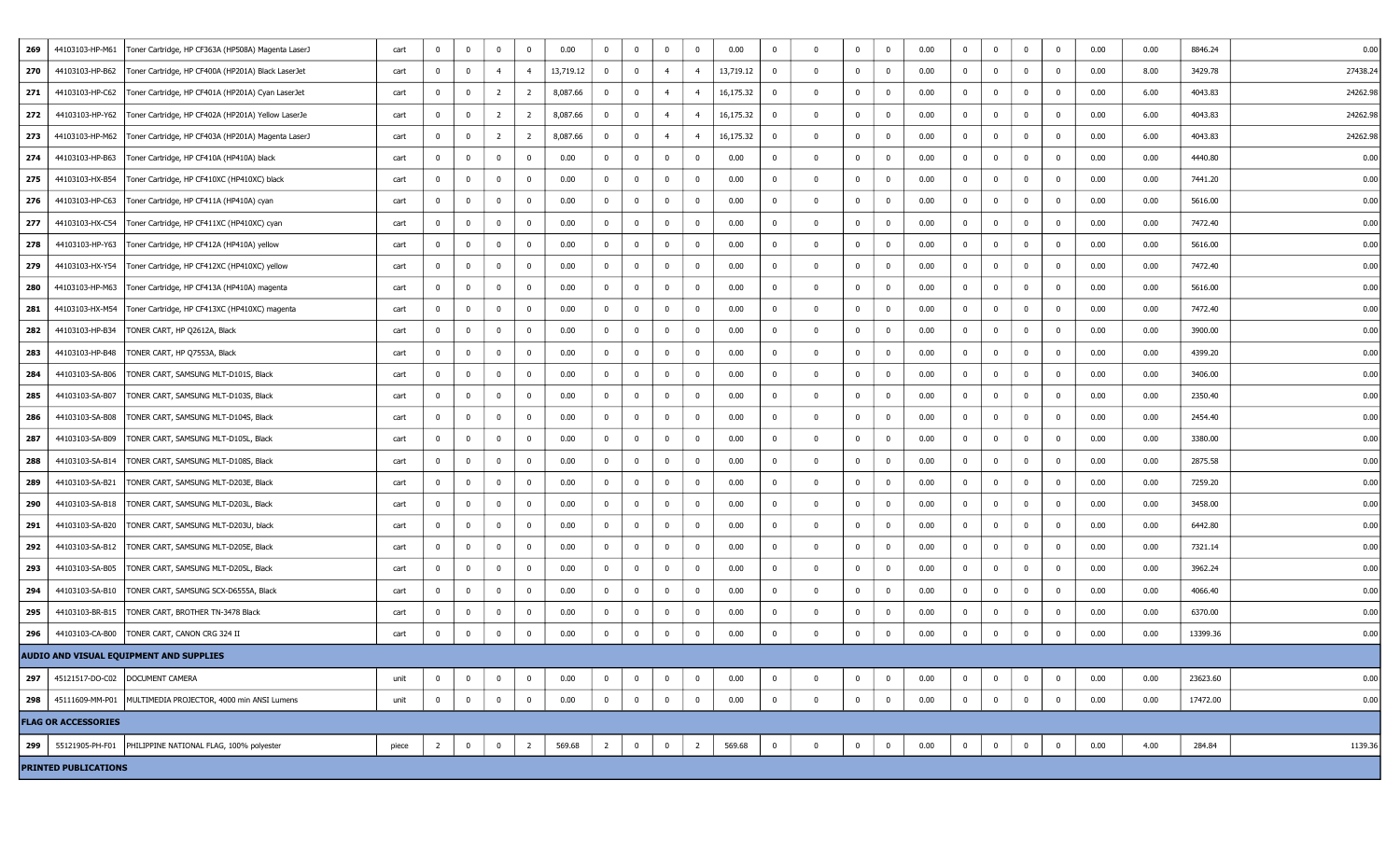| 269 | 44103103-HP-M61             | Toner Cartridge, HP CF363A (HP508A) Magenta LaserJ                  | cart  | $\mathbf{0}$   | $\mathbf 0$    | $\bf{0}$       | $\overline{0}$ | 0.00      | $\overline{0}$          | $\bf{0}$       | $^{\circ}$     | $\overline{0}$          | 0.00      | $\overline{0}$           | $\Omega$     | $\overline{0}$ | $\overline{0}$          | 0.00 | $\mathbf{0}$   | $\mathbf 0$  | $\overline{0}$ | 0            | 0.00 | 0.00 | 8846.24  | 0.00     |
|-----|-----------------------------|---------------------------------------------------------------------|-------|----------------|----------------|----------------|----------------|-----------|-------------------------|----------------|----------------|-------------------------|-----------|--------------------------|--------------|----------------|-------------------------|------|----------------|--------------|----------------|--------------|------|------|----------|----------|
| 270 | 44103103-HP-B62             | Toner Cartridge, HP CF400A (HP201A) Black LaserJet                  | cart  | 0              | $\mathbf 0$    | $\overline{4}$ | $\overline{4}$ | 13,719.12 | $\overline{0}$          | $\overline{0}$ | $\overline{4}$ | $\overline{4}$          | 13,719.12 | $\overline{\phantom{0}}$ | $^{\circ}$   | $\overline{0}$ | $\overline{0}$          | 0.00 | $\overline{0}$ | $\bf{0}$     | $\overline{0}$ | 0            | 0.00 | 8.00 | 3429.78  | 27438.24 |
| 271 |                             | 44103103-HP-C62   Toner Cartridge, HP CF401A (HP201A) Cyan LaserJet | cart  | 0              | $\bf{0}$       | $\overline{2}$ | $\overline{2}$ | 8,087.66  | $\overline{0}$          | $\overline{0}$ | $\overline{4}$ | $\overline{4}$          | 16,175.32 | $\overline{\mathbf{0}}$  | $\mathbf{0}$ | $\mathbf 0$    | $\overline{\mathbf{0}}$ | 0.00 | $\mathbf{0}$   | $\bf{0}$     | $\overline{0}$ | 0            | 0.00 | 6.00 | 4043.83  | 24262.98 |
| 272 | 44103103-HP-Y62             | Toner Cartridge, HP CF402A (HP201A) Yellow LaserJe                  | cart  | $\mathbf{0}$   | $\bf{0}$       | $\overline{2}$ | $\overline{2}$ | 8,087.66  | $\overline{0}$          | $\overline{0}$ | $\overline{4}$ | $\overline{4}$          | 16,175.32 | $\overline{0}$           | $^{\circ}$   | $\overline{0}$ | $\overline{\mathbf{0}}$ | 0.00 | $\overline{0}$ | $\bf{0}$     | $\overline{0}$ | $\mathbf{0}$ | 0.00 | 6.00 | 4043.83  | 24262.98 |
| 273 | 44103103-HP-M62             | Toner Cartridge, HP CF403A (HP201A) Magenta LaserJ                  | cart  | 0              | $\bf{0}$       | $\overline{2}$ | 2              | 8,087.66  | $\overline{0}$          | $\bf{0}$       | $\overline{4}$ | $\overline{4}$          | 16,175.32 | $\overline{\mathbf{0}}$  | 0            | 0              | $\overline{\mathbf{0}}$ | 0.00 | $\bf{0}$       | $\bf{0}$     | $\bf{0}$       | $\Omega$     | 0.00 | 6.00 | 4043.83  | 24262.98 |
| 274 | 44103103-HP-B63             | Toner Cartridge, HP CF410A (HP410A) black                           | cart  | 0              | $\mathbf 0$    | $\bf{0}$       | $\bf{0}$       | 0.00      | $\overline{0}$          | $\bf{0}$       | $^{\circ}$     | $\overline{\mathbf{0}}$ | 0.00      | $\overline{0}$           | $\mathbf{0}$ | $\mathbf{0}$   | $\overline{\mathbf{0}}$ | 0.00 | $\mathbf{0}$   | $\bf{0}$     | $\overline{0}$ | $^{\circ}$   | 0.00 | 0.00 | 4440.80  | 0.00     |
| 275 | 44103103-HX-B54             | Toner Cartridge, HP CF410XC (HP410XC) black                         | cart  | 0              | $\mathbf 0$    | $^{\circ}$     | $\mathbf{0}$   | 0.00      | $\mathbf{0}$            | $\bf{0}$       | $\mathbf{0}$   | $\overline{0}$          | 0.00      | 0                        | $^{\circ}$   | $\bf{0}$       | $\overline{\mathbf{0}}$ | 0.00 | $\bf{0}$       | $\bf{0}$     | $\overline{0}$ | 0            | 0.00 | 0.00 | 7441.20  | 0.00     |
| 276 | 44103103-HP-C63             | Toner Cartridge, HP CF411A (HP410A) cyan                            | cart  | 0              | $\bf{0}$       | $\bf{0}$       | $\mathbf{0}$   | 0.00      | $\mathbf{0}$            | $\bf{0}$       | $^{\circ}$     | $\overline{\mathbf{0}}$ | 0.00      | $\mathbf 0$              | $\mathbf{0}$ | $\bf{0}$       | $\overline{\mathbf{0}}$ | 0.00 | $\bf{0}$       | $\bf{0}$     | $\overline{0}$ | 0            | 0.00 | 0.00 | 5616.00  | 0.00     |
| 277 | 44103103-HX-C54             | Toner Cartridge, HP CF411XC (HP410XC) cyan                          | cart  | 0              | $\bf{0}$       | $\mathbf 0$    | 0              | 0.00      | $\bf{0}$                | $\bf{0}$       | $^{\circ}$     | $\overline{\mathbf{0}}$ | 0.00      | $\mathbf 0$              | $\Omega$     | $\overline{0}$ | $\overline{\mathbf{0}}$ | 0.00 | $\mathbf{0}$   | $\mathbf 0$  | $\overline{0}$ | $^{\circ}$   | 0.00 | 0.00 | 7472.40  | 0.00     |
| 278 | 44103103-HP-Y63             | Toner Cartridge, HP CF412A (HP410A) yellow                          | cart  | 0              | $\bf{0}$       | $\bf{0}$       | $\mathbf{0}$   | 0.00      | $\overline{0}$          | $\overline{0}$ | $^{\circ}$     | $\overline{\mathbf{0}}$ | 0.00      | $\overline{0}$           | $^{\circ}$   | $\overline{0}$ | $\overline{\mathbf{0}}$ | 0.00 | $\mathbf{0}$   | $\mathbf{0}$ | $\overline{0}$ | 0            | 0.00 | 0.00 | 5616.00  | 0.00     |
| 279 | 44103103-HX-Y54             | Toner Cartridge, HP CF412XC (HP410XC) yellow                        | cart  | 0              | $\mathbf 0$    | $^{\circ}$     | $\overline{0}$ | 0.00      | $\bf{0}$                | $\bf{0}$       | $\Omega$       | $\overline{\mathbf{0}}$ | 0.00      | $\overline{0}$           | $\Omega$     | 0              | $\overline{\mathbf{0}}$ | 0.00 | 0              | $^{\circ}$   | $\overline{0}$ | $^{\circ}$   | 0.00 | 0.00 | 7472.40  | 0.00     |
| 280 |                             | 44103103-HP-M63   Toner Cartridge, HP CF413A (HP410A) magenta       | cart  | 0              | $\bf{0}$       | $\bf{0}$       | 0              | 0.00      | $\bf{0}$                | $\bf{0}$       | $\mathbf{0}$   | $\overline{0}$          | 0.00      | $\overline{\mathbf{0}}$  | $^{\circ}$   | $\overline{0}$ | $\overline{\mathbf{0}}$ | 0.00 | 0              | $\bf{0}$     | $\overline{0}$ | 0            | 0.00 | 0.00 | 5616.00  | 0.00     |
| 281 |                             | 44103103-HX-M54   Toner Cartridge, HP CF413XC (HP410XC) magenta     | cart  | 0              | $\bf{0}$       | $\bf{0}$       | 0              | 0.00      | $\mathbf{0}$            | $\overline{0}$ | $^{\circ}$     | $\overline{0}$          | 0.00      | 0                        | $\mathbf{0}$ | $\bf{0}$       | $\overline{\mathbf{0}}$ | 0.00 | $\mathbf{0}$   | $\mathbf{0}$ | $\overline{0}$ | 0            | 0.00 | 0.00 | 7472.40  | 0.00     |
| 282 | 44103103-HP-B34             | TONER CART, HP Q2612A, Black                                        | cart  | 0              | $\mathbf 0$    | $\mathbf 0$    | $\mathbf{0}$   | 0.00      | $\overline{0}$          | $\bf{0}$       | $^{\circ}$     | $\overline{0}$          | 0.00      | $\mathbf 0$              | $\Omega$     | $\overline{0}$ | $\overline{\mathbf{0}}$ | 0.00 | $\mathbf{0}$   | $\bf{0}$     | $\bf{0}$       | $^{\circ}$   | 0.00 | 0.00 | 3900.00  | 0.00     |
| 283 | 44103103-HP-B48             | TONER CART, HP Q7553A, Black                                        | cart  | 0              | $\bf{0}$       | $\bf{0}$       | 0              | 0.00      | $\overline{0}$          | $\bf{0}$       | $^{\circ}$     | $\overline{\mathbf{0}}$ | 0.00      | $\overline{0}$           | $\mathbf{0}$ | $\overline{0}$ | $\overline{\mathbf{0}}$ | 0.00 | 0              | $\mathbf{0}$ | $\overline{0}$ | $^{\circ}$   | 0.00 | 0.00 | 4399.20  | 0.00     |
| 284 | 44103103-SA-B06             | TONER CART, SAMSUNG MLT-D101S, Black                                | cart  | $\mathbf{0}$   | $\mathbf 0$    | $^{\circ}$     | $\mathbf{0}$   | 0.00      | $\mathbf{0}$            | $\bf{0}$       | $^{\circ}$     | $\overline{\mathbf{0}}$ | 0.00      | $\overline{0}$           | $\mathbf{0}$ | $\mathbf{0}$   | $\overline{\mathbf{0}}$ | 0.00 | $\mathbf{0}$   | $\bf{0}$     | $\mathbf 0$    | $^{\circ}$   | 0.00 | 0.00 | 3406.00  | 0.00     |
| 285 | 44103103-SA-B07             | TONER CART, SAMSUNG MLT-D103S, Black                                | cart  | 0              | $\bf{0}$       | $\mathbf 0$    | 0              | 0.00      | $\bf{0}$                | $\bf{0}$       | $\mathbf{0}$   | $\mathbf 0$             | 0.00      | $\mathbf 0$              | $\mathbf{0}$ | $\overline{0}$ | $\overline{\mathbf{0}}$ | 0.00 | 0              | $\mathbf{0}$ | $\overline{0}$ | 0            | 0.00 | 0.00 | 2350.40  | 0.00     |
| 286 | 44103103-SA-B08             | TONER CART, SAMSUNG MLT-D104S, Black                                | cart  | 0              | $\bf{0}$       | $\bf{0}$       | $\mathbf{0}$   | 0.00      | $\mathbf{0}$            | $\bf{0}$       | $^{\circ}$     | $\overline{0}$          | 0.00      | $\bf{0}$                 | 0            | 0              | $\overline{\mathbf{0}}$ | 0.00 | $\mathbf{0}$   | $\bf{0}$     | $\overline{0}$ | $^{\circ}$   | 0.00 | 0.00 | 2454.40  | 0.00     |
| 287 | 44103103-SA-B09             | TONER CART, SAMSUNG MLT-D105L, Black                                | cart  | 0              | $\bf{0}$       | $\mathbf 0$    | 0              | 0.00      | $\overline{0}$          | $\bf{0}$       | $^{\circ}$     | $\overline{0}$          | 0.00      | $\mathbf 0$              | $\mathbf 0$  | $\overline{0}$ | $\overline{\mathbf{0}}$ | 0.00 | $\overline{0}$ | $\bf{0}$     | $\overline{0}$ | $\mathbf 0$  | 0.00 | 0.00 | 3380.00  | 0.00     |
| 288 | 44103103-SA-B14             | TONER CART, SAMSUNG MLT-D108S, Black                                | cart  | $\bf{0}$       | $\bf{0}$       | $\bf{0}$       | $\mathbf{0}$   | 0.00      | $\overline{0}$          | $\overline{0}$ | $^{\circ}$     | $\overline{\mathbf{0}}$ | 0.00      | $\overline{0}$           | $\mathbf{0}$ | $\overline{0}$ | $\overline{\mathbf{0}}$ | 0.00 | $\mathbf{0}$   | $\mathbf{0}$ | $\overline{0}$ | $^{\circ}$   | 0.00 | 0.00 | 2875.58  | 0.00     |
| 289 | 44103103-SA-B21             | TONER CART, SAMSUNG MLT-D203E, Black                                | cart  | $\mathbf{0}$   | $\mathbf 0$    | $^{\circ}$     | $\overline{0}$ | 0.00      | $\bf{0}$                | $\bf{0}$       | $^{\circ}$     | $\overline{\mathbf{0}}$ | 0.00      | $\overline{0}$           | $\mathbf 0$  | $\overline{0}$ | $\overline{0}$          | 0.00 | 0              | $\mathbf 0$  | $\bf{0}$       | $\mathbf 0$  | 0.00 | 0.00 | 7259.20  | 0.00     |
| 290 | 44103103-SA-B18             | TONER CART, SAMSUNG MLT-D203L, Black                                | cart  | $\overline{0}$ | $\bf{0}$       | $\overline{0}$ | $\mathbf{0}$   | 0.00      | $\overline{\mathbf{0}}$ | $\bf{0}$       | $\mathbf 0$    | $\overline{0}$          | 0.00      | $\overline{0}$           | $^{\circ}$   | $\overline{0}$ | $\overline{\mathbf{0}}$ | 0.00 | 0              | $\bf{0}$     | $\overline{0}$ | 0            | 0.00 | 0.00 | 3458.00  | 0.00     |
| 291 | 44103103-SA-B20             | TONER CART, SAMSUNG MLT-D203U, black                                | cart  | 0              | $\bf{0}$       | $\bf{0}$       | $\mathbf{0}$   | 0.00      | $\overline{0}$          | $\bf{0}$       | $^{\circ}$     | $\overline{\mathbf{0}}$ | 0.00      | $\mathbf 0$              | $\mathbf 0$  | $\mathbf{0}$   | $\overline{\mathbf{0}}$ | 0.00 | $\overline{0}$ | $\mathbf 0$  | $\overline{0}$ | 0            | 0.00 | 0.00 | 6442.80  | 0.00     |
| 292 | 44103103-SA-B12             | TONER CART, SAMSUNG MLT-D205E, Black                                | cart  | $\mathbf 0$    | $\mathbf 0$    | $\mathbf 0$    | $\mathbf{0}$   | 0.00      | $\bf{0}$                | $\bf{0}$       | $^{\circ}$     | $\overline{0}$          | 0.00      | $\overline{0}$           | $\mathbf 0$  | $\overline{0}$ | $\overline{\mathbf{0}}$ | 0.00 | $\overline{0}$ | $\bf{0}$     | $\overline{0}$ | $^{\circ}$   | 0.00 | 0.00 | 7321.14  | 0.00     |
| 293 | 44103103-SA-B05             | TONER CART, SAMSUNG MLT-D205L, Black                                | cart  | $\mathbf{0}$   | $\bf{0}$       | $\bf{0}$       | $\mathbf{0}$   | 0.00      | $\overline{0}$          | $\overline{0}$ | $\bf{0}$       | $\overline{\mathbf{0}}$ | 0.00      | $\overline{0}$           | $\mathbf 0$  | $\overline{0}$ | $\overline{\mathbf{0}}$ | 0.00 | $\mathbf{0}$   | $\mathbf{0}$ | $\overline{0}$ | 0            | 0.00 | 0.00 | 3962.24  | 0.00     |
| 294 | 44103103-SA-B10             | TONER CART, SAMSUNG SCX-D6555A, Black                               | cart  | $\mathbf{0}$   | $\mathbf 0$    | $\bf{0}$       | $\mathbf{0}$   | 0.00      | $\mathbf{0}$            | $\mathbf{0}$   | $^{\circ}$     | $\bf{0}$                | $0.00\,$  | $\overline{0}$           | $\mathbf{0}$ | $\mathbf{0}$   | $\overline{0}$          | 0.00 | $\mathbf{0}$   | $\mathbf 0$  | $\mathbf 0$    | $^{\circ}$   | 0.00 | 0.00 | 4066.40  | 0.00     |
| 295 | 44103103-BR-B15             | TONER CART, BROTHER TN-3478 Black                                   | cart  | 0              | $\bf{0}$       | $\bf{0}$       | 0              | 0.00      | $\mathbf{0}$            | $\bf{0}$       | $\mathbf{0}$   | $\mathbf 0$             | 0.00      | $\mathbf 0$              | $\mathbf{0}$ | 0              | $\overline{\mathbf{0}}$ | 0.00 | $\bf{0}$       | $\bf{0}$     | $\overline{0}$ | 0            | 0.00 | 0.00 | 6370.00  | 0.00     |
| 296 |                             | 44103103-CA-B00   TONER CART, CANON CRG 324 II                      | cart  | $\overline{0}$ | $\bf{0}$       | $\overline{0}$ | $\mathbf 0$    | 0.00      | $\bf{0}$                | $\bf{0}$       | $\overline{0}$ | $\overline{0}$          | 0.00      | $\bf{0}$                 | $\mathbf{0}$ | $\overline{0}$ | $\overline{\mathbf{0}}$ | 0.00 | $\mathbf{0}$   | $\mathbf{0}$ | $\bf{0}$       | $^{\circ}$   | 0.00 | 0.00 | 13399.36 | 0.00     |
|     |                             | AUDIO AND VISUAL EQUIPMENT AND SUPPLIES                             |       |                |                |                |                |           |                         |                |                |                         |           |                          |              |                |                         |      |                |              |                |              |      |      |          |          |
| 297 |                             | 45121517-DO-C02  DOCUMENT CAMERA                                    | unit  | 0              | $\bf{0}$       | $\bf{0}$       | $\mathbf 0$    | 0.00      | $\mathbf{0}$            | $\bf{0}$       | $\bf{0}$       | $\mathbf 0$             | 0.00      | $\mathbf 0$              | $\mathbf 0$  | $\overline{0}$ | $\bf{0}$                | 0.00 | 0              | $\bf{0}$     | $\bf{0}$       | 0            | 0.00 | 0.00 | 23623.60 | 0.00     |
| 298 |                             | 45111609-MM-P01 MULTIMEDIA PROJECTOR, 4000 min ANSI Lumens          | unit  | $\overline{0}$ | $\mathbf 0$    | $\bf{0}$       | $\overline{0}$ | 0.00      | $\overline{0}$          | $\bf{0}$       | $\mathbf{0}$   | $\overline{0}$          | 0.00      | $\mathbf 0$              | $\mathbf 0$  | $\overline{0}$ | $\overline{0}$          | 0.00 | $\overline{0}$ | $\bf{0}$     | $\mathbf 0$    | 0            | 0.00 | 0.00 | 17472.00 | 0.00     |
|     | <b>FLAG OR ACCESSORIES</b>  |                                                                     |       |                |                |                |                |           |                         |                |                |                         |           |                          |              |                |                         |      |                |              |                |              |      |      |          |          |
| 299 |                             | 55121905-PH-F01 PHILIPPINE NATIONAL FLAG, 100% polyester            | piece | $\overline{2}$ | $\overline{0}$ | $\bf{0}$       | $\overline{2}$ | 569.68    | $\overline{2}$          | $\overline{0}$ | $\bf{0}$       | $\overline{2}$          | 569.68    | $\bf{0}$                 | $\bf{0}$     | $\bf{0}$       | $\bf{0}$                | 0.00 | $\overline{0}$ | $\bf{0}$     | $\bf{0}$       | $\mathbf{0}$ | 0.00 | 4.00 | 284.84   | 1139.36  |
|     | <b>PRINTED PUBLICATIONS</b> |                                                                     |       |                |                |                |                |           |                         |                |                |                         |           |                          |              |                |                         |      |                |              |                |              |      |      |          |          |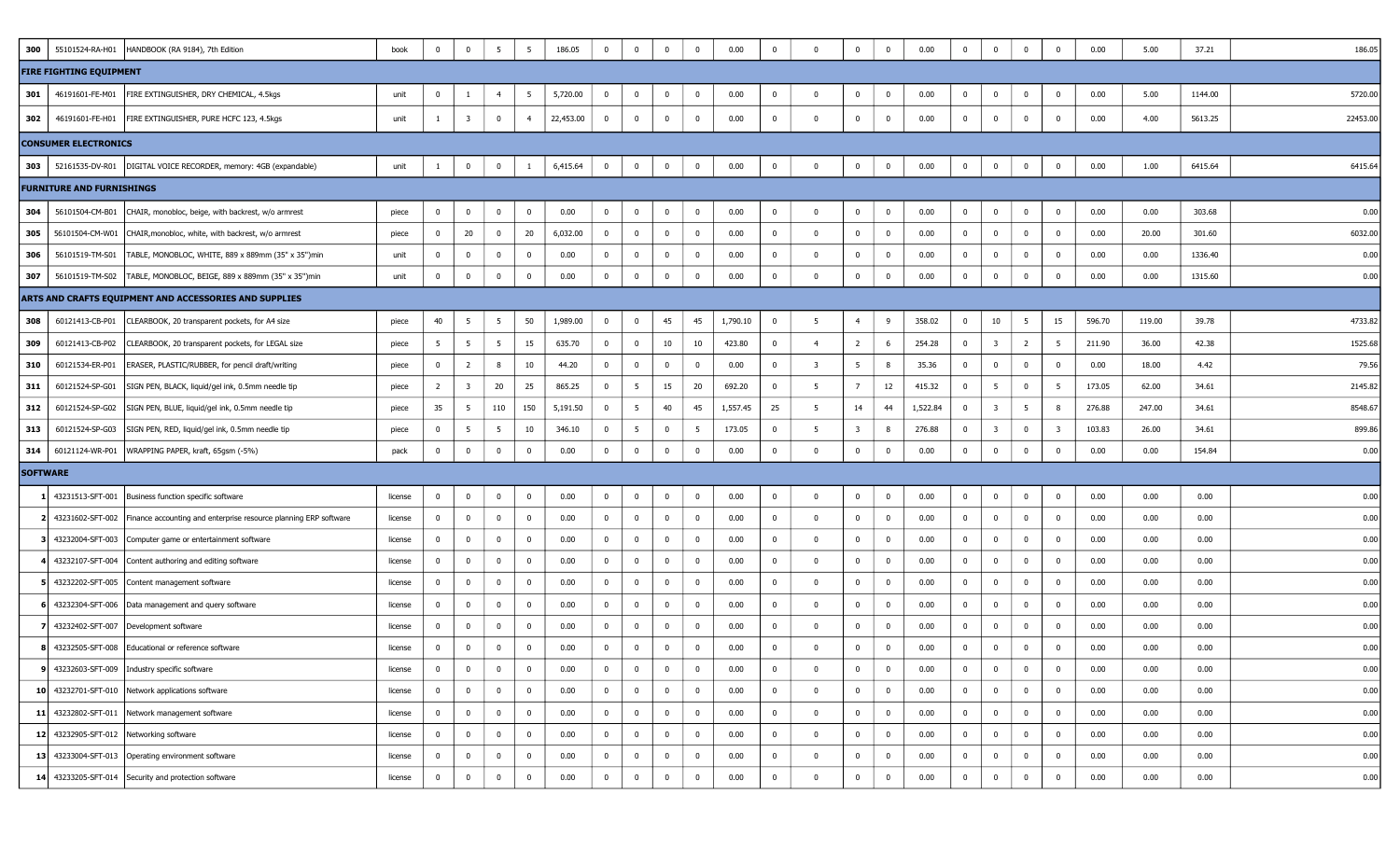| 300             | 55101524-RA-H01                  | HANDBOOK (RA 9184), 7th Edition                                                       | book    | 0              | $\bf{0}$                | 5              | 5              | 186.05    | $\overline{0}$          | $\mathbf 0$     | $^{\circ}$   | $\overline{0}$          | 0.00     | $\mathbf 0$             | $\Omega$       | $\overline{0}$          | $\overline{\mathbf{0}}$ | 0.00     | 0              | $\mathbf{0}$            | $\overline{0}$ | $\mathbf 0$             | 0.00   | 5.00   | 37.21   | 186.05   |
|-----------------|----------------------------------|---------------------------------------------------------------------------------------|---------|----------------|-------------------------|----------------|----------------|-----------|-------------------------|-----------------|--------------|-------------------------|----------|-------------------------|----------------|-------------------------|-------------------------|----------|----------------|-------------------------|----------------|-------------------------|--------|--------|---------|----------|
|                 | <b>FIRE FIGHTING EQUIPMENT</b>   |                                                                                       |         |                |                         |                |                |           |                         |                 |              |                         |          |                         |                |                         |                         |          |                |                         |                |                         |        |        |         |          |
| 301             | 46191601-FE-M01                  | FIRE EXTINGUISHER, DRY CHEMICAL, 4.5kgs                                               | unit    | 0              |                         | -4             | - 5            | 5,720.00  | $\overline{\mathbf{0}}$ | $\bf{0}$        | $\bf{0}$     | 0                       | 0.00     | $\mathbf 0$             | $\mathbf 0$    | $\overline{0}$          | $\overline{\mathbf{0}}$ | 0.00     | 0              | $\mathbf{0}$            | $\bf{0}$       | 0                       | 0.00   | 5.00   | 1144.00 | 5720.00  |
| 302             | 46191601-FE-H01                  | FIRE EXTINGUISHER, PURE HCFC 123, 4.5kgs                                              | unit    | -1             | $\overline{\mathbf{3}}$ | $\bf{0}$       | $\overline{4}$ | 22,453.00 | $\overline{0}$          | $\bf{0}$        | $\bf{0}$     | $\mathbf 0$             | 0.00     | $\bf{0}$                | $\mathbf 0$    | $\overline{0}$          | $\overline{\mathbf{0}}$ | 0.00     | $\bf{0}$       | $\mathbf{0}$            | $\overline{0}$ | 0                       | 0.00   | 4.00   | 5613.25 | 22453.00 |
|                 | <b>CONSUMER ELECTRONICS</b>      |                                                                                       |         |                |                         |                |                |           |                         |                 |              |                         |          |                         |                |                         |                         |          |                |                         |                |                         |        |        |         |          |
| 303             |                                  | 52161535-DV-R01   DIGITAL VOICE RECORDER, memory: 4GB (expandable)                    | unit    | 1              | $\mathbf 0$             | $\bf{0}$       | -1             | 6,415.64  | $\bf{0}$                | $\bf{0}$        | $\mathbf 0$  | $\overline{\mathbf{0}}$ | 0.00     | $\bf{0}$                | $\mathbf{0}$   | $\bf{0}$                | $\bf{0}$                | 0.00     | $\bf{0}$       | $\bf{0}$                | $\bf{0}$       | 0                       | 0.00   | 1.00   | 6415.64 | 6415.64  |
|                 | <b>FURNITURE AND FURNISHINGS</b> |                                                                                       |         |                |                         |                |                |           |                         |                 |              |                         |          |                         |                |                         |                         |          |                |                         |                |                         |        |        |         |          |
| 304             | 56101504-CM-B01                  | CHAIR, monobloc, beige, with backrest, w/o armrest                                    | piece   | 0              | $\bf{0}$                | $\mathbf 0$    | $\mathbf 0$    | 0.00      | $\overline{0}$          | $\bf{0}$        | $^{\circ}$   | $\overline{\mathbf{0}}$ | 0.00     | $\overline{0}$          | $\mathbf 0$    | $\overline{0}$          | $\overline{\mathbf{0}}$ | 0.00     | $\bf{0}$       | $\mathbf{0}$            | $\bf{0}$       | 0                       | 0.00   | 0.00   | 303.68  | 0.00     |
| 305             | 56101504-CM-W01                  | CHAIR, monobloc, white, with backrest, w/o armrest                                    | piece   | $\bf{0}$       | 20                      | $\bf{0}$       | 20             | 6,032.00  | $\overline{0}$          | $\bf{0}$        | $^{\circ}$   | $\bf{0}$                | 0.00     | $\overline{\mathbf{0}}$ | $\mathbf{0}$   | $\overline{0}$          | $\overline{0}$          | 0.00     | $\overline{0}$ | $\mathbf 0$             | $\overline{0}$ | $\bf{0}$                | 0.00   | 20.00  | 301.60  | 6032.00  |
| 306             | 56101519-TM-S01                  | TABLE, MONOBLOC, WHITE, 889 x 889mm (35" x 35")min                                    | unit    | 0              | $\bf{0}$                | $\bf{0}$       | $\mathbf{0}$   | 0.00      | $\overline{0}$          | $\bf{0}$        | $\mathbf 0$  | $\mathbf 0$             | 0.00     | $\overline{0}$          | $^{\circ}$     | $\bf{0}$                | $\overline{\mathbf{0}}$ | 0.00     | $\bf{0}$       | $\bf{0}$                | $\overline{0}$ | $\mathbf 0$             | 0.00   | 0.00   | 1336.40 | 0.00     |
| 307             |                                  | 56101519-TM-S02   TABLE, MONOBLOC, BEIGE, 889 x 889mm (35" x 35") min                 | unit    | 0              | $\bf{0}$                | $\mathbf 0$    | $\mathbf 0$    | 0.00      | $\bf{0}$                | $\bf{0}$        | $^{\circ}$   | $\overline{0}$          | 0.00     | $\mathbf 0$             | $\mathbf 0$    | $\overline{0}$          | $\overline{\mathbf{0}}$ | 0.00     | $\mathbf{0}$   | $\mathbf 0$             | $\bf{0}$       | $^{\circ}$              | 0.00   | 0.00   | 1315.60 | 0.00     |
|                 |                                  | ARTS AND CRAFTS EQUIPMENT AND ACCESSORIES AND SUPPLIES                                |         |                |                         |                |                |           |                         |                 |              |                         |          |                         |                |                         |                         |          |                |                         |                |                         |        |        |         |          |
| 308             | 60121413-CB-P01                  | CLEARBOOK, 20 transparent pockets, for A4 size                                        | piece   | 40             | 5                       | 5              | 50             | 1,989.00  | $\bf{0}$                | $\bf{0}$        | 45           | 45                      | 1,790.10 | $\mathbf 0$             | 5              | $\overline{4}$          | 9                       | 358.02   | $\bf{0}$       | 10                      | 5              | 15                      | 596.70 | 119.00 | 39.78   | 4733.82  |
| 309             | 60121413-CB-P02                  | CLEARBOOK, 20 transparent pockets, for LEGAL size                                     | piece   | 5              | 5                       | 5 <sup>5</sup> | 15             | 635.70    | $\overline{0}$          | $\overline{0}$  | 10           | 10                      | 423.80   | $\overline{\mathbf{0}}$ | $\overline{4}$ | $\overline{2}$          | 6                       | 254.28   | $\bf{0}$       | $\overline{\mathbf{3}}$ | $\overline{2}$ | 5                       | 211.90 | 36.00  | 42.38   | 1525.68  |
| 310             | 60121534-ER-P01                  | ERASER, PLASTIC/RUBBER, for pencil draft/writing                                      | piece   | $\bf{0}$       | $\overline{2}$          | 8              | 10             | 44.20     | $\overline{0}$          | $\overline{0}$  | $^{\circ}$   | $\overline{\mathbf{0}}$ | 0.00     | $\overline{0}$          | 3              | 5 <sup>5</sup>          | 8                       | 35.36    | $\overline{0}$ | $\mathbf{0}$            | $\overline{0}$ | $\bf{0}$                | 0.00   | 18.00  | 4.42    | 79.56    |
| 311             | 60121524-SP-G01                  | SIGN PEN, BLACK, liquid/gel ink, 0.5mm needle tip                                     | piece   | $\overline{2}$ | $\overline{\mathbf{3}}$ | 20             | 25             | 865.25    | $\overline{0}$          | 5               | 15           | 20                      | 692.20   | $\overline{0}$          | - 5            | $7\overline{ }$         | 12                      | 415.32   | $\overline{0}$ | $5\overline{5}$         | $\overline{0}$ | 5                       | 173.05 | 62.00  | 34.61   | 2145.82  |
| 312             | 60121524-SP-G02                  | SIGN PEN, BLUE, liquid/gel ink, 0.5mm needle tip                                      | piece   | 35             | 5                       | 110            | 150            | 5,191.50  | $\bf{0}$                | $5\overline{5}$ | 40           | 45                      | 1,557.45 | 25                      | - 5            | 14                      | 44                      | 1,522.84 | $\mathbf{0}$   | $\overline{\mathbf{3}}$ | 5              | 8                       | 276.88 | 247.00 | 34.61   | 8548.67  |
| 313             | 60121524-SP-G03                  | SIGN PEN, RED, liquid/gel ink, 0.5mm needle tip                                       | piece   | $\bf{0}$       | 5                       | 5              | 10             | 346.10    | $\overline{0}$          | $5\overline{5}$ | $\mathbf 0$  | $5\overline{5}$         | 173.05   | $\overline{\mathbf{0}}$ | -5             | $\overline{\mathbf{3}}$ | 8                       | 276.88   | 0              | $\overline{\mathbf{3}}$ | $\overline{0}$ | $\overline{\mathbf{3}}$ | 103.83 | 26.00  | 34.61   | 899.86   |
| 314             |                                  | 60121124-WR-P01   WRAPPING PAPER, kraft, 65gsm (-5%)                                  | pack    | $\overline{0}$ | $\bf{0}$                | $\overline{0}$ | $\mathbf 0$    | 0.00      | $\bf{0}$                | $\bf{0}$        | $^{\circ}$   | $\mathbf{0}$            | 0.00     | $\mathbf 0$             | 0              | $\overline{0}$          | $\overline{\mathbf{0}}$ | 0.00     | $\mathbf{0}$   | $\mathbf 0$             | $\bf{0}$       | $^{\circ}$              | 0.00   | 0.00   | 154.84  | 0.00     |
| <b>SOFTWARE</b> |                                  |                                                                                       |         |                |                         |                |                |           |                         |                 |              |                         |          |                         |                |                         |                         |          |                |                         |                |                         |        |        |         |          |
|                 |                                  | 43231513-SFT-001   Business function specific software                                | license | 0              | $\bf{0}$                | $\bf{0}$       | $\mathbf 0$    | 0.00      | $\overline{0}$          | $\bf{0}$        | $\mathbf 0$  | $\mathbf 0$             | 0.00     | $\mathbf 0$             | $\mathbf{0}$   | $\bf{0}$                | $\overline{\mathbf{0}}$ | 0.00     | 0              | $\mathbf{0}$            | $\bf{0}$       | $\bf{0}$                | 0.00   | 0.00   | 0.00    | 0.00     |
|                 |                                  | 2 43231602-SFT-002   Finance accounting and enterprise resource planning ERP software | license | $\bf{0}$       | $\bf{0}$                | $\bf{0}$       | $\overline{0}$ | 0.00      | $\mathbf{0}$            | $\overline{0}$  | $^{\circ}$   | $\overline{\mathbf{0}}$ | 0.00     | $\overline{\mathbf{0}}$ | $\mathbf 0$    | $\overline{0}$          | $\overline{\mathbf{0}}$ | 0.00     | $\mathbf{0}$   | $\mathbf 0$             | $\overline{0}$ | $\bf{0}$                | 0.00   | 0.00   | 0.00    | 0.00     |
|                 |                                  | 43232004-SFT-003 Computer game or entertainment software                              | license | $\overline{0}$ | $\bf{0}$                | $\mathbf 0$    | 0              | 0.00      | $\overline{0}$          | $\bf{0}$        | $^{\circ}$   | $\mathbf 0$             | 0.00     | $\mathbf 0$             | $\mathbf 0$    | $\overline{0}$          | $\overline{\mathbf{0}}$ | 0.00     | $\overline{0}$ | $\mathbf 0$             | $\overline{0}$ | 0                       | 0.00   | 0.00   | 0.00    | 0.00     |
|                 |                                  | 43232107-SFT-004 Content authoring and editing software                               | license | $\mathbf{0}$   | $\bf{0}$                | $\overline{0}$ | $\mathbf{0}$   | 0.00      | $\mathbf{0}$            | $\overline{0}$  | $\mathbf 0$  | $\overline{\mathbf{0}}$ | 0.00     | $\overline{0}$          | $\mathbf 0$    | $\overline{0}$          | $\overline{\mathbf{0}}$ | 0.00     | $\overline{0}$ | $\mathbf{0}$            | $\overline{0}$ | $^{\circ}$              | 0.00   | 0.00   | 0.00    | 0.00     |
|                 |                                  | 43232202-SFT-005 Content management software                                          | license | $\mathbf 0$    | $\bf{0}$                | $\mathbf 0$    | $\overline{0}$ | 0.00      | $\mathbf{0}$            | $\bf{0}$        | $^{\circ}$   | $\overline{0}$          | 0.00     | $\overline{0}$          | $\mathbf 0$    | $\overline{0}$          | $\overline{\mathbf{0}}$ | 0.00     | 0              | $\mathbf 0$             | $\overline{0}$ | $\mathbf 0$             | 0.00   | 0.00   | 0.00    | 0.00     |
|                 |                                  | 43232304-SFT-006   Data management and query software                                 | license | $\overline{0}$ | $\bf{0}$                | $\overline{0}$ | $\mathbf 0$    | 0.00      | $\mathbf{0}$            | $\bf{0}$        | $\mathbf 0$  | $\mathbf 0$             | 0.00     | $\overline{0}$          | $\mathbf{0}$   | $\overline{0}$          | $\overline{\mathbf{0}}$ | 0.00     | 0              | $\mathbf{0}$            | $\overline{0}$ | $\mathbf 0$             | 0.00   | 0.00   | 0.00    | 0.00     |
|                 |                                  | 43232402-SFT-007   Development software                                               | license | $\mathbf{0}$   | $\bf{0}$                | $\overline{0}$ | 0              | 0.00      | $\bf{0}$                | $\bf{0}$        | $^{\circ}$   | $\overline{0}$          | 0.00     | $\mathbf 0$             | $\mathbf 0$    | $\overline{0}$          | $\overline{\mathbf{0}}$ | 0.00     | 0              | $\mathbf 0$             | $\overline{0}$ | 0                       | 0.00   | 0.00   | 0.00    | 0.00     |
|                 |                                  | 8 43232505-SFT-008 Educational or reference software                                  | license | $\mathbf 0$    | $\mathbf 0$             | $^{\circ}$     | $\mathbf{0}$   | 0.00      | $\overline{0}$          | $\bf{0}$        | $^{\circ}$   | $\Omega$                | 0.00     | $\mathbf 0$             | $\Omega$       | $^{\circ}$              | $\overline{\mathbf{0}}$ | 0.00     | $\mathbf{0}$   | $\bf{0}$                | $\bf{0}$       | $\Omega$                | 0.00   | 0.00   | 0.00    | 0.00     |
|                 |                                  | 9 43232603-SFT-009   Industry specific software                                       | license | $\overline{0}$ | $\bf{0}$                | $\overline{0}$ | $\mathbf 0$    | 0.00      | $\overline{\mathbf{0}}$ | $\bf{0}$        | $\mathbf 0$  | $\mathbf 0$             | 0.00     | $\bf{0}$                | $\mathbf 0$    | $\overline{0}$          | $\overline{\mathbf{0}}$ | 0.00     | $\bf{0}$       | $\mathbf{0}$            | $\overline{0}$ | $\mathbf{0}$            | 0.00   | 0.00   | 0.00    | 0.00     |
|                 |                                  | 10 43232701-SFT-010 Network applications software                                     | license | $\mathbf{0}$   | $\overline{0}$          | $\bf{0}$       | $\overline{0}$ | 0.00      | $\overline{0}$          | $\overline{0}$  | $\mathbf 0$  | $\overline{0}$          | 0.00     | $\overline{0}$          | $\mathbf{0}$   | $\overline{0}$          | $\overline{\mathbf{0}}$ | 0.00     | $\overline{0}$ | $\mathbf 0$             | $\overline{0}$ | $\mathbf{0}$            | 0.00   | 0.00   | 0.00    | 0.00     |
|                 |                                  | 11 43232802-SFT-011 Network management software                                       | license | $\mathbf{0}$   | $\bf{0}$                | $\bf{0}$       | $\mathbf{0}$   | 0.00      | $\mathbf{0}$            | $\bf{0}$        | $\bf{0}$     | $\bf{0}$                | 0.00     | $\overline{0}$          | $\mathbf{0}$   | $\overline{0}$          | $\overline{\mathbf{0}}$ | 0.00     | $\bf{0}$       | $\mathbf{0}$            | $\bf{0}$       | 0                       | 0.00   | 0.00   | 0.00    | 0.00     |
|                 |                                  | 12 43232905-SFT-012 Networking software                                               | license | $\mathbf{0}$   | $\bf{0}$                | $\bf{0}$       | $\mathbf{0}$   | 0.00      | $\mathbf{0}$            | $\bf{0}$        | $\mathbf 0$  | $\mathbf 0$             | 0.00     | $\overline{0}$          | $\mathbf 0$    | $\overline{0}$          | $\overline{0}$          | 0.00     | $\overline{0}$ | $\mathbf 0$             | $\bf{0}$       | $\bf{0}$                | 0.00   | 0.00   | 0.00    | 0.00     |
|                 |                                  | 13 43233004-SFT-013 Operating environment software                                    | license | $\mathbf{0}$   | $\bf{0}$                | $\bf{0}$       | $\overline{0}$ | 0.00      | $\overline{0}$          | $\bf{0}$        | $\bf{0}$     | $\bf{0}$                | 0.00     | $\bf{0}$                | $\mathbf{0}$   | $\overline{0}$          | $\overline{\mathbf{0}}$ | 0.00     | $\bf{0}$       | $\mathbf{0}$            | $\bf{0}$       | $\bf{0}$                | 0.00   | 0.00   | 0.00    | 0.00     |
|                 |                                  | 14 43233205-SFT-014 Security and protection software                                  | license | $\mathbf{0}$   | $\bf{0}$                | $\bf{0}$       | $\bf{0}$       | 0.00      | $\overline{0}$          | $\overline{0}$  | $\mathbf{0}$ | $\overline{0}$          | 0.00     | $\bf{0}$                | $\mathbf 0$    | $\overline{0}$          | $\bf{0}$                | 0.00     | $\bf{0}$       | $\bf{0}$                | $\bf{0}$       | $\mathbf{0}$            | 0.00   | 0.00   | 0.00    | 0.00     |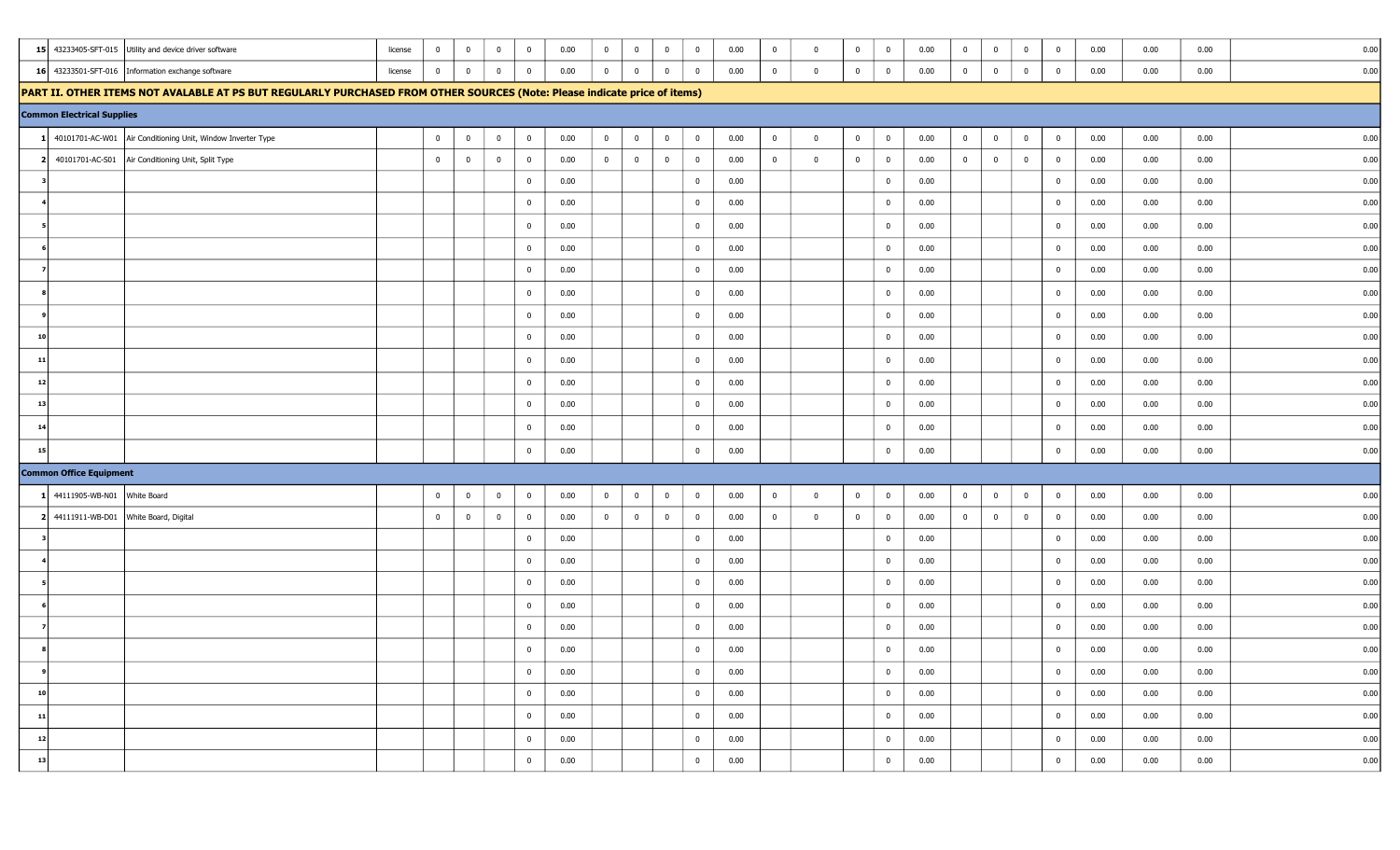|                                        | 15 43233405-SFT-015 Utility and device driver software                                                                    | $\bf{0}$<br>license       | $\overline{0}$ | $\overline{\mathbf{0}}$          | $\bf{0}$       | 0.00 | $\bf{0}$       | $\overline{0}$ | $\mathbf 0$    | $\overline{0}$ | 0.00 | $\bf{0}$       | $\mathbf{0}$   | $\overline{\mathbf{0}}$<br>$\bf{0}$       | 0.00 | $\bf{0}$       | $\bf{0}$       | $\overline{\mathbf{0}}$ | $\overline{\mathbf{0}}$ | 0.00 | 0.00 | 0.00 | 0.00 |
|----------------------------------------|---------------------------------------------------------------------------------------------------------------------------|---------------------------|----------------|----------------------------------|----------------|------|----------------|----------------|----------------|----------------|------|----------------|----------------|-------------------------------------------|------|----------------|----------------|-------------------------|-------------------------|------|------|------|------|
|                                        | 16 43233501-SFT-016   Information exchange software                                                                       | $\overline{0}$<br>license |                | $\bf{0}$<br>$\overline{0}$       | $\mathbf 0$    | 0.00 | $\overline{0}$ | $\overline{0}$ | $\mathbf 0$    | $\bf{0}$       | 0.00 | $\overline{0}$ | $\mathbf 0$    | $\overline{0}$<br>$\overline{0}$          | 0.00 | $\overline{0}$ | $\bf{0}$       | $\overline{0}$          | $\overline{0}$          | 0.00 | 0.00 | 0.00 | 0.00 |
|                                        | PART II. OTHER ITEMS NOT AVALABLE AT PS BUT REGULARLY PURCHASED FROM OTHER SOURCES (Note: Please indicate price of items) |                           |                |                                  |                |      |                |                |                |                |      |                |                |                                           |      |                |                |                         |                         |      |      |      |      |
| <b>Common Electrical Supplies</b>      |                                                                                                                           |                           |                |                                  |                |      |                |                |                |                |      |                |                |                                           |      |                |                |                         |                         |      |      |      |      |
|                                        | 1 40101701-AC-W01 Air Conditioning Unit, Window Inverter Type                                                             | $\bf{0}$                  |                | $\overline{0}$<br>$\bf{0}$       | $\bf{0}$       | 0.00 | $\overline{0}$ | $\overline{0}$ | $\overline{0}$ | $\overline{0}$ | 0.00 | $\bf{0}$       | $\overline{0}$ | $\bf{0}$<br>$\overline{\mathbf{0}}$       | 0.00 | $\overline{0}$ | $\bf{0}$       | $\overline{0}$          | $\bf{0}$                | 0.00 | 0.00 | 0.00 | 0.00 |
| 2 <sup>1</sup>                         | 40101701-AC-S01   Air Conditioning Unit, Split Type                                                                       | $\overline{0}$            |                | $\overline{0}$<br>$\overline{0}$ | $\overline{0}$ | 0.00 | $\overline{0}$ | $\overline{0}$ | $\overline{0}$ | $\bf{0}$       | 0.00 | $\overline{0}$ | $\bf{0}$       | $\overline{0}$<br>$\overline{0}$          | 0.00 | $\overline{0}$ | $\overline{0}$ | $\bf{0}$                | $\overline{\mathbf{0}}$ | 0.00 | 0.00 | 0.00 | 0.00 |
|                                        |                                                                                                                           |                           |                |                                  | $\mathbf{0}$   | 0.00 |                |                |                | $\overline{0}$ | 0.00 |                |                | $\overline{\mathbf{0}}$                   | 0.00 |                |                |                         | $\overline{0}$          | 0.00 | 0.00 | 0.00 | 0.00 |
|                                        |                                                                                                                           |                           |                |                                  | $\mathbf 0$    | 0.00 |                |                |                | $\overline{0}$ | 0.00 |                |                | $\overline{0}$                            | 0.00 |                |                |                         | $\overline{0}$          | 0.00 | 0.00 | 0.00 | 0.00 |
|                                        |                                                                                                                           |                           |                |                                  | $\mathbf{0}$   | 0.00 |                |                |                | $\overline{0}$ | 0.00 |                |                | $\overline{0}$                            | 0.00 |                |                |                         | $\overline{0}$          | 0.00 | 0.00 | 0.00 | 0.00 |
|                                        |                                                                                                                           |                           |                |                                  | $\mathbf{0}$   | 0.00 |                |                |                | $\overline{0}$ | 0.00 |                |                | $\overline{0}$                            | 0.00 |                |                |                         | $\overline{0}$          | 0.00 | 0.00 | 0.00 | 0.00 |
|                                        |                                                                                                                           |                           |                |                                  | $\mathbf{0}$   | 0.00 |                |                |                | $\mathbf 0$    | 0.00 |                |                | $\overline{0}$                            | 0.00 |                |                |                         | $\overline{0}$          | 0.00 | 0.00 | 0.00 | 0.00 |
|                                        |                                                                                                                           |                           |                |                                  | $\overline{0}$ | 0.00 |                |                |                | $\mathbf 0$    | 0.00 |                |                | $\overline{0}$                            | 0.00 |                |                |                         | $\overline{0}$          | 0.00 | 0.00 | 0.00 | 0.00 |
|                                        |                                                                                                                           |                           |                |                                  | $\mathbf 0$    | 0.00 |                |                |                | $\overline{0}$ | 0.00 |                |                | $\overline{0}$                            | 0.00 |                |                |                         | $\overline{0}$          | 0.00 | 0.00 | 0.00 | 0.00 |
| 10 <sup>1</sup>                        |                                                                                                                           |                           |                |                                  | $\overline{0}$ | 0.00 |                |                |                | $\overline{0}$ | 0.00 |                |                | $\overline{0}$                            | 0.00 |                |                |                         | $\overline{0}$          | 0.00 | 0.00 | 0.00 | 0.00 |
| 11                                     |                                                                                                                           |                           |                |                                  | $\overline{0}$ | 0.00 |                |                |                | $\overline{0}$ | 0.00 |                |                | $\overline{\mathbf{0}}$                   | 0.00 |                |                |                         | $\overline{\mathbf{0}}$ | 0.00 | 0.00 | 0.00 | 0.00 |
| 12                                     |                                                                                                                           |                           |                |                                  | $\bf{0}$       | 0.00 |                |                |                | $\overline{0}$ | 0.00 |                |                | $\overline{0}$                            | 0.00 |                |                |                         | $\overline{\mathbf{0}}$ | 0.00 | 0.00 | 0.00 | 0.00 |
| 13                                     |                                                                                                                           |                           |                |                                  | $\bf{0}$       | 0.00 |                |                |                | $\overline{0}$ | 0.00 |                |                | $\overline{0}$                            | 0.00 |                |                |                         | $\overline{0}$          | 0.00 | 0.00 | 0.00 | 0.00 |
| 14                                     |                                                                                                                           |                           |                |                                  | $\bf{0}$       | 0.00 |                |                |                | $\overline{0}$ | 0.00 |                |                | $\overline{\mathbf{0}}$                   | 0.00 |                |                |                         | $\overline{0}$          | 0.00 | 0.00 | 0.00 | 0.00 |
| 15                                     |                                                                                                                           |                           |                |                                  | $\bf{0}$       | 0.00 |                |                |                | $\bf{0}$       | 0.00 |                |                | $\overline{0}$                            | 0.00 |                |                |                         | $\bf{0}$                | 0.00 | 0.00 | 0.00 | 0.00 |
| <b>Common Office Equipment</b>         |                                                                                                                           |                           |                |                                  |                |      |                |                |                |                |      |                |                |                                           |      |                |                |                         |                         |      |      |      |      |
| 1 44111905-WB-N01 White Board          |                                                                                                                           | $\overline{0}$            | $\mathbf 0$    | $\overline{0}$                   | $\bf{0}$       | 0.00 | $\bf{0}$       | $\overline{0}$ | $\bf{0}$       | $\overline{0}$ | 0.00 | $\bf{0}$       | $\bf{0}$       | $\overline{\mathbf{0}}$<br>$\bf{0}$       | 0.00 | $\bf{0}$       | $\bf{0}$       | $\bf{0}$                | $\bf{0}$                | 0.00 | 0.00 | 0.00 | 0.00 |
| 2 44111911-WB-D01 White Board, Digital |                                                                                                                           | $\overline{0}$            |                | $\mathbf 0$<br>$\overline{0}$    | $\overline{0}$ | 0.00 | $\overline{0}$ | $\overline{0}$ | $\overline{0}$ | $\overline{0}$ | 0.00 | $\mathbf 0$    | $\mathbf{0}$   | $\overline{\mathbf{0}}$<br>$\overline{0}$ | 0.00 | $\bf{0}$       | $\overline{0}$ | $\overline{0}$          | $\overline{0}$          | 0.00 | 0.00 | 0.00 | 0.00 |
|                                        |                                                                                                                           |                           |                |                                  | $\mathbf{0}$   | 0.00 |                |                |                | $\mathbf 0$    | 0.00 |                |                | $\overline{\mathbf{0}}$                   | 0.00 |                |                |                         | $\mathbf 0$             | 0.00 | 0.00 | 0.00 | 0.00 |
|                                        |                                                                                                                           |                           |                |                                  | $\mathbf{0}$   | 0.00 |                |                |                | $\mathbf 0$    | 0.00 |                |                | $\overline{0}$                            | 0.00 |                |                |                         | $\bf{0}$                | 0.00 | 0.00 | 0.00 | 0.00 |
|                                        |                                                                                                                           |                           |                |                                  | $\mathbf{0}$   | 0.00 |                |                |                | $\mathbf 0$    | 0.00 |                |                | $\overline{0}$                            | 0.00 |                |                |                         | $\overline{0}$          | 0.00 | 0.00 | 0.00 | 0.00 |
|                                        |                                                                                                                           |                           |                |                                  | $\bf{0}$       | 0.00 |                |                |                | $\bf{0}$       | 0.00 |                |                | $\overline{0}$                            | 0.00 |                |                |                         | $\mathbf 0$             | 0.00 | 0.00 | 0.00 | 0.00 |
|                                        |                                                                                                                           |                           |                |                                  | $\mathbf{0}$   | 0.00 |                |                |                | $\overline{0}$ | 0.00 |                |                | $\overline{0}$                            | 0.00 |                |                |                         | $\bf{0}$                | 0.00 | 0.00 | 0.00 | 0.00 |
|                                        |                                                                                                                           |                           |                |                                  | $\mathbf{0}$   | 0.00 |                |                |                | $\overline{0}$ | 0.00 |                |                | $\overline{0}$                            | 0.00 |                |                |                         | $\overline{\mathbf{0}}$ | 0.00 | 0.00 | 0.00 | 0.00 |
|                                        |                                                                                                                           |                           |                |                                  | $\mathbf{0}$   | 0.00 |                |                |                | $\bf{0}$       | 0.00 |                |                | $\overline{\mathbf{0}}$                   | 0.00 |                |                |                         | $\bf{0}$                | 0.00 | 0.00 | 0.00 | 0.00 |
| 10                                     |                                                                                                                           |                           |                |                                  | $\overline{0}$ | 0.00 |                |                |                | $\overline{0}$ | 0.00 |                |                | $\overline{0}$                            | 0.00 |                |                |                         | $\overline{\mathbf{0}}$ | 0.00 | 0.00 | 0.00 | 0.00 |
| 11                                     |                                                                                                                           |                           |                |                                  | $\bf{0}$       | 0.00 |                |                |                | $\overline{0}$ | 0.00 |                |                | $\overline{0}$                            | 0.00 |                |                |                         | $\bf{0}$                | 0.00 | 0.00 | 0.00 | 0.00 |
| 12                                     |                                                                                                                           |                           |                |                                  | $\overline{0}$ | 0.00 |                |                |                | $\overline{0}$ | 0.00 |                |                | $\overline{0}$                            | 0.00 |                |                |                         | $\bf{0}$                | 0.00 | 0.00 | 0.00 | 0.00 |
| 13                                     |                                                                                                                           |                           |                |                                  | $\overline{0}$ | 0.00 |                |                |                | $\overline{0}$ | 0.00 |                |                | $\overline{0}$                            | 0.00 |                |                |                         | $\overline{0}$          | 0.00 | 0.00 | 0.00 | 0.00 |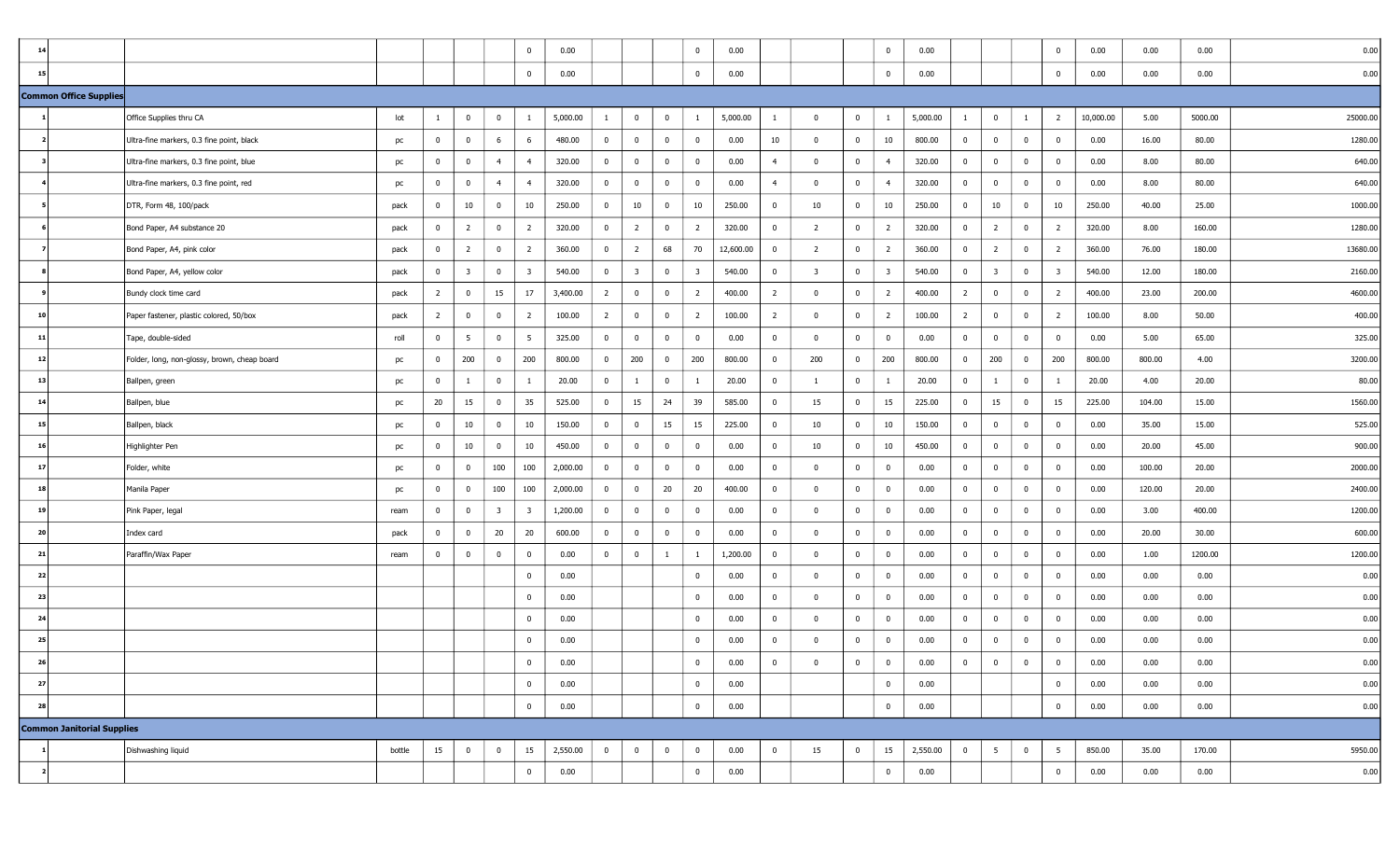| 1 <sup>4</sup> |                                   |                                              |        |                |                         |                         | $\overline{0}$ | 0.00     |                |                         |                | $\bf{0}$                | 0.00      |                |                         |                | $\overline{\mathbf{0}}$ | 0.00     |                |                         |                | $^{\circ}$              | 0.00      | 0.00   | 0.00    | 0.00     |
|----------------|-----------------------------------|----------------------------------------------|--------|----------------|-------------------------|-------------------------|----------------|----------|----------------|-------------------------|----------------|-------------------------|-----------|----------------|-------------------------|----------------|-------------------------|----------|----------------|-------------------------|----------------|-------------------------|-----------|--------|---------|----------|
| 15             |                                   |                                              |        |                |                         |                         | $\overline{0}$ | 0.00     |                |                         |                | $\bf{0}$                | 0.00      |                |                         |                | $\overline{\mathbf{0}}$ | 0.00     |                |                         |                | $\mathbf 0$             | 0.00      | 0.00   | 0.00    | 0.00     |
|                | Common Office Supplies            |                                              |        |                |                         |                         |                |          |                |                         |                |                         |           |                |                         |                |                         |          |                |                         |                |                         |           |        |         |          |
|                |                                   | Office Supplies thru CA                      | lot    | $\mathbf{1}$   | $\bf{0}$                | $\bf{0}$                | -1             | 5,000.00 | $\mathbf{1}$   | $\bf{0}$                | $\overline{0}$ | $\mathbf{1}$            | 5,000.00  | -1             | $\mathbf{0}$            | $\overline{0}$ | <sup>1</sup>            | 5,000.00 | $\mathbf{1}$   | $\bf{0}$                | $\mathbf{1}$   | $\overline{2}$          | 10,000.00 | 5.00   | 5000.00 | 25000.00 |
|                |                                   | Ultra-fine markers, 0.3 fine point, black    | pc     | $\overline{0}$ | $\overline{0}$          | 6                       | 6              | 480.00   | $\overline{0}$ | $\overline{0}$          | $\overline{0}$ | $\bf{0}$                | 0.00      | 10             | $\mathbf 0$             | $\overline{0}$ | 10                      | 800.00   | $\mathbf{0}$   | $\bf{0}$                | $\overline{0}$ | $\mathbf{0}$            | 0.00      | 16.00  | 80.00   | 1280.00  |
|                |                                   | Ultra-fine markers, 0.3 fine point, blue     | pc     | $\overline{0}$ | 0                       | $\overline{4}$          | $\overline{4}$ | 320.00   | $\overline{0}$ | $\overline{\mathbf{0}}$ | $\mathbf 0$    | $\bf{0}$                | 0.00      | $\overline{4}$ | $\mathbf 0$             | $\overline{0}$ | $\overline{4}$          | 320.00   | $\overline{0}$ | $\mathbf{0}$            | $\bf{0}$       | 0                       | 0.00      | 8.00   | 80.00   | 640.00   |
|                |                                   | Ultra-fine markers, 0.3 fine point, red      | pc     | $\overline{0}$ | $\bf{0}$                | $\overline{4}$          | $\overline{4}$ | 320.00   | $\overline{0}$ | $\bf{0}$                | $\mathbf 0$    | $\bf{0}$                | 0.00      | $\overline{4}$ | $\mathbf 0$             | $\overline{0}$ | $\overline{4}$          | 320.00   | $\overline{0}$ | $\mathbf{0}$            | $\overline{0}$ | 0                       | 0.00      | 8.00   | 80.00   | 640.00   |
|                |                                   | DTR, Form 48, 100/pack                       | pack   | $\overline{0}$ | 10                      | $\overline{0}$          | 10             | 250.00   | $\overline{0}$ | 10                      | $\overline{0}$ | 10                      | 250.00    | $\overline{0}$ | 10                      | $\overline{0}$ | 10                      | 250.00   | $\overline{0}$ | 10                      | $\overline{0}$ | 10                      | 250.00    | 40.00  | 25.00   | 1000.00  |
|                |                                   | Bond Paper, A4 substance 20                  | pack   | $\overline{0}$ | $\overline{2}$          | $\overline{0}$          | $\overline{2}$ | 320.00   | $\bf{0}$       | $\overline{2}$          | $\overline{0}$ | $\overline{2}$          | 320.00    | $\overline{0}$ | $\overline{2}$          | $\overline{0}$ | $\overline{2}$          | 320.00   | $\overline{0}$ | $\overline{2}$          | $\mathbf{0}$   | $\overline{2}$          | 320.00    | 8.00   | 160.00  | 1280.00  |
|                |                                   | Bond Paper, A4, pink color                   | pack   | $\overline{0}$ | $\overline{2}$          | $\overline{0}$          | $\overline{2}$ | 360.00   | $\bf{0}$       | $\overline{2}$          | 68             | 70                      | 12,600.00 | $\bf{0}$       | $\overline{2}$          | $\overline{0}$ | $\overline{2}$          | 360.00   | $\mathbf{0}$   | $\overline{2}$          | $\mathbf{0}$   | $\overline{2}$          | 360.00    | 76.00  | 180.00  | 13680.00 |
|                |                                   | Bond Paper, A4, yellow color                 | pack   | $\overline{0}$ | $\overline{\mathbf{3}}$ | $\bf{0}$                | $\overline{3}$ | 540.00   | $\overline{0}$ | $\overline{\mathbf{3}}$ | $\mathbf{0}$   | $\overline{\mathbf{3}}$ | 540.00    | $\overline{0}$ | $\overline{\mathbf{3}}$ | $\mathbf{0}$   | $\overline{\mathbf{3}}$ | 540.00   | $\overline{0}$ | $\overline{\mathbf{3}}$ | $\bf{0}$       | $\overline{\mathbf{3}}$ | 540.00    | 12.00  | 180.00  | 2160.00  |
|                |                                   | Bundy clock time card                        | pack   | $\overline{2}$ | $\bf{0}$                | 15                      | 17             | 3,400.00 | $\overline{2}$ | $\bf{0}$                | $\overline{0}$ | $\overline{2}$          | 400.00    | $\overline{2}$ | $\mathbf 0$             | $\overline{0}$ | $\overline{2}$          | 400.00   | $\overline{2}$ | $\mathbf{0}$            | $\bf{0}$       | $\overline{2}$          | 400.00    | 23.00  | 200.00  | 4600.00  |
| 10             |                                   | Paper fastener, plastic colored, 50/box      | pack   | $\overline{2}$ | $\overline{\mathbf{0}}$ | $\mathbf{0}$            | $\overline{2}$ | 100.00   | $\overline{2}$ | $\bf{0}$                | $\overline{0}$ | $\overline{2}$          | 100.00    | $\overline{2}$ | $\mathbf 0$             | $\overline{0}$ | $\overline{2}$          | 100.00   | $\overline{2}$ | $\mathbf{0}$            | $\overline{0}$ | $\overline{2}$          | 100.00    | 8.00   | 50.00   | 400.00   |
| 11             |                                   | Tape, double-sided                           | roll   | $\overline{0}$ | 5                       | $\bf{0}$                | 5              | 325.00   | $\overline{0}$ | $\bf{0}$                | $\mathbf{0}$   | $\bf{0}$                | 0.00      | $\mathbf 0$    | $\mathbf 0$             | $\overline{0}$ | $\overline{\mathbf{0}}$ | 0.00     | $\overline{0}$ | $\mathbf 0$             | $\bf{0}$       | $^{\circ}$              | 0.00      | 5.00   | 65.00   | 325.00   |
| 12             |                                   | Folder, long, non-glossy, brown, cheap board | pc     | $\overline{0}$ | 200                     | $\overline{0}$          | 200            | 800.00   | $\overline{0}$ | 200                     | $\mathbf{0}$   | 200                     | 800.00    | $\bf{0}$       | 200                     | $\overline{0}$ | 200                     | 800.00   | $\overline{0}$ | 200                     | $\bf{0}$       | 200                     | 800.00    | 800.00 | 4.00    | 3200.00  |
| 13             |                                   | Ballpen, green                               | pc     | $\overline{0}$ | 1                       | $\bf{0}$                | 1              | 20.00    | $\overline{0}$ | -1                      | $\mathbf 0$    | 1                       | 20.00     | $\bf{0}$       | 1                       | $\overline{0}$ | - 1                     | 20.00    | $\overline{0}$ |                         | $\overline{0}$ | -1                      | 20.00     | 4.00   | 20.00   | 80.00    |
| 14             |                                   | Ballpen, blue                                | pc     | 20             | 15                      | $\overline{0}$          | 35             | 525.00   | $\overline{0}$ | 15                      | 24             | 39                      | 585.00    | $\overline{0}$ | 15                      | $\mathbf{0}$   | 15                      | 225.00   | $\overline{0}$ | 15                      | $\mathbf{0}$   | 15                      | 225.00    | 104.00 | 15.00   | 1560.00  |
| 15             |                                   | Ballpen, black                               | pc     | $\overline{0}$ | 10                      | $\overline{0}$          | 10             | 150.00   | $\bf{0}$       | $\bf{0}$                | 15             | 15                      | 225.00    | $\bf{0}$       | 10                      | $\overline{0}$ | 10                      | 150.00   | $\overline{0}$ | $\bf{0}$                | $\bf{0}$       | 0                       | 0.00      | 35.00  | 15.00   | 525.00   |
| 16             |                                   | Highlighter Pen                              | pc     | $\mathbf{0}$   | 10                      | $\bf{0}$                | 10             | 450.00   | $\overline{0}$ | $\bf{0}$                | $\mathbf{0}$   | $\bf{0}$                | 0.00      | $\mathbf 0$    | 10                      | $\overline{0}$ | 10                      | 450.00   | $\overline{0}$ | $\mathbf{0}$            | $\bf{0}$       | $\bf{0}$                | 0.00      | 20.00  | 45.00   | 900.00   |
| 17             |                                   | Folder, white                                | pc     | $\overline{0}$ | 0                       | 100                     | 100            | 2,000.00 | $\overline{0}$ | $\bf{0}$                | $\overline{0}$ | $\mathbf 0$             | 0.00      | $\mathbf 0$    | $\mathbf{0}$            | $\overline{0}$ | $\overline{\mathbf{0}}$ | 0.00     | $\overline{0}$ | $\mathbf{0}$            | $\bf{0}$       | $\bf{0}$                | 0.00      | 100.00 | 20.00   | 2000.00  |
| 18             |                                   | Manila Paper                                 | pc     | $\overline{0}$ | $\bf{0}$                | 100                     | 100            | 2,000.00 | $\overline{0}$ | $\bf{0}$                | 20             | 20                      | 400.00    | $\bf{0}$       | $\mathbf 0$             | $\overline{0}$ | $\overline{\mathbf{0}}$ | 0.00     | $\mathbf{0}$   | $\bf{0}$                | $\bf{0}$       | $\mathbf{0}$            | 0.00      | 120.00 | 20.00   | 2400.00  |
| 19             |                                   | Pink Paper, legal                            | ream   | $\overline{0}$ | $\bf{0}$                | $\overline{\mathbf{3}}$ | 3              | 1,200.00 | $\overline{0}$ | $\bf{0}$                | $\mathbf 0$    | $\bf{0}$                | 0.00      | $\bf{0}$       | $\mathbf 0$             | $\overline{0}$ | $\overline{\mathbf{0}}$ | 0.00     | $\overline{0}$ | $\bf{0}$                | $\bf{0}$       | $^{\circ}$              | 0.00      | 3.00   | 400.00  | 1200.00  |
| 20             |                                   | Index card                                   | pack   | $\overline{0}$ | $\overline{0}$          | 20                      | 20             | 600.00   | $\bf{0}$       | $\bf{0}$                | $\mathbf 0$    | $\bf{0}$                | 0.00      | $\bf{0}$       | $\mathbf 0$             | $\overline{0}$ | $\overline{\mathbf{0}}$ | 0.00     | $\overline{0}$ | $\mathbf{0}$            | $\overline{0}$ | $\bf{0}$                | 0.00      | 20.00  | 30.00   | 600.00   |
| 21             |                                   | Paraffin/Wax Paper                           | ream   | $\overline{0}$ | $\mathbf 0$             | $\mathbf 0$             | $\overline{0}$ | 0.00     | $\overline{0}$ | $\bf{0}$                | -1             | $\mathbf{1}$            | 1,200.00  | $\overline{0}$ | $\mathbf 0$             | $\overline{0}$ | $\overline{\mathbf{0}}$ | 0.00     | $\overline{0}$ | $\bf{0}$                | $\bf{0}$       | $^{\circ}$              | 0.00      | 1.00   | 1200.00 | 1200.00  |
| 22             |                                   |                                              |        |                |                         |                         | $\overline{0}$ | 0.00     |                |                         |                | $\bf{0}$                | 0.00      | $\bf{0}$       | $\mathbf 0$             | $\overline{0}$ | $\overline{\mathbf{0}}$ | 0.00     | $\overline{0}$ | $\mathbf{0}$            | $\bf{0}$       | $\bf{0}$                | 0.00      | 0.00   | 0.00    | 0.00     |
| 23             |                                   |                                              |        |                |                         |                         | $\overline{0}$ | 0.00     |                |                         |                | $\mathbf 0$             | 0.00      | $\bf{0}$       | $\mathbf 0$             | $\overline{0}$ | $\overline{\mathbf{0}}$ | 0.00     | $\overline{0}$ | $\mathbf{0}$            | $\bf{0}$       | 0                       | 0.00      | 0.00   | 0.00    | 0.00     |
| 24             |                                   |                                              |        |                |                         |                         | $\overline{0}$ | 0.00     |                |                         |                | $\bf{0}$                | 0.00      | $\mathbf 0$    | $\mathbf 0$             | $\overline{0}$ | $\overline{\mathbf{0}}$ | 0.00     | $\overline{0}$ | $\bf{0}$                | $\mathbf{0}$   | $\mathbf 0$             | 0.00      | 0.00   | 0.00    | 0.00     |
| 25             |                                   |                                              |        |                |                         |                         | $\overline{0}$ | 0.00     |                |                         |                | $\bf{0}$                | 0.00      | $\mathbf 0$    | $\Omega$                | $\overline{0}$ | $\overline{\mathbf{0}}$ | 0.00     | $\bf{0}$       | $\mathbf{0}$            | $\overline{0}$ | $^{\circ}$              | 0.00      | 0.00   | 0.00    | 0.00     |
| 26             |                                   |                                              |        |                |                         |                         | $\bf{0}$       | 0.00     |                |                         |                | $\overline{0}$          | 0.00      | $\bf{0}$       | $\bf{0}$                | $\bf{0}$       | $\mathbf 0$             | 0.00     | $\bf{0}$       | $\bf{0}$                |                | $\bf{0}$                | 0.00      | 0.00   | 0.00    | 0.00     |
| 27             |                                   |                                              |        |                |                         |                         | $\overline{0}$ | 0.00     |                |                         |                | $\overline{0}$          | 0.00      |                |                         |                | $\overline{0}$          | 0.00     |                |                         |                | $\mathbf{0}$            | 0.00      | 0.00   | 0.00    | 0.00     |
| 28             |                                   |                                              |        |                |                         |                         | $\overline{0}$ | 0.00     |                |                         |                | $\overline{0}$          | 0.00      |                |                         |                | $\overline{0}$          | 0.00     |                |                         |                | $\bf{0}$                | 0.00      | 0.00   | 0.00    | 0.00     |
|                | <b>Common Janitorial Supplies</b> |                                              |        |                |                         |                         |                |          |                |                         |                |                         |           |                |                         |                |                         |          |                |                         |                |                         |           |        |         |          |
|                |                                   | Dishwashing liquid                           | bottle | 15             | $\overline{0}$          | $\bf{0}$                | 15             | 2,550.00 | $\overline{0}$ | $\overline{0}$          | $\overline{0}$ | $\bf{0}$                | 0.00      | $\bf{0}$       | 15                      | $\overline{0}$ | 15                      | 2,550.00 | $\bf{0}$       | 5 <sup>5</sup>          | $\bf{0}$       | 5                       | 850.00    | 35.00  | 170.00  | 5950.00  |
|                |                                   |                                              |        |                |                         |                         | $\overline{0}$ | 0.00     |                |                         |                | $\overline{0}$          | 0.00      |                |                         |                | $\overline{0}$          | 0.00     |                |                         |                | $\bf{0}$                | 0.00      | 0.00   | 0.00    | 0.00     |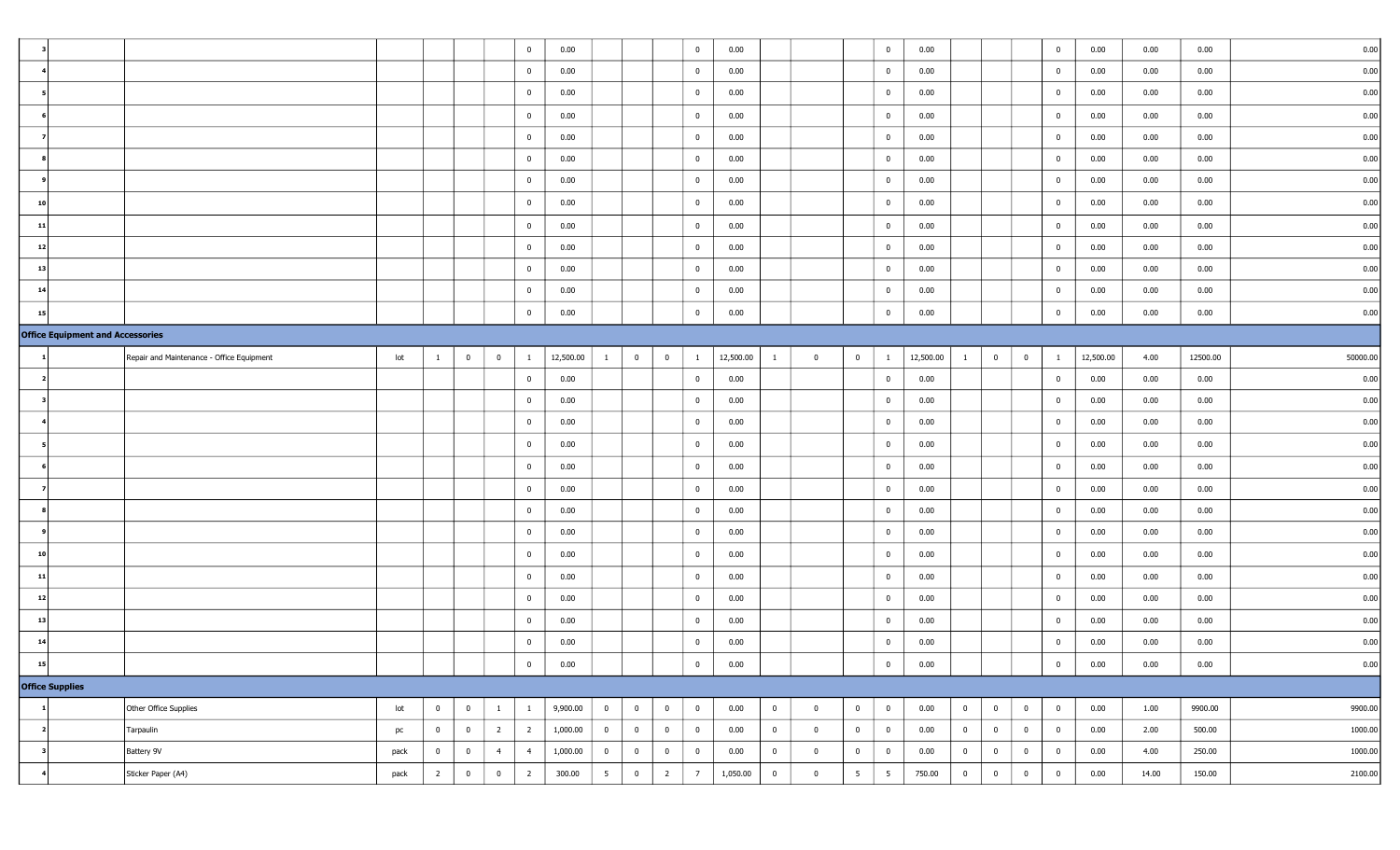|                |                                         |                                           |      |                |                         |                | $\overline{0}$ | 0.00      |                |                |                | $\bf{0}$        | 0.00      |                |                |                | $\overline{0}$  | 0.00      |                |                         |                | $\overline{0}$          | 0.00      | 0.00  | 0.00     | 0.00     |
|----------------|-----------------------------------------|-------------------------------------------|------|----------------|-------------------------|----------------|----------------|-----------|----------------|----------------|----------------|-----------------|-----------|----------------|----------------|----------------|-----------------|-----------|----------------|-------------------------|----------------|-------------------------|-----------|-------|----------|----------|
|                |                                         |                                           |      |                |                         |                | $\overline{0}$ | 0.00      |                |                |                | $\bf{0}$        | 0.00      |                |                |                | $\bf{0}$        | 0.00      |                |                         |                | $\mathbf 0$             | 0.00      | 0.00  | 0.00     | 0.00     |
|                |                                         |                                           |      |                |                         |                | $\mathbf{0}$   | 0.00      |                |                |                | $\mathbf 0$     | 0.00      |                |                |                | $\overline{0}$  | 0.00      |                |                         |                | $\overline{0}$          | 0.00      | 0.00  | 0.00     | 0.00     |
|                |                                         |                                           |      |                |                         |                | $\overline{0}$ | 0.00      |                |                |                | $\mathbf 0$     | 0.00      |                |                |                | $\overline{0}$  | 0.00      |                |                         |                | $\overline{0}$          | 0.00      | 0.00  | 0.00     | 0.00     |
|                |                                         |                                           |      |                |                         |                | $\overline{0}$ | 0.00      |                |                |                | $\bf{0}$        | 0.00      |                |                |                | $\bf{0}$        | 0.00      |                |                         |                | $\overline{\mathbf{0}}$ | 0.00      | 0.00  | 0.00     | 0.00     |
|                |                                         |                                           |      |                |                         |                | $\mathbf{0}$   | 0.00      |                |                |                | $\bf{0}$        | 0.00      |                |                |                | $\overline{0}$  | 0.00      |                |                         |                | $\overline{\mathbf{0}}$ | 0.00      | 0.00  | 0.00     | 0.00     |
|                |                                         |                                           |      |                |                         |                | $\overline{0}$ | 0.00      |                |                |                | $\overline{0}$  | 0.00      |                |                |                | $\bf{0}$        | 0.00      |                |                         |                | $\overline{0}$          | 0.00      | 0.00  | 0.00     | 0.00     |
| 10             |                                         |                                           |      |                |                         |                | $\bf{0}$       | 0.00      |                |                |                | $\mathbf 0$     | 0.00      |                |                |                | $\bf{0}$        | 0.00      |                |                         |                | $\overline{0}$          | 0.00      | 0.00  | 0.00     | 0.00     |
| $\overline{1}$ |                                         |                                           |      |                |                         |                | $\overline{0}$ | 0.00      |                |                |                | $\overline{0}$  | 0.00      |                |                |                | $\overline{0}$  | 0.00      |                |                         |                | $\overline{0}$          | 0.00      | 0.00  | 0.00     | 0.00     |
| 12             |                                         |                                           |      |                |                         |                | $\overline{0}$ | 0.00      |                |                |                | $\overline{0}$  | 0.00      |                |                |                | $\bf{0}$        | 0.00      |                |                         |                | $\overline{0}$          | 0.00      | 0.00  | 0.00     | 0.00     |
| 13             |                                         |                                           |      |                |                         |                | $\overline{0}$ | 0.00      |                |                |                | $\overline{0}$  | 0.00      |                |                |                | $\overline{0}$  | 0.00      |                |                         |                | $\overline{\mathbf{0}}$ | 0.00      | 0.00  | 0.00     | 0.00     |
| 14             |                                         |                                           |      |                |                         |                | $\overline{0}$ | 0.00      |                |                |                | $\mathbf 0$     | 0.00      |                |                |                | $\bf{0}$        | 0.00      |                |                         |                | $\overline{0}$          | 0.00      | 0.00  | 0.00     | 0.00     |
| 15             |                                         |                                           |      |                |                         |                | $\overline{0}$ | 0.00      |                |                |                | $\overline{0}$  | 0.00      |                |                |                | $\bf{0}$        | 0.00      |                |                         |                | $\overline{0}$          | 0.00      | 0.00  | 0.00     | 0.00     |
|                | <b>Office Equipment and Accessories</b> |                                           |      |                |                         |                |                |           |                |                |                |                 |           |                |                |                |                 |           |                |                         |                |                         |           |       |          |          |
|                |                                         | Repair and Maintenance - Office Equipment | lot  | $\mathbf{1}$   | $\overline{0}$          | $\overline{0}$ | $\mathbf{1}$   | 12,500.00 | 1              | $\overline{0}$ | $\overline{0}$ | $\mathbf{1}$    | 12,500.00 | -1             | $\overline{0}$ | $\mathbf 0$    | <sup>1</sup>    | 12,500.00 | $\mathbf{1}$   | $\overline{0}$          | $\overline{0}$ | -1                      | 12,500.00 | 4.00  | 12500.00 | 50000.00 |
|                |                                         |                                           |      |                |                         |                | $\mathbf{0}$   | 0.00      |                |                |                | $\overline{0}$  | 0.00      |                |                |                | $\bf{0}$        | 0.00      |                |                         |                | $\mathbf 0$             | 0.00      | 0.00  | 0.00     | 0.00     |
|                |                                         |                                           |      |                |                         |                | $\mathbf{0}$   | 0.00      |                |                |                | $\overline{0}$  | 0.00      |                |                |                | $\bf{0}$        | 0.00      |                |                         |                | $\overline{\mathbf{0}}$ | 0.00      | 0.00  | 0.00     | 0.00     |
|                |                                         |                                           |      |                |                         |                | $\overline{0}$ | 0.00      |                |                |                | $\bf{0}$        | 0.00      |                |                |                | $\bf{0}$        | 0.00      |                |                         |                | $\mathbf 0$             | 0.00      | 0.00  | 0.00     | 0.00     |
|                |                                         |                                           |      |                |                         |                | $\bf{0}$       | 0.00      |                |                |                | $\bf{0}$        | 0.00      |                |                |                | $\bf{0}$        | 0.00      |                |                         |                | $\mathbf 0$             | 0.00      | 0.00  | 0.00     | 0.00     |
|                |                                         |                                           |      |                |                         |                | $\overline{0}$ | 0.00      |                |                |                | $\mathbf 0$     | 0.00      |                |                |                | $\overline{0}$  | 0.00      |                |                         |                | $\overline{0}$          | 0.00      | 0.00  | 0.00     | 0.00     |
|                |                                         |                                           |      |                |                         |                | $\overline{0}$ | 0.00      |                |                |                | $\overline{0}$  | 0.00      |                |                |                | $\bf{0}$        | 0.00      |                |                         |                | $\overline{\mathbf{0}}$ | 0.00      | 0.00  | 0.00     | 0.00     |
|                |                                         |                                           |      |                |                         |                | $\overline{0}$ | 0.00      |                |                |                | $\overline{0}$  | 0.00      |                |                |                | $\overline{0}$  | 0.00      |                |                         |                | $\overline{\mathbf{0}}$ | 0.00      | 0.00  | 0.00     | 0.00     |
|                |                                         |                                           |      |                |                         |                | $\overline{0}$ | 0.00      |                |                |                | $\mathbf 0$     | 0.00      |                |                |                | $\overline{0}$  | 0.00      |                |                         |                | $\overline{0}$          | 0.00      | 0.00  | 0.00     | 0.00     |
| 10             |                                         |                                           |      |                |                         |                | $\overline{0}$ | 0.00      |                |                |                | $\overline{0}$  | 0.00      |                |                |                | $\bf{0}$        | 0.00      |                |                         |                | $\overline{0}$          | 0.00      | 0.00  | 0.00     | 0.00     |
| 11             |                                         |                                           |      |                |                         |                | $\overline{0}$ | 0.00      |                |                |                | $\bf{0}$        | 0.00      |                |                |                | $\overline{0}$  | 0.00      |                |                         |                | $\overline{\mathbf{0}}$ | 0.00      | 0.00  | 0.00     | 0.00     |
| 12             |                                         |                                           |      |                |                         |                | $\overline{0}$ | 0.00      |                |                |                | $\mathbf 0$     | 0.00      |                |                |                | $\bf{0}$        | 0.00      |                |                         |                | $\overline{0}$          | 0.00      | 0.00  | 0.00     | 0.00     |
| 13             |                                         |                                           |      |                |                         |                | $\mathbf{0}$   | 0.00      |                |                |                | $\mathbf 0$     | 0.00      |                |                |                | $\bf{0}$        | 0.00      |                |                         |                | $\mathbf 0$             | 0.00      | 0.00  | 0.00     | 0.00     |
| 1 <sup>4</sup> |                                         |                                           |      |                |                         |                | $\overline{0}$ | 0.00      |                |                |                | $\bf{0}$        | 0.00      |                |                |                | $\bf{0}$        | 0.00      |                |                         |                | $\mathbf 0$             | 0.00      | 0.00  | 0.00     | 0.00     |
| 15             |                                         |                                           |      |                |                         |                | $\bf{0}$       | 0.00      |                |                |                | $\bf{0}$        | 0.00      |                |                |                | $\bf{0}$        | 0.00      |                |                         |                | $\bf{0}$                | $0.00\,$  | 0.00  | 0.00     | 0.00     |
|                | Office Supplies                         |                                           |      |                |                         |                |                |           |                |                |                |                 |           |                |                |                |                 |           |                |                         |                |                         |           |       |          |          |
|                |                                         | Other Office Supplies                     | lot  | $\overline{0}$ | $\overline{0}$          | $\mathbf{1}$   | $\mathbf{1}$   | 9,900.00  | $\overline{0}$ | $\overline{0}$ | $\bf{0}$       | $\overline{0}$  | 0.00      | $\overline{0}$ | $\bf{0}$       | $\overline{0}$ | $\overline{0}$  | 0.00      | $\overline{0}$ | $\overline{0}$          | $\bf{0}$       | $\overline{0}$          | 0.00      | 1.00  | 9900.00  | 9900.00  |
|                |                                         | Tarpaulin                                 | pc   | $\overline{0}$ | $\overline{0}$          | $\overline{2}$ | $\overline{2}$ | 1,000.00  | $\overline{0}$ | $\overline{0}$ | $\overline{0}$ | $\overline{0}$  | 0.00      | $\overline{0}$ | $\bf{0}$       | $\overline{0}$ | $\overline{0}$  | 0.00      | $\overline{0}$ | $\overline{0}$          | $\bf{0}$       | $\overline{0}$          | 0.00      | 2.00  | 500.00   | 1000.00  |
| - 3            |                                         | Battery 9V                                | pack | $\bf{0}$       | $\overline{\mathbf{0}}$ | $\overline{4}$ | 4              | 1,000.00  | $\overline{0}$ | $\overline{0}$ | $\bf{0}$       | $\overline{0}$  | 0.00      | $\bf{0}$       | $\bf{0}$       | $\overline{0}$ | $\overline{0}$  | 0.00      | $\overline{0}$ | $\overline{\mathbf{0}}$ | $\bf{0}$       | $\overline{0}$          | 0.00      | 4.00  | 250.00   | 1000.00  |
|                |                                         | Sticker Paper (A4)                        | pack | $\overline{2}$ | $\overline{\mathbf{0}}$ | $\bf{0}$       | $\overline{2}$ | 300.00    | 5              | $\overline{0}$ | $\overline{2}$ | $7\overline{ }$ | 1,050.00  | $\overline{0}$ | $\bf{0}$       | 5 <sup>5</sup> | $5\overline{5}$ | 750.00    | $\overline{0}$ | $\overline{0}$          | $\overline{0}$ | $\overline{0}$          | 0.00      | 14.00 | 150.00   | 2100.00  |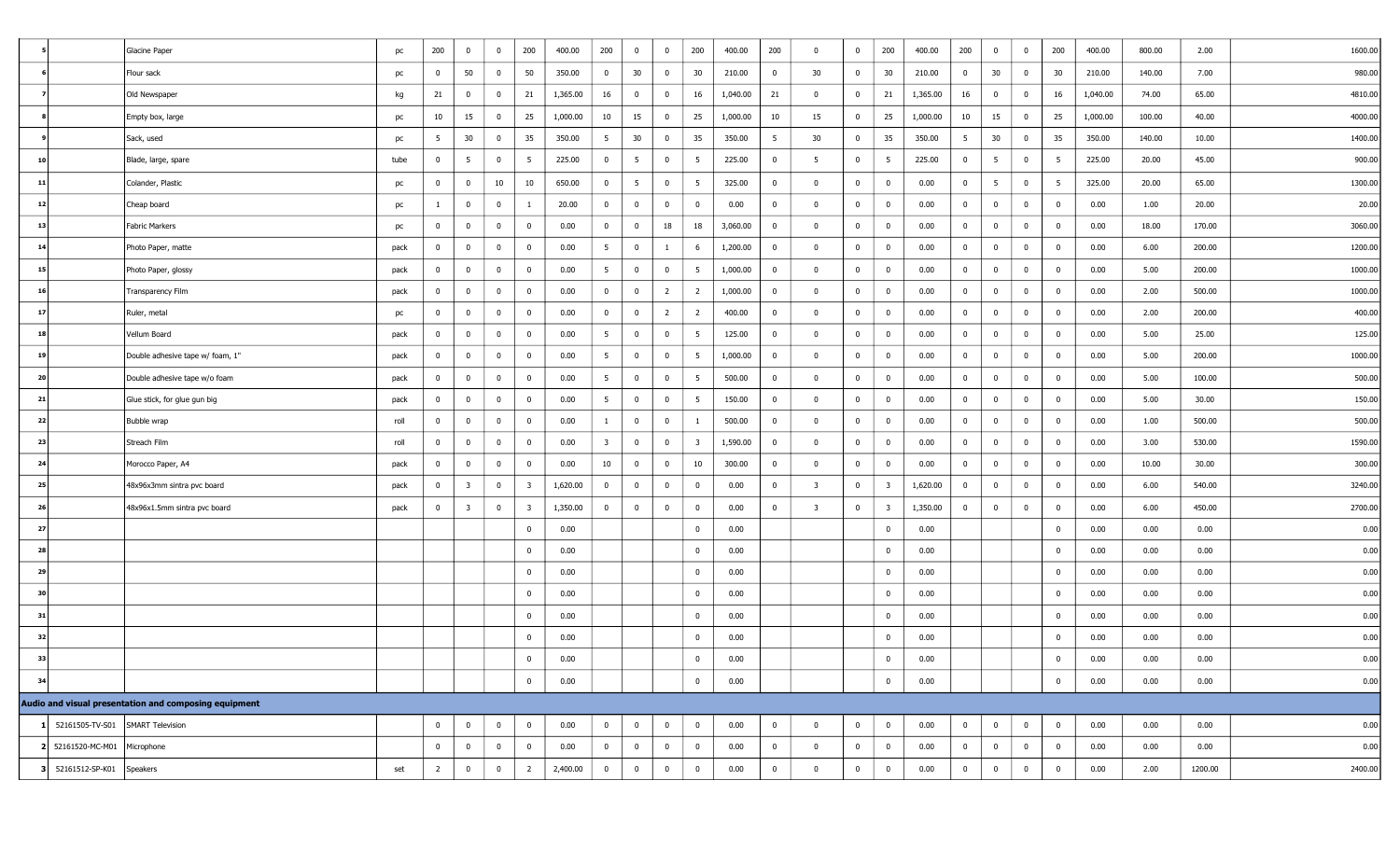|    |                                  | Glacine Paper                                         | pc   | 200            | $\overline{\mathbf{0}}$ | $\bf{0}$                | 200            | 400.00   | 200                     | $\overline{0}$ | $\overline{0}$          | 200                     | 400.00   | 200            | $\overline{0}$          | $\bf{0}$       | 200                     | 400.00   | 200             | $\overline{\mathbf{0}}$ | $\bf{0}$                | 200             | 400.00   | 800.00 | 2.00    | 1600.00 |
|----|----------------------------------|-------------------------------------------------------|------|----------------|-------------------------|-------------------------|----------------|----------|-------------------------|----------------|-------------------------|-------------------------|----------|----------------|-------------------------|----------------|-------------------------|----------|-----------------|-------------------------|-------------------------|-----------------|----------|--------|---------|---------|
|    |                                  | Flour sack                                            | pc   | $\mathbf 0$    | 50                      | $\overline{\mathbf{0}}$ | 50             | 350.00   | $\bf{0}$                | 30             | $\overline{0}$          | 30                      | 210.00   | $^{\circ}$     | 30                      | $\bf{0}$       | 30                      | 210.00   | $\overline{0}$  | 30                      | $\overline{0}$          | 30              | 210.00   | 140.00 | 7.00    | 980.00  |
|    |                                  | Old Newspaper                                         | kg   | 21             | 0                       | $\bf{0}$                | 21             | 1,365.00 | 16                      | $\bf{0}$       | $\overline{0}$          | 16                      | 1,040.00 | 21             | $\overline{0}$          | $\overline{0}$ | 21                      | 1,365.00 | 16              | $\overline{0}$          | $\overline{\mathbf{0}}$ | 16              | 1,040.00 | 74.00  | 65.00   | 4810.00 |
|    |                                  | Empty box, large                                      | pc   | 10             | 15                      | $\bf{0}$                | 25             | 1,000.00 | 10                      | 15             | $\mathbf{0}$            | 25                      | 1,000.00 | 10             | 15                      | $\overline{0}$ | 25                      | 1,000.00 | 10              | 15                      | $\overline{0}$          | 25              | 1,000.00 | 100.00 | 40.00   | 4000.00 |
|    |                                  | Sack, used                                            | pc   | 5              | 30                      | $\overline{\mathbf{0}}$ | 35             | 350.00   | $5\overline{5}$         | 30             | $\overline{0}$          | 35                      | 350.00   | - 5            | 30                      | $\bf{0}$       | 35                      | 350.00   | $5\overline{5}$ | 30                      | $\overline{0}$          | 35              | 350.00   | 140.00 | 10.00   | 1400.00 |
| 10 |                                  | Blade, large, spare                                   | tube | $\overline{0}$ | 5                       | $\bf{0}$                | 5              | 225.00   | $\bf{0}$                | 5 <sup>5</sup> | $\overline{0}$          | 5                       | 225.00   | $\bf{0}$       | 5                       | $\bf{0}$       | 5                       | 225.00   | $\overline{0}$  | $5^{\circ}$             | $\overline{0}$          | $5\overline{5}$ | 225.00   | 20.00  | 45.00   | 900.00  |
| 11 |                                  | Colander, Plastic                                     | pc   | $\mathbf{0}$   | $\bf{0}$                | 10                      | 10             | 650.00   | $\bf{0}$                | 5 <sup>5</sup> | $\overline{0}$          | 5                       | 325.00   | $\overline{0}$ | $\Omega$                | $\overline{0}$ | $\overline{0}$          | 0.00     | $\overline{0}$  | $5^{\circ}$             | $\bf{0}$                | 5 <sup>5</sup>  | 325.00   | 20.00  | 65.00   | 1300.00 |
| 12 |                                  | Cheap board                                           | pc   | $\mathbf{1}$   | $\overline{0}$          | $\overline{0}$          | $\mathbf{1}$   | 20.00    | $\overline{0}$          | $\bf{0}$       | $\overline{\mathbf{0}}$ | $\mathbf 0$             | 0.00     | $\bf{0}$       | $\overline{\mathbf{0}}$ | $\mathbf 0$    | $\bf{0}$                | 0.00     | $\overline{0}$  | $\overline{\mathbf{0}}$ | $\bf{0}$                | $\mathbf 0$     | 0.00     | 1.00   | 20.00   | 20.00   |
| 13 |                                  | Fabric Markers                                        | pc   | $\mathbf{0}$   | $\bf{0}$                | $\mathbf 0$             | $\mathbf{0}$   | 0.00     | $\bf{0}$                | $\bf{0}$       | 18                      | 18                      | 3,060.00 | $\bf{0}$       | $\Omega$                | $\overline{0}$ | $\overline{0}$          | 0.00     | $\overline{0}$  | $\overline{0}$          | $\bf{0}$                | $\mathbf 0$     | 0.00     | 18.00  | 170.00  | 3060.00 |
| 14 |                                  | Photo Paper, matte                                    | pack | $\mathbf{0}$   | $\bf{0}$                | $\bf{0}$                | $\mathbf{0}$   | 0.00     | 5 <sup>5</sup>          | $\bf{0}$       | $\mathbf{1}$            | 6                       | 1,200.00 | 0              | $\bf{0}$                | $\overline{0}$ | $\overline{0}$          | 0.00     | $\overline{0}$  | $\overline{\mathbf{0}}$ | $\bf{0}$                | $\mathbf 0$     | 0.00     | 6.00   | 200.00  | 1200.00 |
| 15 |                                  | Photo Paper, glossy                                   | pack | $\overline{0}$ | $\bf{0}$                | $\bf{0}$                | $\overline{0}$ | 0.00     | $5\overline{5}$         | $\bf{0}$       | $\overline{0}$          | $5\overline{5}$         | 1,000.00 | $\overline{0}$ | $\overline{\mathbf{0}}$ | $\bf{0}$       | $\overline{0}$          | 0.00     | $\overline{0}$  | $\overline{\mathbf{0}}$ | $\overline{0}$          | $\mathbf 0$     | 0.00     | 5.00   | 200.00  | 1000.00 |
| 16 |                                  | Transparency Film                                     | pack | $\overline{0}$ | $\bf{0}$                | $\mathbf 0$             | $\mathbf{0}$   | 0.00     | $\bf{0}$                | $\bf{0}$       | $\overline{2}$          | $\overline{2}$          | 1,000.00 | $\overline{0}$ | $\overline{0}$          | $\overline{0}$ | $\overline{0}$          | 0.00     | $\overline{0}$  | $\overline{0}$          | $\bf{0}$                | $\mathbf 0$     | 0.00     | 2.00   | 500.00  | 1000.00 |
| 17 |                                  | Ruler, metal                                          | pc   | $\mathbf{0}$   | $\bf{0}$                | $\bf{0}$                | $\mathbf{0}$   | 0.00     | $\overline{0}$          | $\bf{0}$       | $\overline{2}$          | $\overline{2}$          | 400.00   | $\bf{0}$       | $\overline{0}$          | $\mathbf 0$    | $\mathbf{0}$            | 0.00     | $\overline{0}$  | $\overline{\mathbf{0}}$ | $\bf{0}$                | $\mathbf 0$     | 0.00     | 2.00   | 200.00  | 400.00  |
| 18 |                                  | Vellum Board                                          | pack | $\mathbf{0}$   | $\overline{0}$          | $\pmb{0}$               | $\mathbf{0}$   | 0.00     | $5\overline{5}$         | $\bf{0}$       | $\overline{0}$          | $5\overline{5}$         | 125.00   | $\bf{0}$       | $\Omega$                | $\overline{0}$ | $\overline{0}$          | 0.00     | $\overline{0}$  | $\overline{\mathbf{0}}$ | $\bf{0}$                | $\mathbf 0$     | 0.00     | 5.00   | 25.00   | 125.00  |
| 19 |                                  | Double adhesive tape w/ foam, 1"                      | pack | $\mathbf{0}$   | $\bf{0}$                | $\bf{0}$                | $\mathbf{0}$   | 0.00     | 5 <sup>5</sup>          | $\bf{0}$       | $\overline{0}$          | $5\overline{5}$         | 1,000.00 | $\mathbf 0$    | $\bf{0}$                | $\bf{0}$       | $\overline{0}$          | 0.00     | $\overline{0}$  | $\overline{\mathbf{0}}$ | $\bf{0}$                | $\mathbf 0$     | 0.00     | 5.00   | 200.00  | 1000.00 |
| 20 |                                  | Double adhesive tape w/o foam                         | pack | $\mathbf{0}$   | $\mathbf 0$             | $\mathbf 0$             | $\mathbf{0}$   | 0.00     | $5\overline{5}$         | $\bf{0}$       | $\overline{\mathbf{0}}$ | $5\overline{5}$         | 500.00   | $\overline{0}$ | $\bf{0}$                | $\bf{0}$       | $\overline{0}$          | 0.00     | $\overline{0}$  | $\overline{\mathbf{0}}$ | $\overline{0}$          | $\mathbf 0$     | 0.00     | 5.00   | 100.00  | 500.00  |
| 21 |                                  | Glue stick, for glue gun big                          | pack | $\overline{0}$ | $\bf{0}$                | $\bf{0}$                | $\mathbf{0}$   | 0.00     | 5 <sup>5</sup>          | $\bf{0}$       | $\overline{0}$          | 5                       | 150.00   | $\overline{0}$ | $\bf{0}$                | $\overline{0}$ | $\overline{0}$          | 0.00     | $\overline{0}$  | $\overline{0}$          | $\bf{0}$                | $\mathbf 0$     | 0.00     | 5.00   | 30.00   | 150.00  |
| 22 |                                  | Bubble wrap                                           | roll | $\mathbf{0}$   | $\bf{0}$                | $\overline{0}$          | $\mathbf{0}$   | 0.00     | $\mathbf{1}$            | $\bf{0}$       | $\overline{\mathbf{0}}$ | $\overline{1}$          | 500.00   | $\bf{0}$       | $\overline{\mathbf{0}}$ | $\bf{0}$       | $\overline{0}$          | 0.00     | $\overline{0}$  | $\overline{\mathbf{0}}$ | $\bf{0}$                | $\mathbf 0$     | 0.00     | 1.00   | 500.00  | 500.00  |
| 23 |                                  | Streach Film                                          | roll | $\mathbf{0}$   | $\bf{0}$                | $\bf{0}$                | $\overline{0}$ | 0.00     | $\overline{\mathbf{3}}$ | $\bf{0}$       | $\overline{0}$          | $\overline{\mathbf{3}}$ | 1,590.00 | $\bf{0}$       | $\overline{0}$          | $\overline{0}$ | $\mathbf{0}$            | 0.00     | $\overline{0}$  | $\overline{0}$          | $\bf{0}$                | $\mathbf 0$     | 0.00     | 3.00   | 530.00  | 1590.00 |
| 24 |                                  | Morocco Paper, A4                                     | pack | $\bf{0}$       | $\bf{0}$                | $\mathbf 0$             | $\mathbf{0}$   | 0.00     | 10                      | $\bf{0}$       | $\overline{0}$          | 10                      | 300.00   | $\mathbf 0$    | $\bf{0}$                | $\overline{0}$ | $\overline{0}$          | 0.00     | $\overline{0}$  | $\bf{0}$                | $\bf{0}$                | $\mathbf 0$     | 0.00     | 10.00  | 30.00   | 300.00  |
| 25 |                                  | 48x96x3mm sintra pvc board                            | pack | $\mathbf{0}$   | $\overline{\mathbf{3}}$ | $\bf{0}$                | 3              | 1,620.00 | $\bf{0}$                | $\overline{0}$ | $\overline{\mathbf{0}}$ | $\mathbf 0$             | 0.00     | $\bf{0}$       | $\overline{\mathbf{3}}$ | $\overline{0}$ | $\overline{\mathbf{3}}$ | 1,620.00 | $\overline{0}$  | $\overline{\mathbf{0}}$ | $\bf{0}$                | $\mathbf 0$     | 0.00     | 6.00   | 540.00  | 3240.00 |
| 26 |                                  | 48x96x1.5mm sintra pvc board                          | pack | $\mathbf{0}$   | $\overline{\mathbf{3}}$ | $\mathbf 0$             | -3             | 1,350.00 | $\mathbf{0}$            | $\mathbf 0$    | $\overline{0}$          | $\mathbf{0}$            | 0.00     | $\overline{0}$ | -3                      | $\overline{0}$ | 3                       | 1,350.00 | $\overline{0}$  | $\mathbf 0$             | $\bf{0}$                | $\mathbf 0$     | 0.00     | 6.00   | 450.00  | 2700.00 |
| 27 |                                  |                                                       |      |                |                         |                         | $\mathbf 0$    | 0.00     |                         |                |                         | $\mathbf{0}$            | 0.00     |                |                         |                | $\overline{0}$          | 0.00     |                 |                         |                         | $\bf{0}$        | 0.00     | 0.00   | 0.00    | 0.00    |
| 28 |                                  |                                                       |      |                |                         |                         | $\mathbf 0$    | 0.00     |                         |                |                         | $\bf{0}$                | 0.00     |                |                         |                | $\bf{0}$                | 0.00     |                 |                         |                         | $\mathbf 0$     | 0.00     | 0.00   | 0.00    | 0.00    |
| 29 |                                  |                                                       |      |                |                         |                         | $\mathbf{0}$   | 0.00     |                         |                |                         | $\bf{0}$                | 0.00     |                |                         |                | $\overline{0}$          | 0.00     |                 |                         |                         | $\mathbf 0$     | 0.00     | 0.00   | 0.00    | 0.00    |
| 30 |                                  |                                                       |      |                |                         |                         | $\mathbf 0$    | 0.00     |                         |                |                         | $\bf{0}$                | 0.00     |                |                         |                | $\bf{0}$                | 0.00     |                 |                         |                         | $\overline{0}$  | 0.00     | 0.00   | 0.00    | 0.00    |
| 31 |                                  |                                                       |      |                |                         |                         | $\overline{0}$ | 0.00     |                         |                |                         | $\bf{0}$                | 0.00     |                |                         |                | $\overline{0}$          | 0.00     |                 |                         |                         | $\mathbf 0$     | 0.00     | 0.00   | 0.00    | 0.00    |
| 32 |                                  |                                                       |      |                |                         |                         | $\mathbf{0}$   | 0.00     |                         |                |                         | $\mathbf{0}$            | 0.00     |                |                         |                | $\overline{0}$          | 0.00     |                 |                         |                         | $\bf{0}$        | 0.00     | 0.00   | 0.00    | 0.00    |
| 33 |                                  |                                                       |      |                |                         |                         | $\overline{0}$ | 0.00     |                         |                |                         | $\overline{0}$          | 0.00     |                |                         |                | $\Omega$                | 0.00     |                 |                         |                         | $\overline{0}$  | 0.00     | 0.00   | 0.00    | 0.00    |
| 34 |                                  |                                                       |      |                |                         |                         | $\mathbf 0$    | 0.00     |                         |                |                         | $\mathbf 0$             | 0.00     |                |                         |                | $\overline{0}$          | 0.00     |                 |                         |                         | $\bf{0}$        | 0.00     | 0.00   | 0.00    | 0.00    |
|    |                                  | Audio and visual presentation and composing equipment |      |                |                         |                         |                |          |                         |                |                         |                         |          |                |                         |                |                         |          |                 |                         |                         |                 |          |        |         |         |
|    | 52161505-TV-S01 SMART Television |                                                       |      | $\mathbf 0$    | $\overline{0}$          | $\bf{0}$                | $\overline{0}$ | 0.00     | $\overline{0}$          | $\overline{0}$ | $\overline{0}$          | $\overline{0}$          | 0.00     | $\overline{0}$ | $\bf{0}$                | $\overline{0}$ | $\bf{0}$                | 0.00     | $\overline{0}$  | $\overline{0}$          | $\overline{0}$          | $\overline{0}$  | 0.00     | 0.00   | 0.00    | 0.00    |
|    | 52161520-MC-M01                  | Microphone                                            |      | $\mathbf{0}$   | $\mathbf 0$             | $\pmb{0}$               | $\mathbf{0}$   | 0.00     | $\bf{0}$                | $\bf{0}$       | $\mathbf 0$             | $\bf{0}$                | 0.00     | $\overline{0}$ | $\bf{0}$                | $\overline{0}$ | $\bf{0}$                | 0.00     | $\bf{0}$        | $\bf{0}$                | $\bf{0}$                | $\mathbf 0$     | 0.00     | 0.00   | 0.00    | 0.00    |
|    | 52161512-SP-K01                  | Speakers                                              | set  | $\overline{2}$ | $\overline{0}$          | $\bf{0}$                | $\overline{2}$ | 2,400.00 | $\overline{0}$          | $\overline{0}$ | $\overline{\mathbf{0}}$ | $\overline{0}$          | 0.00     | $\bf{0}$       | $\Omega$                | $\overline{0}$ | $\bf{0}$                | 0.00     | $\overline{0}$  | $\overline{0}$          | $\mathbf 0$             | $\mathbf 0$     | 0.00     | 2.00   | 1200.00 | 2400.00 |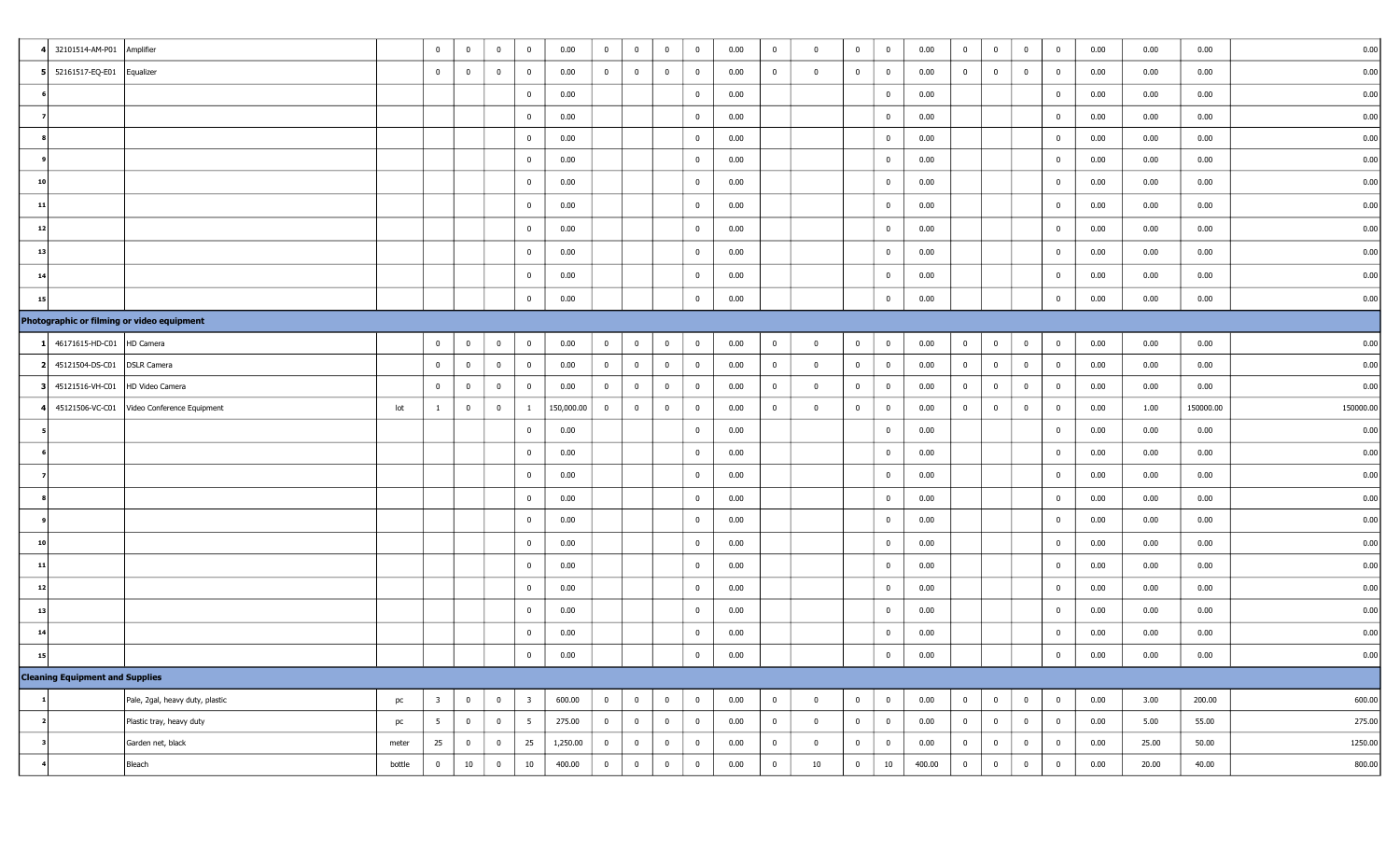|    | 32101514-AM-P01 Amplifier                            | $\overline{0}$          | $\overline{\mathbf{0}}$ | $\overline{0}$ | $\overline{0}$          | 0.00       | $\mathbf{0}$   | $\overline{0}$ | $\overline{0}$          | $\bf{0}$       | 0.00 | $\bf{0}$       | $\bf{0}$                | $\overline{0}$ | $\overline{0}$ | 0.00   | $\bf{0}$       | $\overline{\mathbf{0}}$ | $\overline{0}$ | $\overline{0}$          | 0.00 | 0.00  | 0.00      | 0.00      |
|----|------------------------------------------------------|-------------------------|-------------------------|----------------|-------------------------|------------|----------------|----------------|-------------------------|----------------|------|----------------|-------------------------|----------------|----------------|--------|----------------|-------------------------|----------------|-------------------------|------|-------|-----------|-----------|
|    | 5 52161517-EQ-E01<br>Equalizer                       | $\overline{0}$          | $\bf{0}$                | $\pmb{0}$      | $\overline{0}$          | 0.00       | $\bf{0}$       | $\bf{0}$       | $\overline{0}$          | $\bf{0}$       | 0.00 | $\bf{0}$       | $\bf{0}$                | $\overline{0}$ | $\overline{0}$ | 0.00   | $\bf{0}$       | $\overline{0}$          | $\overline{0}$ | $\overline{0}$          | 0.00 | 0.00  | 0.00      | 0.00      |
|    |                                                      |                         |                         |                | $\overline{0}$          | 0.00       |                |                |                         | $\bf{0}$       | 0.00 |                |                         |                | $\mathbf{0}$   | 0.00   |                |                         |                | $\overline{0}$          | 0.00 | 0.00  | 0.00      | 0.00      |
|    |                                                      |                         |                         |                | $\mathbf{0}$            | 0.00       |                |                |                         | $\bf{0}$       | 0.00 |                |                         |                | $\overline{0}$ | 0.00   |                |                         |                | $\overline{0}$          | 0.00 | 0.00  | 0.00      | 0.00      |
|    |                                                      |                         |                         |                | $\mathbf 0$             | 0.00       |                |                |                         | $\mathbf 0$    | 0.00 |                |                         |                | $\mathbf{0}$   | 0.00   |                |                         |                | $\overline{0}$          | 0.00 | 0.00  | 0.00      | 0.00      |
|    |                                                      |                         |                         |                | 0                       | 0.00       |                |                |                         | $\bf{0}$       | 0.00 |                |                         |                | $\bf{0}$       | 0.00   |                |                         |                | $\overline{0}$          | 0.00 | 0.00  | 0.00      | 0.00      |
| 10 |                                                      |                         |                         |                | $\overline{0}$          | 0.00       |                |                |                         | $\bf{0}$       | 0.00 |                |                         |                | $\mathbf{0}$   | 0.00   |                |                         |                | $\overline{0}$          | 0.00 | 0.00  | 0.00      | 0.00      |
| 11 |                                                      |                         |                         |                | $\overline{0}$          | 0.00       |                |                |                         | $\bf{0}$       | 0.00 |                |                         |                | $\bf{0}$       | 0.00   |                |                         |                | $\overline{0}$          | 0.00 | 0.00  | 0.00      | 0.00      |
| 12 |                                                      |                         |                         |                | $\mathbf 0$             | 0.00       |                |                |                         | $\bf{0}$       | 0.00 |                |                         |                | $\overline{0}$ | 0.00   |                |                         |                | $\overline{0}$          | 0.00 | 0.00  | 0.00      | 0.00      |
| 13 |                                                      |                         |                         |                | $\mathbf{0}$            | 0.00       |                |                |                         | $\mathbf 0$    | 0.00 |                |                         |                | $\mathbf{0}$   | 0.00   |                |                         |                | $\overline{0}$          | 0.00 | 0.00  | 0.00      | 0.00      |
| 14 |                                                      |                         |                         |                | $\mathbf 0$             | 0.00       |                |                |                         | $\bf{0}$       | 0.00 |                |                         |                | $\mathbf{0}$   | 0.00   |                |                         |                | $\overline{\mathbf{0}}$ | 0.00 | 0.00  | 0.00      | 0.00      |
| 15 |                                                      |                         |                         |                | $\overline{0}$          | 0.00       |                |                |                         | $\bf{0}$       | 0.00 |                |                         |                | $\mathbf{0}$   | 0.00   |                |                         |                | $\overline{0}$          | 0.00 | 0.00  | 0.00      | 0.00      |
|    | Photographic or filming or video equipment           |                         |                         |                |                         |            |                |                |                         |                |      |                |                         |                |                |        |                |                         |                |                         |      |       |           |           |
|    | 46171615-HD-C01<br>HD Camera                         | $\overline{0}$          | $\mathbf{0}$            | $\bf{0}$       | $\overline{0}$          | 0.00       | $\mathbf{0}$   | $\bf{0}$       | $\overline{0}$          | $\bf{0}$       | 0.00 | $\bf{0}$       | $\mathbf 0$             | $\overline{0}$ | $\bf{0}$       | 0.00   | $\bf{0}$       | $\overline{0}$          | $\overline{0}$ | $\overline{0}$          | 0.00 | 0.00  | 0.00      | 0.00      |
|    | 2 45121504-DS-C01<br><b>DSLR Camera</b>              | $\overline{0}$          | $\overline{\mathbf{0}}$ | $\bf{0}$       | $\overline{0}$          | 0.00       | $\overline{0}$ | $\overline{0}$ | $\bf{0}$                | $\overline{0}$ | 0.00 | $\bf{0}$       | $\bf{0}$                | $\overline{0}$ | $\mathbf{0}$   | 0.00   | $\bf{0}$       | $\overline{\mathbf{0}}$ | $\bf{0}$       | $\overline{0}$          | 0.00 | 0.00  | 0.00      | 0.00      |
|    | 3 45121516-VH-C01<br>HD Video Camera                 | $\bf{0}$                | $\overline{\mathbf{0}}$ | $\overline{0}$ | $\overline{0}$          | 0.00       | $\bf{0}$       | $\bf{0}$       | $\overline{0}$          | $\bf{0}$       | 0.00 | $\bf{0}$       | $\mathbf 0$             | $\overline{0}$ | $\mathbf{0}$   | 0.00   | $\bf{0}$       | $\overline{0}$          | $\bf{0}$       | $\overline{0}$          | 0.00 | 0.00  | 0.00      | 0.00      |
|    | 45121506-VC-C01<br>Video Conference Equipment<br>lot | $\mathbf{1}$            | $\overline{0}$          | $\overline{0}$ | $\mathbf{1}$            | 150,000.00 | $\overline{0}$ | $\bf{0}$       | $\overline{0}$          | $\mathbf 0$    | 0.00 | $\bf{0}$       | $\overline{\mathbf{0}}$ | $\overline{0}$ | $\overline{0}$ | 0.00   | $\overline{0}$ | $\overline{\mathbf{0}}$ | $\overline{0}$ | $\overline{0}$          | 0.00 | 1.00  | 150000.00 | 150000.00 |
|    |                                                      |                         |                         |                | $\mathbf{0}$            | 0.00       |                |                |                         | $\bf{0}$       | 0.00 |                |                         |                | $\mathbf{0}$   | 0.00   |                |                         |                | $\overline{0}$          | 0.00 | 0.00  | 0.00      | 0.00      |
|    |                                                      |                         |                         |                | $\overline{0}$          | 0.00       |                |                |                         | $\bf{0}$       | 0.00 |                |                         |                | $\mathbf{0}$   | 0.00   |                |                         |                | $\overline{0}$          | 0.00 | 0.00  | 0.00      | 0.00      |
|    |                                                      |                         |                         |                | $\mathbf 0$             | 0.00       |                |                |                         | $\bf{0}$       | 0.00 |                |                         |                | $\mathbf{0}$   | 0.00   |                |                         |                | $\overline{\mathbf{0}}$ | 0.00 | 0.00  | 0.00      | 0.00      |
|    |                                                      |                         |                         |                | $\overline{0}$          | 0.00       |                |                |                         | $\bf{0}$       | 0.00 |                |                         |                | $\mathbf{0}$   | 0.00   |                |                         |                | $\overline{0}$          | 0.00 | 0.00  | 0.00      | 0.00      |
|    |                                                      |                         |                         |                | $\mathbf 0$             | 0.00       |                |                |                         | $\bf{0}$       | 0.00 |                |                         |                | $\overline{0}$ | 0.00   |                |                         |                | $\overline{0}$          | 0.00 | 0.00  | 0.00      | 0.00      |
| 10 |                                                      |                         |                         |                | $\mathbf{0}$            | 0.00       |                |                |                         | $\bf{0}$       | 0.00 |                |                         |                | $\overline{0}$ | 0.00   |                |                         |                | $\overline{0}$          | 0.00 | 0.00  | 0.00      | 0.00      |
| 11 |                                                      |                         |                         |                | $\overline{0}$          | 0.00       |                |                |                         | $\bf{0}$       | 0.00 |                |                         |                | $\mathbf{0}$   | 0.00   |                |                         |                | $\overline{0}$          | 0.00 | 0.00  | 0.00      | 0.00      |
| 12 |                                                      |                         |                         |                | $\overline{0}$          | 0.00       |                |                |                         | $\bf{0}$       | 0.00 |                |                         |                | $\mathbf{0}$   | 0.00   |                |                         |                | $\overline{0}$          | 0.00 | 0.00  | 0.00      | 0.00      |
| 13 |                                                      |                         |                         |                | $\mathbf 0$             | 0.00       |                |                |                         | $\bf{0}$       | 0.00 |                |                         |                | $\overline{0}$ | 0.00   |                |                         |                | $\overline{0}$          | 0.00 | 0.00  | 0.00      | 0.00      |
| 14 |                                                      |                         |                         |                | $\overline{0}$          | 0.00       |                |                |                         | $\bf{0}$       | 0.00 |                |                         |                | $\mathbf{0}$   | 0.00   |                |                         |                | $\overline{0}$          | 0.00 | 0.00  | 0.00      | 0.00      |
| 15 |                                                      |                         |                         |                | $\overline{0}$          | 0.00       |                |                |                         | $\overline{0}$ | 0.00 |                |                         |                | $\bf{0}$       | 0.00   |                |                         |                | $\mathbf{0}$            | 0.00 | 0.00  | 0.00      | 0.00      |
|    | <b>Cleaning Equipment and Supplies</b>               |                         |                         |                |                         |            |                |                |                         |                |      |                |                         |                |                |        |                |                         |                |                         |      |       |           |           |
|    | Pale, 2gal, heavy duty, plastic<br>pc                | $\overline{\mathbf{3}}$ | $\bf{0}$                | $\bf{0}$       | $\overline{\mathbf{3}}$ | 600.00     | $\overline{0}$ | $\overline{0}$ | $\bf{0}$                | $\overline{0}$ | 0.00 | $\overline{0}$ | $\mathbf 0$             | $\overline{0}$ | $\overline{0}$ | 0.00   | $\overline{0}$ | $\overline{0}$          | $\bf{0}$       | $\bf{0}$                | 0.00 | 3.00  | 200.00    | 600.00    |
|    | Plastic tray, heavy duty<br>pc                       | $5\overline{5}$         | $\bf{0}$                | $\bf{0}$       | 5 <sup>5</sup>          | 275.00     | $\overline{0}$ | $\overline{0}$ | $\overline{0}$          | $\overline{0}$ | 0.00 | $\bf{0}$       | $\mathbf 0$             | $\overline{0}$ | $\bf{0}$       | 0.00   | $\overline{0}$ | $\overline{0}$          | $\bf{0}$       | $\mathbf{0}$            | 0.00 | 5.00  | 55.00     | 275.00    |
|    | Garden net, black<br>meter                           | 25                      | $\overline{0}$          | $\overline{0}$ | 25                      | 1,250.00   | $\bf{0}$       | $\overline{0}$ | $\overline{0}$          | $\overline{0}$ | 0.00 | $\bf{0}$       | $\mathbf 0$             | $\overline{0}$ | $\bf{0}$       | 0.00   | $\bf{0}$       | $\overline{0}$          | $\overline{0}$ | $\overline{0}$          | 0.00 | 25.00 | 50.00     | 1250.00   |
|    | Bleach<br>bottle                                     | $\overline{0}$          | $10\,$                  | $\overline{0}$ | $10\,$                  | 400.00     | $\overline{0}$ | $\bf{0}$       | $\overline{\mathbf{0}}$ | $\bf{0}$       | 0.00 | $\bf{0}$       | 10                      | $\overline{0}$ | 10             | 400.00 | $\overline{0}$ | $\overline{0}$          | $\overline{0}$ | $\mathbf{0}$            | 0.00 | 20.00 | 40.00     | 800.00    |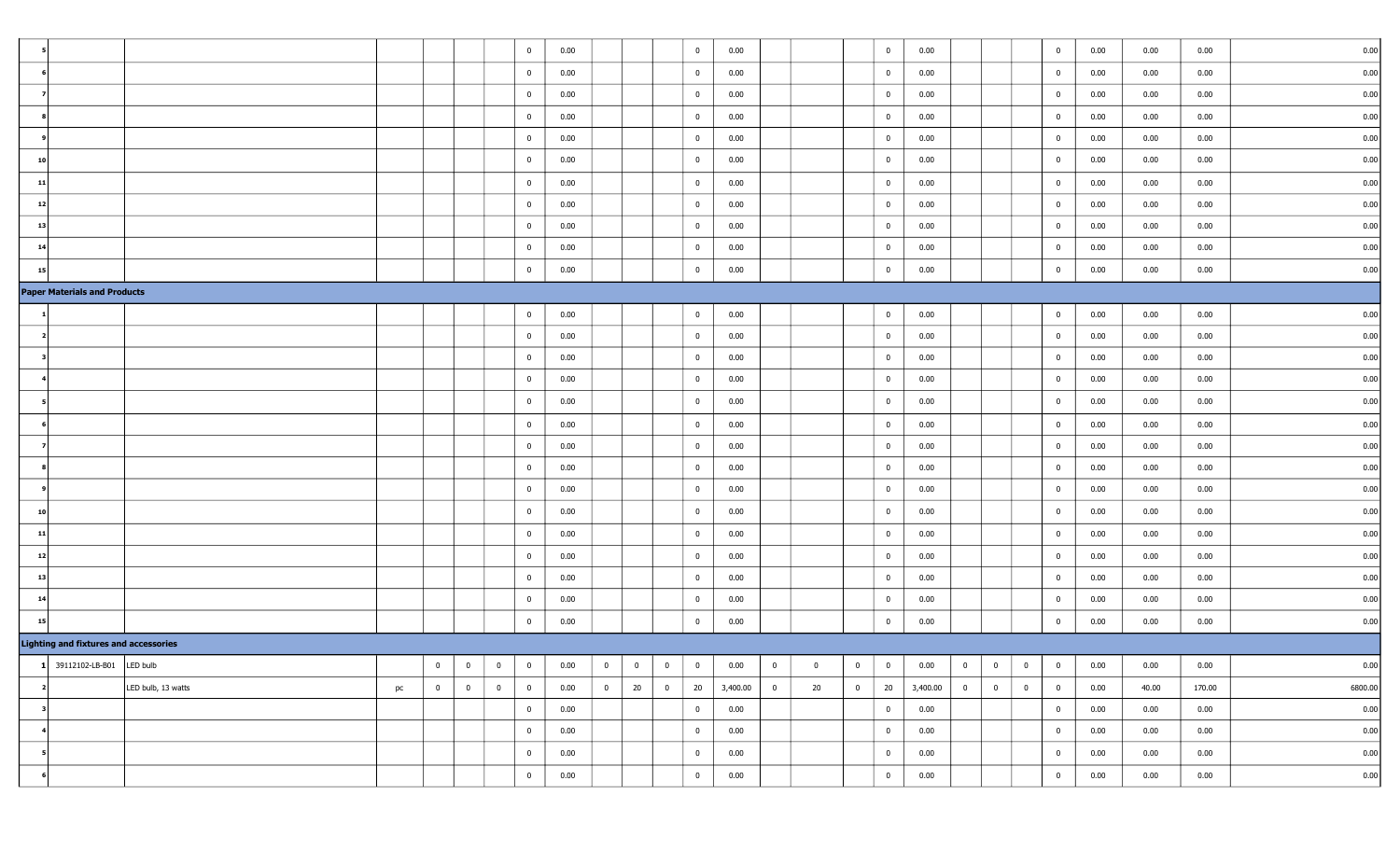|                |                                              |                    |    |                |                | $\overline{0}$                   | 0.00 |                |                         |                | $\bf{0}$       | 0.00     |                |          |                | $\overline{\mathbf{0}}$ | 0.00     |                |                         |                | $\overline{0}$          | 0.00 | 0.00  | 0.00   | 0.00     |
|----------------|----------------------------------------------|--------------------|----|----------------|----------------|----------------------------------|------|----------------|-------------------------|----------------|----------------|----------|----------------|----------|----------------|-------------------------|----------|----------------|-------------------------|----------------|-------------------------|------|-------|--------|----------|
|                |                                              |                    |    |                |                | $\overline{0}$                   | 0.00 |                |                         |                | $\bf{0}$       | 0.00     |                |          |                | $\overline{0}$          | 0.00     |                |                         |                | $\overline{0}$          | 0.00 | 0.00  | 0.00   | 0.00     |
|                |                                              |                    |    |                |                | $\overline{0}$                   | 0.00 |                |                         |                | $\bf{0}$       | 0.00     |                |          |                | $\overline{0}$          | 0.00     |                |                         |                | $\overline{0}$          | 0.00 | 0.00  | 0.00   | 0.00     |
|                |                                              |                    |    |                |                | $\overline{0}$                   | 0.00 |                |                         |                | $\bf{0}$       | 0.00     |                |          |                | $\overline{0}$          | 0.00     |                |                         |                | $\overline{0}$          | 0.00 | 0.00  | 0.00   | 0.00     |
|                |                                              |                    |    |                |                | $\mathbf{0}$                     | 0.00 |                |                         |                | $\bf{0}$       | 0.00     |                |          |                | $\bf{0}$                | 0.00     |                |                         |                | $\bf{0}$                | 0.00 | 0.00  | 0.00   | 0.00     |
| 10             |                                              |                    |    |                |                | $\mathbf 0$                      | 0.00 |                |                         |                | $\bf{0}$       | 0.00     |                |          |                | $\mathbf{0}$            | 0.00     |                |                         |                | $\overline{0}$          | 0.00 | 0.00  | 0.00   | 0.00     |
| 11             |                                              |                    |    |                |                | $\bf{0}$                         | 0.00 |                |                         |                | $\overline{0}$ | 0.00     |                |          |                | $\overline{0}$          | 0.00     |                |                         |                | $\overline{0}$          | 0.00 | 0.00  | 0.00   | 0.00     |
| 12             |                                              |                    |    |                |                | $\overline{0}$                   | 0.00 |                |                         |                | $\overline{0}$ | 0.00     |                |          |                | $\bf{0}$                | 0.00     |                |                         |                | $\overline{0}$          | 0.00 | 0.00  | 0.00   | 0.00     |
| 13             |                                              |                    |    |                |                | $\overline{0}$                   | 0.00 |                |                         |                | $\bf{0}$       | 0.00     |                |          |                | $\overline{0}$          | 0.00     |                |                         |                | $\overline{0}$          | 0.00 | 0.00  | 0.00   | 0.00     |
| 14             |                                              |                    |    |                |                | $\overline{0}$                   | 0.00 |                |                         |                | $\overline{0}$ | 0.00     |                |          |                | $\bf{0}$                | 0.00     |                |                         |                | $\overline{0}$          | 0.00 | 0.00  | 0.00   | 0.00     |
| 15             |                                              |                    |    |                |                | $\overline{0}$                   | 0.00 |                |                         |                | $\overline{0}$ | 0.00     |                |          |                | $\bf{0}$                | 0.00     |                |                         |                | $\overline{0}$          | 0.00 | 0.00  | 0.00   | 0.00     |
|                | <b>Paper Materials and Products</b>          |                    |    |                |                |                                  |      |                |                         |                |                |          |                |          |                |                         |          |                |                         |                |                         |      |       |        |          |
|                |                                              |                    |    |                |                | $\overline{0}$                   | 0.00 |                |                         |                | $\overline{0}$ | 0.00     |                |          |                | $\bf{0}$                | 0.00     |                |                         |                | $\overline{0}$          | 0.00 | 0.00  | 0.00   | 0.00     |
|                |                                              |                    |    |                |                | $\mathbf{0}$                     | 0.00 |                |                         |                | $\bf{0}$       | 0.00     |                |          |                | $\overline{0}$          | 0.00     |                |                         |                | $\overline{0}$          | 0.00 | 0.00  | 0.00   | 0.00     |
|                |                                              |                    |    |                |                | $\overline{0}$                   | 0.00 |                |                         |                | $\bf{0}$       | 0.00     |                |          |                | $\overline{0}$          | 0.00     |                |                         |                | $\overline{0}$          | 0.00 | 0.00  | 0.00   | 0.00     |
|                |                                              |                    |    |                |                | $\mathbf{0}$                     | 0.00 |                |                         |                | $\bf{0}$       | 0.00     |                |          |                | $\mathbf{0}$            | 0.00     |                |                         |                | $\mathbf{0}$            | 0.00 | 0.00  | 0.00   | 0.00     |
|                |                                              |                    |    |                |                | $\bf{0}$                         | 0.00 |                |                         |                | $\bf{0}$       | 0.00     |                |          |                | $\overline{0}$          | 0.00     |                |                         |                | $\overline{0}$          | 0.00 | 0.00  | 0.00   | 0.00     |
|                |                                              |                    |    |                |                | $\bf{0}$                         | 0.00 |                |                         |                | $\overline{0}$ | 0.00     |                |          |                | $\overline{0}$          | 0.00     |                |                         |                | $\overline{0}$          | 0.00 | 0.00  | 0.00   | 0.00     |
|                |                                              |                    |    |                |                | $\overline{0}$                   | 0.00 |                |                         |                | $\bf{0}$       | 0.00     |                |          |                | $\overline{0}$          | 0.00     |                |                         |                | $\overline{0}$          | 0.00 | 0.00  | 0.00   | 0.00     |
|                |                                              |                    |    |                |                | $\overline{0}$                   | 0.00 |                |                         |                | $\bf{0}$       | 0.00     |                |          |                | $\overline{0}$          | 0.00     |                |                         |                | $\overline{0}$          | 0.00 | 0.00  | 0.00   | 0.00     |
|                |                                              |                    |    |                |                | $\overline{0}$                   | 0.00 |                |                         |                | $\overline{0}$ | 0.00     |                |          |                | $\overline{0}$          | 0.00     |                |                         |                | $\overline{0}$          | 0.00 | 0.00  | 0.00   | 0.00     |
| 10             |                                              |                    |    |                |                | $\overline{0}$                   | 0.00 |                |                         |                | $\bf{0}$       | 0.00     |                |          |                | $\mathbf{0}$            | 0.00     |                |                         |                | $\bf{0}$                | 0.00 | 0.00  | 0.00   | 0.00     |
| 11             |                                              |                    |    |                |                | $\overline{0}$                   | 0.00 |                |                         |                | $\overline{0}$ | 0.00     |                |          |                | $\overline{0}$          | 0.00     |                |                         |                | $\bf{0}$                | 0.00 | 0.00  | 0.00   | 0.00     |
| 12             |                                              |                    |    |                |                | $\bf{0}$                         | 0.00 |                |                         |                | $\overline{0}$ | 0.00     |                |          |                | $\overline{0}$          | 0.00     |                |                         |                | $\overline{0}$          | 0.00 | 0.00  | 0.00   | 0.00     |
| 13             |                                              |                    |    |                |                | $\overline{0}$                   | 0.00 |                |                         |                | $\overline{0}$ | 0.00     |                |          |                | $\mathbf{0}$            | 0.00     |                |                         |                | $\overline{0}$          | 0.00 | 0.00  | 0.00   | 0.00     |
| 14             |                                              |                    |    |                |                | $\overline{0}$                   | 0.00 |                |                         |                | $\bf{0}$       | 0.00     |                |          |                | $\overline{0}$          | 0.00     |                |                         |                | $\overline{0}$          | 0.00 | 0.00  | 0.00   | 0.00     |
| 15             |                                              |                    |    |                |                | $\overline{0}$                   | 0.00 |                |                         |                | $\overline{0}$ | 0.00     |                |          |                | $\mathbf{0}$            | 0.00     |                |                         |                | $\overline{0}$          | 0.00 | 0.00  | 0.00   | 0.00     |
|                | <b>Lighting and fixtures and accessories</b> |                    |    |                |                |                                  |      |                |                         |                |                |          |                |          |                |                         |          |                |                         |                |                         |      |       |        |          |
|                | $1$ 39112102-LB-B01 LED bulb                 |                    |    | $\overline{0}$ | $\bf{0}$       | $\bf{0}$<br>$\overline{0}$       | 0.00 | $\bf{0}$       | $\overline{\mathbf{0}}$ | $\overline{0}$ | $\bf{0}$       | 0.00     | $\bf{0}$       | $\bf{0}$ | $\bf{0}$       | $\overline{0}$          | 0.00     | $\bf{0}$       | $\overline{\mathbf{0}}$ | $\overline{0}$ | $\overline{\mathbf{0}}$ | 0.00 | 0.00  | 0.00   | 0.00     |
| $\overline{2}$ |                                              | LED bulb, 13 watts | pc | $\overline{0}$ | $\overline{0}$ | $\overline{0}$<br>$\overline{0}$ | 0.00 | $\overline{0}$ | 20                      | $\overline{0}$ | 20             | 3,400.00 | $\overline{0}$ | 20       | $\overline{0}$ | 20                      | 3,400.00 | $\overline{0}$ | $\overline{0}$          | $\overline{0}$ | $\overline{0}$          | 0.00 | 40.00 | 170.00 | 6800.00  |
| - 3            |                                              |                    |    |                |                | $\overline{0}$                   | 0.00 |                |                         |                | $\overline{0}$ | 0.00     |                |          |                | $\overline{0}$          | 0.00     |                |                         |                | $\overline{0}$          | 0.00 | 0.00  | 0.00   | 0.00     |
|                |                                              |                    |    |                |                | $\overline{0}$                   | 0.00 |                |                         |                | $\overline{0}$ | 0.00     |                |          |                | $\overline{0}$          | 0.00     |                |                         |                | $\overline{0}$          | 0.00 | 0.00  | 0.00   | 0.00     |
| - 5            |                                              |                    |    |                |                | $\bf{0}$                         | 0.00 |                |                         |                | $\overline{0}$ | 0.00     |                |          |                | $\bf{0}$                | 0.00     |                |                         |                | $\bf{0}$                | 0.00 | 0.00  | 0.00   | $0.00\,$ |
|                |                                              |                    |    |                |                | $\overline{0}$                   | 0.00 |                |                         |                | $\bf{0}$       | 0.00     |                |          |                | $\bf{0}$                | 0.00     |                |                         |                | $\overline{0}$          | 0.00 | 0.00  | 0.00   | 0.00     |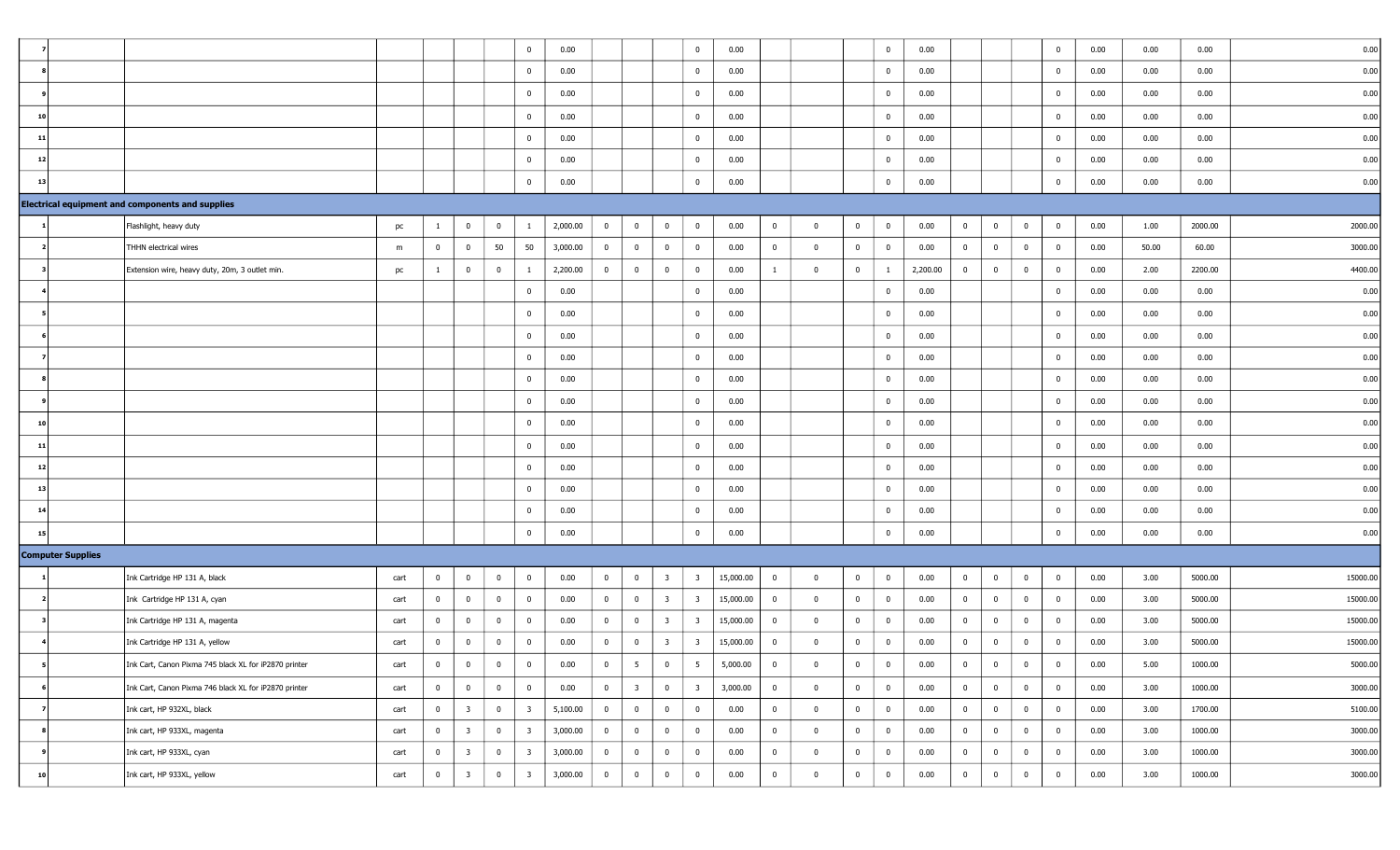|    |                          |                                                         |      |                |                         |                         | $\overline{0}$          | 0.00     |                |                         |                         | $\overline{0}$          | 0.00      |                |                |                | $\bf{0}$       | 0.00     |                |                         |                         | $\mathbf 0$             | 0.00 | 0.00  | 0.00    | 0.00     |
|----|--------------------------|---------------------------------------------------------|------|----------------|-------------------------|-------------------------|-------------------------|----------|----------------|-------------------------|-------------------------|-------------------------|-----------|----------------|----------------|----------------|----------------|----------|----------------|-------------------------|-------------------------|-------------------------|------|-------|---------|----------|
|    |                          |                                                         |      |                |                         |                         | $\overline{0}$          | 0.00     |                |                         |                         | $\overline{0}$          | 0.00      |                |                |                | $\mathbf{0}$   | 0.00     |                |                         |                         | $\mathbf 0$             | 0.00 | 0.00  | 0.00    | 0.00     |
|    |                          |                                                         |      |                |                         |                         | $\overline{0}$          | 0.00     |                |                         |                         | $\mathbf{0}$            | 0.00      |                |                |                | $\mathbf 0$    | 0.00     |                |                         |                         | $\overline{\mathbf{0}}$ | 0.00 | 0.00  | 0.00    | 0.00     |
| 10 |                          |                                                         |      |                |                         |                         | $\mathbf 0$             | 0.00     |                |                         |                         | $\overline{0}$          | 0.00      |                |                |                | $\overline{0}$ | 0.00     |                |                         |                         | $\overline{0}$          | 0.00 | 0.00  | 0.00    | 0.00     |
| 11 |                          |                                                         |      |                |                         |                         | $\mathbf 0$             | 0.00     |                |                         |                         | $\overline{0}$          | 0.00      |                |                |                | $\bf{0}$       | 0.00     |                |                         |                         | $\overline{0}$          | 0.00 | 0.00  | 0.00    | 0.00     |
|    | 12                       |                                                         |      |                |                         |                         | $\mathbf 0$             | 0.00     |                |                         |                         | $\overline{0}$          | 0.00      |                |                |                | $\mathbf{0}$   | 0.00     |                |                         |                         | $\overline{\mathbf{0}}$ | 0.00 | 0.00  | 0.00    | 0.00     |
| 13 |                          |                                                         |      |                |                         |                         | $\mathbf 0$             | 0.00     |                |                         |                         | $\overline{0}$          | 0.00      |                |                |                | $\mathbf{0}$   | 0.00     |                |                         |                         | $\mathbf 0$             | 0.00 | 0.00  | 0.00    | 0.00     |
|    |                          | <b>Electrical equipment and components and supplies</b> |      |                |                         |                         |                         |          |                |                         |                         |                         |           |                |                |                |                |          |                |                         |                         |                         |      |       |         |          |
|    |                          | Flashlight, heavy duty                                  | pc   | $\mathbf{1}$   | $\mathbf 0$             | $\overline{\mathbf{0}}$ | -1                      | 2,000.00 | $\bf{0}$       | $\bf{0}$                | $\overline{\mathbf{0}}$ | $\overline{0}$          | 0.00      | $\bf{0}$       | $\mathbf{0}$   | $\overline{0}$ | $\bf{0}$       | 0.00     | $\bf{0}$       | $\overline{\mathbf{0}}$ | $\bf{0}$                | $\overline{\mathbf{0}}$ | 0.00 | 1.00  | 2000.00 | 2000.00  |
|    |                          | THHN electrical wires                                   | m    | $\overline{0}$ | $\overline{0}$          | 50                      | 50                      | 3,000.00 | $\overline{0}$ | $\overline{0}$          | $\overline{0}$          | $\overline{0}$          | 0.00      | $\bf{0}$       | $\bf{0}$       | $\overline{0}$ | $\overline{0}$ | 0.00     | $\overline{0}$ | $\overline{\mathbf{0}}$ | $\overline{0}$          | $\overline{0}$          | 0.00 | 50.00 | 60.00   | 3000.00  |
|    |                          | Extension wire, heavy duty, 20m, 3 outlet min.          | pc   | $\mathbf{1}$   | $\bf{0}$                | $\bf{0}$                | -1                      | 2,200.00 | $\overline{0}$ | $\bf{0}$                | $\overline{0}$          | $\overline{0}$          | 0.00      | $\mathbf{1}$   | $\bf{0}$       | $\overline{0}$ | $\mathbf{1}$   | 2,200.00 | $\bf{0}$       | $\overline{0}$          | $\bf{0}$                | $\overline{0}$          | 0.00 | 2.00  | 2200.00 | 4400.00  |
|    |                          |                                                         |      |                |                         |                         | $\mathbf 0$             | 0.00     |                |                         |                         | $\overline{0}$          | 0.00      |                |                |                | $\overline{0}$ | 0.00     |                |                         |                         | $\overline{\mathbf{0}}$ | 0.00 | 0.00  | 0.00    | 0.00     |
|    |                          |                                                         |      |                |                         |                         | $\mathbf 0$             | 0.00     |                |                         |                         | $\mathbf{0}$            | 0.00      |                |                |                | $\bf{0}$       | 0.00     |                |                         |                         | $\overline{\mathbf{0}}$ | 0.00 | 0.00  | 0.00    | 0.00     |
|    |                          |                                                         |      |                |                         |                         | $\mathbf 0$             | 0.00     |                |                         |                         | $\overline{0}$          | 0.00      |                |                |                | $\mathbf{0}$   | 0.00     |                |                         |                         | $\mathbf{0}$            | 0.00 | 0.00  | 0.00    | 0.00     |
|    |                          |                                                         |      |                |                         |                         | $\overline{0}$          | 0.00     |                |                         |                         | $\overline{0}$          | 0.00      |                |                |                | $\mathbf{0}$   | 0.00     |                |                         |                         | $\overline{\mathbf{0}}$ | 0.00 | 0.00  | 0.00    | 0.00     |
|    |                          |                                                         |      |                |                         |                         | $\mathbf 0$             | 0.00     |                |                         |                         | $\overline{0}$          | 0.00      |                |                |                | $\mathbf{0}$   | 0.00     |                |                         |                         | $\overline{0}$          | 0.00 | 0.00  | 0.00    | 0.00     |
|    |                          |                                                         |      |                |                         |                         | $\overline{0}$          | 0.00     |                |                         |                         | $\overline{0}$          | 0.00      |                |                |                | $\mathbf 0$    | 0.00     |                |                         |                         | $\mathbf 0$             | 0.00 | 0.00  | 0.00    | 0.00     |
| 10 |                          |                                                         |      |                |                         |                         | $\bf{0}$                | 0.00     |                |                         |                         | $\mathbf{0}$            | 0.00      |                |                |                | $\mathbf 0$    | 0.00     |                |                         |                         | $\mathbf 0$             | 0.00 | 0.00  | 0.00    | 0.00     |
| 11 |                          |                                                         |      |                |                         |                         | $\overline{0}$          | 0.00     |                |                         |                         | $\mathbf{0}$            | 0.00      |                |                |                | $\bf{0}$       | 0.00     |                |                         |                         | $\bf{0}$                | 0.00 | 0.00  | 0.00    | 0.00     |
|    | 12                       |                                                         |      |                |                         |                         | $\mathbf 0$             | 0.00     |                |                         |                         | $\overline{0}$          | 0.00      |                |                |                | $\mathbf 0$    | 0.00     |                |                         |                         | $\mathbf{0}$            | 0.00 | 0.00  | 0.00    | 0.00     |
| 13 |                          |                                                         |      |                |                         |                         | $\mathbf 0$             | 0.00     |                |                         |                         | $\overline{0}$          | 0.00      |                |                |                | $\mathbf{0}$   | 0.00     |                |                         |                         | $\mathbf 0$             | 0.00 | 0.00  | 0.00    | 0.00     |
| 14 |                          |                                                         |      |                |                         |                         | $\overline{0}$          | 0.00     |                |                         |                         | $\mathbf{0}$            | 0.00      |                |                |                | $\bf{0}$       | 0.00     |                |                         |                         | $\mathbf{0}$            | 0.00 | 0.00  | 0.00    | 0.00     |
|    | 15                       |                                                         |      |                |                         |                         | $\bf{0}$                | 0.00     |                |                         |                         | $\overline{0}$          | 0.00      |                |                |                | $\bf{0}$       | 0.00     |                |                         |                         | $\overline{0}$          | 0.00 | 0.00  | 0.00    | 0.00     |
|    | <b>Computer Supplies</b> |                                                         |      |                |                         |                         |                         |          |                |                         |                         |                         |           |                |                |                |                |          |                |                         |                         |                         |      |       |         |          |
|    |                          | Ink Cartridge HP 131 A, black                           | cart | $\overline{0}$ | $\overline{0}$          | $\bf{0}$                | $\overline{0}$          | 0.00     | $\overline{0}$ | $\bf{0}$                | $\overline{\mathbf{3}}$ | $\overline{\mathbf{3}}$ | 15,000.00 | $\overline{0}$ | $\mathbf 0$    | $\bf{0}$       | $\overline{0}$ | 0.00     | $\overline{0}$ | $\overline{\mathbf{0}}$ | $\bf{0}$                | $\overline{0}$          | 0.00 | 3.00  | 5000.00 | 15000.00 |
|    |                          | Ink Cartridge HP 131 A, cyan                            | cart | $\overline{0}$ | $\overline{0}$          | $\bf{0}$                | $\mathbf 0$             | 0.00     | $\mathbf{0}$   | $\bf{0}$                | $\overline{\mathbf{3}}$ | $\overline{\mathbf{3}}$ | 15,000.00 | $\overline{0}$ | $\bf{0}$       | $\mathbf{0}$   | $\overline{0}$ | 0.00     | $\overline{0}$ | $\overline{0}$          | $\overline{\mathbf{0}}$ | $\overline{0}$          | 0.00 | 3.00  | 5000.00 | 15000.00 |
|    |                          | Ink Cartridge HP 131 A, magenta                         | cart | $\mathbf{0}$   | $\bf{0}$                | $\bf{0}$                | $\overline{0}$          | 0.00     | $\bf{0}$       | $\bf{0}$                | $\overline{\mathbf{3}}$ | $\overline{\mathbf{3}}$ | 15,000.00 | $\bf{0}$       | $\bf{0}$       | $\overline{0}$ | $\overline{0}$ | 0.00     | $\bf{0}$       | $\overline{0}$          | $\overline{\mathbf{0}}$ | $\overline{0}$          | 0.00 | 3.00  | 5000.00 | 15000.00 |
|    |                          | Ink Cartridge HP 131 A, yellow                          | cart | $\overline{0}$ | 0                       | $\bf{0}$                | $\mathbf 0$             | 0.00     | $\bf{0}$       | $\bf{0}$                | $\overline{\mathbf{3}}$ | -3                      | 15,000.00 | $\bf{0}$       | $\mathbf 0$    | $\bf{0}$       | $\bf{0}$       | 0.00     | $\bf{0}$       | $\overline{\mathbf{0}}$ | $\bf{0}$                | $\mathbf 0$             | 0.00 | 3.00  | 5000.00 | 15000.00 |
|    | 5 <sup>1</sup>           | Ink Cart, Canon Pixma 745 black XL for iP2870 printer   | cart | $\bf{0}$       | $\overline{0}$          | $\mathbf 0$             | $\overline{0}$          | 0.00     | $\bf{0}$       | $5^{\circ}$             | $\overline{0}$          | 5                       | 5,000.00  | $\bf{0}$       | $\bf{0}$       | $\overline{0}$ | $\bf{0}$       | 0.00     | $\bf{0}$       | $\overline{\mathbf{0}}$ | $\mathbf 0$             | $\overline{\mathbf{0}}$ | 0.00 | 5.00  | 1000.00 | 5000.00  |
|    |                          | Ink Cart, Canon Pixma 746 black XL for iP2870 printer   | cart | $\overline{0}$ | $\bf{0}$                | $\bf{0}$                | $\overline{0}$          | 0.00     | $\overline{0}$ | $\overline{\mathbf{3}}$ | $\overline{0}$          | $\overline{\mathbf{3}}$ | 3,000.00  | $\bf{0}$       | $\overline{0}$ | $\overline{0}$ | $\overline{0}$ | 0.00     | $\overline{0}$ | $\overline{0}$          | $\overline{0}$          | $\overline{0}$          | 0.00 | 3.00  | 1000.00 | 3000.00  |
|    |                          | Ink cart, HP 932XL, black                               | cart | $\overline{0}$ | $\overline{\mathbf{3}}$ | $\overline{\mathbf{0}}$ | $\overline{\mathbf{3}}$ | 5,100.00 | $\overline{0}$ | $\overline{0}$          | $\overline{0}$          | $\overline{0}$          | 0.00      | $\overline{0}$ | $\bf{0}$       | $\overline{0}$ | $\bf{0}$       | 0.00     | $\overline{0}$ | $\overline{0}$          | $\bf{0}$                | $\overline{0}$          | 0.00 | 3.00  | 1700.00 | 5100.00  |
|    |                          | Ink cart, HP 933XL, magenta                             | cart | $\overline{0}$ | $\overline{\mathbf{3}}$ | $\overline{0}$          | $\overline{\mathbf{3}}$ | 3,000.00 | $\overline{0}$ | $\overline{0}$          | $\overline{0}$          | $\overline{0}$          | 0.00      | $\bf{0}$       | $\bf{0}$       | $\bf{0}$       | $\bf{0}$       | 0.00     | $\overline{0}$ | $\overline{0}$          | $\overline{0}$          | $\mathbf{0}$            | 0.00 | 3.00  | 1000.00 | 3000.00  |
|    | 9                        | Ink cart, HP 933XL, cyan                                | cart | $\overline{0}$ | $\overline{\mathbf{3}}$ | $\overline{0}$          | $\overline{\mathbf{3}}$ | 3,000.00 | $\overline{0}$ | $\overline{0}$          | $\bf{0}$                | $\overline{0}$          | 0.00      | $\overline{0}$ | $\bf{0}$       | $\overline{0}$ | $\bf{0}$       | 0.00     | $\overline{0}$ | $\overline{0}$          | $\overline{\mathbf{0}}$ | $\mathbf{0}$            | 0.00 | 3.00  | 1000.00 | 3000.00  |
|    | 10                       | Ink cart, HP 933XL, yellow                              | cart | $\overline{0}$ | $\overline{\mathbf{3}}$ | $\bf{0}$                | $\overline{\mathbf{3}}$ | 3,000.00 | $\overline{0}$ | $\overline{0}$          | $\overline{0}$          | $\overline{0}$          | 0.00      | $\overline{0}$ | $\bf{0}$       | $\bf{0}$       | $\bf{0}$       | 0.00     | $\overline{0}$ | $\overline{0}$          | $\overline{0}$          | $\mathbf{0}$            | 0.00 | 3.00  | 1000.00 | 3000.00  |
|    |                          |                                                         |      |                |                         |                         |                         |          |                |                         |                         |                         |           |                |                |                |                |          |                |                         |                         |                         |      |       |         |          |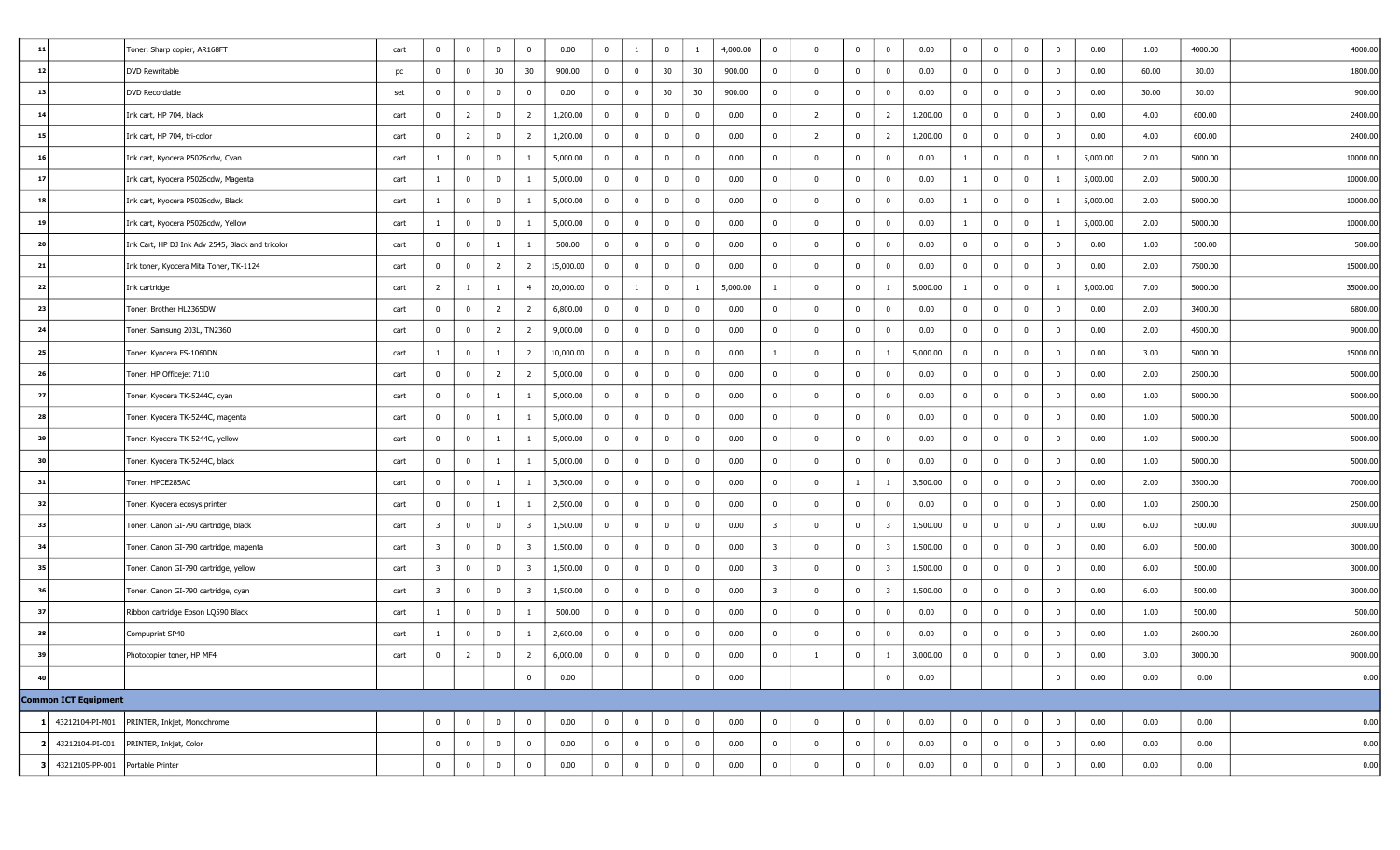| 11 |                      | Toner, Sharp copier, AR168FT                     | cart | 0                       | $\overline{0}$          | $\bf{0}$       | $\mathbf 0$             | 0.00      | $\overline{0}$ | -1                      | $\mathbf{0}$   | $\mathbf{1}$   | 4,000.00 | $\bf{0}$       | $\Omega$                | $\mathbf{0}$   | $\overline{\mathbf{0}}$ | 0.00     | $\bf{0}$       | $\overline{0}$          | $\mathbf 0$    | $\bf{0}$       | 0.00     | 1.00  | 4000.00 | 4000.00  |
|----|----------------------|--------------------------------------------------|------|-------------------------|-------------------------|----------------|-------------------------|-----------|----------------|-------------------------|----------------|----------------|----------|----------------|-------------------------|----------------|-------------------------|----------|----------------|-------------------------|----------------|----------------|----------|-------|---------|----------|
| 12 |                      | DVD Rewritable                                   | pc   | 0                       | $\bf{0}$                | 30             | 30                      | 900.00    | $\overline{0}$ | $\bf{0}$                | 30             | 30             | 900.00   | $\mathbf 0$    | $\overline{0}$          | $\overline{0}$ | $\mathbf 0$             | 0.00     | $\mathbf 0$    | $\overline{\mathbf{0}}$ | $\bf{0}$       | $\bf{0}$       | 0.00     | 60.00 | 30.00   | 1800.00  |
| 13 |                      | DVD Recordable                                   | set  | 0                       | $\bf{0}$                | $\bf{0}$       | 0                       | 0.00      | $\overline{0}$ | $\bf{0}$                | 30             | 30             | 900.00   | $\bf{0}$       | $\bf{0}$                | $\mathbf{0}$   | $\mathbf 0$             | 0.00     | $\overline{0}$ | $\overline{0}$          | $\overline{0}$ | $\mathbf 0$    | 0.00     | 30.00 | 30.00   | 900.00   |
| 14 |                      | Ink cart, HP 704, black                          | cart | 0                       | $\overline{2}$          | $\bf{0}$       | $\overline{2}$          | 1,200.00  | $\mathbf 0$    | $\bf{0}$                | $\mathbf{0}$   | $\mathbf 0$    | 0.00     | $\overline{0}$ | $\overline{2}$          | $\mathbf{0}$   | $\overline{2}$          | 1,200.00 | $\mathbf 0$    | $\overline{0}$          | $\mathbf{0}$   | $\mathbf 0$    | 0.00     | 4.00  | 600.00  | 2400.00  |
| 15 |                      | Ink cart, HP 704, tri-color                      | cart | $\overline{0}$          | $\overline{2}$          | $\bf{0}$       | $\overline{2}$          | 1,200.00  | $\overline{0}$ | $\overline{0}$          | $\bf{0}$       | $\bf{0}$       | 0.00     | $\bf{0}$       | $\overline{2}$          | $\mathbf{0}$   | $\overline{2}$          | 1,200.00 | $\bf{0}$       | $\overline{\mathbf{0}}$ | $\bf{0}$       | $\mathbf 0$    | 0.00     | 4.00  | 600.00  | 2400.00  |
| 16 |                      | Ink cart, Kyocera P5026cdw, Cyan                 | cart | -1                      | $\mathbf 0$             | $\bf{0}$       | -1                      | 5,000.00  | $\overline{0}$ | $\bf{0}$                | $\mathbf{0}$   | $\bf{0}$       | 0.00     | $\bf{0}$       | $\overline{0}$          | $\mathbf 0$    | $\overline{\mathbf{0}}$ | 0.00     | $\mathbf{1}$   | $\overline{0}$          | $\mathbf{0}$   | -1             | 5,000.00 | 2.00  | 5000.00 | 10000.00 |
| 17 |                      | Ink cart, Kyocera P5026cdw, Magenta              | cart | -1                      | $\bf{0}$                | $\bf{0}$       | 1                       | 5,000.00  | $\overline{0}$ | $\bf{0}$                | $\overline{0}$ | $\bf{0}$       | 0.00     | $\overline{0}$ | $\bf{0}$                | $\overline{0}$ | $\bf{0}$                | 0.00     | -1             | $\overline{0}$          | $\bf{0}$       | $\mathbf{1}$   | 5,000.00 | 2.00  | 5000.00 | 10000.00 |
| 18 |                      | Ink cart, Kyocera P5026cdw, Black                | cart | -1                      | $\bf{0}$                | $\bf{0}$       | -1                      | 5,000.00  | $\overline{0}$ | $\bf{0}$                | $\mathbf{0}$   | $\overline{0}$ | 0.00     | $\bf{0}$       | $\overline{0}$          | $\mathbf{0}$   | $\overline{0}$          | 0.00     | -1             | $\overline{0}$          | $\bf{0}$       | -1             | 5,000.00 | 2.00  | 5000.00 | 10000.00 |
| 19 |                      | Ink cart, Kyocera P5026cdw, Yellow               | cart | 1                       | $\mathbf 0$             | $\bf{0}$       | -1                      | 5,000.00  | $\overline{0}$ | $\bf{0}$                | $\mathbf 0$    | $\mathbf 0$    | 0.00     | $\overline{0}$ | $\overline{0}$          | $\mathbf{0}$   | $\overline{\mathbf{0}}$ | 0.00     | $\mathbf{1}$   | $\overline{0}$          | $\mathbf{0}$   | -1             | 5,000.00 | 2.00  | 5000.00 | 10000.00 |
| 20 |                      | Ink Cart, HP DJ Ink Adv 2545, Black and tricolor | cart | $\overline{0}$          | $\mathbf 0$             | $\mathbf{1}$   | -1                      | 500.00    | $\overline{0}$ | $\bf{0}$                | $\overline{0}$ | $\bf{0}$       | 0.00     | $\overline{0}$ | $\mathbf 0$             | $\mathbf{0}$   | $\overline{\mathbf{0}}$ | 0.00     | $\bf{0}$       | $\overline{0}$          | $\overline{0}$ | $\mathbf 0$    | 0.00     | 1.00  | 500.00  | 500.00   |
| 21 |                      | Ink toner, Kyocera Mita Toner, TK-1124           | cart | $\mathbf{0}$            | $\bf{0}$                | $\overline{2}$ | $\overline{2}$          | 15,000.00 | $\overline{0}$ | $\overline{0}$          | $^{\circ}$     | $\bf{0}$       | 0.00     | $\bf{0}$       | $\overline{0}$          | $\overline{0}$ | $\overline{\mathbf{0}}$ | 0.00     | $\bf{0}$       | $\overline{0}$          | $\mathbf 0$    | $\bf{0}$       | 0.00     | 2.00  | 7500.00 | 15000.00 |
| 22 |                      | Ink cartridge                                    | cart | $\overline{2}$          | $\overline{1}$          | $\mathbf{1}$   | $\overline{4}$          | 20,000.00 | $\overline{0}$ | $\mathbf{1}$            | $\overline{0}$ | $\mathbf{1}$   | 5,000.00 | -1             | $\overline{0}$          | $\mathbf{0}$   | 1                       | 5,000.00 | $\mathbf{1}$   | $\overline{0}$          | $\bf{0}$       | $\mathbf{1}$   | 5,000.00 | 7.00  | 5000.00 | 35000.00 |
| 23 |                      | Toner, Brother HL2365DW                          | cart | $\overline{0}$          | $\bf{0}$                | $\overline{2}$ | $\overline{2}$          | 6,800.00  | $\mathbf{0}$   | $\bf{0}$                | $\mathbf{0}$   | $\bf{0}$       | 0.00     | $\overline{0}$ | $\mathbf 0$             | $\overline{0}$ | $\overline{\mathbf{0}}$ | 0.00     | $\overline{0}$ | $\overline{0}$          | $\overline{0}$ | $\mathbf 0$    | 0.00     | 2.00  | 3400.00 | 6800.00  |
| 24 |                      | Toner, Samsung 203L, TN2360                      | cart | $\overline{0}$          | $\bf{0}$                | $\overline{2}$ | 2                       | 9,000.00  | $\overline{0}$ | $\bf{0}$                | $\mathbf{0}$   | $\bf{0}$       | 0.00     | $\bf{0}$       | $\overline{0}$          | $\mathbf{0}$   | $\overline{0}$          | 0.00     | $\overline{0}$ | $\overline{0}$          | $\mathbf{0}$   | $\mathbf 0$    | 0.00     | 2.00  | 4500.00 | 9000.00  |
| 25 |                      | Toner, Kyocera FS-1060DN                         | cart | -1                      | $\overline{\mathbf{0}}$ | $\mathbf{1}$   | $\overline{2}$          | 10,000.00 | $\bf{0}$       | $\bf{0}$                | $\overline{0}$ | $\bf{0}$       | 0.00     | -1             | $\mathbf 0$             | $\mathbf{0}$   | -1                      | 5,000.00 | $\overline{0}$ | $\overline{0}$          | $\overline{0}$ | $\mathbf 0$    | 0.00     | 3.00  | 5000.00 | 15000.00 |
| 26 |                      | Toner, HP Officejet 7110                         | cart | $\overline{0}$          | $\bf{0}$                | $\overline{2}$ | $\overline{2}$          | 5,000.00  | $\overline{0}$ | $\bf{0}$                | $\overline{0}$ | $\bf{0}$       | 0.00     | $\bf{0}$       | $\mathbf{0}$            | $\overline{0}$ | $\overline{\mathbf{0}}$ | 0.00     | $\bf{0}$       | $\overline{0}$          | $\mathbf{0}$   | $\overline{0}$ | 0.00     | 2.00  | 2500.00 | 5000.00  |
| 27 |                      | Toner, Kyocera TK-5244C, cyan                    | cart | $\mathbf 0$             | $\bf{0}$                | $\mathbf{1}$   | -1                      | 5,000.00  | $\bf{0}$       | $\bf{0}$                | $\overline{0}$ | $\bf{0}$       | 0.00     | $\bf{0}$       | $\overline{0}$          | $\mathbf 0$    | $\mathbf{0}$            | 0.00     | $\mathbf 0$    | $\overline{0}$          | $\overline{0}$ | $\mathbf 0$    | 0.00     | 1.00  | 5000.00 | 5000.00  |
| 28 |                      | Toner, Kyocera TK-5244C, magenta                 | cart | $\mathbf{0}$            | $\bf{0}$                | <sup>1</sup>   |                         | 5,000.00  | $\bf{0}$       | $\bf{0}$                | $\Omega$       | $\bf{0}$       | 0.00     | $\overline{0}$ | $\overline{0}$          | $\mathbf 0$    | $\overline{0}$          | 0.00     | $\mathbf 0$    | $\overline{0}$          | $\mathbf{0}$   | $\mathbf 0$    | 0.00     | 1.00  | 5000.00 | 5000.00  |
| 29 |                      | Toner, Kyocera TK-5244C, yellow                  | cart | $^{\circ}$              | $\bf{0}$                | <sup>1</sup>   |                         | 5,000.00  | $\overline{0}$ | $\bf{0}$                | $^{\circ}$     | $\mathbf{0}$   | 0.00     | $\mathbf{0}$   | $\overline{0}$          | $\mathbf{0}$   | $\overline{0}$          | 0.00     | $\bf{0}$       | $\overline{0}$          | $\mathbf{0}$   | $\mathbf 0$    | 0.00     | 1.00  | 5000.00 | 5000.00  |
| 30 |                      | Toner, Kyocera TK-5244C, black                   | cart | 0                       | $\bf{0}$                | $\mathbf{1}$   |                         | 5,000.00  | $\bf{0}$       | $\bf{0}$                | $\overline{0}$ | $\bf{0}$       | 0.00     | $\overline{0}$ | $\mathbf 0$             | $\mathbf{0}$   | $\mathbf 0$             | 0.00     | $\overline{0}$ | $\overline{0}$          | $\overline{0}$ | $\mathbf 0$    | 0.00     | 1.00  | 5000.00 | 5000.00  |
| 31 |                      | Toner, HPCE285AC                                 | cart | 0                       | $\bf{0}$                | $\mathbf{1}$   |                         | 3,500.00  | $\overline{0}$ | $\bf{0}$                | $\mathbf 0$    | $\bf{0}$       | 0.00     | $\bf{0}$       | $\overline{0}$          | $\mathbf{1}$   | -1                      | 3,500.00 | $\overline{0}$ | $\overline{0}$          | $\mathbf 0$    | $\bf{0}$       | 0.00     | 2.00  | 3500.00 | 7000.00  |
| 32 |                      | Toner, Kyocera ecosys printer                    | cart | 0                       | $\mathbf 0$             | $\mathbf{1}$   |                         | 2,500.00  | $\overline{0}$ | $\bf{0}$                | $\mathbf{0}$   | $\bf{0}$       | 0.00     | $\mathbf 0$    | $\Omega$                | $\mathbf{0}$   | $\overline{0}$          | 0.00     | $\mathbf 0$    | $\overline{0}$          | $\bf{0}$       | $\mathbf 0$    | 0.00     | 1.00  | 2500.00 | 2500.00  |
| 33 |                      | Toner, Canon GI-790 cartridge, black             | cart | $\overline{\mathbf{3}}$ | $\bf{0}$                | $\bf{0}$       | $\overline{\mathbf{3}}$ | 1,500.00  | $\bf{0}$       | $\bf{0}$                | $\mathbf 0$    | $\bf{0}$       | 0.00     | 3              | $\overline{0}$          | $\overline{0}$ | $\overline{\mathbf{3}}$ | 1,500.00 | $\overline{0}$ | $\overline{0}$          | $\overline{0}$ | $\mathbf 0$    | 0.00     | 6.00  | 500.00  | 3000.00  |
| 34 |                      | Toner, Canon GI-790 cartridge, magenta           | cart | 3                       | $\bf{0}$                | $\bf{0}$       | 3                       | 1,500.00  | $\overline{0}$ | $\bf{0}$                | $^{\circ}$     | $\mathbf 0$    | 0.00     | 3              | $\overline{0}$          | $\mathbf{0}$   | - 3                     | 1,500.00 | $\overline{0}$ | $\overline{0}$          | $\mathbf 0$    | $\mathbf 0$    | 0.00     | 6.00  | 500.00  | 3000.00  |
| 35 |                      | Toner, Canon GI-790 cartridge, yellow            | cart | $\overline{\mathbf{3}}$ | $\mathbf 0$             | $\bf{0}$       | 3                       | 1,500.00  | $\overline{0}$ | $\bf{0}$                | $\overline{0}$ | $\overline{0}$ | 0.00     | 3              | $\overline{\mathbf{0}}$ | $\mathbf{0}$   | $\overline{\mathbf{3}}$ | 1,500.00 | $\overline{0}$ | $\overline{\mathbf{0}}$ | $\bf{0}$       | $\mathbf 0$    | 0.00     | 6.00  | 500.00  | 3000.00  |
| 36 |                      | Toner, Canon GI-790 cartridge, cyan              | cart | 3                       | $\bf{0}$                | $\mathbf 0$    | 3                       | 1,500.00  | $\overline{0}$ | $\bf{0}$                | $\mathbf{0}$   | $\bf{0}$       | 0.00     | 3              | $\overline{0}$          | $\mathbf{0}$   | $\overline{\mathbf{3}}$ | 1,500.00 | $\overline{0}$ | $\overline{0}$          | $\mathbf 0$    | $\bf{0}$       | 0.00     | 6.00  | 500.00  | 3000.00  |
| 37 |                      | Ribbon cartridge Epson LQ590 Black               | cart | -1                      | $\mathbf 0$             | $\mathbf 0$    |                         | 500.00    | $\overline{0}$ | $\bf{0}$                | $\mathbf 0$    | $\bf{0}$       | 0.00     | $\bf{0}$       | $\overline{0}$          | $\mathbf{0}$   | $\overline{\mathbf{0}}$ | 0.00     | $\mathbf 0$    | $\overline{\mathbf{0}}$ | $\bf{0}$       | $\bf{0}$       | 0.00     | 1.00  | 500.00  | 500.00   |
| 38 |                      | Compuprint SP40                                  | cart |                         | $\bf{0}$                | $\mathbf 0$    |                         | 2,600.00  | $\bf{0}$       | $\bf{0}$                | $\Omega$       | $\bf{0}$       | 0.00     | $\bf{0}$       | $\mathbf{0}$            | $\overline{0}$ | $\mathbf{0}$            | 0.00     | $\mathbf 0$    | $\overline{0}$          | $\mathbf 0$    | $\overline{0}$ | 0.00     | 1.00  | 2600.00 | 2600.00  |
| 39 |                      | Photocopier toner, HP MF4                        | cart | $\mathbf 0$             | $\overline{2}$          | $\bf{0}$       | 2                       | 6,000.00  | $\mathbf 0$    | $\overline{\mathbf{0}}$ | $\mathbf{0}$   | $\mathbf 0$    | 0.00     | $\bf{0}$       |                         | $\mathbf{0}$   |                         | 3,000.00 | $\mathbf 0$    | $\overline{0}$          | $\mathbf 0$    | $\Omega$       | 0.00     | 3.00  | 3000.00 | 9000.00  |
| 40 |                      |                                                  |      |                         |                         |                | $\overline{0}$          | 0.00      |                |                         |                | $\overline{0}$ | 0.00     |                |                         |                | $\mathbf 0$             | 0.00     |                |                         |                | $\bf{0}$       | 0.00     | 0.00  | 0.00    | 0.00     |
|    | Common ICT Equipment |                                                  |      |                         |                         |                |                         |           |                |                         |                |                |          |                |                         |                |                         |          |                |                         |                |                |          |       |         |          |
|    | 43212104-PI-M01      | PRINTER, Inkjet, Monochrome                      |      | $\overline{0}$          | $\bf{0}$                | $\bf{0}$       | $\mathbf{0}$            | 0.00      | $\bf{0}$       | $\bf{0}$                | $\overline{0}$ | $\bf{0}$       | 0.00     | $\bf{0}$       | $\mathbf{0}$            | $\mathbf{0}$   | $\bf{0}$                | 0.00     | $\overline{0}$ | $\overline{0}$          | $\bf{0}$       | $\overline{0}$ | 0.00     | 0.00  | 0.00    | 0.00     |
| 21 | 43212104-PI-C01      | PRINTER, Inkjet, Color                           |      | 0                       | $\mathbf 0$             | $\bf{0}$       | 0                       | 0.00      | $\bf{0}$       | $\bf{0}$                | $\overline{0}$ | $\bf{0}$       | 0.00     | $\overline{0}$ | $\mathbf 0$             | $\bf{0}$       | $\bf{0}$                | 0.00     | $\overline{0}$ | $\overline{0}$          | $\bf{0}$       | $\overline{0}$ | 0.00     | 0.00  | 0.00    | 0.00     |
| 31 | 43212105-PP-001      | Portable Printer                                 |      | $\mathbf 0$             | $\mathbf 0$             | $\mathbf 0$    | $\mathbf 0$             | 0.00      | $\mathbf 0$    | $\bf{0}$                | $\mathbf 0$    | $\mathbf 0$    | 0.00     | $\bf{0}$       | $\mathbf 0$             | $\mathbf{0}$   | $\bf{0}$                | 0.00     | $\mathbf 0$    | $\overline{\mathbf{0}}$ | $\mathbf 0$    | $\Omega$       | 0.00     | 0.00  | 0.00    | 0.00     |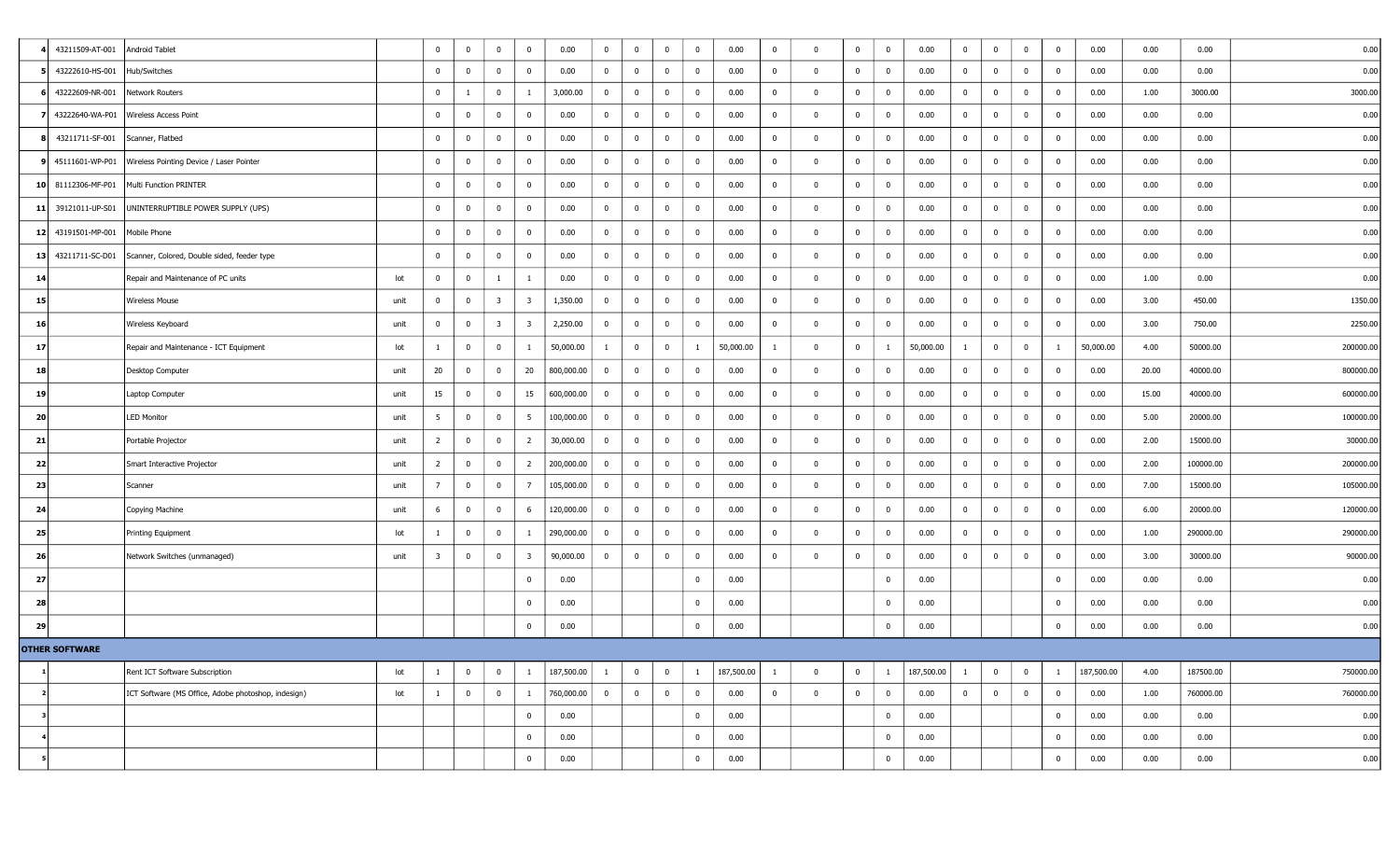|    | 43211509-AT-001       | Android Tablet                                             | $\overline{0}$          | $\overline{\mathbf{0}}$ | $\bf{0}$                | $\mathbf 0$             | 0.00       | $\mathbf{0}$   | $\mathbf 0$    | $\bf{0}$       | $\bf{0}$    | 0.00       | $\overline{0}$ | $\Omega$     | $\bf{0}$       | $\overline{0}$ | 0.00       | $\bf{0}$       | $\overline{0}$          | $\overline{0}$ | $\bf{0}$       | 0.00       | 0.00  | 0.00      | 0.00      |
|----|-----------------------|------------------------------------------------------------|-------------------------|-------------------------|-------------------------|-------------------------|------------|----------------|----------------|----------------|-------------|------------|----------------|--------------|----------------|----------------|------------|----------------|-------------------------|----------------|----------------|------------|-------|-----------|-----------|
|    | 43222610-HS-001       | Hub/Switches                                               | $\overline{0}$          | $\mathbf 0$             | $\bf{0}$                | 0                       | 0.00       | $\bf{0}$       | $\mathbf 0$    | $\bf{0}$       | $\bf{0}$    | 0.00       | $\overline{0}$ | $\Omega$     | $\bf{0}$       | $\bf{0}$       | 0.00       | $\bf{0}$       | $\overline{\mathbf{0}}$ | $\overline{0}$ | $\overline{0}$ | 0.00       | 0.00  | 0.00      | 0.00      |
|    | 43222609-NR-001       | Network Routers                                            | $\overline{0}$          | 1                       | $\bf{0}$                | -1                      | 3,000.00   | $\bf{0}$       | $\bf{0}$       | $\bf{0}$       | $\bf{0}$    | 0.00       | $\overline{0}$ | $\Omega$     | $\mathbf 0$    | $\bf{0}$       | 0.00       | $\bf{0}$       | $\bf{0}$                | $\bf{0}$       | $\bf{0}$       | 0.00       | 1.00  | 3000.00   | 3000.00   |
|    |                       | 43222640-WA-P01 Wireless Access Point                      | $\overline{0}$          | $\overline{0}$          | $\overline{0}$          | $\overline{0}$          | 0.00       | $\bf{0}$       | $\overline{0}$ | $\bf{0}$       | $\bf{0}$    | 0.00       | $\overline{0}$ | $\Omega$     | $\mathbf 0$    | $\bf{0}$       | 0.00       | $\bf{0}$       | $\overline{\mathbf{0}}$ | $\bf{0}$       | $\mathbf 0$    | 0.00       | 0.00  | 0.00      | 0.00      |
|    | 43211711-SF-001       | Scanner, Flatbed                                           | $\overline{0}$          | $\mathbf 0$             | $\overline{0}$          | $^{\circ}$              | 0.00       | $\bf{0}$       | $\mathbf 0$    | $\bf{0}$       | $\bf{0}$    | 0.00       | $\overline{0}$ | $\Omega$     | $\mathbf 0$    | $\mathbf{0}$   | 0.00       | $\bf{0}$       | $\overline{\mathbf{0}}$ | $\overline{0}$ | $\mathbf 0$    | 0.00       | 0.00  | 0.00      | 0.00      |
|    | 45111601-WP-P01       | Wireless Pointing Device / Laser Pointer                   | $\overline{0}$          | $\overline{\mathbf{0}}$ | $\overline{0}$          | $\mathbf 0$             | 0.00       | $\bf{0}$       | $\bf{0}$       | $\bf{0}$       | $\bf{0}$    | 0.00       | $\mathbf 0$    | $\Omega$     | $\bf{0}$       | $\mathbf{0}$   | 0.00       | $\overline{0}$ | $\overline{0}$          | $\bf{0}$       | $\mathbf 0$    | 0.00       | 0.00  | 0.00      | 0.00      |
|    | 10 81112306-MF-P01    | Multi Function PRINTER                                     | $\overline{0}$          | $\overline{\mathbf{0}}$ | $\bf{0}$                | $\overline{0}$          | 0.00       | $\bf{0}$       | $\bf{0}$       | $\bf{0}$       | $\bf{0}$    | 0.00       | $\overline{0}$ | $\Omega$     | $\bf{0}$       | $\bf{0}$       | 0.00       | $\bf{0}$       | $\overline{\mathbf{0}}$ | $\bf{0}$       | $\bf{0}$       | 0.00       | 0.00  | 0.00      | 0.00      |
|    | 11 39121011-UP-S01    | UNINTERRUPTIBLE POWER SUPPLY (UPS)                         | $\bf{0}$                | $\overline{0}$          | $\bf{0}$                | $\overline{0}$          | 0.00       | $\bf{0}$       | $\mathbf 0$    | $\bf{0}$       | $\bf{0}$    | 0.00       | $\overline{0}$ | $\Omega$     | $\bf{0}$       | $\bf{0}$       | 0.00       | $\bf{0}$       | $\bf{0}$                | $\bf{0}$       | $\bf{0}$       | 0.00       | 0.00  | 0.00      | 0.00      |
|    | 12 43191501-MP-001    | Mobile Phone                                               | $\overline{0}$          | $\overline{0}$          | $\overline{0}$          | $\bf{0}$                | 0.00       | $\bf{0}$       | $\overline{0}$ | $\mathbf 0$    | $\bf{0}$    | 0.00       | $\bf{0}$       | $\Omega$     | $\bf{0}$       | $\bf{0}$       | 0.00       | $\bf{0}$       | $\overline{\mathbf{0}}$ | $\bf{0}$       | $\mathbf 0$    | 0.00       | 0.00  | 0.00      | 0.00      |
| 13 | 43211711-SC-D01       | Scanner, Colored, Double sided, feeder type                | $\overline{0}$          | $\overline{0}$          | $\overline{0}$          | $\mathbf 0$             | 0.00       | $\bf{0}$       | $\mathbf 0$    | $\mathbf 0$    | $\bf{0}$    | 0.00       | $\mathbf 0$    | $\Omega$     | $\mathbf 0$    | $\mathbf 0$    | 0.00       | $\overline{0}$ | $\overline{0}$          | $\overline{0}$ | $\overline{0}$ | 0.00       | 0.00  | 0.00      | 0.00      |
| 14 |                       | Repair and Maintenance of PC units<br>lot                  | $\overline{0}$          | $\overline{\mathbf{0}}$ | $\mathbf{1}$            | -1                      | 0.00       | $\bf{0}$       | $\overline{0}$ | $\bf{0}$       | $\bf{0}$    | 0.00       | $\overline{0}$ | $\mathbf{0}$ | $\bf{0}$       | $\bf{0}$       | 0.00       | $\bf{0}$       | $\overline{0}$          | $\bf{0}$       | $\bf{0}$       | 0.00       | 1.00  | 0.00      | 0.00      |
| 15 |                       | <b>Wireless Mouse</b><br>unit                              | $\overline{0}$          | $\overline{\mathbf{0}}$ | $\overline{\mathbf{3}}$ | $\overline{\mathbf{3}}$ | 1,350.00   | $\bf{0}$       | $\bf{0}$       | $\bf{0}$       | $\bf{0}$    | 0.00       | $\overline{0}$ | $\Omega$     | $\mathbf 0$    | $\bf{0}$       | 0.00       | $\bf{0}$       | $\overline{0}$          | $\bf{0}$       | $\overline{0}$ | 0.00       | 3.00  | 450.00    | 1350.00   |
| 16 |                       | Wireless Keyboard<br>unit                                  | $\overline{0}$          | $\overline{\mathbf{0}}$ | $\overline{\mathbf{3}}$ | $\overline{\mathbf{3}}$ | 2,250.00   | $\bf{0}$       | $\bf{0}$       | $\mathbf 0$    | $\mathbf 0$ | 0.00       | $\bf{0}$       | $\Omega$     | $\bf{0}$       | $\bf{0}$       | 0.00       | $\bf{0}$       | $\mathbf 0$             | $\Omega$       | $\mathbf 0$    | 0.00       | 3.00  | 750.00    | 2250.00   |
| 17 |                       | Repair and Maintenance - ICT Equipment<br>lot              | -1                      | $\overline{\mathbf{0}}$ | $\bf{0}$                | -1                      | 50,000.00  | $\mathbf{1}$   | $\bf{0}$       | $\bf{0}$       | 1           | 50,000.00  | -1             | $\Omega$     | $\bf{0}$       | -1             | 50,000.00  | $\mathbf{1}$   | $\overline{\mathbf{0}}$ | $\bf{0}$       | -1             | 50,000.00  | 4.00  | 50000.00  | 200000.00 |
| 18 |                       | Desktop Computer<br>unit                                   | 20                      | $\overline{\mathbf{0}}$ | $\mathbf 0$             | 20                      | 800,000.00 | $\bf{0}$       | $\bf{0}$       | $\bf{0}$       | $\bf{0}$    | 0.00       | $\bf{0}$       |              | $\bf{0}$       | $\bf{0}$       | 0.00       | $\bf{0}$       | $\overline{\mathbf{0}}$ | $\bf{0}$       | $\overline{0}$ | 0.00       | 20.00 | 40000.00  | 800000.00 |
| 19 |                       | Laptop Computer<br>unit                                    | 15                      | $\overline{\mathbf{0}}$ | $\bf{0}$                | 15                      | 600,000.00 | $\bf{0}$       | $\bf{0}$       | $\bf{0}$       | $\bf{0}$    | 0.00       | $\overline{0}$ | $\Omega$     | $\overline{0}$ | $\bf{0}$       | 0.00       | $\bf{0}$       | $\overline{0}$          | $\overline{0}$ | $\bf{0}$       | 0.00       | 15.00 | 40000.00  | 600000.00 |
| 20 |                       | <b>LED Monitor</b><br>unit                                 | 5 <sup>5</sup>          | $\overline{\mathbf{0}}$ | $\bf{0}$                | 5                       | 100,000.00 | $\bf{0}$       | $\bf{0}$       | $\bf{0}$       | $\bf{0}$    | 0.00       | $\overline{0}$ | $^{\circ}$   | $\bf{0}$       | $\bf{0}$       | 0.00       | $\bf{0}$       | $\overline{\mathbf{0}}$ | $\bf{0}$       | $\bf{0}$       | 0.00       | 5.00  | 20000.00  | 100000.00 |
| 21 |                       | Portable Projector<br>unit                                 | $\overline{2}$          | $\overline{\mathbf{0}}$ | $\bf{0}$                | $\overline{2}$          | 30,000.00  | $\bf{0}$       | $\bf{0}$       | $\bf{0}$       | $\bf{0}$    | 0.00       | $\bf{0}$       | $\Omega$     | $\bf{0}$       | $\bf{0}$       | 0.00       | $\bf{0}$       | $\overline{\mathbf{0}}$ | $\overline{0}$ | $\mathbf 0$    | 0.00       | 2.00  | 15000.00  | 30000.00  |
| 22 |                       | Smart Interactive Projector<br>unit                        | $\overline{2}$          | $\overline{\mathbf{0}}$ | $\bf{0}$                | 2                       | 200,000.00 | $\bf{0}$       | $\bf{0}$       | $\bf{0}$       | $\bf{0}$    | 0.00       | $\overline{0}$ | $\mathbf 0$  | $\bf{0}$       | $\mathbf{0}$   | 0.00       | $\overline{0}$ | $\overline{0}$          | $\bf{0}$       | $\mathbf 0$    | 0.00       | 2.00  | 100000.00 | 200000.00 |
| 23 |                       | Scanner<br>unit                                            | 7                       | $\overline{\mathbf{0}}$ | $\bf{0}$                | $\overline{7}$          | 105,000.00 | $\bf{0}$       | $\overline{0}$ | $\bf{0}$       | $\bf{0}$    | 0.00       | $\bf{0}$       | $\Omega$     | $\bf{0}$       | $\bf{0}$       | 0.00       | $\bf{0}$       | $\overline{\mathbf{0}}$ | $\bf{0}$       | $\mathbf 0$    | 0.00       | 7.00  | 15000.00  | 105000.00 |
| 24 |                       | Copying Machine<br>unit                                    | 6                       | $\overline{\mathbf{0}}$ | $\bf{0}$                | 6                       | 120,000.00 | $\bf{0}$       | $\bf{0}$       | $\bf{0}$       | $\bf{0}$    | 0.00       | $\overline{0}$ | $\Omega$     | $\bf{0}$       | $\bf{0}$       | 0.00       | $\bf{0}$       | $\mathbf 0$             | $\bf{0}$       | $\bf{0}$       | 0.00       | 6.00  | 20000.00  | 120000.00 |
| 25 |                       | Printing Equipment<br>lot                                  | 1                       | $\overline{\mathbf{0}}$ | $\mathbf 0$             | 1                       | 290,000.00 | $\bf{0}$       | $\overline{0}$ | $\mathbf 0$    | $\bf{0}$    | 0.00       | $\bf{0}$       | $\Omega$     | $\mathbf 0$    | $\mathbf{0}$   | 0.00       | $\bf{0}$       | $\overline{\mathbf{0}}$ | $\overline{0}$ | $\overline{0}$ | 0.00       | 1.00  | 290000.00 | 290000.00 |
| 26 |                       | Network Switches (unmanaged)<br>unit                       | $\overline{\mathbf{3}}$ | $\overline{\mathbf{0}}$ | $\overline{0}$          | $\overline{\mathbf{3}}$ | 90,000.00  | $\bf{0}$       | $\overline{0}$ | $\bf{0}$       | $\bf{0}$    | 0.00       | $\overline{0}$ | $\Omega$     | $\mathbf 0$    | $\mathbf 0$    | 0.00       | $\bf{0}$       | $\mathbf{0}$            | $\overline{0}$ | $\mathbf 0$    | 0.00       | 3.00  | 30000.00  | 90000.00  |
| 27 |                       |                                                            |                         |                         |                         | $\bf{0}$                | 0.00       |                |                |                | $\bf{0}$    | 0.00       |                |              |                | $\mathbf{0}$   | 0.00       |                |                         |                | $\mathbf 0$    | 0.00       | 0.00  | 0.00      | 0.00      |
| 28 |                       |                                                            |                         |                         |                         | $\mathbf 0$             | 0.00       |                |                |                | $\bf{0}$    | 0.00       |                |              |                | $\mathbf 0$    | 0.00       |                |                         |                | $\overline{0}$ | 0.00       | 0.00  | 0.00      | 0.00      |
| 29 |                       |                                                            |                         |                         |                         | $\bf{0}$                | 0.00       |                |                |                | $\bf{0}$    | 0.00       |                |              |                | $\mathbf 0$    | 0.00       |                |                         |                | $\mathbf 0$    | 0.00       | 0.00  | 0.00      | 0.00      |
|    | <b>OTHER SOFTWARE</b> |                                                            |                         |                         |                         |                         |            |                |                |                |             |            |                |              |                |                |            |                |                         |                |                |            |       |           |           |
|    |                       | Rent ICT Software Subscription<br>lot                      |                         | $\bf{0}$                | $\bf{0}$                |                         | 187,500.00 | 1              | $\bf{0}$       | $\bf{0}$       | -1          | 187,500.00 | -1             | $\Omega$     | $\overline{0}$ | -1             | 187,500.00 | $\mathbf{1}$   | $\bf{0}$                | $\bf{0}$       |                | 187,500.00 | 4.00  | 187500.00 | 750000.00 |
|    |                       | ICT Software (MS Office, Adobe photoshop, indesign)<br>lot | $\mathbf{1}$            | $\overline{0}$          | $\overline{0}$          | $\mathbf{1}$            | 760,000.00 | $\overline{0}$ | $\bf{0}$       | $\overline{0}$ | $\mathbf 0$ | 0.00       | $\overline{0}$ | $\mathbf 0$  | $\overline{0}$ | $\overline{0}$ | 0.00       | $\overline{0}$ | $\overline{0}$          | $\bf{0}$       | $\mathbf 0$    | 0.00       | 1.00  | 760000.00 | 760000.00 |
|    |                       |                                                            |                         |                         |                         | 0                       | 0.00       |                |                |                | $\mathbf 0$ | 0.00       |                |              |                | $\mathbf{0}$   | 0.00       |                |                         |                | $\bf{0}$       | 0.00       | 0.00  | 0.00      | 0.00      |
|    |                       |                                                            |                         |                         |                         | $\mathbf 0$             | 0.00       |                |                |                | $\bf{0}$    | 0.00       |                |              |                | $\mathbf{0}$   | 0.00       |                |                         |                | $\mathbf 0$    | 0.00       | 0.00  | 0.00      | 0.00      |
|    |                       |                                                            |                         |                         |                         | 0                       | 0.00       |                |                |                | $\mathbf 0$ | 0.00       |                |              |                | $\bf{0}$       | 0.00       |                |                         |                | $\bf{0}$       | 0.00       | 0.00  | 0.00      | 0.00      |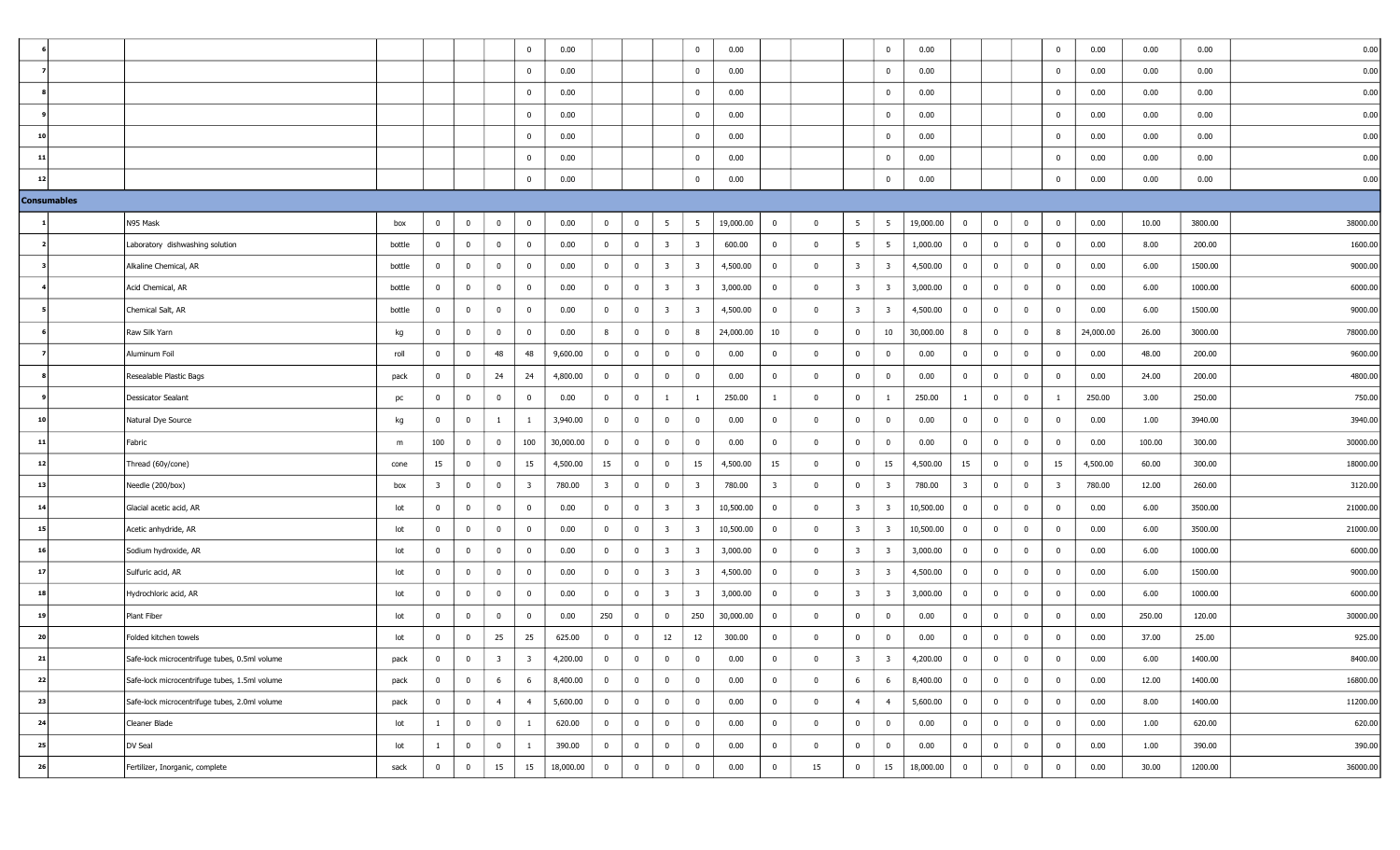|                         |                                               |        |                         |                |                         | $\mathbf{0}$   | 0.00      |                         |                |                         | $\bf{0}$                | 0.00      |                         |                         |                         | $\bf{0}$                | 0.00      |                         |                         |                         | $\bf{0}$                | 0.00      | 0.00   | 0.00    | 0.00     |
|-------------------------|-----------------------------------------------|--------|-------------------------|----------------|-------------------------|----------------|-----------|-------------------------|----------------|-------------------------|-------------------------|-----------|-------------------------|-------------------------|-------------------------|-------------------------|-----------|-------------------------|-------------------------|-------------------------|-------------------------|-----------|--------|---------|----------|
|                         |                                               |        |                         |                |                         | $\mathbf 0$    | 0.00      |                         |                |                         | $\mathbf{0}$            | 0.00      |                         |                         |                         | $\mathbf 0$             | 0.00      |                         |                         |                         | $\mathbf 0$             | 0.00      | 0.00   | 0.00    | 0.00     |
|                         |                                               |        |                         |                |                         | $\mathbf{0}$   | 0.00      |                         |                |                         | $\mathbf{0}$            | 0.00      |                         |                         |                         | $\bf{0}$                | 0.00      |                         |                         |                         | $\mathbf 0$             | 0.00      | 0.00   | 0.00    | 0.00     |
|                         |                                               |        |                         |                |                         | $\mathbf 0$    | 0.00      |                         |                |                         | $\overline{0}$          | 0.00      |                         |                         |                         | $\overline{0}$          | 0.00      |                         |                         |                         | $\bf{0}$                | 0.00      | 0.00   | 0.00    | 0.00     |
| 10                      |                                               |        |                         |                |                         | $\mathbf{0}$   | 0.00      |                         |                |                         | $\mathbf 0$             | 0.00      |                         |                         |                         | $\bf{0}$                | 0.00      |                         |                         |                         | $\mathbf 0$             | 0.00      | 0.00   | 0.00    | 0.00     |
| 11                      |                                               |        |                         |                |                         | $\mathbf 0$    | 0.00      |                         |                |                         | $\bf{0}$                | 0.00      |                         |                         |                         | $\bf{0}$                | 0.00      |                         |                         |                         | $\bf{0}$                | 0.00      | 0.00   | 0.00    | 0.00     |
| 12                      |                                               |        |                         |                |                         | $\overline{0}$ | 0.00      |                         |                |                         | $\bf{0}$                | 0.00      |                         |                         |                         | $\overline{0}$          | 0.00      |                         |                         |                         | $\mathbf 0$             | 0.00      | 0.00   | 0.00    | 0.00     |
| <b>Consumables</b>      |                                               |        |                         |                |                         |                |           |                         |                |                         |                         |           |                         |                         |                         |                         |           |                         |                         |                         |                         |           |        |         |          |
|                         | N95 Mask                                      | box    | $\overline{0}$          | $\bf{0}$       | $\bf{0}$                | $\overline{0}$ | 0.00      | $\bf{0}$                | $\bf{0}$       | $5\overline{5}$         | 5                       | 19,000.00 | $\bf{0}$                | $\overline{0}$          | 5 <sup>5</sup>          | 5                       | 19,000.00 | $\overline{0}$          | $\overline{0}$          | $\bf{0}$                | $\bf{0}$                | 0.00      | 10.00  | 3800.00 | 38000.00 |
| $\overline{\mathbf{2}}$ | Laboratory dishwashing solution               | bottle | $\overline{0}$          | $\mathbf{0}$   | $\bf{0}$                | $\mathbf{0}$   | 0.00      | $\bf{0}$                | $\bf{0}$       | $\overline{\mathbf{3}}$ | $\overline{\mathbf{3}}$ | 600.00    | $\overline{0}$          | $\overline{\mathbf{0}}$ | 5 <sup>5</sup>          | 5                       | 1,000.00  | $\overline{0}$          | $\overline{0}$          | $\overline{0}$          | $\bf{0}$                | 0.00      | 8.00   | 200.00  | 1600.00  |
|                         | Alkaline Chemical, AR                         | bottle | $\mathbf{0}$            | $\overline{0}$ | $\bf{0}$                | $\mathbf 0$    | 0.00      | $\bf{0}$                | $\overline{0}$ | $\overline{\mathbf{3}}$ | $\overline{\mathbf{3}}$ | 4,500.00  | $\bf{0}$                | $\bf{0}$                | $\overline{\mathbf{3}}$ | $\overline{\mathbf{3}}$ | 4,500.00  | $\overline{0}$          | $\overline{0}$          | $\overline{0}$          | $\bf{0}$                | 0.00      | 6.00   | 1500.00 | 9000.00  |
|                         | Acid Chemical, AR                             | bottle | $\overline{0}$          | $\bf{0}$       | $\overline{\mathbf{0}}$ | $\mathbf 0$    | 0.00      | $\bf{0}$                | $\overline{0}$ | $\overline{\mathbf{3}}$ | $\overline{\mathbf{3}}$ | 3,000.00  | $\mathbf 0$             | $\bf{0}$                | $\overline{\mathbf{3}}$ | $\overline{\mathbf{3}}$ | 3,000.00  | $\overline{0}$          | $\overline{0}$          | $\overline{0}$          | $\bf{0}$                | 0.00      | 6.00   | 1000.00 | 6000.00  |
|                         | Chemical Salt, AR                             | bottle | $\overline{0}$          | $\mathbf 0$    | $\bf{0}$                | $\mathbf 0$    | 0.00      | $\bf{0}$                | $\bf{0}$       | $\overline{\mathbf{3}}$ | $\overline{\mathbf{3}}$ | 4,500.00  | $\overline{0}$          | $\overline{0}$          | $\overline{\mathbf{3}}$ | $\overline{\mathbf{3}}$ | 4,500.00  | $\overline{0}$          | $\overline{\mathbf{0}}$ | $\overline{0}$          | $\bf{0}$                | 0.00      | 6.00   | 1500.00 | 9000.00  |
|                         | Raw Silk Yarn                                 | kg     | $\mathbf{0}$            | $\bf{0}$       | $\overline{\mathbf{0}}$ | $\mathbf{0}$   | 0.00      | 8                       | $\bf{0}$       | $\overline{0}$          | 8                       | 24,000.00 | 10                      | $\Omega$                | $\bf{0}$                | 10                      | 30,000.00 | 8                       | $\bf{0}$                | $\bf{0}$                | 8                       | 24,000.00 | 26.00  | 3000.00 | 78000.00 |
|                         | Aluminum Foil                                 | roll   | $\mathbf 0$             | $\bf{0}$       | 48                      | 48             | 9,600.00  | $\overline{0}$          | $\mathbf 0$    | $\overline{0}$          | $\mathbf{0}$            | 0.00      | $^{\circ}$              | $\Omega$                | $\bf{0}$                | $\bf{0}$                | 0.00      | $\overline{0}$          | $\bf{0}$                | $\bf{0}$                | $\bf{0}$                | 0.00      | 48.00  | 200.00  | 9600.00  |
|                         | Resealable Plastic Bags                       | pack   | $\overline{0}$          | $\bf{0}$       | 24                      | 24             | 4,800.00  | $\bf{0}$                | $\bf{0}$       | $\overline{\mathbf{0}}$ | $\bf{0}$                | 0.00      | $\overline{0}$          | $\overline{0}$          | $\bf{0}$                | $\overline{0}$          | 0.00      | $\overline{0}$          | $\overline{\mathbf{0}}$ | $\bf{0}$                | $\mathbf 0$             | 0.00      | 24.00  | 200.00  | 4800.00  |
|                         | Dessicator Sealant                            | pc     | $\mathbf{0}$            | $\bf{0}$       | $\overline{\mathbf{0}}$ | $\mathbf{0}$   | 0.00      | $\bf{0}$                | $\overline{0}$ | -1                      | 1                       | 250.00    | -1                      | $\Omega$                | $\overline{0}$          | 1                       | 250.00    |                         | $\overline{\mathbf{0}}$ | $\bf{0}$                | 1                       | 250.00    | 3.00   | 250.00  | 750.00   |
| 10                      | Natural Dye Source                            | kg     | $\mathbf 0$             | 0              | $\overline{1}$          | $\mathbf{1}$   | 3,940.00  | $\bf{0}$                | $\mathbf 0$    | $\overline{0}$          | $\mathbf 0$             | 0.00      | $\mathbf 0$             | $\Omega$                | $\bf{0}$                | $\mathbf 0$             | 0.00      | $\overline{0}$          | $\overline{\mathbf{0}}$ | $\overline{0}$          | $\bf{0}$                | 0.00      | 1.00   | 3940.00 | 3940.00  |
| 11                      | Fabric                                        | m      | 100                     | $\mathbf 0$    | $\bf{0}$                | 100            | 30,000.00 | $\bf{0}$                | $\bf{0}$       | $\overline{0}$          | $\mathbf{0}$            | 0.00      | $\mathbf{0}$            | $\overline{0}$          | $\bf{0}$                | $\bf{0}$                | 0.00      | $\overline{0}$          | $\overline{\mathbf{0}}$ | $\bf{0}$                | $\bf{0}$                | 0.00      | 100.00 | 300.00  | 30000.00 |
| 12                      | Thread (60y/cone)                             | cone   | 15                      | $\bf{0}$       | $\bf{0}$                | 15             | 4,500.00  | 15                      | $\overline{0}$ | $\overline{0}$          | 15                      | 4,500.00  | 15                      | $\bf{0}$                | $\bf{0}$                | 15                      | 4,500.00  | 15                      | $\overline{\mathbf{0}}$ | $\bf{0}$                | 15                      | 4,500.00  | 60.00  | 300.00  | 18000.00 |
| 13                      | Needle (200/box)                              | box    | $\overline{\mathbf{3}}$ | $\bf{0}$       | $\bf{0}$                | $\overline{3}$ | 780.00    | $\overline{\mathbf{3}}$ | $\bf{0}$       | $\overline{0}$          | $\overline{\mathbf{3}}$ | 780.00    | $\overline{\mathbf{3}}$ | $\overline{\mathbf{0}}$ | $\bf{0}$                | $\overline{\mathbf{3}}$ | 780.00    | $\overline{\mathbf{3}}$ | $\overline{\mathbf{0}}$ | $\bf{0}$                | $\overline{\mathbf{3}}$ | 780.00    | 12.00  | 260.00  | 3120.00  |
| 14                      | Glacial acetic acid, AR                       | lot    | $\mathbf{0}$            | $\overline{0}$ | $\bf{0}$                | $\mathbf{0}$   | 0.00      | $\bf{0}$                | $\overline{0}$ | $\overline{\mathbf{3}}$ | $\overline{\mathbf{3}}$ | 10,500.00 | $\mathbf 0$             | $\bf{0}$                | 3 <sup>7</sup>          | $\overline{\mathbf{3}}$ | 10,500.00 | $\overline{0}$          | $\overline{0}$          | $\bf{0}$                | $\bf{0}$                | 0.00      | 6.00   | 3500.00 | 21000.00 |
| 15                      | Acetic anhydride, AR                          | lot    | $\overline{0}$          | $\mathbf{0}$   | $\bf{0}$                | $\mathbf 0$    | 0.00      | $\overline{0}$          | $\bf{0}$       | $\overline{\mathbf{3}}$ | $\overline{\mathbf{3}}$ | 10,500.00 | $\mathbf 0$             | $\bf{0}$                | $\overline{\mathbf{3}}$ | $\overline{\mathbf{3}}$ | 10,500.00 | $\overline{0}$          | $\mathbf{0}$            | $\overline{\mathbf{0}}$ | $\bf{0}$                | 0.00      | 6.00   | 3500.00 | 21000.00 |
| 16                      | Sodium hydroxide, AR                          | lot    | $\mathbf 0$             | $\mathbf 0$    | $\bf{0}$                | $\Omega$       | 0.00      | $\bf{0}$                | $\mathbf 0$    | $\overline{\mathbf{3}}$ | 3                       | 3,000.00  | $\mathbf 0$             | $\Omega$                | $\overline{\mathbf{3}}$ | $\overline{\mathbf{3}}$ | 3,000.00  | $\overline{0}$          | $\mathbf 0$             | $\bf{0}$                | $\mathbf 0$             | 0.00      | 6.00   | 1000.00 | 6000.00  |
| 17                      | Sulfuric acid, AR                             | lot    | $\mathbf 0$             | $\bf{0}$       | $\bf{0}$                | $\mathbf 0$    | 0.00      | $\bf{0}$                | $\overline{0}$ | $\overline{\mathbf{3}}$ | $\overline{\mathbf{3}}$ | 4,500.00  | $\bf{0}$                | $\bf{0}$                | $\overline{\mathbf{3}}$ | $\overline{\mathbf{3}}$ | 4,500.00  | $\overline{0}$          | $\overline{0}$          | $\bf{0}$                | $\bf{0}$                | 0.00      | 6.00   | 1500.00 | 9000.00  |
| 18                      | Hydrochloric acid, AR                         | lot    | $\overline{0}$          | $\overline{0}$ | $\bf{0}$                | $\mathbf 0$    | 0.00      | $\mathbf{0}$            | $\bf{0}$       | $\overline{\mathbf{3}}$ | $\overline{\mathbf{3}}$ | 3,000.00  | $\bf{0}$                | $\overline{\mathbf{0}}$ | $\overline{\mathbf{3}}$ | $\overline{\mathbf{3}}$ | 3,000.00  | $\overline{0}$          | $\overline{\mathbf{0}}$ | $\bf{0}$                | $\bf{0}$                | 0.00      | 6.00   | 1000.00 | 6000.00  |
| 19                      | Plant Fiber                                   | lot    | $\mathbf{0}$            | $\overline{0}$ | $\bf{0}$                | $\mathbf{0}$   | 0.00      | 250                     | $\bf{0}$       | $\overline{0}$          | 250                     | 30,000.00 | $\bf{0}$                | $\bf{0}$                | $\bf{0}$                | $\bf{0}$                | 0.00      | $\overline{0}$          | $\overline{\mathbf{0}}$ | $\bf{0}$                | $\mathbf 0$             | 0.00      | 250.00 | 120.00  | 30000.00 |
| 20                      | Folded kitchen towels                         | lot    | $\overline{0}$          | 0              | 25                      | 25             | 625.00    | $\bf{0}$                | $\mathbf 0$    | 12                      | 12                      | 300.00    | $^{\circ}$              | $\Omega$                | $\bf{0}$                | $\bf{0}$                | 0.00      | $\bf{0}$                | $\mathbf{0}$            | $\overline{0}$          | $\bf{0}$                | 0.00      | 37.00  | 25.00   | 925.00   |
| 21                      | Safe-lock microcentrifuge tubes, 0.5ml volume | pack   | $\mathbf 0$             | $\bf{0}$       | $\overline{3}$          |                | 4,200.00  | $\mathbf{0}$            | $\mathbf 0$    | $\overline{0}$          | $\mathbf 0$             | 0.00      | $\mathbf 0$             | $\Omega$                | $\overline{3}$          | $\mathbf{3}$            | 4,200.00  | $\mathbf{0}$            | $\mathbf 0$             | $\mathbf 0$             | $\mathbf 0$             | 0.00      | 6.00   | 1400.00 | 8400.00  |
| 22                      | Safe-lock microcentrifuge tubes, 1.5ml volume | pack   | $\overline{0}$          | $\overline{0}$ | 6                       | 6              | 8,400.00  | $\overline{0}$          | $\overline{0}$ | $\overline{0}$          | $\bf{0}$                | 0.00      | $\overline{0}$          | $\bf{0}$                | 6                       | 6                       | 8,400.00  | $\overline{0}$          | $\overline{0}$          | $\bf{0}$                | $\overline{0}$          | 0.00      | 12.00  | 1400.00 | 16800.00 |
| 23                      | Safe-lock microcentrifuge tubes, 2.0ml volume | pack   | $\overline{0}$          | $\overline{0}$ | $\overline{4}$          | $\overline{4}$ | 5,600.00  | $\bf{0}$                | $\overline{0}$ | $\overline{0}$          | $\overline{0}$          | 0.00      | $\bf{0}$                | $\bf{0}$                | 4                       | $\overline{4}$          | 5,600.00  | $\overline{0}$          | $\overline{0}$          | $\overline{0}$          | $\bf{0}$                | 0.00      | 8.00   | 1400.00 | 11200.00 |
| 24                      | Cleaner Blade                                 | lot    | 1                       | $\overline{0}$ | $\overline{0}$          | $\mathbf{1}$   | 620.00    | $\overline{0}$          | $\overline{0}$ | $\overline{0}$          | $\bf{0}$                | 0.00      | $\bf{0}$                | $\bf{0}$                | $\overline{0}$          | $\bf{0}$                | 0.00      | $\overline{0}$          | $\overline{0}$          | $\bf{0}$                | $\overline{0}$          | 0.00      | 1.00   | 620.00  | 620.00   |
| 25                      | DV Seal                                       | lot    | $\mathbf{1}$            | $\bf{0}$       | $\bf{0}$                | $\mathbf{1}$   | 390.00    | $\bf{0}$                | $\bf{0}$       | $\bf{0}$                | $\bf{0}$                | 0.00      | $\overline{0}$          | $\bf{0}$                | $\bf{0}$                | $\mathbf{0}$            | 0.00      | $\overline{0}$          | $\overline{0}$          | $\bf{0}$                | $\overline{0}$          | 0.00      | 1.00   | 390.00  | 390.00   |
| 26                      | Fertilizer, Inorganic, complete               | sack   | $\overline{0}$          | $\bf{0}$       | 15                      | 15             | 18,000.00 | $\overline{0}$          | $\bf{0}$       | $\overline{0}$          | $\overline{0}$          | 0.00      | $\bf{0}$                | 15                      | $\overline{0}$          | 15                      | 18,000.00 | $\overline{0}$          | $\overline{0}$          | $\mathbf 0$             | $\mathbf 0$             | 0.00      | 30.00  | 1200.00 | 36000.00 |
|                         |                                               |        |                         |                |                         |                |           |                         |                |                         |                         |           |                         |                         |                         |                         |           |                         |                         |                         |                         |           |        |         |          |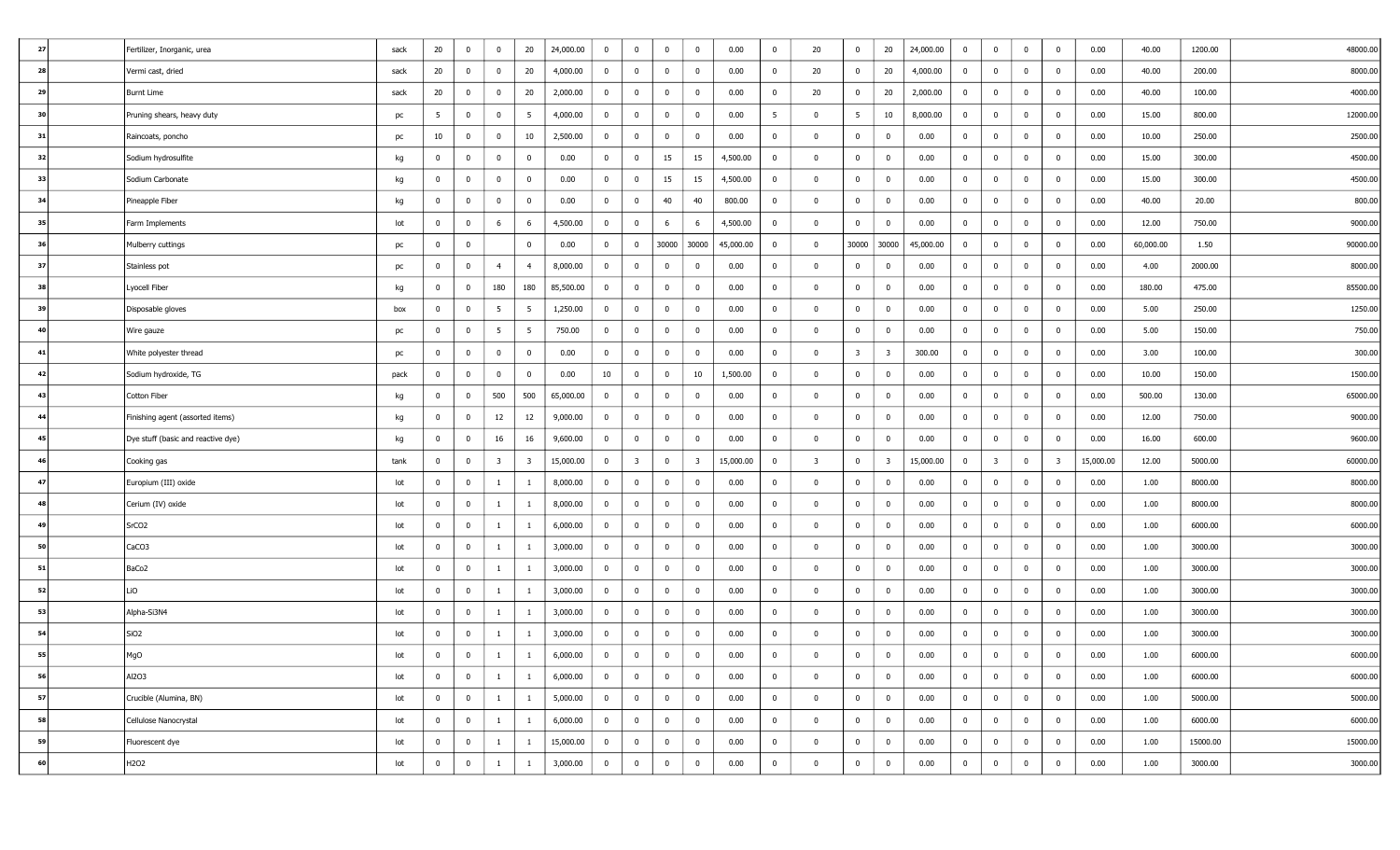| 27 |    | Fertilizer, Inorganic, urea        | sack | 20             | $\overline{\mathbf{0}}$ | $\bf{0}$                | 20             | 24,000.00 | $\bf{0}$       | $\mathbf 0$             | $\overline{0}$          | $\mathbf{0}$            | 0.00      | $\bf{0}$       | 20                      | $\overline{0}$          | 20                      | 24,000.00 | $\overline{0}$ | $\overline{\mathbf{0}}$ | $\bf{0}$       | $\overline{0}$          | 0.00      | 40.00     | 1200.00  | 48000.00 |
|----|----|------------------------------------|------|----------------|-------------------------|-------------------------|----------------|-----------|----------------|-------------------------|-------------------------|-------------------------|-----------|----------------|-------------------------|-------------------------|-------------------------|-----------|----------------|-------------------------|----------------|-------------------------|-----------|-----------|----------|----------|
| 28 |    | Vermi cast, dried                  | sack | 20             | $\overline{\mathbf{0}}$ | $\bf{0}$                | 20             | 4,000.00  | $\bf{0}$       | $\mathbf 0$             | $\overline{0}$          | $\mathbf{0}$            | 0.00      | $^{\circ}$     | 20                      | $\mathbf{0}$            | 20                      | 4,000.00  | $\overline{0}$ | $\overline{0}$          | $\bf{0}$       | $\overline{0}$          | 0.00      | 40.00     | 200.00   | 8000.00  |
| 29 |    | Burnt Lime                         | sack | 20             | $\bf{0}$                | $\bf{0}$                | 20             | 2,000.00  | $\overline{0}$ | $\overline{0}$          | $\overline{0}$          | $\overline{0}$          | 0.00      | $\bf{0}$       | 20                      | $\overline{0}$          | 20                      | 2,000.00  | $\overline{0}$ | $\overline{\mathbf{0}}$ | $\bf{0}$       | $\overline{0}$          | 0.00      | 40.00     | 100.00   | 4000.00  |
| 30 |    | Pruning shears, heavy duty         | pc   | 5              | $\overline{0}$          | $\bf{0}$                | 5              | 4,000.00  | $\bf{0}$       | $\mathbf 0$             | $\overline{0}$          | $\mathbf{0}$            | 0.00      | 5              | $\mathbf 0$             | 5 <sup>5</sup>          | 10                      | 8,000.00  | $\mathbf{0}$   | $\overline{\mathbf{0}}$ | $\mathbf 0$    | $\overline{0}$          | 0.00      | 15.00     | 800.00   | 12000.00 |
| 31 |    | Raincoats, poncho                  | pc   | 10             | $\mathbf 0$             | $\bf{0}$                | 10             | 2,500.00  | $\overline{0}$ | $\mathbf 0$             | $\overline{0}$          | $\overline{0}$          | 0.00      | $\overline{0}$ | $\Omega$                | $\bf{0}$                | 0                       | 0.00      | $\overline{0}$ | $\overline{\mathbf{0}}$ | $\bf{0}$       | $\overline{0}$          | 0.00      | 10.00     | 250.00   | 2500.00  |
| 32 |    | Sodium hydrosulfite                | kg   | $\mathbf{0}$   | $\overline{\mathbf{0}}$ | $\bf{0}$                | $\mathbf 0$    | 0.00      | $\overline{0}$ | $\overline{0}$          | 15                      | 15                      | 4,500.00  | $\bf{0}$       | $\Omega$                | $\overline{0}$          | $\bf{0}$                | 0.00      | $\overline{0}$ | $\overline{\mathbf{0}}$ | $\bf{0}$       | $\overline{0}$          | 0.00      | 15.00     | 300.00   | 4500.00  |
| 33 |    | Sodium Carbonate                   | kg   | $\mathbf 0$    | $\mathbf 0$             | $\bf{0}$                | $\mathbf 0$    | 0.00      | $\overline{0}$ | $\mathbf 0$             | 15                      | 15                      | 4,500.00  | $\mathbf 0$    | $\Omega$                | $\bf{0}$                | $\overline{0}$          | 0.00      | $\overline{0}$ | $\overline{0}$          | $\bf{0}$       | $\overline{0}$          | 0.00      | 15.00     | 300.00   | 4500.00  |
| 34 |    | Pineapple Fiber                    | kg   | $\bf{0}$       | $\mathbf 0$             | $\bf{0}$                | $\mathbf 0$    | 0.00      | $\overline{0}$ | $\overline{\mathbf{0}}$ | 40                      | 40                      | 800.00    | $\overline{0}$ | $\Omega$                | $\bf{0}$                | $\bf{0}$                | 0.00      | $\overline{0}$ | $\overline{0}$          | $\bf{0}$       | $\overline{0}$          | 0.00      | 40.00     | 20.00    | 800.00   |
|    | 35 | Farm Implements                    | lot  | $\mathbf 0$    | $\overline{0}$          | 6                       | -6             | 4,500.00  | $\bf{0}$       | 0                       | 6                       | 6                       | 4,500.00  | $^{\circ}$     | $\Omega$                | $\bf{0}$                | $^{\circ}$              | 0.00      | $\mathbf{0}$   | $\overline{\mathbf{0}}$ | $\mathbf 0$    | $\overline{0}$          | 0.00      | 12.00     | 750.00   | 9000.00  |
| 36 |    | Mulberry cuttings                  | pc   | $\bf{0}$       | 0                       |                         | $\mathbf{0}$   | 0.00      | $\bf{0}$       | $\bf{0}$                | 30000                   | 30000                   | 45,000.00 | $\bf{0}$       | $\bf{0}$                |                         | 30000 30000             | 45,000.00 | $\overline{0}$ | $\overline{\mathbf{0}}$ | $\overline{0}$ | $\overline{0}$          | 0.00      | 60,000.00 | 1.50     | 90000.00 |
| 37 |    | Stainless pot                      | pc   | $\mathbf{0}$   | $\overline{0}$          | $\overline{4}$          | $\overline{4}$ | 8,000.00  | $\bf{0}$       | $\mathbf 0$             | $\overline{0}$          | $\mathbf{0}$            | 0.00      | $\bf{0}$       | $\Omega$                | $\overline{0}$          | $\bf{0}$                | 0.00      | $\overline{0}$ | $\overline{\mathbf{0}}$ | $\mathbf 0$    | $\overline{0}$          | 0.00      | 4.00      | 2000.00  | 8000.00  |
|    | 38 | Lyocell Fiber                      | kg   | $\mathbf 0$    | $\overline{\mathbf{0}}$ | 180                     | 180            | 85,500.00 | $\bf{0}$       | $\mathbf 0$             | $\overline{0}$          | $\mathbf{0}$            | 0.00      | $\mathbf 0$    | $\Omega$                | $\bf{0}$                | $\mathbf 0$             | 0.00      | $\mathbf{0}$   | $\overline{\mathbf{0}}$ | $\bf{0}$       | $\overline{0}$          | 0.00      | 180.00    | 475.00   | 85500.00 |
| 39 |    | Disposable gloves                  | box  | $\overline{0}$ | $\bf{0}$                | $5\overline{5}$         | 5              | 1,250.00  | $\bf{0}$       | $\overline{0}$          | $\overline{0}$          | $\overline{0}$          | 0.00      | $\overline{0}$ | $\Omega$                | $\overline{0}$          | $\overline{0}$          | 0.00      | $\overline{0}$ | $\overline{\mathbf{0}}$ | $\bf{0}$       | $\overline{0}$          | 0.00      | 5.00      | 250.00   | 1250.00  |
| 40 |    | Wire gauze                         | pc   | $\mathbf 0$    | $\overline{0}$          | $5\overline{5}$         | 5              | 750.00    | $\bf{0}$       | $\overline{0}$          | $\overline{0}$          | $\mathbf 0$             | 0.00      | $^{\circ}$     | $\bf{0}$                | $\bf{0}$                | $\bf{0}$                | 0.00      | $\overline{0}$ | $\overline{\mathbf{0}}$ | $\bf{0}$       | $\overline{0}$          | 0.00      | 5.00      | 150.00   | 750.00   |
|    | 41 | White polyester thread             | pc   | $\bf{0}$       | 0                       | $\bf{0}$                | $^{\circ}$     | 0.00      | $\overline{0}$ | $\mathbf 0$             | $\overline{0}$          | $\mathbf{0}$            | 0.00      | $\overline{0}$ | $\Omega$                | $\overline{\mathbf{3}}$ | $\overline{\mathbf{3}}$ | 300.00    | $\overline{0}$ | $\overline{\mathbf{0}}$ | $\bf{0}$       | $\overline{0}$          | 0.00      | 3.00      | 100.00   | 300.00   |
|    | 42 | Sodium hydroxide, TG               | pack | $\overline{0}$ | $\overline{\mathbf{0}}$ | $\bf{0}$                | $\mathbf 0$    | 0.00      | 10             | $\overline{\mathbf{0}}$ | $\overline{0}$          | 10                      | 1,500.00  | $\overline{0}$ | $\overline{0}$          | $\bf{0}$                | $\bf{0}$                | 0.00      | $\overline{0}$ | $\overline{\mathbf{0}}$ | $\bf{0}$       | $\overline{0}$          | 0.00      | 10.00     | 150.00   | 1500.00  |
|    | 43 | Cotton Fiber                       | kg   | $\mathbf 0$    | $\mathbf 0$             | 500                     | 500            | 65,000.00 | $\bf{0}$       | $\mathbf 0$             | $\overline{0}$          | $\mathbf{0}$            | 0.00      | $\mathbf 0$    | $\Omega$                | $\bf{0}$                | $\bf{0}$                | 0.00      | $\mathbf{0}$   | $\overline{\mathbf{0}}$ | $\bf{0}$       | $\overline{0}$          | 0.00      | 500.00    | 130.00   | 65000.00 |
| 44 |    | Finishing agent (assorted items)   | kg   | $\overline{0}$ | $\overline{0}$          | 12                      | 12             | 9,000.00  | $\bf{0}$       | $\overline{0}$          | $\overline{0}$          | $\mathbf 0$             | 0.00      | $\bf{0}$       | $\Omega$                | $\bf{0}$                | $\bf{0}$                | 0.00      | $\overline{0}$ | $\overline{0}$          | $\bf{0}$       | $\overline{0}$          | 0.00      | 12.00     | 750.00   | 9000.00  |
|    | 45 | Dye stuff (basic and reactive dye) | kg   | $\mathbf 0$    | $\overline{0}$          | 16                      | 16             | 9,600.00  | $\bf{0}$       | $\overline{0}$          | $\overline{0}$          | $\mathbf 0$             | 0.00      | $^{\circ}$     | $\Omega$                | $\bf{0}$                | $\mathbf 0$             | 0.00      | $\overline{0}$ | $\overline{\mathbf{0}}$ | $\bf{0}$       | $\overline{0}$          | 0.00      | 16.00     | 600.00   | 9600.00  |
| 46 |    | Cooking gas                        | tank | $\overline{0}$ | $\mathbf 0$             | $\overline{\mathbf{3}}$ | 3              | 15,000.00 | $\overline{0}$ | $\overline{\mathbf{3}}$ | $\overline{\mathbf{0}}$ | $\overline{\mathbf{3}}$ | 15,000.00 | $\bf{0}$       | $\overline{\mathbf{3}}$ | $\bf{0}$                | $\overline{\mathbf{3}}$ | 15,000.00 | $\overline{0}$ | $\overline{\mathbf{3}}$ | $\bf{0}$       | $\overline{\mathbf{3}}$ | 15,000.00 | 12.00     | 5000.00  | 60000.00 |
| 47 |    | Europium (III) oxide               | lot  | $\overline{0}$ | $\mathbf 0$             | -1                      | -1             | 8,000.00  | $\bf{0}$       | $\mathbf 0$             | $\overline{0}$          | $\mathbf{0}$            | 0.00      | $\overline{0}$ | $\mathbf{0}$            | $\overline{0}$          | $\bf{0}$                | 0.00      | $\overline{0}$ | $\overline{\mathbf{0}}$ | $\bf{0}$       | $\overline{0}$          | 0.00      | 1.00      | 8000.00  | 8000.00  |
|    | 48 | Cerium (IV) oxide                  | lot  | $\mathbf 0$    | 0                       | $\mathbf{1}$            | -1             | 8,000.00  | $\bf{0}$       | $\mathbf 0$             | $\overline{0}$          | $\mathbf{0}$            | 0.00      | $\mathbf 0$    | $\Omega$                | $\bf{0}$                | $\mathbf 0$             | 0.00      | $\mathbf{0}$   | $\overline{\mathbf{0}}$ | $\bf{0}$       | $\overline{0}$          | 0.00      | 1.00      | 8000.00  | 8000.00  |
| 49 |    | SrCO <sub>2</sub>                  | lot  | $\mathbf 0$    | $\bf{0}$                | $\mathbf{1}$            | -1             | 6,000.00  | $\bf{0}$       | $\overline{0}$          | $\overline{0}$          | $\mathbf{0}$            | 0.00      | $\bf{0}$       | $\Omega$                | $\overline{0}$          | $\mathbf{0}$            | 0.00      | $\overline{0}$ | $\overline{0}$          | $\bf{0}$       | $\overline{0}$          | 0.00      | 1.00      | 6000.00  | 6000.00  |
|    | 50 | CaCO3                              | lot  | $\mathbf 0$    | $\overline{0}$          | $\mathbf{1}$            | -1             | 3,000.00  | $\bf{0}$       | $\mathbf 0$             | $\overline{0}$          | $\mathbf 0$             | 0.00      | $^{\circ}$     | $\mathbf{0}$            | $\bf{0}$                | $\bf{0}$                | 0.00      | $\overline{0}$ | $\overline{\mathbf{0}}$ | $\bf{0}$       | $\overline{0}$          | 0.00      | 1.00      | 3000.00  | 3000.00  |
|    | 51 | BaCo <sub>2</sub>                  | lot  | $\bf{0}$       | $\overline{0}$          | $\mathbf{1}$            | -1             | 3,000.00  | $\bf{0}$       | $\overline{0}$          | $\overline{0}$          | $\mathbf 0$             | 0.00      | $\bf{0}$       | $\Omega$                | $\bf{0}$                | $\mathbf 0$             | 0.00      | $\overline{0}$ | $\overline{\mathbf{0}}$ | $\bf{0}$       | $\overline{0}$          | 0.00      | 1.00      | 3000.00  | 3000.00  |
|    | 52 | LiO                                | lot  | $\overline{0}$ | $\overline{0}$          | -1                      | -1             | 3,000.00  | $\bf{0}$       | $\mathbf 0$             | $\overline{0}$          | $\mathbf 0$             | 0.00      | $\overline{0}$ | $\Omega$                | $\overline{0}$          | $\bf{0}$                | 0.00      | $\overline{0}$ | $\overline{\mathbf{0}}$ | $\bf{0}$       | $\overline{0}$          | 0.00      | 1.00      | 3000.00  | 3000.00  |
|    | 53 | Alpha-Si3N4                        | lot  | $\overline{0}$ | $\overline{\mathbf{0}}$ | $\mathbf{1}$            | -1             | 3,000.00  | $\bf{0}$       | $\bf{0}$                | $\overline{0}$          | $\mathbf 0$             | 0.00      | $\overline{0}$ | $\overline{\mathbf{0}}$ | $\bf{0}$                | $\bf{0}$                | 0.00      | $\overline{0}$ | $\overline{\mathbf{0}}$ | $\bf{0}$       | $\overline{0}$          | 0.00      | 1.00      | 3000.00  | 3000.00  |
|    | 54 | SiO <sub>2</sub>                   | lot  | $\mathbf 0$    | $\overline{\mathbf{0}}$ | $\mathbf{1}$            | -1             | 3,000.00  | $\overline{0}$ | $\mathbf 0$             | $\overline{0}$          | $\mathbf{0}$            | 0.00      | $\mathbf 0$    | $\Omega$                | $\bf{0}$                | $\mathbf 0$             | 0.00      | $\mathbf{0}$   | $\overline{\mathbf{0}}$ | $\bf{0}$       | $\overline{0}$          | 0.00      | 1.00      | 3000.00  | 3000.00  |
|    | 55 | MgO                                | lot  | $^{\circ}$     | $\mathbf 0$             | $\mathbf{1}$            | -1             | 6,000.00  | $\mathbf{0}$   | $\mathbf 0$             | $\overline{0}$          | $\mathbf{0}$            | 0.00      | $\mathbf 0$    | $\Omega$                | $\mathbf 0$             | $^{\circ}$              | 0.00      | $^{\circ}$     | $\overline{0}$          | $\bf{0}$       | $\mathbf 0$             | 0.00      | 1.00      | 6000.00  | 6000.00  |
|    | 56 | Al2O3                              | lot  | $\overline{0}$ | $\overline{0}$          | $\mathbf{1}$            | $\mathbf{1}$   | 6,000.00  | $\bf{0}$       | $\bf{0}$                | $\overline{0}$          | $\bf{0}$                | 0.00      | $\bf{0}$       | $\overline{0}$          | $\overline{0}$          | $\mathbf{0}$            | 0.00      | $\overline{0}$ | $\overline{\mathbf{0}}$ | $\overline{0}$ | $\overline{0}$          | 0.00      | 1.00      | 6000.00  | 6000.00  |
|    | 57 | Crucible (Alumina, BN)             | lot  | $\overline{0}$ | $\bf{0}$                | $\mathbf{1}$            | $\mathbf{1}$   | 5,000.00  | $\overline{0}$ | $\overline{0}$          | $\mathbf{0}$            | $\bf{0}$                | 0.00      | $\overline{0}$ | $\bf{0}$                | $\overline{0}$          | $\mathbf{0}$            | 0.00      | $\bf{0}$       | $\overline{0}$          | $\overline{0}$ | $\overline{0}$          | 0.00      | 1.00      | 5000.00  | 5000.00  |
|    | 58 | Cellulose Nanocrystal              | lot  | $\mathbf{0}$   | $\bf{0}$                | $\mathbf{1}$            | $\mathbf{1}$   | 6,000.00  | $\bf{0}$       | $\overline{0}$          | $\overline{0}$          | $\bf{0}$                | 0.00      | $\overline{0}$ | $\overline{\mathbf{0}}$ | $\bf{0}$                | $\mathbf{0}$            | 0.00      | $\overline{0}$ | $\overline{0}$          | $\bf{0}$       | $\overline{0}$          | 0.00      | 1.00      | 6000.00  | 6000.00  |
|    | 59 | Fluorescent dye                    | lot  | $\overline{0}$ | $\overline{\mathbf{0}}$ | $\mathbf{1}$            | $\mathbf{1}$   | 15,000.00 | $\overline{0}$ | $\overline{0}$          | $\overline{0}$          | $\bf{0}$                | 0.00      | $\bf{0}$       | $\mathbf{0}$            | $\overline{0}$          | $\mathbf{0}$            | 0.00      | $\overline{0}$ | $\overline{0}$          | $\bf{0}$       | $\overline{0}$          | 0.00      | 1.00      | 15000.00 | 15000.00 |
|    | 60 | H <sub>2</sub> O <sub>2</sub>      | lot  | $\mathbf{0}$   | $\mathbf 0$             | $\mathbf{1}$            | $\mathbf{1}$   | 3,000.00  | $\bf{0}$       | $\bf{0}$                | $\overline{0}$          | $\bf{0}$                | 0.00      | $\overline{0}$ | $\mathbf{0}$            | $\overline{0}$          | $\overline{0}$          | 0.00      | $\overline{0}$ | $\overline{0}$          | $\mathbf 0$    | $\overline{0}$          | 0.00      | 1.00      | 3000.00  | 3000.00  |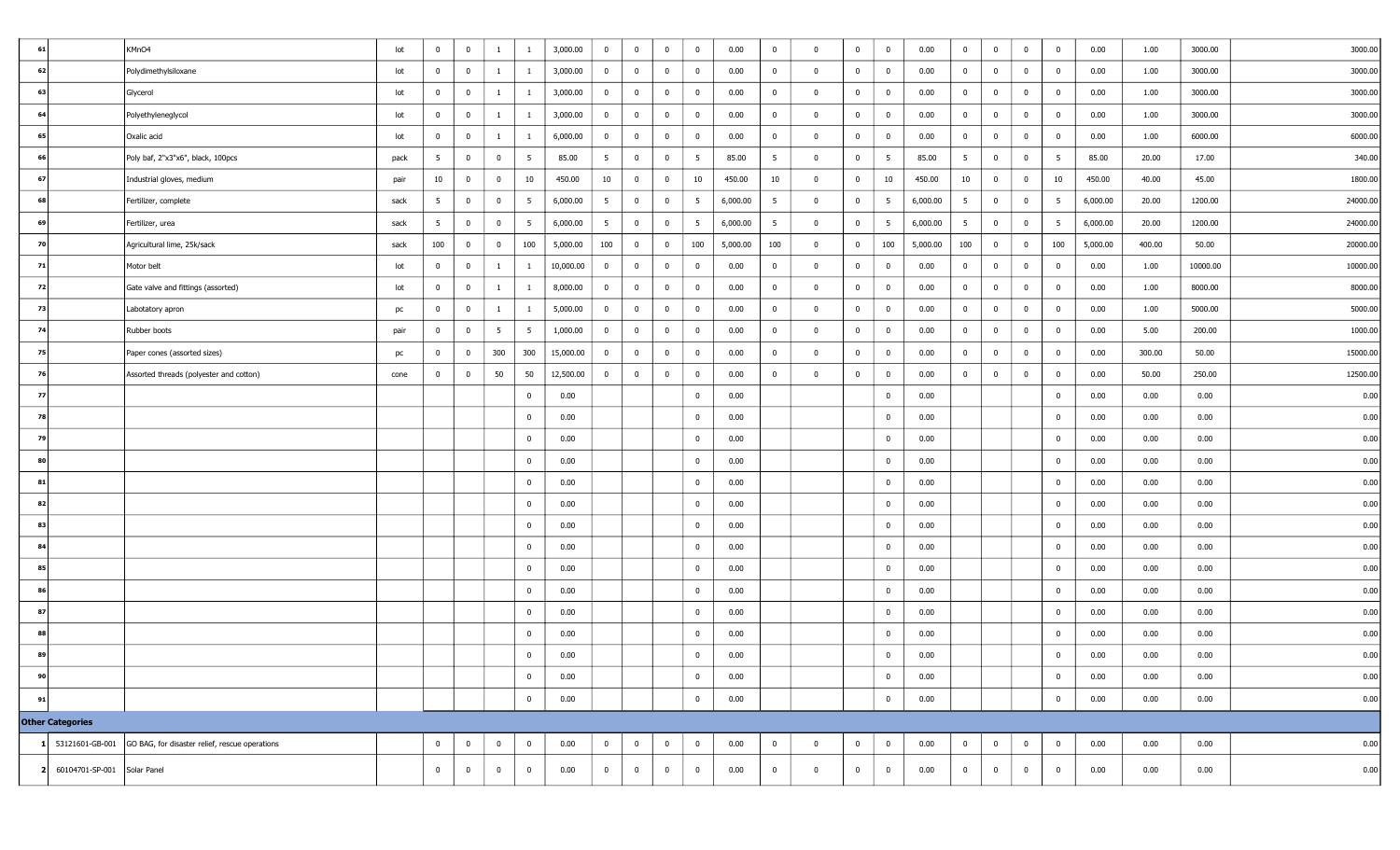| 61 |                               | KMnO4                                                          | lot  | $\overline{0}$ | $\bf{0}$                | $\mathbf{1}$    | $\mathbf{1}$   | 3,000.00  | $\bf{0}$        | $\bf{0}$       | $\mathbf 0$    | $\bf{0}$        | 0.00     | $\overline{0}$ | $\Omega$     | $\bf{0}$       | $\overline{0}$  | 0.00     | $\overline{0}$ | $\overline{0}$          | $\mathbf{0}$   | $\bf{0}$        | 0.00     | 1.00   | 3000.00  | 3000.00  |
|----|-------------------------------|----------------------------------------------------------------|------|----------------|-------------------------|-----------------|----------------|-----------|-----------------|----------------|----------------|-----------------|----------|----------------|--------------|----------------|-----------------|----------|----------------|-------------------------|----------------|-----------------|----------|--------|----------|----------|
| 62 |                               | Polydimethylsiloxane                                           | lot  | $\overline{0}$ | $\overline{\mathbf{0}}$ | $\mathbf{1}$    | $\mathbf{1}$   | 3,000.00  | $\overline{0}$  | $\bf{0}$       | $\overline{0}$ | $\bf{0}$        | 0.00     | $\bf{0}$       | $^{\circ}$   | $\bf{0}$       | $\overline{0}$  | 0.00     | $\overline{0}$ | $\overline{\mathbf{0}}$ | $\mathbf{0}$   | $\bf{0}$        | 0.00     | 1.00   | 3000.00  | 3000.00  |
| 63 |                               | Glycerol                                                       | lot  | $\mathbf{0}$   | $\mathbf 0$             | $\mathbf{1}$    | $\mathbf{1}$   | 3,000.00  | $\overline{0}$  | $\overline{0}$ | $\overline{0}$ | $\bf{0}$        | 0.00     | $\overline{0}$ | $\mathbf 0$  | $\mathbf 0$    | $\overline{0}$  | 0.00     | $\overline{0}$ | $\overline{0}$          | $\overline{0}$ | $\bf{0}$        | 0.00     | 1.00   | 3000.00  | 3000.00  |
| 64 |                               | Polyethyleneglycol                                             | lot  | $\overline{0}$ | $\bf{0}$                | $\mathbf{1}$    | -1             | 3,000.00  | $\overline{0}$  | $\overline{0}$ | $\overline{0}$ | $\bf{0}$        | 0.00     | $\overline{0}$ | $\mathbf 0$  | $\overline{0}$ | $\overline{0}$  | 0.00     | $\overline{0}$ | $\overline{0}$          | $\overline{0}$ | $\bf{0}$        | 0.00     | 1.00   | 3000.00  | 3000.00  |
| 65 |                               | Oxalic acid                                                    | lot  | $\overline{0}$ | $\overline{\mathbf{0}}$ | -1              | -1             | 6,000.00  | $\bf{0}$        | $\bf{0}$       | $\overline{0}$ | $\bf{0}$        | 0.00     | $\bf{0}$       | $\Omega$     | $\bf{0}$       | $\overline{0}$  | 0.00     | $\overline{0}$ | $\mathbf{0}$            | $\overline{0}$ | $\bf{0}$        | 0.00     | 1.00   | 6000.00  | 6000.00  |
| 66 |                               | Poly baf, 2"x3"x6", black, 100pcs                              | pack | 5              | $\overline{0}$          | $\overline{0}$  | 5              | 85.00     | $5\overline{5}$ | $\overline{0}$ | $\mathbf 0$    | $5\overline{5}$ | 85.00    | $5^{\circ}$    | $\Omega$     | $\bf{0}$       | $5\overline{5}$ | 85.00    | $5^{\circ}$    | $\overline{0}$          | $\mathbf{0}$   | $5\overline{5}$ | 85.00    | 20.00  | 17.00    | 340.00   |
| 67 |                               | Industrial gloves, medium                                      | pair | 10             | 0                       | $\overline{0}$  | 10             | 450.00    | 10              | $\bf{0}$       | $\mathbf 0$    | 10              | 450.00   | 10             | $\Omega$     | $\overline{0}$ | 10              | 450.00   | 10             | $\overline{\mathbf{0}}$ | $\overline{0}$ | 10              | 450.00   | 40.00  | 45.00    | 1800.00  |
| 68 |                               | Fertilizer, complete                                           | sack | 5              | $\overline{\mathbf{0}}$ | $\bf{0}$        | 5              | 6,000.00  | $5\overline{5}$ | $\bf{0}$       | $\mathbf 0$    | 5               | 6,000.00 | 5              | $^{\circ}$   | $\mathbf 0$    | 5               | 6,000.00 | 5              | $\overline{0}$          | $\mathbf{0}$   | 5               | 6,000.00 | 20.00  | 1200.00  | 24000.00 |
| 69 |                               | Fertilizer, urea                                               | sack | 5 <sup>5</sup> | $\overline{\mathbf{0}}$ | $\bf{0}$        | 5              | 6,000.00  | $5\overline{5}$ | $\overline{0}$ | $\mathbf 0$    | 5               | 6,000.00 | 5 <sup>5</sup> | $\Omega$     | $\bf{0}$       | 5               | 6,000.00 | 5 <sup>5</sup> | $\overline{0}$          | $\bf{0}$       | 5               | 6,000.00 | 20.00  | 1200.00  | 24000.00 |
| 70 |                               | Agricultural lime, 25k/sack                                    | sack | 100            | $\overline{\mathbf{0}}$ | $\overline{0}$  | 100            | 5,000.00  | 100             | $\overline{0}$ | $\overline{0}$ | 100             | 5,000.00 | 100            | $^{\circ}$   | $\overline{0}$ | 100             | 5,000.00 | 100            | $\overline{0}$          | $\overline{0}$ | 100             | 5,000.00 | 400.00 | 50.00    | 20000.00 |
| 71 |                               | Motor belt                                                     | lot  | $\overline{0}$ | $\bf{0}$                | -1              | 1              | 10,000.00 | $\bf{0}$        | $\bf{0}$       | $\mathbf 0$    | $\bf{0}$        | 0.00     | $\mathbf 0$    | $\Omega$     | $\bf{0}$       | $\overline{0}$  | 0.00     | $\overline{0}$ | $\mathbf{0}$            | $\bf{0}$       | $\bf{0}$        | 0.00     | 1.00   | 10000.00 | 10000.00 |
| 72 |                               | Gate valve and fittings (assorted)                             | lot  | $\overline{0}$ | $\mathbf 0$             | -1              | -1             | 8,000.00  | $\bf{0}$        | $\bf{0}$       | $\mathbf 0$    | $\bf{0}$        | 0.00     | $\bf{0}$       | $\Omega$     | $\bf{0}$       | $\overline{0}$  | 0.00     | $\overline{0}$ | $\bf{0}$                | $\overline{0}$ | $\bf{0}$        | 0.00     | 1.00   | 8000.00  | 8000.00  |
| 73 |                               | Labotatory apron                                               | pc   | $\bf{0}$       | $\mathbf 0$             | -1              | -1             | 5,000.00  | $\bf{0}$        | $\bf{0}$       | $\overline{0}$ | $\bf{0}$        | 0.00     | $\overline{0}$ | $\Omega$     | $\mathbf 0$    | $\overline{0}$  | 0.00     | $\overline{0}$ | $\bf{0}$                | $\bf{0}$       | $\bf{0}$        | 0.00     | 1.00   | 5000.00  | 5000.00  |
| 74 |                               | Rubber boots                                                   | pair | $\overline{0}$ | $\overline{\mathbf{0}}$ | $5\overline{5}$ | 5              | 1,000.00  | $\overline{0}$  | $\bf{0}$       | $\mathbf 0$    | $\bf{0}$        | 0.00     | $\overline{0}$ | $\Omega$     | $\bf{0}$       | $\overline{0}$  | 0.00     | $\bf{0}$       | $\overline{\mathbf{0}}$ | $\bf{0}$       | $\mathbf 0$     | 0.00     | 5.00   | 200.00   | 1000.00  |
| 75 |                               | Paper cones (assorted sizes)                                   | pc   | $\overline{0}$ | $\mathbf 0$             | 300             | 300            | 15,000.00 | $\bf{0}$        | $\bf{0}$       | $\bf{0}$       | $\bf{0}$        | 0.00     | $\overline{0}$ | $\Omega$     | $\bf{0}$       | $\overline{0}$  | 0.00     | $\overline{0}$ | $\overline{0}$          | $\bf{0}$       | $\bf{0}$        | 0.00     | 300.00 | 50.00    | 15000.00 |
| 76 |                               | Assorted threads (polyester and cotton)                        | cone | $\overline{0}$ | $\mathbf 0$             | 50              | 50             | 12,500.00 | $\mathbf{0}$    | $\bf{0}$       | $\mathbf 0$    | $\overline{0}$  | 0.00     | $\bf{0}$       | $\Omega$     | $\bf{0}$       | $\overline{0}$  | 0.00     | $\overline{0}$ | $\overline{\mathbf{0}}$ | $\bf{0}$       | $\bf{0}$        | 0.00     | 50.00  | 250.00   | 12500.00 |
| 77 |                               |                                                                |      |                |                         |                 | $\bf{0}$       | 0.00      |                 |                |                | $\bf{0}$        | 0.00     |                |              |                | $\mathbf{0}$    | 0.00     |                |                         |                | $\bf{0}$        | 0.00     | 0.00   | 0.00     | 0.00     |
| 78 |                               |                                                                |      |                |                         |                 | $\bf{0}$       | 0.00      |                 |                |                | $\bf{0}$        | 0.00     |                |              |                | $\mathbf{0}$    | 0.00     |                |                         |                | $\mathbf 0$     | 0.00     | 0.00   | 0.00     | 0.00     |
| 79 |                               |                                                                |      |                |                         |                 | $\mathbf{0}$   | 0.00      |                 |                |                | $\mathbf 0$     | 0.00     |                |              |                | $\mathbf 0$     | 0.00     |                |                         |                | $\mathbf 0$     | 0.00     | 0.00   | 0.00     | 0.00     |
| 80 |                               |                                                                |      |                |                         |                 | $\overline{0}$ | 0.00      |                 |                |                | $\bf{0}$        | 0.00     |                |              |                | $\overline{0}$  | 0.00     |                |                         |                | $\bf{0}$        | 0.00     | 0.00   | 0.00     | 0.00     |
| 81 |                               |                                                                |      |                |                         |                 | $\overline{0}$ | 0.00      |                 |                |                | $\bf{0}$        | 0.00     |                |              |                | $\mathbf{0}$    | 0.00     |                |                         |                | $\mathbf 0$     | 0.00     | 0.00   | 0.00     | 0.00     |
| 82 |                               |                                                                |      |                |                         |                 | $\overline{0}$ | 0.00      |                 |                |                | $\overline{0}$  | 0.00     |                |              |                | $\mathbf{0}$    | 0.00     |                |                         |                | $\bf{0}$        | 0.00     | 0.00   | 0.00     | 0.00     |
| 83 |                               |                                                                |      |                |                         |                 | $\overline{0}$ | 0.00      |                 |                |                | $\bf{0}$        | 0.00     |                |              |                | $\bf{0}$        | 0.00     |                |                         |                | $\bf{0}$        | 0.00     | 0.00   | 0.00     | 0.00     |
| 84 |                               |                                                                |      |                |                         |                 | $\overline{0}$ | 0.00      |                 |                |                | $\mathbf 0$     | 0.00     |                |              |                | $\mathbf{0}$    | 0.00     |                |                         |                | $\mathbf 0$     | 0.00     | 0.00   | 0.00     | 0.00     |
| 85 |                               |                                                                |      |                |                         |                 | $\overline{0}$ | 0.00      |                 |                |                | $\bf{0}$        | 0.00     |                |              |                | $\bf{0}$        | 0.00     |                |                         |                | $\bf{0}$        | 0.00     | 0.00   | 0.00     | 0.00     |
| 86 |                               |                                                                |      |                |                         |                 | $\mathbf 0$    | 0.00      |                 |                |                | $\bf{0}$        | 0.00     |                |              |                | $\mathbf 0$     | 0.00     |                |                         |                | $\mathbf 0$     | 0.00     | 0.00   | 0.00     | 0.00     |
| 87 |                               |                                                                |      |                |                         |                 | $\overline{0}$ | 0.00      |                 |                |                | $\bf{0}$        | 0.00     |                |              |                | $\mathbf{0}$    | 0.00     |                |                         |                | $\mathbf 0$     | 0.00     | 0.00   | 0.00     | 0.00     |
|    |                               |                                                                |      |                |                         |                 | $\mathbf{0}$   | 0.00      |                 |                |                | $\bf{0}$        | 0.00     |                |              |                | $\mathbf 0$     | 0.00     |                |                         |                | $\mathbf 0$     | 0.00     | 0.00   | 0.00     | 0.00     |
| 89 |                               |                                                                |      |                |                         |                 | $\mathbf 0$    | 0.00      |                 |                |                | $\mathbf 0$     | 0.00     |                |              |                | $\mathbf 0$     | 0.00     |                |                         |                | $\overline{0}$  | 0.00     | 0.00   | 0.00     | 0.00     |
| 90 |                               |                                                                |      |                |                         |                 | $\overline{0}$ | 0.00      |                 |                |                | $\overline{0}$  | 0.00     |                |              |                | $\bf{0}$        | 0.00     |                |                         |                | $\bf{0}$        | 0.00     | 0.00   | 0.00     | 0.00     |
| 91 |                               |                                                                |      |                |                         |                 | $\overline{0}$ | 0.00      |                 |                |                | $\overline{0}$  | 0.00     |                |              |                | $\bf{0}$        | 0.00     |                |                         |                | $\overline{0}$  | 0.00     | 0.00   | 0.00     | 0.00     |
|    | <b>Other Categories</b>       |                                                                |      |                |                         |                 |                |           |                 |                |                |                 |          |                |              |                |                 |          |                |                         |                |                 |          |        |          |          |
|    |                               | 53121601-GB-001 GO BAG, for disaster relief, rescue operations |      | $\overline{0}$ | $\bf{0}$                | $\bf{0}$        | $\overline{0}$ | 0.00      | $\bf{0}$        | $\overline{0}$ | $\overline{0}$ | $\bf{0}$        | 0.00     | $\bf{0}$       | $\mathbf{0}$ | $\overline{0}$ | $\bf{0}$        | 0.00     | $\bf{0}$       | $\overline{0}$          | $\bf{0}$       | $\overline{0}$  | 0.00     | 0.00   | 0.00     | 0.00     |
|    | 2 60104701-SP-001 Solar Panel |                                                                |      | $\overline{0}$ | $\bf{0}$                | $\bf{0}$        | $\overline{0}$ | 0.00      | $\bf{0}$        | $\bf{0}$       | $\overline{0}$ | $\bf{0}$        | 0.00     | $\overline{0}$ | $^{\circ}$   | $\overline{0}$ | $\overline{0}$  | 0.00     | $\bf{0}$       | $\bf{0}$                | $\bf{0}$       | $\overline{0}$  | 0.00     | 0.00   | 0.00     | 0.00     |
|    |                               |                                                                |      |                |                         |                 |                |           |                 |                |                |                 |          |                |              |                |                 |          |                |                         |                |                 |          |        |          |          |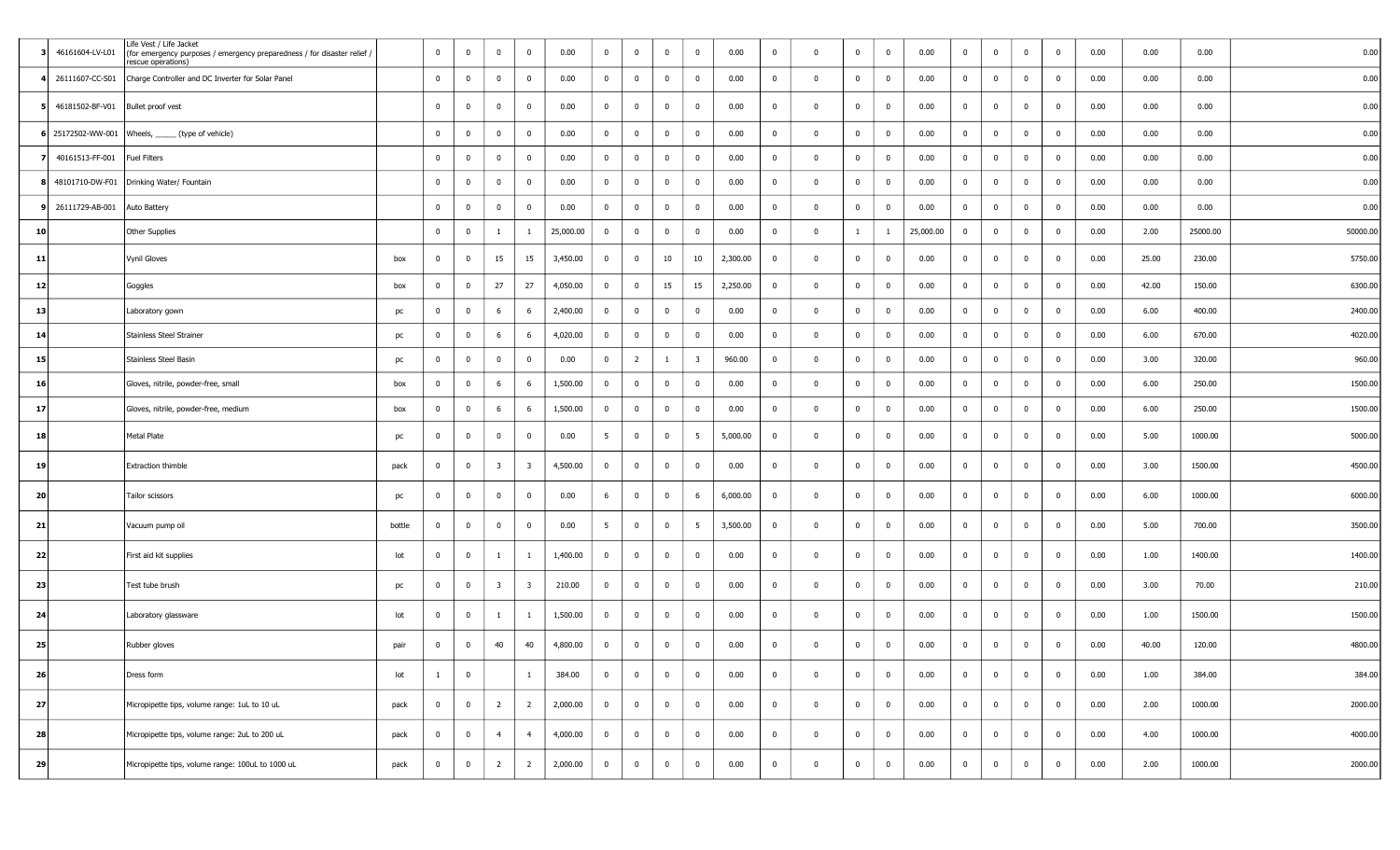|    | 46161604-LV-L01                   | Life Vest / Life Jacket<br>(for emergency purposes / emergency preparedness / for disaster relief /<br>rescue operations) |        | $\overline{0}$ | $\mathbf 0$             | $\overline{0}$          | $\mathbf{0}$            | 0.00      | $\overline{0}$ | $\bf{0}$                | $\mathbf 0$    | $\bf{0}$                | 0.00     | $\bf{0}$       | $\Omega$    | $\mathbf{0}$ | $\bf{0}$       | 0.00      | $\bf{0}$       | $\overline{0}$          | $\overline{0}$ | $\mathbf 0$    | 0.00 | 0.00  | 0.00     | 0.00     |
|----|-----------------------------------|---------------------------------------------------------------------------------------------------------------------------|--------|----------------|-------------------------|-------------------------|-------------------------|-----------|----------------|-------------------------|----------------|-------------------------|----------|----------------|-------------|--------------|----------------|-----------|----------------|-------------------------|----------------|----------------|------|-------|----------|----------|
|    | 26111607-CC-S01                   | Charge Controller and DC Inverter for Solar Panel                                                                         |        | $\overline{0}$ | $\mathbf 0$             | $\overline{0}$          | $\mathbf{0}$            | 0.00      | $\overline{0}$ | $\overline{0}$          | $\overline{0}$ | $\bf{0}$                | 0.00     | $\bf{0}$       | $\mathbf 0$ | $\mathbf{0}$ | $\bf{0}$       | 0.00      | $\bf{0}$       | $\overline{0}$          | $\overline{0}$ | $\overline{0}$ | 0.00 | 0.00  | 0.00     | 0.00     |
|    | 46181502-BF-V01 Bullet proof vest |                                                                                                                           |        | $\mathbf{0}$   | $\mathbf 0$             | $\mathbf 0$             | $\mathbf{0}$            | 0.00      | $\overline{0}$ | $\overline{0}$          | $\mathbf 0$    | $\bf{0}$                | 0.00     | $\bf{0}$       | $\Omega$    | $\mathbf{0}$ | $\mathbf 0$    | 0.00      | $\overline{0}$ | $\overline{0}$          | $\mathbf 0$    | $\overline{0}$ | 0.00 | 0.00  | 0.00     | 0.00     |
|    |                                   | 6 25172502-WW-001 Wheels, _____ (type of vehicle)                                                                         |        | $\mathbf{0}$   | $\mathbf 0$             | $\overline{0}$          | $\mathbf{0}$            | 0.00      | $\overline{0}$ | $\overline{0}$          | $\overline{0}$ | $\mathbf 0$             | 0.00     | $\bf{0}$       | $\Omega$    | $\mathbf{0}$ | $\bf{0}$       | 0.00      | $\bf{0}$       | $\overline{\mathbf{0}}$ | $\overline{0}$ | $\mathbf 0$    | 0.00 | 0.00  | 0.00     | 0.00     |
|    | 40161513-FF-001                   | Fuel Filters                                                                                                              |        | $\mathbf{0}$   | $\mathbf 0$             | $\overline{0}$          | $\mathbf{0}$            | 0.00      | $\overline{0}$ | $\bf{0}$                | $\overline{0}$ | $\bf{0}$                | 0.00     | $\bf{0}$       | $\Omega$    | $\mathbf{0}$ | $\bf{0}$       | 0.00      | $\bf{0}$       | $\overline{0}$          | $\overline{0}$ | $\mathbf 0$    | 0.00 | 0.00  | 0.00     | 0.00     |
|    |                                   | 48101710-DW-F01 Drinking Water/ Fountain                                                                                  |        | $\mathbf{0}$   | $\mathbf{0}$            | $\mathbf 0$             | $\mathbf{0}$            | 0.00      | $\overline{0}$ | $\mathbf 0$             | $\overline{0}$ | $\mathbf 0$             | 0.00     | $\mathbf 0$    | $\Omega$    | $\mathbf 0$  | $\bf{0}$       | 0.00      | $\bf{0}$       | $\overline{0}$          | $\mathbf{0}$   | $\mathbf 0$    | 0.00 | 0.00  | 0.00     | 0.00     |
|    | 26111729-AB-001                   | Auto Battery                                                                                                              |        | $\mathbf{0}$   | $\overline{0}$          | $\overline{0}$          | $\mathbf{0}$            | 0.00      | $\overline{0}$ | $\bf{0}$                | $\overline{0}$ | $\mathbf 0$             | 0.00     | $\bf{0}$       | $\Omega$    | $\mathbf{0}$ | $\bf{0}$       | 0.00      | $\bf{0}$       | $\overline{0}$          | $\mathbf 0$    | $\mathbf{0}$   | 0.00 | 0.00  | 0.00     | 0.00     |
| 10 |                                   | <b>Other Supplies</b>                                                                                                     |        | $\mathbf{0}$   | $\overline{0}$          | <sup>1</sup>            | $\mathbf{1}$            | 25,000.00 | $\overline{0}$ | $\bf{0}$                | $\mathbf{0}$   | $\mathbf 0$             | 0.00     | $\bf{0}$       | $\Omega$    | $\mathbf{1}$ | 1              | 25,000.00 | $\bf{0}$       | $\overline{0}$          | $\mathbf{0}$   | $\overline{0}$ | 0.00 | 2.00  | 25000.00 | 50000.00 |
| 11 |                                   | <b>Vynil Gloves</b>                                                                                                       | box    | $\overline{0}$ | $\overline{0}$          | 15                      | 15                      | 3,450.00  | $\bf{0}$       | $\bf{0}$                | 10             | 10                      | 2,300.00 | $\bf{0}$       | $^{\circ}$  | $\bf{0}$     | $\bf{0}$       | 0.00      | $\overline{0}$ | $\overline{0}$          | $\overline{0}$ | $\mathbf 0$    | 0.00 | 25.00 | 230.00   | 5750.00  |
| 12 |                                   | Goggles                                                                                                                   | box    | $\mathbf{0}$   | $\overline{0}$          | 27                      | 27                      | 4,050.00  | $\overline{0}$ | $\bf{0}$                | 15             | 15                      | 2,250.00 | $\bf{0}$       | $\Omega$    | $\mathbf{0}$ | $\bf{0}$       | 0.00      | $\bf{0}$       | $\overline{0}$          | $\overline{0}$ | $\mathbf 0$    | 0.00 | 42.00 | 150.00   | 6300.00  |
| 13 |                                   | Laboratory gown                                                                                                           | pc     | $\overline{0}$ | $\mathbf 0$             | 6                       | 6                       | 2,400.00  | $\overline{0}$ | $\bf{0}$                | $\mathbf 0$    | $\bf{0}$                | 0.00     | $\bf{0}$       | $\Omega$    | $\mathbf{0}$ | $\bf{0}$       | 0.00      | $\overline{0}$ | $\overline{0}$          | $\overline{0}$ | $\overline{0}$ | 0.00 | 6.00  | 400.00   | 2400.00  |
| 14 |                                   | <b>Stainless Steel Strainer</b>                                                                                           | pc     | $\overline{0}$ | $\overline{0}$          | 6                       | 6                       | 4,020.00  | $\overline{0}$ | $\bf{0}$                | $\mathbf 0$    | $\mathbf 0$             | 0.00     | $\bf{0}$       | $\Omega$    | $\mathbf{0}$ | $\mathbf 0$    | 0.00      | $\bf{0}$       | $\overline{0}$          | $\overline{0}$ | $\mathbf 0$    | 0.00 | 6.00  | 670.00   | 4020.00  |
| 15 |                                   | Stainless Steel Basin                                                                                                     | pc     | $\overline{0}$ | $\mathbf 0$             | $\overline{0}$          | $\overline{0}$          | 0.00      | $\overline{0}$ | $\overline{2}$          |                | $\overline{\mathbf{3}}$ | 960.00   | $\bf{0}$       | $\Omega$    | $\mathbf 0$  | $\mathbf 0$    | 0.00      | $\bf{0}$       | $\overline{0}$          | $\overline{0}$ | $\bf{0}$       | 0.00 | 3.00  | 320.00   | 960.00   |
| 16 |                                   | Gloves, nitrile, powder-free, small                                                                                       | box    | $\mathbf{0}$   | $\mathbf 0$             | 6                       | 6                       | 1,500.00  | $\mathbf 0$    | $\mathbf 0$             | $\overline{0}$ | $\mathbf 0$             | 0.00     | $\bf{0}$       | $\Omega$    | $\mathbf 0$  | $\mathbf 0$    | 0.00      | $\bf{0}$       | $\overline{0}$          | $\mathbf{0}$   | $\bf{0}$       | 0.00 | 6.00  | 250.00   | 1500.00  |
| 17 |                                   | Gloves, nitrile, powder-free, medium                                                                                      | box    | $\mathbf{0}$   | $\overline{\mathbf{0}}$ | 6                       | 6                       | 1,500.00  | $\overline{0}$ | $\bf{0}$                | $\bf{0}$       | $\mathbf 0$             | 0.00     | $\bf{0}$       | $\mathbf 0$ | $\bf{0}$     | $\bf{0}$       | 0.00      | $\overline{0}$ | $\overline{0}$          | $\overline{0}$ | $\overline{0}$ | 0.00 | 6.00  | 250.00   | 1500.00  |
| 18 |                                   | <b>Metal Plate</b>                                                                                                        | pc     | $\mathbf{0}$   | $\overline{\mathbf{0}}$ | $\overline{0}$          | $\mathbf{0}$            | 0.00      | 5 <sup>5</sup> | $\bf{0}$                | $\bf{0}$       | $5\overline{)}$         | 5,000.00 | $\bf{0}$       | $\Omega$    | $\bf{0}$     | $\bf{0}$       | 0.00      | $\overline{0}$ | $\overline{0}$          | $\overline{0}$ | $\mathbf{0}$   | 0.00 | 5.00  | 1000.00  | 5000.00  |
| 19 |                                   | <b>Extraction thimble</b>                                                                                                 | pack   | $\overline{0}$ | $\overline{\mathbf{0}}$ | $\overline{\mathbf{3}}$ | $\overline{\mathbf{3}}$ | 4,500.00  | $\mathbf 0$    | $\bf{0}$                | $\Omega$       | $\bf{0}$                | 0.00     | $\bf{0}$       | $\Omega$    | $\mathbf{0}$ | $\mathbf 0$    | 0.00      | $\bf{0}$       | $\overline{\mathbf{0}}$ | $\mathbf 0$    | $\bf{0}$       | 0.00 | 3.00  | 1500.00  | 4500.00  |
| 20 |                                   | Tailor scissors                                                                                                           | pc     | $\mathbf 0$    | $\mathbf 0$             | $\bf{0}$                | $\overline{0}$          | 0.00      | 6              | $\bf{0}$                | $\overline{0}$ | 6                       | 6,000.00 | $\bf{0}$       | $\Omega$    | $\mathbf{0}$ | $\bf{0}$       | 0.00      | $\bf{0}$       | $\mathbf 0$             | $\overline{0}$ | $\mathbf{0}$   | 0.00 | 6.00  | 1000.00  | 6000.00  |
| 21 |                                   | Vacuum pump oil                                                                                                           | bottle | $\overline{0}$ | $\overline{\mathbf{0}}$ | $\overline{0}$          | $\overline{0}$          | 0.00      | 5 <sup>5</sup> | $\bf{0}$                | $\mathbf 0$    | $5\overline{5}$         | 3,500.00 | $\bf{0}$       | $^{\circ}$  | $\mathbf{0}$ | $\bf{0}$       | 0.00      | $\overline{0}$ | $\overline{0}$          | $\overline{0}$ | $\bf{0}$       | 0.00 | 5.00  | 700.00   | 3500.00  |
| 22 |                                   | First aid kit supplies                                                                                                    | lot    | $\mathbf 0$    | $\overline{\mathbf{0}}$ | $\overline{1}$          | -1                      | 1,400.00  | $\bf{0}$       | $\overline{\mathbf{0}}$ | $\mathbf 0$    | $\mathbf{0}$            | 0.00     | $\bf{0}$       | $\Omega$    | $\mathbf 0$  | $\mathbf 0$    | 0.00      | $\bf{0}$       | $\overline{0}$          | $\mathbf 0$    | $\overline{0}$ | 0.00 | 1.00  | 1400.00  | 1400.00  |
| 23 |                                   | Test tube brush                                                                                                           | pc     | $\mathbf{0}$   | $\overline{\mathbf{0}}$ | $\overline{\mathbf{3}}$ | $\overline{\mathbf{3}}$ | 210.00    | $\overline{0}$ | $\bf{0}$                | $\mathbf 0$    | $\bf{0}$                | 0.00     | $\bf{0}$       | $\mathbf 0$ | $\bf{0}$     | $\bf{0}$       | 0.00      | $\bf{0}$       | $\overline{0}$          | $\overline{0}$ | $\bf{0}$       | 0.00 | 3.00  | 70.00    | 210.00   |
| 24 |                                   | Laboratory glassware                                                                                                      | lot    | $\overline{0}$ | $\overline{0}$          | -1                      | 1                       | 1,500.00  | $\overline{0}$ | $\bf{0}$                | $\overline{0}$ | $\bf{0}$                | 0.00     | $\bf{0}$       | $\Omega$    | $\mathbf{0}$ | $\bf{0}$       | 0.00      | $\bf{0}$       | $\overline{0}$          | $\Omega$       | $\mathbf{0}$   | 0.00 | 1.00  | 1500.00  | 1500.00  |
| 25 |                                   | Rubber gloves                                                                                                             | pair   | $\overline{0}$ | $\mathbf 0$             | 40                      | 40                      | 4,800.00  | $\bf{0}$       | $\bf{0}$                | $\mathbf 0$    | $\bf{0}$                | 0.00     | $\overline{0}$ | $\Omega$    | $\mathbf 0$  | $\mathbf 0$    | 0.00      | $\bf{0}$       | $\overline{0}$          | $\overline{0}$ | $\mathbf 0$    | 0.00 | 40.00 | 120.00   | 4800.00  |
| 26 |                                   | Dress form                                                                                                                | lot    | -1             | $\bf{0}$                |                         | $\mathbf{1}$            | 384.00    | $\bf{0}$       | $\overline{\mathbf{0}}$ | $\bf{0}$       | $\bf{0}$                | 0.00     | $\bf{0}$       | $\Omega$    | $\mathbf{0}$ | $\overline{0}$ | 0.00      | $\bf{0}$       | $\overline{0}$          | $\overline{0}$ | $\overline{0}$ | 0.00 | 1.00  | 384.00   | 384.00   |
| 27 |                                   | Micropipette tips, volume range: 1uL to 10 uL                                                                             | pack   | $\overline{0}$ | $\bf{0}$                | $\overline{2}$          | $\overline{2}$          | 2,000.00  | $\overline{0}$ | $\overline{0}$          | $\overline{0}$ | $\overline{0}$          | 0.00     | $\bf{0}$       | $\bf{0}$    | $\mathbf{0}$ | $\bf{0}$       | 0.00      | $\overline{0}$ | $\overline{0}$          | $\overline{0}$ | $\overline{0}$ | 0.00 | 2.00  | 1000.00  | 2000.00  |
| 28 |                                   | Micropipette tips, volume range: 2uL to 200 uL                                                                            | pack   | $\overline{0}$ | $\bf{0}$                | $\overline{4}$          | $\overline{4}$          | 4,000.00  | $\overline{0}$ | $\overline{0}$          | $\bf{0}$       | $\overline{0}$          | 0.00     | $\bf{0}$       | $\bf{0}$    | $\mathbf{0}$ | $\bf{0}$       | 0.00      | $\overline{0}$ | $\overline{0}$          | $\overline{0}$ | $\overline{0}$ | 0.00 | 4.00  | 1000.00  | 4000.00  |
| 29 |                                   | Micropipette tips, volume range: 100uL to 1000 uL                                                                         | pack   | $\mathbf{0}$   | $\overline{\mathbf{0}}$ | $\overline{2}$          | $\overline{2}$          | 2,000.00  | $\overline{0}$ | $\pmb{0}$               | $\mathbf 0$    | $\mathbf 0$             | 0.00     | $\bf{0}$       | $\Omega$    | $\bf{0}$     | $\bf{0}$       | 0.00      | $\bf{0}$       | $\overline{0}$          | $\overline{0}$ | $\mathbf 0$    | 0.00 | 2.00  | 1000.00  | 2000.00  |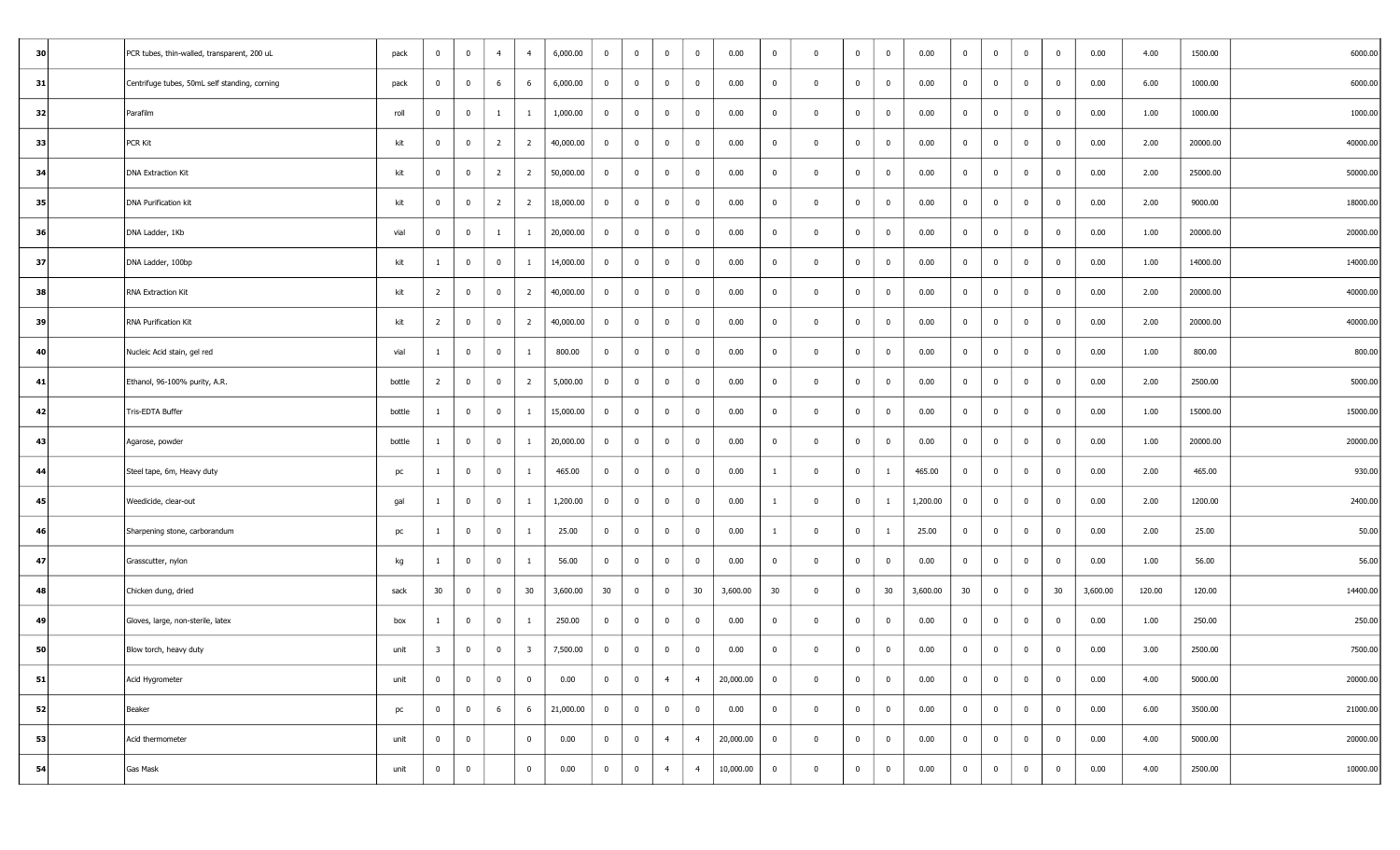| 30 | PCR tubes, thin-walled, transparent, 200 uL   | pack   | $\overline{0}$ | $\overline{0}$          | $\overline{4}$ | $\overline{4}$          | 6,000.00  | $\overline{0}$ | $\overline{0}$ | $\overline{0}$ | $\overline{0}$ | 0.00      | $\overline{0}$ | $\mathbf 0$    | $\overline{0}$ | $\overline{0}$          | 0.00     | $\overline{0}$ | $\overline{0}$ | $\overline{0}$ | $\overline{0}$ | 0.00     | 4.00   | 1500.00  | 6000.00  |
|----|-----------------------------------------------|--------|----------------|-------------------------|----------------|-------------------------|-----------|----------------|----------------|----------------|----------------|-----------|----------------|----------------|----------------|-------------------------|----------|----------------|----------------|----------------|----------------|----------|--------|----------|----------|
| 31 | Centrifuge tubes, 50mL self standing, corning | pack   | $\overline{0}$ | $\bf{0}$                | 6              | 6                       | 6,000.00  | $\bf{0}$       | $\overline{0}$ | $\mathbf 0$    | $\bf{0}$       | 0.00      | $\bf{0}$       | $\Omega$       | $\mathbf{0}$   | $\bf{0}$                | 0.00     | $\bf{0}$       | $\overline{0}$ | $\overline{0}$ | $\bf{0}$       | 0.00     | 6.00   | 1000.00  | 6000.00  |
| 32 | Parafilm                                      | roll   | $\mathbf{0}$   | $\overline{\mathbf{0}}$ | $\mathbf{1}$   | -1                      | 1,000.00  | $\overline{0}$ | $\overline{0}$ | $\overline{0}$ | $\bf{0}$       | 0.00      | $\bf{0}$       | $\mathbf{0}$   | $\bf{0}$       | $\bf{0}$                | 0.00     | $\bf{0}$       | $\overline{0}$ | $\overline{0}$ | $\bf{0}$       | 0.00     | 1.00   | 1000.00  | 1000.00  |
| 33 | <b>PCR Kit</b>                                | kit    | $\overline{0}$ | $\mathbf 0$             | $\overline{2}$ | $\overline{2}$          | 40,000.00 | $\bf{0}$       | $\overline{0}$ | $\mathbf 0$    | $\mathbf 0$    | 0.00      | $\bf{0}$       | $\Omega$       | $\mathbf{0}$   | $\bf{0}$                | 0.00     | $\bf{0}$       | $\overline{0}$ | $\overline{0}$ | $\bf{0}$       | 0.00     | 2.00   | 20000.00 | 40000.00 |
| 34 | <b>DNA Extraction Kit</b>                     | kit    | $\overline{0}$ | $\overline{\mathbf{0}}$ | $\overline{2}$ | $\overline{2}$          | 50,000.00 | $\overline{0}$ | $\mathbf 0$    | $\mathbf 0$    | $\mathbf 0$    | 0.00      | $\bf{0}$       | $\Omega$       | $\mathbf{0}$   | $\bf{0}$                | 0.00     | $\overline{0}$ | $\overline{0}$ | $\mathbf{0}$   | $\mathbf 0$    | 0.00     | 2.00   | 25000.00 | 50000.00 |
| 35 | <b>DNA Purification kit</b>                   | kit    | $\overline{0}$ | $\bf{0}$                | $\overline{2}$ | $\overline{2}$          | 18,000.00 | $\overline{0}$ | $\overline{0}$ | $\overline{0}$ | $\overline{0}$ | 0.00      | $\bf{0}$       | $\bf{0}$       | $\bf{0}$       | $\bf{0}$                | 0.00     | $\overline{0}$ | $\overline{0}$ | $\overline{0}$ | $\overline{0}$ | 0.00     | 2.00   | 9000.00  | 18000.00 |
| 36 | DNA Ladder, 1Kb                               | vial   | $\mathbf{0}$   | $\bf{0}$                | $\mathbf{1}$   | $\mathbf{1}$            | 20,000.00 | $\overline{0}$ | $\bf{0}$       | $\mathbf 0$    | $\mathbf 0$    | 0.00      | $\bf{0}$       | $\Omega$       | $\bf{0}$       | $\bf{0}$                | 0.00     | $\bf{0}$       | $\overline{0}$ | $\mathbf{0}$   | $\mathbf 0$    | 0.00     | 1.00   | 20000.00 | 20000.00 |
| 37 | DNA Ladder, 100bp                             | kit    |                | $\overline{\mathbf{0}}$ | $\overline{0}$ | -1                      | 14,000.00 | $\bf{0}$       | $\mathbf 0$    | $\mathbf 0$    | $\overline{0}$ | 0.00      | $\bf{0}$       | $\Omega$       | $\mathbf 0$    | $\bf{0}$                | 0.00     | $\mathbf 0$    | $\overline{0}$ | $\overline{0}$ | $\mathbf 0$    | 0.00     | 1.00   | 14000.00 | 14000.00 |
| 38 | RNA Extraction Kit                            | kit    | $\overline{2}$ | $\mathbf 0$             | $\overline{0}$ | $\overline{2}$          | 40,000.00 | $\bf{0}$       | $\bf{0}$       | $\Omega$       | $\bf{0}$       | 0.00      | $\bf{0}$       | $\Omega$       | $\mathbf{0}$   | $\bf{0}$                | 0.00     | $\bf{0}$       | $\overline{0}$ | $\mathbf 0$    | $\bf{0}$       | 0.00     | 2.00   | 20000.00 | 40000.00 |
| 39 | RNA Purification Kit                          | kit    | $\overline{2}$ | $\overline{\mathbf{0}}$ | $\overline{0}$ | $\overline{2}$          | 40,000.00 | $\overline{0}$ | $\bf{0}$       | $\mathbf 0$    | $\mathbf{0}$   | 0.00      | $\bf{0}$       | $\mathbf{0}$   | $\bf{0}$       | $\bf{0}$                | 0.00     | $\bf{0}$       | $\overline{0}$ | $\overline{0}$ | $\overline{0}$ | 0.00     | 2.00   | 20000.00 | 40000.00 |
| 40 | Nucleic Acid stain, gel red                   | vial   | $\mathbf{1}$   | $\bf{0}$                | $\overline{0}$ | $\mathbf{1}$            | 800.00    | $\overline{0}$ | $\overline{0}$ | $\bf{0}$       | $\bf{0}$       | 0.00      | $\overline{0}$ | $\bf{0}$       | $\bf{0}$       | $\bf{0}$                | 0.00     | $\overline{0}$ | $\overline{0}$ | $\overline{0}$ | $\overline{0}$ | 0.00     | 1.00   | 800.00   | 800.00   |
| 41 | Ethanol, 96-100% purity, A.R.                 | bottle | $\overline{2}$ | $\overline{\mathbf{0}}$ | $\mathbf 0$    | $\overline{2}$          | 5,000.00  | $\overline{0}$ | $\bf{0}$       | $\mathbf 0$    | $\mathbf 0$    | 0.00      | $\bf{0}$       | $\Omega$       | $\overline{0}$ | $\mathbf 0$             | 0.00     | $\overline{0}$ | $\overline{0}$ | $\mathbf 0$    | $\overline{0}$ | 0.00     | 2.00   | 2500.00  | 5000.00  |
| 42 | Tris-EDTA Buffer                              | bottle | 1              | $\overline{\mathbf{0}}$ | $\overline{0}$ | -1                      | 15,000.00 | $\overline{0}$ | $\bf{0}$       | $\overline{0}$ | $\overline{0}$ | 0.00      | $\bf{0}$       | $\Omega$       | $\mathbf{0}$   | $\bf{0}$                | 0.00     | $\overline{0}$ | $\overline{0}$ | $\overline{0}$ | $\overline{0}$ | 0.00     | 1.00   | 15000.00 | 15000.00 |
| 43 | Agarose, powder                               | bottle | -1             | $\overline{0}$          | $\mathbf 0$    | $\mathbf{1}$            | 20,000.00 | $\bf{0}$       | $\overline{0}$ | $\mathbf 0$    | $\bf{0}$       | 0.00      | $\bf{0}$       | $\mathbf{0}$   | $\mathbf{0}$   | $\bf{0}$                | 0.00     | $\overline{0}$ | $\overline{0}$ | $\mathbf{0}$   | $\overline{0}$ | 0.00     | 1.00   | 20000.00 | 20000.00 |
| 44 | Steel tape, 6m, Heavy duty                    | pc     | -1             | $\overline{0}$          | $\overline{0}$ | $\mathbf{1}$            | 465.00    | $\overline{0}$ | $\overline{0}$ | $\mathbf 0$    | $\bf{0}$       | 0.00      | $\mathbf{1}$   | $\Omega$       | $\mathbf 0$    | $\overline{1}$          | 465.00   | $\bf{0}$       | $\overline{0}$ | $\overline{0}$ | $\mathbf 0$    | 0.00     | 2.00   | 465.00   | 930.00   |
| 45 | Weedicide, clear-out                          | gal    | 1              | $\bf{0}$                | $\overline{0}$ | $\mathbf{1}$            | 1,200.00  | $\bf{0}$       | $\overline{0}$ | $\mathbf 0$    | $\bf{0}$       | 0.00      | $\mathbf{1}$   | $\Omega$       | $\bf{0}$       | 1                       | 1,200.00 | $\bf{0}$       | $\overline{0}$ | $\overline{0}$ | $\bf{0}$       | 0.00     | 2.00   | 1200.00  | 2400.00  |
| 46 | Sharpening stone, carborandum                 | pc     |                | $\overline{\mathbf{0}}$ | $\overline{0}$ | 1                       | 25.00     | $\overline{0}$ | $\mathbf 0$    | $\mathbf 0$    | $\mathbf 0$    | 0.00      | -1             | $\mathbf{0}$   | $\mathbf{0}$   | 1                       | 25.00    | $\bf{0}$       | $\overline{0}$ | $\overline{0}$ | $\bf{0}$       | 0.00     | 2.00   | 25.00    | 50.00    |
| 47 | Grasscutter, nylon                            | kg     | $\mathbf{1}$   | $\overline{\mathbf{0}}$ | $\overline{0}$ | $\mathbf{1}$            | 56.00     | $\overline{0}$ | $\bf{0}$       | $\overline{0}$ | $\overline{0}$ | 0.00      | $\bf{0}$       | $\bf{0}$       | $\bf{0}$       | $\bf{0}$                | 0.00     | $\overline{0}$ | $\overline{0}$ | $\overline{0}$ | $\overline{0}$ | 0.00     | 1.00   | 56.00    | 56.00    |
| 48 | Chicken dung, dried                           | sack   | 30             | $\bf{0}$                | $\overline{0}$ | 30                      | 3,600.00  | 30             | $\overline{0}$ | $\overline{0}$ | 30             | 3,600.00  | 30             | $\mathbf{0}$   | $\bf{0}$       | 30                      | 3,600.00 | 30             | $\overline{0}$ | $\overline{0}$ | 30             | 3,600.00 | 120.00 | 120.00   | 14400.00 |
| 49 | Gloves, large, non-sterile, latex             | box    | 1              | $\overline{\mathbf{0}}$ | $\overline{0}$ | 1                       | 250.00    | $\overline{0}$ | $\bf{0}$       | $\bf{0}$       | $\overline{0}$ | 0.00      | $\bf{0}$       | $\overline{0}$ | $\overline{0}$ | $\bf{0}$                | 0.00     | $\overline{0}$ | $\overline{0}$ | $\overline{0}$ | $\overline{0}$ | 0.00     | 1.00   | 250.00   | 250.00   |
| 50 | Blow torch, heavy duty                        | unit   | 3              | $\bf{0}$                | $\overline{0}$ | $\overline{\mathbf{3}}$ | 7,500.00  | $\overline{0}$ | $\overline{0}$ | $\bf{0}$       | $\mathbf 0$    | 0.00      | $\bf{0}$       | $\Omega$       | $\mathbf 0$    | $\bf{0}$                | 0.00     | $\bf{0}$       | $\overline{0}$ | $\mathbf{0}$   | $\bf{0}$       | 0.00     | 3.00   | 2500.00  | 7500.00  |
| 51 | Acid Hygrometer                               | unit   | $\overline{0}$ | $\bf{0}$                | $\overline{0}$ | $\overline{0}$          | 0.00      | $\overline{0}$ | $\overline{0}$ | $\overline{4}$ | $\overline{4}$ | 20,000.00 | $\overline{0}$ | $\mathbf{0}$   | $\overline{0}$ | $\overline{\mathbf{0}}$ | 0.00     | $\overline{0}$ | $\bf{0}$       | $\overline{0}$ | $\overline{0}$ | 0.00     | 4.00   | 5000.00  | 20000.00 |
| 52 | Beaker                                        | pc     | $\overline{0}$ | $\bf{0}$                | 6              | 6                       | 21,000.00 | $\overline{0}$ | $\overline{0}$ | $\overline{0}$ | $\overline{0}$ | 0.00      | $\overline{0}$ | $\mathbf 0$    | $\mathbf{0}$   | $\overline{\mathbf{0}}$ | 0.00     | $\overline{0}$ | $\overline{0}$ | $\overline{0}$ | $\overline{0}$ | 0.00     | 6.00   | 3500.00  | 21000.00 |
| 53 | Acid thermometer                              | unit   | $\bf{0}$       | $\overline{0}$          |                | $\mathbf{0}$            | 0.00      | $\mathbf{0}$   | $\overline{0}$ | $\overline{4}$ | $\overline{4}$ | 20,000.00 | $\overline{0}$ | $\mathbf 0$    | $\overline{0}$ | $\overline{0}$          | 0.00     | $\overline{0}$ | $\mathbf{0}$   | $\overline{0}$ | $\overline{0}$ | 0.00     | 4.00   | 5000.00  | 20000.00 |
| 54 | Gas Mask                                      | unit   | $\overline{0}$ | $\bf{0}$                |                | $\overline{0}$          | 0.00      | $\bf{0}$       | $\bf{0}$       | $\overline{4}$ | $\overline{4}$ | 10,000.00 | $\bf{0}$       | $\bf{0}$       | $\bf{0}$       | $\bf{0}$                | 0.00     | $\overline{0}$ | $\bf{0}$       | $\overline{0}$ | $\mathbf{0}$   | 0.00     | 4.00   | 2500.00  | 10000.00 |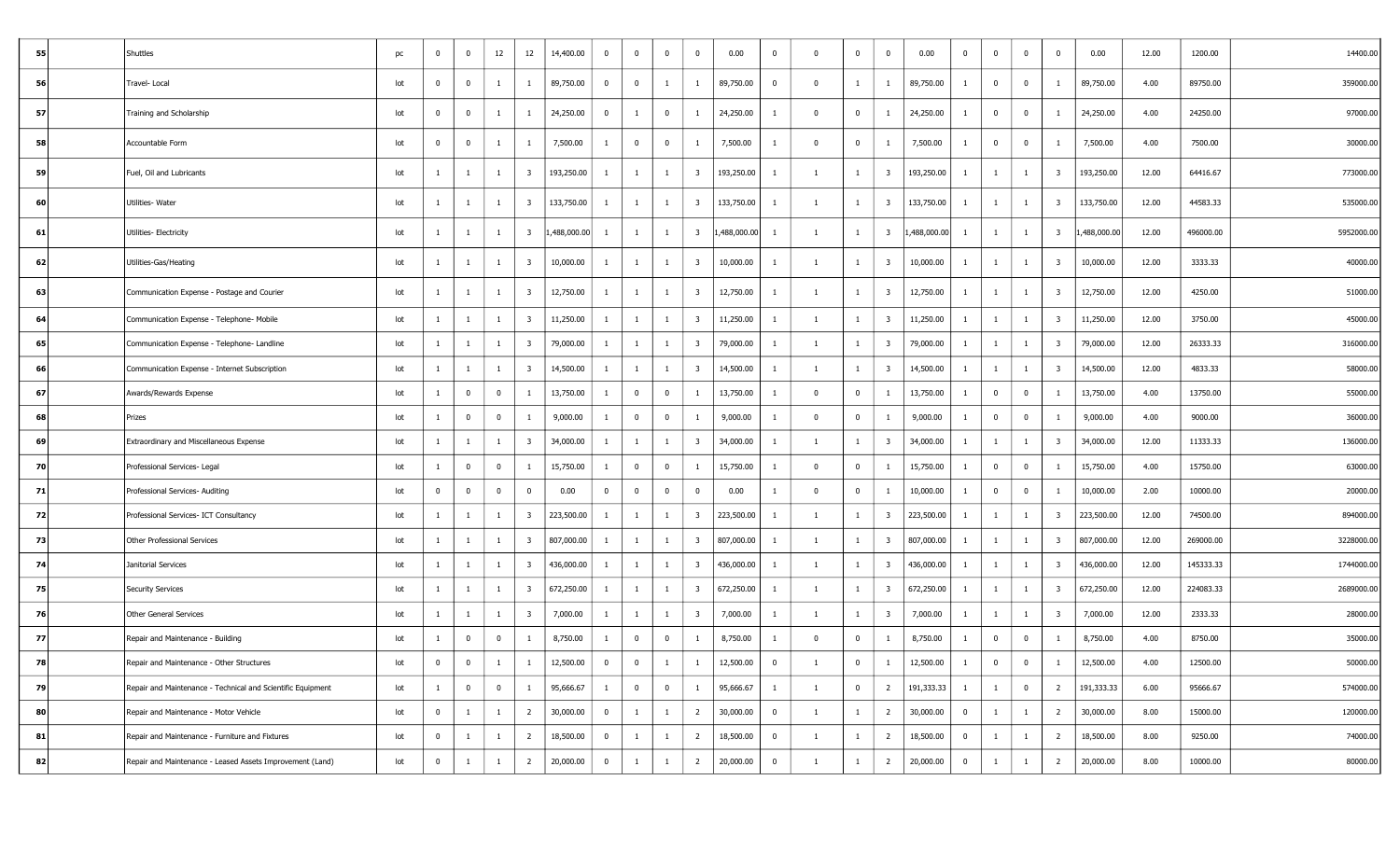| 55 | Shuttles                                                    | pc  | 0              | $\bf{0}$       | 12             | 12                      | 14,400.00    | $\overline{0}$ | $\bf{0}$       | $\mathbf{0}$   | $\bf{0}$                | 0.00        | $\bf{0}$                | $\overline{0}$ | $\mathbf{0}$   | $\bf{0}$                | 0.00         | $\bf{0}$       | $\overline{0}$          | $\mathbf{0}$ | $\overline{0}$          | 0.00        | 12.00 | 1200.00   | 14400.00   |
|----|-------------------------------------------------------------|-----|----------------|----------------|----------------|-------------------------|--------------|----------------|----------------|----------------|-------------------------|-------------|-------------------------|----------------|----------------|-------------------------|--------------|----------------|-------------------------|--------------|-------------------------|-------------|-------|-----------|------------|
| 56 | Travel-Local                                                | lot | $\mathbf{0}$   | $\bf{0}$       | $\mathbf{1}$   | -1                      | 89,750.00    | $\bf{0}$       | $\bf{0}$       | 1              | 1                       | 89,750.00   | $\mathbf 0$             | $\Omega$       | $\mathbf{1}$   | -1                      | 89,750.00    |                | $\overline{0}$          | $\mathbf{0}$ | -1                      | 89,750.00   | 4.00  | 89750.00  | 359000.00  |
| 57 | Training and Scholarship                                    | lot | 0              | $\bf{0}$       | $\mathbf{1}$   |                         | 24,250.00    | $\overline{0}$ | $\overline{1}$ | $\mathbf 0$    | 1                       | 24,250.00   |                         | $\bf{0}$       | $\overline{0}$ | -1                      | 24,250.00    |                | $\overline{0}$          | $\mathbf{0}$ | -1                      | 24,250.00   | 4.00  | 24250.00  | 97000.00   |
| 58 | Accountable Form                                            | lot | 0              | $\bf{0}$       | -1             | 1                       | 7,500.00     | 1              | $\overline{0}$ | $\mathbf{0}$   | 1                       | 7,500.00    | -1                      | $\overline{0}$ | $\mathbf{0}$   |                         | 7,500.00     |                | $\overline{0}$          | $\mathbf{0}$ | -1                      | 7,500.00    | 4.00  | 7500.00   | 30000.00   |
| 59 | Fuel, Oil and Lubricants                                    | lot |                | -1             | $\mathbf{1}$   | -3                      | 193,250.00   | 1              | -1             | -1             | $\overline{\mathbf{3}}$ | 193,250.00  | -1                      | $\overline{1}$ | $\mathbf{1}$   | - 3                     | 193,250.00   |                | -1                      | 1            | $\overline{\mathbf{3}}$ | 193,250.00  | 12.00 | 64416.67  | 773000.00  |
| 60 | Utilities- Water                                            | lot | -1             | $\overline{1}$ | $\mathbf{1}$   | $\overline{\mathbf{3}}$ | 133,750.00   | <sup>1</sup>   | $\mathbf{1}$   | $\mathbf{1}$   | $\overline{\mathbf{3}}$ | 133,750.00  | -1                      | 1              | $\mathbf{1}$   | $\overline{\mathbf{3}}$ | 133,750.00   | -1             | <sup>1</sup>            | $\mathbf{1}$ | $\overline{\mathbf{3}}$ | 133,750.00  | 12.00 | 44583.33  | 535000.00  |
| 61 | Utilities- Electricity                                      | lot |                | 1              | $\mathbf{1}$   | $\overline{\mathbf{3}}$ | 1,488,000.00 | 1              | -1             | 1              | $\overline{\mathbf{3}}$ | ,488,000.00 | -1                      | - 1            | $\mathbf{1}$   | $\overline{\mathbf{3}}$ | 1,488,000.00 |                | <sup>1</sup>            | 1            | $\overline{\mathbf{3}}$ | ,488,000.00 | 12.00 | 496000.00 | 5952000.00 |
| 62 | Utilities-Gas/Heating                                       | lot |                | 1              | $\mathbf{1}$   | - 3                     | 10,000.00    | $\mathbf{1}$   | -1             | -1             | $\overline{\mathbf{3}}$ | 10,000.00   |                         | -1             | $\mathbf{1}$   | $\overline{\mathbf{3}}$ | 10,000.00    |                | -1                      | 1            | 3                       | 10,000.00   | 12.00 | 3333.33   | 40000.00   |
| 63 | Communication Expense - Postage and Courier                 | lot |                | -1             | $\mathbf{1}$   | -3                      | 12,750.00    | 1              | $\mathbf{1}$   | -1             | $\overline{\mathbf{3}}$ | 12,750.00   |                         |                | $\mathbf{1}$   | $\overline{3}$          | 12,750.00    |                | 1                       | 1            | 3                       | 12,750.00   | 12.00 | 4250.00   | 51000.00   |
| 64 | Communication Expense - Telephone- Mobile                   | lot |                | $\overline{1}$ | $\mathbf{1}$   | 3                       | 11,250.00    | 1              | -1             | -1             | $\overline{\mathbf{3}}$ | 11,250.00   | -1                      | $\overline{1}$ | $\mathbf{1}$   | $\overline{\mathbf{3}}$ | 11,250.00    |                | 1                       | $\mathbf{1}$ | $\overline{\mathbf{3}}$ | 11,250.00   | 12.00 | 3750.00   | 45000.00   |
| 65 | Communication Expense - Telephone- Landline                 | lot | -1             | $\overline{1}$ | $\mathbf{1}$   | $\overline{\mathbf{3}}$ | 79,000.00    | 1              | $\mathbf{1}$   | $\mathbf{1}$   | $\overline{\mathbf{3}}$ | 79,000.00   | $\mathbf{1}$            | -1             | 1              | $\overline{\mathbf{3}}$ | 79,000.00    | $\mathbf{1}$   | 1                       | $\mathbf{1}$ | $\overline{\mathbf{3}}$ | 79,000.00   | 12.00 | 26333.33  | 316000.00  |
| 66 | Communication Expense - Internet Subscription               | lot |                | 1              | $\mathbf{1}$   | - 3                     | 14,500.00    | 1              | <sup>1</sup>   | 1              | $\overline{\mathbf{3}}$ | 14,500.00   | -1                      | $\overline{1}$ | $\mathbf{1}$   | $\overline{\mathbf{3}}$ | 14,500.00    |                | 1                       | 1            | 3                       | 14,500.00   | 12.00 | 4833.33   | 58000.00   |
| 67 | Awards/Rewards Expense                                      | lot | -1             | $\bf{0}$       | $\bf{0}$       | -1                      | 13,750.00    | 1              | $\overline{0}$ | $\mathbf 0$    | $\mathbf{1}$            | 13,750.00   | $\mathbf{1}$            | $\bf{0}$       | $\mathbf{0}$   | -1                      | 13,750.00    | -1             | $\overline{0}$          | $\bf{0}$     | -1                      | 13,750.00   | 4.00  | 13750.00  | 55000.00   |
| 68 | Prizes                                                      | lot | -1             | $\bf{0}$       | $\bf{0}$       | -1                      | 9,000.00     | 1              | $\overline{0}$ | $\mathbf{0}$   | 1                       | 9,000.00    | <sup>1</sup>            | $\overline{0}$ | $\mathbf{0}$   | -1                      | 9,000.00     | -1             | $\overline{\mathbf{0}}$ | $\bf{0}$     | -1                      | 9,000.00    | 4.00  | 9000.00   | 36000.00   |
| 69 | Extraordinary and Miscellaneous Expense                     | lot |                | 1              | $\mathbf{1}$   | -3                      | 34,000.00    | $\mathbf{1}$   | $\mathbf{1}$   | 1              | $\overline{\mathbf{3}}$ | 34,000.00   | -1                      |                | $\mathbf{1}$   | $\overline{\mathbf{3}}$ | 34,000.00    |                | <sup>1</sup>            | $\mathbf{1}$ | 3                       | 34,000.00   | 12.00 | 11333.33  | 136000.00  |
| 70 | Professional Services- Legal                                | lot |                | $\mathbf 0$    | $\bf{0}$       |                         | 15,750.00    | $\mathbf{1}$   | $\overline{0}$ | $\Omega$       | 1                       | 15,750.00   | $\mathbf{1}$            | $\overline{0}$ | $\mathbf{0}$   | 1                       | 15,750.00    |                | $\overline{0}$          | $\mathbf 0$  |                         | 15,750.00   | 4.00  | 15750.00  | 63000.00   |
| 71 | Professional Services- Auditing                             | lot | $\mathbf 0$    | $\mathbf 0$    | $\bf{0}$       | $\mathbf 0$             | 0.00         | $\overline{0}$ | $\bf{0}$       | $\Omega$       | $\mathbf 0$             | 0.00        | 1                       | $^{\circ}$     | $\mathbf{0}$   | $\overline{1}$          | 10,000.00    |                | $\overline{0}$          | $\mathbf 0$  |                         | 10,000.00   | 2.00  | 10000.00  | 20000.00   |
| 72 | Professional Services- ICT Consultancy                      | lot |                | 1              | $\mathbf{1}$   | $\overline{\mathbf{3}}$ | 223,500.00   | 1              | -1             | 1              | $\overline{\mathbf{3}}$ | 223,500.00  | -1                      | $\overline{1}$ | $\mathbf{1}$   | $\overline{\mathbf{3}}$ | 223,500.00   |                | -1                      | 1            | $\overline{\mathbf{3}}$ | 223,500.00  | 12.00 | 74500.00  | 894000.00  |
| 73 | Other Professional Services                                 | lot |                | 1              | $\mathbf{1}$   | - 3                     | 807,000.00   | 1              | -1             | -1             | $\overline{\mathbf{3}}$ | 807,000.00  | -1                      | $\overline{1}$ | $\mathbf{1}$   | - 3                     | 807,000.00   |                | <sup>1</sup>            | 1            | $\overline{\mathbf{3}}$ | 807,000.00  | 12.00 | 269000.00 | 3228000.00 |
| 74 | Janitorial Services                                         | lot |                | -1             | $\mathbf{1}$   | - 3                     | 436,000.00   | 1              | -1             | -1             | $\overline{\mathbf{3}}$ | 436,000.00  | -1                      | $\overline{1}$ | $\mathbf{1}$   | $\overline{\mathbf{3}}$ | 436,000.00   |                | -1                      | 1            | $\overline{\mathbf{3}}$ | 436,000.00  | 12.00 | 145333.33 | 1744000.00 |
| 75 | <b>Security Services</b>                                    | lot |                | -1             | <sup>1</sup>   | 3                       | 672,250.00   | $\mathbf{1}$   | 1              | -1             | $\overline{3}$          | 672,250.00  | -1                      | $\overline{1}$ | $\mathbf{1}$   | - 3                     | 672,250.00   |                | -1                      | -1           | $\overline{\mathbf{3}}$ | 672,250.00  | 12.00 | 224083.33 | 2689000.00 |
| 76 | Other General Services                                      | lot | 1              | $\overline{1}$ | $\mathbf{1}$   | 3                       | 7,000.00     | 1              | $\mathbf{1}$   | -1             | $\overline{\mathbf{3}}$ | 7,000.00    | -1                      | -1             | $\mathbf{1}$   | $\overline{\mathbf{3}}$ | 7,000.00     | -1             | $\mathbf{1}$            | 1            | $\overline{\mathbf{3}}$ | 7,000.00    | 12.00 | 2333.33   | 28000.00   |
| 77 | Repair and Maintenance - Building                           | lot |                | $\bf{0}$       | $\bf{0}$       |                         | 8,750.00     | 1              | $\bf{0}$       | $\mathbf{0}$   | 1                       | 8,750.00    | -1                      | $\Omega$       | $\bf{0}$       | -1                      | 8,750.00     |                | $\overline{0}$          | $\mathbf{0}$ | -1                      | 8,750.00    | 4.00  | 8750.00   | 35000.00   |
| 78 | Repair and Maintenance - Other Structures                   | ιοτ |                | $\mathbf 0$    |                |                         | 12,500.00    |                |                |                |                         | 12,500.00   |                         |                |                |                         | 12,500.00    |                | $\pmb{0}$               |              |                         | 12,500.00   | 4.00  | 12500.00  | 50000.00   |
| 79 | Repair and Maintenance - Technical and Scientific Equipment | lot | -1             | $\overline{0}$ | $\overline{0}$ | 1                       | 95,666.67    | $\mathbf{1}$   | $\overline{0}$ | $\overline{0}$ | $\overline{1}$          | 95,666.67   | $\overline{1}$          | 1              | $\overline{0}$ | $\overline{2}$          | 191,333.33   | $\mathbf{1}$   | $\mathbf{1}$            | $\bf{0}$     | $\overline{2}$          | 191,333.33  | 6.00  | 95666.67  | 574000.00  |
| 80 | Repair and Maintenance - Motor Vehicle                      | lot | $\overline{0}$ | $\overline{1}$ | $\mathbf{1}$   | $\overline{2}$          | 30,000.00    | $\overline{0}$ | $\mathbf{1}$   | $\mathbf{1}$   | $\overline{2}$          | 30,000.00   | $\overline{\mathbf{0}}$ | 1              | $\mathbf{1}$   | $\overline{2}$          | 30,000.00    | $\mathbf{0}$   | $\mathbf{1}$            | $\mathbf{1}$ | $\overline{2}$          | 30,000.00   | 8.00  | 15000.00  | 120000.00  |
| 81 | Repair and Maintenance - Furniture and Fixtures             | lot | $\overline{0}$ | $\mathbf{1}$   | $\mathbf{1}$   | $\overline{2}$          | 18,500.00    | $\overline{0}$ | $\mathbf{1}$   | $\mathbf{1}$   | $\overline{2}$          | 18,500.00   | $\overline{\mathbf{0}}$ | 1              | $\mathbf{1}$   | $\overline{2}$          | 18,500.00    | $\overline{0}$ | $\overline{1}$          | $\mathbf{1}$ | $\overline{2}$          | 18,500.00   | 8.00  | 9250.00   | 74000.00   |
| 82 | Repair and Maintenance - Leased Assets Improvement (Land)   | lot | $\mathbf 0$    | $\overline{1}$ | $\mathbf{1}$   | $\overline{2}$          | 20,000.00    | $\overline{0}$ | -1             | $\mathbf{1}$   | $\overline{2}$          | 20,000.00   | $\bf{0}$                | $\overline{1}$ | $\mathbf{1}$   | $\overline{2}$          | 20,000.00    | $\bf{0}$       | 1                       | $\mathbf{1}$ | $\overline{2}$          | 20,000.00   | 8.00  | 10000.00  | 80000.00   |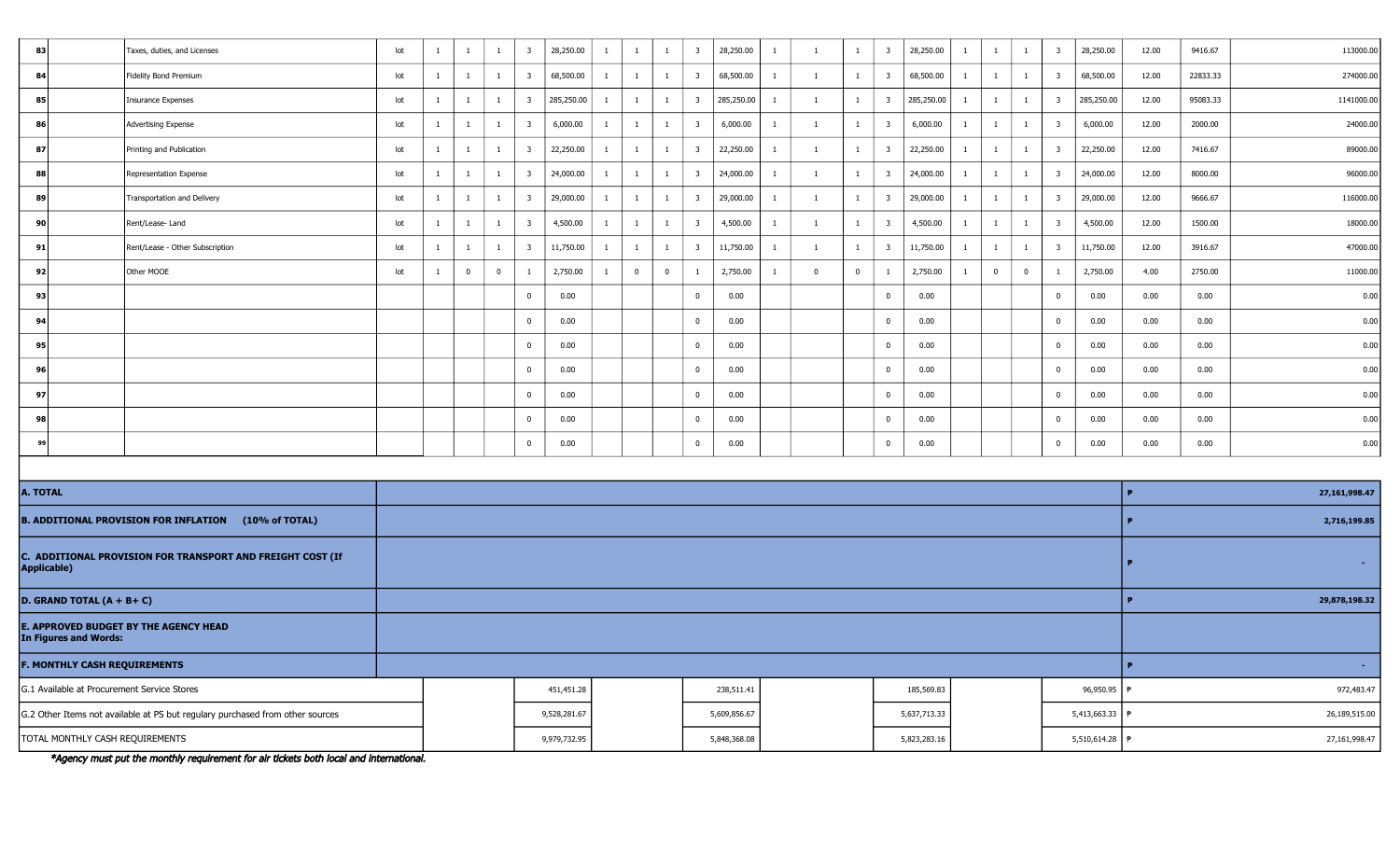| 83                                  | Taxes, duties, and Licenses                                 | lot | $\mathbf{1}$ | 1            | $\mathbf{1}$   | $\overline{\mathbf{3}}$ | 28,250.00  | $\mathbf{1}$ | -1             | $\mathbf{1}$   | $\overline{\mathbf{3}}$ | 28,250.00  | 1            | $\overline{1}$ | $\mathbf{1}$   | $\overline{\mathbf{3}}$ | 28,250.00  | -1           | $\mathbf{1}$   | $\mathbf{1}$ | 3                       | 28,250.00  | 12.00         | 9416.67             | 113000.00     |  |  |  |
|-------------------------------------|-------------------------------------------------------------|-----|--------------|--------------|----------------|-------------------------|------------|--------------|----------------|----------------|-------------------------|------------|--------------|----------------|----------------|-------------------------|------------|--------------|----------------|--------------|-------------------------|------------|---------------|---------------------|---------------|--|--|--|
| 84                                  | <b>Fidelity Bond Premium</b>                                | lot | $\mathbf{1}$ | $\mathbf{1}$ | $\mathbf{1}$   | $\overline{\mathbf{3}}$ | 68,500.00  | $\mathbf{1}$ | $\mathbf{1}$   | $\overline{1}$ | $\overline{\mathbf{3}}$ | 68,500.00  | $\mathbf{1}$ | <sup>1</sup>   | $\mathbf{1}$   | $\overline{\mathbf{3}}$ | 68,500.00  | 1            | $\overline{1}$ | $\mathbf{1}$ | $\overline{\mathbf{3}}$ | 68,500.00  | 12.00         | 22833.33            | 274000.00     |  |  |  |
| 85                                  | <b>Insurance Expenses</b>                                   | lot | $\mathbf{1}$ | 1            | $\mathbf{1}$   | $\overline{\mathbf{3}}$ | 285,250.00 | $\mathbf{1}$ | $\mathbf{1}$   | $\mathbf{1}$   | $\overline{\mathbf{3}}$ | 285,250.00 | 1            | $\overline{1}$ | $\mathbf{1}$   | $\overline{\mathbf{3}}$ | 285,250.00 |              | 1              | $\mathbf{1}$ | $\overline{\mathbf{3}}$ | 285,250.00 | 12.00         | 95083.33            | 1141000.00    |  |  |  |
| 86                                  | Advertising Expense                                         | lot | $\mathbf{1}$ | $\mathbf{1}$ | $\overline{1}$ | $\overline{\mathbf{3}}$ | 6,000.00   | $\mathbf{1}$ | $\mathbf{1}$   | $\mathbf{1}$   | $\overline{\mathbf{3}}$ | 6,000.00   | $\mathbf{1}$ | $\mathbf{1}$   | $\mathbf{1}$   | $\overline{\mathbf{3}}$ | 6,000.00   | $\mathbf{1}$ | $\overline{1}$ | $\mathbf{1}$ | $\overline{\mathbf{3}}$ | 6,000.00   | 12.00         | 2000.00             | 24000.00      |  |  |  |
| 87                                  | Printing and Publication                                    | lot | $\mathbf{1}$ | 1            | $\mathbf{1}$   | $\overline{\mathbf{3}}$ | 22,250.00  | $\mathbf{1}$ | -1             | $\mathbf{1}$   | $\overline{\mathbf{3}}$ | 22,250.00  | $\mathbf{1}$ | $\overline{1}$ | $\mathbf{1}$   | $\overline{\mathbf{3}}$ | 22,250.00  | -1           | $\mathbf{1}$   | $\mathbf{1}$ | $\overline{\mathbf{3}}$ | 22,250.00  | 12.00         | 7416.67             | 89000.00      |  |  |  |
| 88                                  | Representation Expense                                      | lot | $\mathbf{1}$ | 1            | $\mathbf{1}$   | $\overline{\mathbf{3}}$ | 24,000.00  | $\mathbf{1}$ | $\mathbf{1}$   | $\mathbf{1}$   | $\overline{\mathbf{3}}$ | 24,000.00  | $\mathbf{1}$ | 1              | $\mathbf{1}$   | $\overline{\mathbf{3}}$ | 24,000.00  | 1            | $\overline{1}$ | $\mathbf{1}$ | $\overline{\mathbf{3}}$ | 24,000.00  | 12.00         | 8000.00             | 96000.00      |  |  |  |
| 89                                  | Transportation and Delivery                                 | lot | $\mathbf{1}$ | <sup>1</sup> | $\mathbf{1}$   | $\overline{\mathbf{3}}$ | 29,000.00  | $\mathbf{1}$ | $\mathbf{1}$   | $\mathbf{1}$   | $\overline{\mathbf{3}}$ | 29,000.00  | 1            | $\mathbf{1}$   | 1              | $\overline{\mathbf{3}}$ | 29,000.00  | 1            | $\mathbf{1}$   | $\mathbf{1}$ | $\overline{\mathbf{3}}$ | 29,000.00  | 12.00         | 9666.67             | 116000.00     |  |  |  |
| 90                                  | Rent/Lease-Land                                             | lot | $\mathbf{1}$ | 1            | $\mathbf{1}$   | $\overline{\mathbf{3}}$ | 4,500.00   | $\mathbf{1}$ | $\mathbf{1}$   | 1              | $\overline{\mathbf{3}}$ | 4,500.00   | 1            | 1              | $\mathbf{1}$   | $\overline{\mathbf{3}}$ | 4,500.00   | -1           | <sup>1</sup>   | $\mathbf{1}$ | $\overline{\mathbf{3}}$ | 4,500.00   | 12.00         | 1500.00             | 18000.00      |  |  |  |
| 91                                  | Rent/Lease - Other Subscription                             | lot | $\mathbf{1}$ | $\mathbf{1}$ | $\mathbf{1}$   | $\overline{\mathbf{3}}$ | 11,750.00  | $\mathbf{1}$ | $\mathbf{1}$   | $\mathbf{1}$   | $\overline{\mathbf{3}}$ | 11,750.00  | -1           | $\mathbf{1}$   | $\mathbf{1}$   | $\overline{\mathbf{3}}$ | 11,750.00  | 1            | $\overline{1}$ | $\mathbf{1}$ | $\overline{\mathbf{3}}$ | 11,750.00  | 12.00         | 3916.67             | 47000.00      |  |  |  |
| -92                                 | Other MOOE                                                  | lot | $\mathbf{1}$ | $\bf{0}$     | $\overline{0}$ | $\mathbf{1}$            | 2,750.00   | $\mathbf{1}$ | $\overline{0}$ | $\mathbf 0$    | 1                       | 2,750.00   | $\mathbf{1}$ | $\Omega$       | $\overline{0}$ | 1                       | 2,750.00   | -1           | $\mathbf 0$    | $\bf{0}$     | $\mathbf{1}$            | 2,750.00   | 4.00          | 2750.00             | 11000.00      |  |  |  |
| 93                                  |                                                             |     |              |              |                | $\mathbf 0$             | 0.00       |              |                |                | $\mathbf 0$             | 0.00       |              |                |                | $\overline{0}$          | 0.00       |              |                |              | $\Omega$                | 0.00       | 0.00          | 0.00                | 0.00          |  |  |  |
| 94                                  |                                                             |     |              |              |                | $\mathbf{0}$            | 0.00       |              |                |                | $\overline{0}$          | 0.00       |              |                |                | $\overline{0}$          | 0.00       |              |                |              | $\mathbf{0}$            | 0.00       | 0.00          | 0.00                | 0.00          |  |  |  |
| 95                                  |                                                             |     |              |              |                | $\mathbf 0$             | 0.00       |              |                |                | $\bf{0}$                | 0.00       |              |                |                | $\overline{\mathbf{0}}$ | 0.00       |              |                |              | $^{\circ}$              | 0.00       | 0.00          | 0.00                | 0.00          |  |  |  |
| 96                                  |                                                             |     |              |              |                | $\mathbf{0}$            | 0.00       |              |                |                | $\mathbf 0$             | 0.00       |              |                |                | $\overline{0}$          | 0.00       |              |                |              | $^{\circ}$              | 0.00       | 0.00          | 0.00                | 0.00          |  |  |  |
| 97                                  |                                                             |     |              |              |                | $\mathbf{0}$            | 0.00       |              |                |                | $\overline{0}$          | 0.00       |              |                |                | $\overline{0}$          | 0.00       |              |                |              | $\bf{0}$                | 0.00       | 0.00          | 0.00                | 0.00          |  |  |  |
| 98                                  |                                                             |     |              |              |                | $\mathbf 0$             | 0.00       |              |                |                | $\mathbf 0$             | 0.00       |              |                |                | $\mathbf 0$             | 0.00       |              |                |              | $\overline{0}$          | 0.00       | 0.00          | 0.00                | 0.00          |  |  |  |
| 99                                  |                                                             |     |              |              |                | $\bf{0}$                | 0.00       |              |                |                | $\mathbf 0$             | 0.00       |              |                |                | $\mathbf{0}$            | 0.00       |              |                |              | $\bf{0}$                | 0.00       | 0.00          | 0.00                | 0.00          |  |  |  |
|                                     |                                                             |     |              |              |                |                         |            |              |                |                |                         |            |              |                |                |                         |            |              |                |              |                         |            |               |                     |               |  |  |  |
| A. TOTAL                            |                                                             |     |              |              |                |                         |            |              |                |                |                         |            |              |                |                |                         |            |              |                |              |                         |            |               |                     | 27,161,998.47 |  |  |  |
|                                     | <b>B. ADDITIONAL PROVISION FOR INFLATION (10% of TOTAL)</b> |     |              |              |                |                         |            |              |                |                |                         |            |              |                |                |                         |            |              |                |              |                         |            | 2,716,199.85  |                     |               |  |  |  |
| Applicable)                         | C. ADDITIONAL PROVISION FOR TRANSPORT AND FREIGHT COST (If  |     |              |              |                |                         |            |              |                |                |                         |            |              |                |                |                         |            |              |                |              |                         |            | . н.          |                     |               |  |  |  |
| D. GRAND TOTAL $(A + B + C)$        |                                                             |     |              |              |                |                         |            |              |                |                |                         |            |              |                |                |                         |            |              |                |              |                         |            | 29,878,198.32 |                     |               |  |  |  |
| In Figures and Words:               | <b>E. APPROVED BUDGET BY THE AGENCY HEAD</b>                |     |              |              |                |                         |            |              |                |                |                         |            |              |                |                |                         |            |              |                |              |                         |            |               |                     |               |  |  |  |
| <b>F. MONTHLY CASH REQUIREMENTS</b> |                                                             |     |              |              |                |                         |            |              |                |                |                         |            |              |                |                |                         |            |              |                |              |                         |            |               | $\bullet$<br>$\sim$ |               |  |  |  |

| G.1 Available at Procurement Service Stores                                   | 451,451.28   | 238,511.41   | 185,569.83   | 96,950.95   f    | 972,483.47    |
|-------------------------------------------------------------------------------|--------------|--------------|--------------|------------------|---------------|
| G.2 Other Items not available at PS but regulary purchased from other sources | 9,528,281.67 | 5,609,856.67 | 5,637,713.33 | 5,413,663.33   F | 26,189,515.00 |
| TOTAL MONTHLY CASH REQUIREMENTS                                               | 9,979,732.95 | 5,848,368.08 | 5,823,283.16 | 5,510,614.28 f   | 27,161,998.47 |

\*Agency must put the monthly requirement for air tickets both local and international.